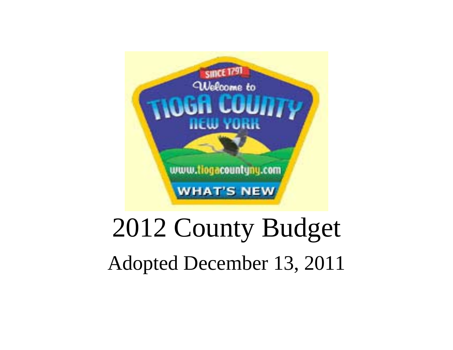

# 2012 County Budget

Adopted December 13, 2011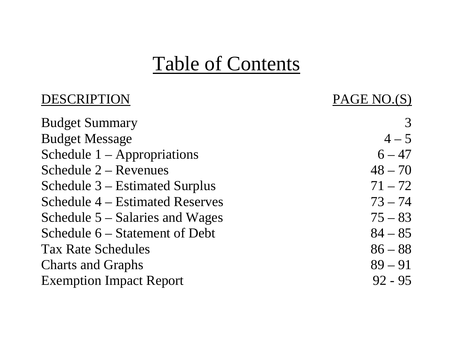## Table of Contents

| DESCRIPTION                     | PAGE NO.(S) |
|---------------------------------|-------------|
| <b>Budget Summary</b>           |             |
| <b>Budget Message</b>           | $4 - 5$     |
| Schedule $1 -$ Appropriations   | $6 - 47$    |
| Schedule $2 -$ Revenues         | $48 - 70$   |
| Schedule 3 – Estimated Surplus  | $71 - 72$   |
| Schedule 4 – Estimated Reserves | $73 - 74$   |
| Schedule 5 – Salaries and Wages | $75 - 83$   |
| Schedule 6 – Statement of Debt  | $84 - 85$   |
| <b>Tax Rate Schedules</b>       | $86 - 88$   |
| <b>Charts and Graphs</b>        | $89 - 91$   |
| <b>Exemption Impact Report</b>  | $92 - 95$   |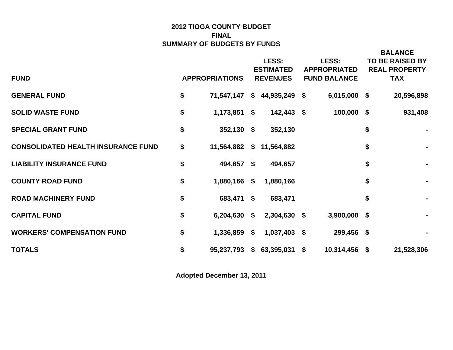### **2012 TIOGA COUNTY BUDGET SUMMARY OF BUDGETS BY FUNDS FINAL**

|                                           |                       | LESS:                       | LESS:               | <b>BALANCE</b><br><b>TO BE RAISED BY</b> |
|-------------------------------------------|-----------------------|-----------------------------|---------------------|------------------------------------------|
|                                           |                       |                             |                     |                                          |
|                                           |                       | <b>ESTIMATED</b>            | <b>APPROPRIATED</b> | <b>REAL PROPERTY</b>                     |
| <b>FUND</b>                               | <b>APPROPRIATIONS</b> | <b>REVENUES</b>             | <b>FUND BALANCE</b> | <b>TAX</b>                               |
| <b>GENERAL FUND</b>                       | \$<br>71,547,147      | $$44,935,249$ \$            | 6,015,000 \$        | 20,596,898                               |
| <b>SOLID WASTE FUND</b>                   | \$<br>$1,173,851$ \$  | 142,443 \$                  | 100,000 \$          | 931,408                                  |
| <b>SPECIAL GRANT FUND</b>                 | \$<br>$352,130$ \$    | 352,130                     |                     | \$<br>$\blacksquare$                     |
| <b>CONSOLIDATED HEALTH INSURANCE FUND</b> | \$                    | 11,564,882 \$ 11,564,882    |                     | \$<br>$\blacksquare$                     |
| <b>LIABILITY INSURANCE FUND</b>           | \$<br>494,657 \$      | 494,657                     |                     | \$<br>$\blacksquare$                     |
| <b>COUNTY ROAD FUND</b>                   | \$<br>1,880,166 \$    | 1,880,166                   |                     | \$<br>$\blacksquare$                     |
| <b>ROAD MACHINERY FUND</b>                | \$<br>683,471 \$      | 683,471                     |                     | \$<br>$\blacksquare$                     |
| <b>CAPITAL FUND</b>                       | \$<br>6,204,630 \$    | 2,304,630 \$                | $3,900,000$ \$      |                                          |
| <b>WORKERS' COMPENSATION FUND</b>         | \$<br>1,336,859       | \$<br>$1,037,403$ \$        | 299,456 \$          |                                          |
| <b>TOTALS</b>                             | \$                    | 95,237,793 \$ 63,395,031 \$ | 10,314,456 \$       | 21,528,306                               |

**Adopted December 13, 2011**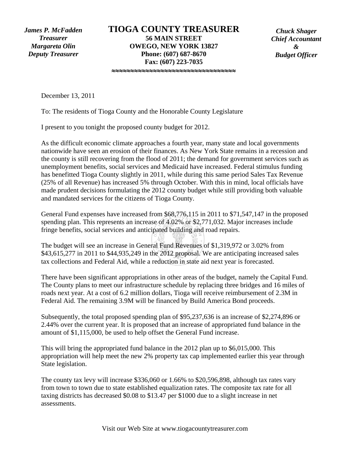*James P. McFadden Treasurer Margareta Olin Deputy Treasurer* 

≈≈≈≈≈≈≈≈≈≈≈≈≈≈≈≈≈≈≈≈≈≈≈≈≈≈≈≈≈≈≈≈≈

*Chuck Shager Chief Accountant & Budget Officer* 

December 13, 2011

To: The residents of Tioga County and the Honorable County Legislature

I present to you tonight the proposed county budget for 2012.

As the difficult economic climate approaches a fourth year, many state and local governments nationwide have seen an erosion of their finances. As New York State remains in a recession and the county is still recovering from the flood of 2011; the demand for government services such as unemployment benefits, social services and Medicaid have increased. Federal stimulus funding has benefitted Tioga County slightly in 2011, while during this same period Sales Tax Revenue (25% of all Revenue) has increased 5% through October. With this in mind, local officials have made prudent decisions formulating the 2012 county budget while still providing both valuable and mandated services for the citizens of Tioga County.

General Fund expenses have increased from \$68,776,115 in 2011 to \$71,547,147 in the proposed spending plan. This represents an increase of 4.02% or \$2,771,032. Major increases include fringe benefits, social services and anticipated building and road repairs.

The budget will see an increase in General Fund Revenues of \$1,319,972 or 3.02% from \$43,615,277 in 2011 to \$44,935,249 in the 2012 proposal. We are anticipating increased sales tax collections and Federal Aid, while a reduction in state aid next year is forecasted.

There have been significant appropriations in other areas of the budget, namely the Capital Fund. The County plans to meet our infrastructure schedule by replacing three bridges and 16 miles of roads next year. At a cost of 6.2 million dollars, Tioga will receive reimbursement of 2.3M in Federal Aid. The remaining 3.9M will be financed by Build America Bond proceeds.

Subsequently, the total proposed spending plan of \$95,237,636 is an increase of \$2,274,896 or 2.44% over the current year. It is proposed that an increase of appropriated fund balance in the amount of \$1,115,000, be used to help offset the General Fund increase.

This will bring the appropriated fund balance in the 2012 plan up to \$6,015,000. This appropriation will help meet the new 2% property tax cap implemented earlier this year through State legislation.

The county tax levy will increase \$336,060 or 1.66% to \$20,596,898, although tax rates vary from town to town due to state established equalization rates. The composite tax rate for all taxing districts has decreased \$0.08 to \$13.47 per \$1000 due to a slight increase in net assessments.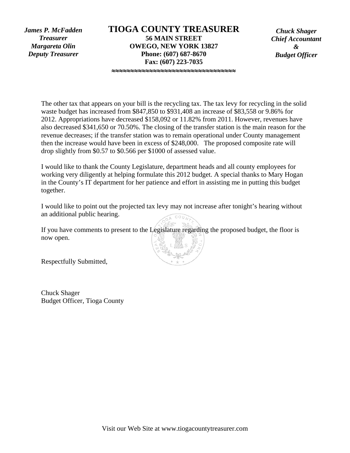*James P. McFadden Treasurer Margareta Olin Deputy Treasurer* 

≈≈≈≈≈≈≈≈≈≈≈≈≈≈≈≈≈≈≈≈≈≈≈≈≈≈≈≈≈≈≈≈≈

*Chuck Shager Chief Accountant & Budget Officer* 

The other tax that appears on your bill is the recycling tax. The tax levy for recycling in the solid waste budget has increased from \$847,850 to \$931,408 an increase of \$83,558 or 9.86% for 2012. Appropriations have decreased \$158,092 or 11.82% from 2011. However, revenues have also decreased \$341,650 or 70.50%. The closing of the transfer station is the main reason for the revenue decreases; if the transfer station was to remain operational under County management then the increase would have been in excess of \$248,000. The proposed composite rate will drop slightly from \$0.57 to \$0.566 per \$1000 of assessed value.

I would like to thank the County Legislature, department heads and all county employees for working very diligently at helping formulate this 2012 budget. A special thanks to Mary Hogan in the County's IT department for her patience and effort in assisting me in putting this budget together.

I would like to point out the projected tax levy may not increase after tonight's hearing without an additional public hearing.

If you have comments to present to the Legislature regarding the proposed budget, the floor is now open.

Respectfully Submitted,

Chuck Shager Budget Officer, Tioga County

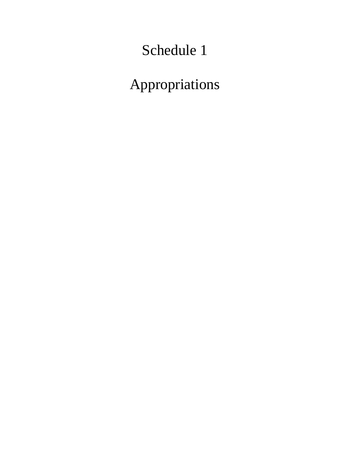### Schedule 1

Appropriations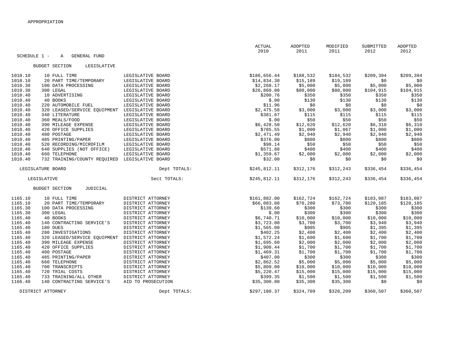|         |                                                     |                    | <b>ACTUAL</b><br>2010 | ADOPTED<br>2011 | MODIFIED<br>2011 | SUBMITTED<br>2012 | <b>ADOPTED</b><br>2012 |
|---------|-----------------------------------------------------|--------------------|-----------------------|-----------------|------------------|-------------------|------------------------|
|         | SCHEDULE 1 -<br>$\mathbb{A}$<br><b>GENERAL FUND</b> |                    |                       |                 |                  |                   |                        |
|         | <b>BUDGET SECTION</b><br>LEGISLATIVE                |                    |                       |                 |                  |                   |                        |
|         |                                                     |                    |                       |                 |                  |                   |                        |
| 1010.10 | 10 FULL TIME                                        | LEGISLATIVE BOARD  | \$186,656.44          | \$188,532       | \$184,532        | \$209,394         | \$209,394              |
| 1010.10 | 20 PART TIME/TEMPORARY                              | LEGISLATIVE BOARD  | \$14,834.30           | \$15,189        | \$19,189         | \$0               | \$0                    |
| 1010.30 | 100 DATA PROCESSING                                 | LEGISLATIVE BOARD  | \$2,268.17            | \$5,000         | \$5,000          | \$5,000           | \$5,000                |
| 1010.30 | 300 LEGAL                                           | LEGISLATIVE BOARD  | \$26,860.00           | \$80,000        | \$80,000         | \$104,915         | \$104,915              |
| 1010.40 | 10 ADVERTISING                                      | LEGISLATIVE BOARD  | \$200.76              | \$350           | \$350            | \$350             | \$350                  |
| 1010.40 | 40 BOOKS                                            | LEGISLATIVE BOARD  | \$.00                 | \$130           | \$130            | \$130             | \$130                  |
| 1010.40 | 220 AUTOMOBILE FUEL                                 | LEGISLATIVE BOARD  | \$11.96               | \$0             | \$0              | \$0               | \$0                    |
| 1010.40 | 320 LEASED/SERVICE EQUIPMENT                        | LEGISLATIVE BOARD  | \$2,475.58            | \$3,000         | \$3,000          | \$3,000           | \$3,000                |
| 1010.40 | 340 LITERATURE                                      | LEGISLATIVE BOARD  | \$381.67              | \$115           | \$115            | \$115             | \$115                  |
| 1010.40 | 360 MEALS/FOOD                                      | LEGISLATIVE BOARD  | \$.00                 | \$50            | \$50             | \$50              | \$50                   |
| 1010.40 | 390 MILEAGE EXPENSE                                 | LEGISLATIVE BOARD  | \$6,428.50            | \$12,620        | \$12,620         | \$6,310           | \$6,310                |
| 1010.40 | 420 OFFICE SUPPLIES                                 | LEGISLATIVE BOARD  | \$785.55              | \$1,000         | \$1,067          | \$1,000           | \$1,000                |
| 1010.40 | 480 POSTAGE                                         | LEGISLATIVE BOARD  | \$2,471.49            | \$2,940         | \$2,940          | \$2,940           | \$2,940                |
| 1010.40 | 485 PRINTING/PAPER                                  | LEGISLATIVE BOARD  | \$376.00              | \$800           | \$800            | \$800             | \$800                  |
| 1010.40 | 520 RECORDING/MICROFILM                             | LEGISLATIVE BOARD  | \$98.14               | \$50            | \$50             | \$50              | \$50                   |
| 1010.40 | 640 SUPPLIES (NOT OFFICE)                           | LEGISLATIVE BOARD  | \$571.88              | \$400           | \$400            | \$400             | \$400                  |
| 1010.40 | 660 TELEPHONE                                       | LEGISLATIVE BOARD  | \$1,359.67            | \$2,000         | \$2,000          | \$2,000           | \$2,000                |
| 1010.40 | 732 TRAINING/COUNTY REOUIRED                        | LEGISLATIVE BOARD  | \$32.00               | \$0             | \$0              | \$0               | \$0                    |
|         | LEGISLATURE BOARD                                   | Dept TOTALS:       | \$245,812.11          | \$312,176       | \$312,243        | \$336,454         | \$336,454              |
|         | LEGISLATIVE                                         | Sect TOTALS:       | \$245,812.11          | \$312,176       | \$312,243        | \$336,454         | \$336,454              |
|         | <b>BUDGET SECTION</b><br><b>JUDICIAL</b>            |                    |                       |                 |                  |                   |                        |
| 1165.10 | 10 FULL TIME                                        | DISTRICT ATTORNEY  | \$161,882.00          | \$162,724       | \$162,724        | \$183,087         | \$183,087              |
| 1165.10 | 20 PART TIME/TEMPORARY                              | DISTRICT ATTORNEY  | \$66,083.88           | \$70,280        | \$73,780         | \$120,185         | \$120,185              |
| 1165.30 | 100 DATA PROCESSING                                 | DISTRICT ATTORNEY  | \$139.60              | \$300           | \$300            | \$300             | \$300                  |
| 1165.30 | 300 LEGAL                                           | DISTRICT ATTORNEY  | \$.00                 | \$300           | \$300            | \$300             | \$300                  |
| 1165.40 | 40 BOOKS                                            | DISTRICT ATTORNEY  | \$6,740.71            | \$10,000        | \$10,000         | \$10,000          | \$10,000               |
| 1165.40 | 140 CONTRACTING SERVICE'S                           | DISTRICT ATTORNEY  | \$3,723.00            | \$3,700         | \$3,700          | \$3,940           | \$3,940                |
| 1165.40 | 180 DUES                                            | DISTRICT ATTORNEY  | \$1,565.00            | \$905           | \$905            | \$1,395           | \$1,395                |
| 1165.40 | 280 INVESTIGATIONS                                  | DISTRICT ATTORNEY  | \$402.25              | \$2,400         | \$2,400          | \$2,400           | \$2,400                |
| 1165.40 | 320 LEASED/SERVICE EQUIPMENT                        | DISTRICT ATTORNEY  | \$1,572.24            | \$1,600         | \$1,600          | \$1,700           | \$1,700                |
| 1165.40 | 390 MILEAGE EXPENSE                                 | DISTRICT ATTORNEY  | \$1,695.60            | \$2,000         | \$2,000          | \$2,000           | \$2,000                |
| 1165.40 | 420 OFFICE SUPPLIES                                 | DISTRICT ATTORNEY  | \$1,908.44            | \$1,700         | \$1,700          | \$1,700           | \$1,700                |
| 1165.40 | 480 POSTAGE                                         | DISTRICT ATTORNEY  | \$1,469.31            | \$1,700         | \$1,700          | \$1,700           | \$1,700                |
| 1165.40 | 485 PRINTING/PAPER                                  | DISTRICT ATTORNEY  |                       |                 |                  | \$300             | \$300                  |
| 1165.40 |                                                     |                    | \$407.00              | \$300           | \$300            |                   |                        |
|         | 660 TELEPHONE                                       | DISTRICT ATTORNEY  | \$2,862.52            | \$5,000         | \$5,000          | \$5,000           | \$5,000                |
| 1165.40 | 700 TRANSCRIPTS                                     | DISTRICT ATTORNEY  | \$5,809.00            | \$10,000        | \$10,000         | \$10,000          | \$10,000               |
| 1165.40 | 720 TRIAL COSTS                                     | DISTRICT ATTORNEY  | \$5,220.47            | \$15,000        | \$15,000         | \$15,000          | \$15,000               |
| 1165.40 | 733 TRAINING/ALL OTHER                              | DISTRICT ATTORNEY  | \$399.35              | \$1,500         | \$1,500          | \$1,500           | \$1,500                |
| 1166.40 | 140 CONTRACTING SERVICE'S                           | AID TO PROSECUTION | \$35,300.00           | \$35,300        | \$35,300         | \$0               | \$0                    |
|         | DISTRICT ATTORNEY                                   | Dept TOTALS:       | \$297,180.37          | \$324,709       | \$328,209        | \$360,507         | \$360,507              |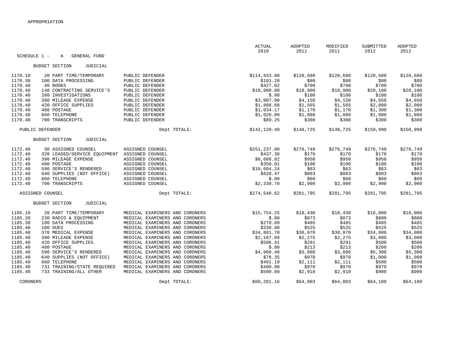|                    | SCHEDULE 1 -<br><b>GENERAL FUND</b>                   |                                                                  | <b>ACTUAL</b><br>2010    | ADOPTED<br>2011    | MODIFIED<br>2011   | SUBMITTED<br>2012  | ADOPTED<br>2012    |
|--------------------|-------------------------------------------------------|------------------------------------------------------------------|--------------------------|--------------------|--------------------|--------------------|--------------------|
|                    | A                                                     |                                                                  |                          |                    |                    |                    |                    |
|                    | <b>BUDGET SECTION</b><br>JUDICIAL                     |                                                                  |                          |                    |                    |                    |                    |
| 1170.10            | 20 PART TIME/TEMPORARY                                | PUBLIC DEFENDER                                                  | \$114,933.00             | \$120,680          | \$120,680          | \$120,680          | \$120,680          |
| 1170.30            | 100 DATA PROCESSING                                   | PUBLIC DEFENDER                                                  | \$101.28                 | \$80               | \$80               | \$80               | \$80               |
| 1170.40            | 40 BOOKS                                              | PUBLIC DEFENDER                                                  | \$427.02                 | \$700              | \$700              | \$700              | \$700              |
| 1170.40            | 140 CONTRACTING SERVICE'S                             | PUBLIC DEFENDER                                                  | \$18,900.00              | \$18,900           | \$18,900           | \$20,100           | \$20,100           |
| 1170.40            | 280 INVESTIGATIONS                                    | PUBLIC DEFENDER                                                  | \$.00                    | \$100              | \$100              | \$100              | \$100              |
| 1170.40            | 390 MILEAGE EXPENSE                                   | PUBLIC DEFENDER                                                  | \$3,807.00               | \$4,150            | \$4,150            | \$4,650            | \$4,650            |
| 1170.40<br>1170.40 | 420 OFFICE SUPPLIES<br>480 POSTAGE                    | PUBLIC DEFENDER<br>PUBLIC DEFENDER                               | \$1,808.68<br>\$1,034.17 | \$1,565<br>\$1,170 | \$1,565<br>\$1,170 | \$2,000<br>\$1,300 | \$2,000<br>\$1,300 |
| 1170.40            | 660 TELEPHONE                                         | PUBLIC DEFENDER                                                  | \$1,020.00               | \$1,080            | \$1,080            | \$1,080            | \$1,080            |
| 1170.40            | 700 TRANSCRIPTS                                       | PUBLIC DEFENDER                                                  | \$89.25                  | \$300              | \$300              | \$300              | \$300              |
|                    | PUBLIC DEFENDER                                       | Dept TOTALS:                                                     | \$142, 120.40            | \$148,725          | \$148,725          | \$150,990          | \$150,990          |
|                    | <b>BUDGET SECTION</b><br>JUDICIAL                     |                                                                  |                          |                    |                    |                    |                    |
|                    |                                                       |                                                                  |                          |                    |                    |                    |                    |
| 1172.40            | 30 ASSIGNED COUNSEL                                   | ASSIGNED COUNSEL                                                 | \$251,237.00             | \$276,749          | \$276,749          | \$276,749          | \$276,749          |
| 1172.40            | 320 LEASED/SERVICE EQUIPMENT                          | ASSIGNED COUNSEL                                                 | \$437.38                 | \$170              | \$170              | \$170              | \$170              |
| 1172.40<br>1172.40 | 390 MILEAGE EXPENSE<br>480 POSTAGE                    | ASSIGNED COUNSEL<br>ASSIGNED COUNSEL                             | \$8,688.82<br>\$350.01   | \$950<br>\$100     | \$950<br>\$100     | \$950<br>\$100     | \$950<br>\$100     |
| 1172.40            | 590 SERVICE'S RENDERED                                | ASSIGNED COUNSEL                                                 | \$10,684.24              | \$63               | \$63               | \$63               | \$63               |
| 1172.40            | 640 SUPPLIES (NOT OFFICE)                             | ASSIGNED COUNSEL                                                 | \$820.47                 | \$803              | \$803              | \$803              | \$803              |
| 1172.40            | 660 TELEPHONE                                         | ASSIGNED COUNSEL                                                 | \$.00                    | \$60               | \$60               | \$60               | \$60               |
| 1172.40            | 700 TRANSCRIPTS                                       | ASSIGNED COUNSEL                                                 | \$2,330.70               | \$2,900            | \$2,900            | \$2,900            | \$2,900            |
|                    | ASSIGNED COUNSEL                                      | Dept TOTALS:                                                     | \$274,548.62             | \$281,795          | \$281,795          | \$281,795          | \$281,795          |
|                    | <b>BUDGET SECTION</b><br><b>JUDICIAL</b>              |                                                                  |                          |                    |                    |                    |                    |
| 1185.10            | 20 PART TIME/TEMPORARY                                | MEDICAL EXAMINERS AND CORONERS                                   | \$15,754.25              | \$18,430           | \$18,430           | \$16,000           | \$16,000           |
| 1185.20            | 230 RADIO & EQUIPMENT                                 | MEDICAL EXAMINERS AND CORONERS                                   | \$.00                    | \$873              | \$873              | \$800              | \$800              |
| 1185.30            | 100 DATA PROCESSING                                   | MEDICAL EXAMINERS AND CORONERS                                   | \$270.89                 | \$485              | \$485              | \$485              | \$485              |
| 1185.40            | 180 DUES                                              | MEDICAL EXAMINERS AND CORONERS                                   | \$330.00                 | \$525              | \$525              | \$525              | \$525              |
| 1185.40            | 370 MEDICAL EXPENSE                                   | MEDICAL EXAMINERS AND CORONERS                                   | \$34,801.70              | \$30,070           | \$30,070           | \$34,000           | \$34,000           |
| 1185.40            | 390 MILEAGE EXPENSE                                   | MEDICAL EXAMINERS AND CORONERS                                   | \$2,187.89               | \$2,275            | \$2,275            | \$3,000            | \$3,000            |
| 1185.40            | 420 OFFICE SUPPLIES                                   | MEDICAL EXAMINERS AND CORONERS                                   | \$506.41                 | \$291              | \$291              | \$500              | \$500              |
| 1185.40            | 480 POSTAGE                                           | MEDICAL EXAMINERS AND CORONERS                                   | \$.00                    | \$213              | \$213              | \$200              | \$200              |
| 1185.40            | 590 SERVICE'S RENDERED                                | MEDICAL EXAMINERS AND CORONERS                                   | \$4,960.48               | \$3,880            | \$3,880            | \$5,300            | \$5,300            |
| 1185.40            | 640 SUPPLIES (NOT OFFICE)                             | MEDICAL EXAMINERS AND CORONERS                                   | \$78.35                  | \$970              | \$970              | \$1,000            | \$1,000            |
| 1185.40            | 660 TELEPHONE                                         | MEDICAL EXAMINERS AND CORONERS                                   | \$491.19                 | \$2,111            | \$2,111            | \$500              | \$500              |
| 1185.40<br>1185.40 | 731 TRAINING/STATE REOUIRED<br>733 TRAINING/ALL OTHER | MEDICAL EXAMINERS AND CORONERS<br>MEDICAL EXAMINERS AND CORONERS | \$400.00<br>\$500.00     | \$970<br>\$2,910   | \$970              | \$970<br>\$900     | \$970<br>\$900     |
|                    |                                                       |                                                                  |                          |                    | \$2,910            |                    |                    |
|                    | CORONERS                                              | Dept TOTALS:                                                     | \$60, 281.16             | \$64,003           | \$64,003           | \$64,180           | \$64,180           |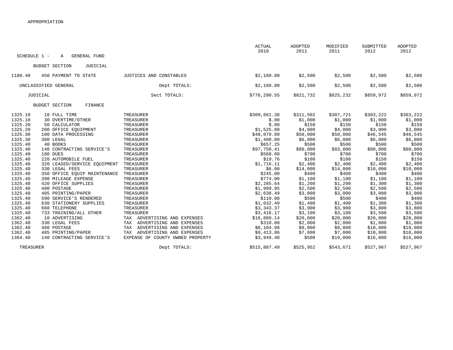|                    |                                          |                     |                                                              | <b>ACTUAL</b><br>2010    | ADOPTED<br>2011  | MODIFIED<br>2011 | SUBMITTED<br>2012  | <b>ADOPTED</b><br>2012 |
|--------------------|------------------------------------------|---------------------|--------------------------------------------------------------|--------------------------|------------------|------------------|--------------------|------------------------|
| SCHEDULE 1 -       | A                                        | <b>GENERAL FUND</b> |                                                              |                          |                  |                  |                    |                        |
|                    | <b>BUDGET SECTION</b>                    | JUDICIAL            |                                                              |                          |                  |                  |                    |                        |
| 1180.40            | 450 PAYMENT TO STATE                     |                     | JUSTICES AND CONSTABLES                                      | \$2,160.00               | \$2,500          | \$2,500          | \$2,500            | \$2,500                |
|                    | UNCLASSIFIED GENERAL                     |                     | Dept TOTALS:                                                 | \$2,160.00               | \$2,500          | \$2,500          | \$2,500            | \$2,500                |
|                    | JUDICIAL                                 |                     | Sect TOTALS:                                                 | \$776,290.55             | \$821,732        | \$825,232        | \$859,972          | \$859,972              |
|                    | <b>BUDGET SECTION</b>                    | FINANCE             |                                                              |                          |                  |                  |                    |                        |
| 1325.10            | 10 FULL TIME                             |                     | TREASURER                                                    | \$309,661.38             | \$311,502        | \$307,721        | \$303,222          | \$303,222              |
| 1325.10            | 30 OVERTIME/OTHER                        |                     | TREASURER                                                    | \$.00                    | \$1,000          | \$1,000          | \$1,000            | \$1,000                |
| 1325.20            | 50 CALCULATOR                            |                     | TREASURER                                                    | \$.00                    | \$150            | \$150            | \$150              | \$150                  |
| 1325.20            | 200 OFFICE EQUIPMENT                     |                     | TREASURER                                                    | \$1,525.80               | \$4,000          | \$4,000          | \$3,000            | \$3,000                |
| 1325.30            | 100 DATA PROCESSING                      |                     | TREASURER                                                    | \$48,079.09              | \$50,000         | \$50,000         | \$46,545           | \$46,545               |
| 1325.30            | 300 LEGAL                                |                     | TREASURER                                                    | \$1,400.00               | \$6,000          | \$6,000          | \$6,000            | \$6,000                |
| 1325.40            | 40 BOOKS                                 |                     | TREASURER                                                    | \$657.25                 | \$500            | \$500            | \$500              | \$500                  |
| 1325.40            | 140 CONTRACTING SERVICE'S                |                     | TREASURER                                                    | \$97,750.41              | \$80,000         | \$83,000         | \$80,000           | \$80,000               |
| 1325.40            | 180 DUES                                 |                     | TREASURER                                                    | \$560.00                 | \$700            | \$700            | \$700              | \$700                  |
| 1325.40            | 220 AUTOMOBILE FUEL                      |                     | TREASURER                                                    | \$19.76                  | \$100            | \$100            | \$150              | \$150                  |
| 1325.40            | 320 LEASED/SERVICE EQUIPMENT             |                     | TREASURER                                                    | \$1,716.11               | \$2,400          | \$2,400          | \$2,400            | \$2,400                |
| 1325.40            | 330 LEGAL FEES                           |                     | TREASURER                                                    | \$6.00                   | \$14,000         | \$14,000         | \$10,000           | \$10,000               |
| 1325.40            | 350 OFFICE EQUIP MAINTENANCE             |                     | TREASURER                                                    | \$245.00                 | \$400            | \$400            | \$400              | \$400                  |
| 1325.40            | 390 MILEAGE EXPENSE                      |                     | TREASURER                                                    | \$774.00                 | \$1,100          | \$1,100          | \$1,100            | \$1,100                |
| 1325.40            | 420 OFFICE SUPPLIES<br>480 POSTAGE       |                     | TREASURER                                                    | \$2,285.64               | \$1,200          | \$1,200          | \$1,300            | \$1,300                |
| 1325.40<br>1325.40 | 485 PRINTING/PAPER                       |                     | TREASURER                                                    | \$1,999.95               | \$2,500          | \$2,500          | \$2,500            | \$2,500                |
| 1325.40            | 590 SERVICE'S RENDERED                   |                     | TREASURER<br>TREASURER                                       | \$2,638.49<br>\$110.00   | \$3,000<br>\$500 | \$3,000<br>\$500 | \$3,000<br>\$400   | \$3,000<br>\$400       |
|                    |                                          |                     |                                                              |                          |                  |                  |                    |                        |
| 1325.40<br>1325.40 | 630 STATIONERY SUPPLIES<br>660 TELEPHONE |                     | TREASURER                                                    | \$1,032.49<br>\$3,343.37 | \$1,400          | \$1,400          | \$1,300<br>\$3,800 | \$1,300                |
| 1325.40            |                                          |                     | TREASURER                                                    |                          | \$3,900          | \$3,900          |                    | \$3,800                |
| 1362.40            | 733 TRAINING/ALL OTHER<br>10 ADVERTISING |                     | TREASURER                                                    | \$3,416.17               | \$3,100          | \$3,100          | \$3,500            | \$3,500                |
|                    |                                          |                     | TAX ADVERTISING AND EXPENSES<br>TAX ADVERTISING AND EXPENSES | \$16,889.14              | \$20,000         | \$20,000         | \$20,000           | \$20,000               |
| 1362.40            | 330 LEGAL FEES                           |                     |                                                              | \$310.00                 | \$2,000          | \$2,000          | \$1,000            | \$1,000                |
| 1362.40<br>1362.40 | 480 POSTAGE<br>485 PRINTING/PAPER        |                     | TAX ADVERTISING AND EXPENSES<br>TAX ADVERTISING AND EXPENSES | \$8,104.98               | \$9,000          | \$9,000          | \$10,000           | \$10,000               |
|                    |                                          |                     |                                                              | \$9,413.06               | \$7,000          | \$7,000          | \$10,000           | \$10,000               |
| 1364.40            | 140 CONTRACTING SERVICE'S                |                     | EXPENSE OF COUNTY OWNED PROPERTY                             | \$3,949.40               | \$500            | \$19,000         | \$16,000           | \$16,000               |
| TREASURER          |                                          |                     | Dept TOTALS:                                                 | \$515,887.49             | \$525,952        | \$543,671        | \$527,967          | \$527,967              |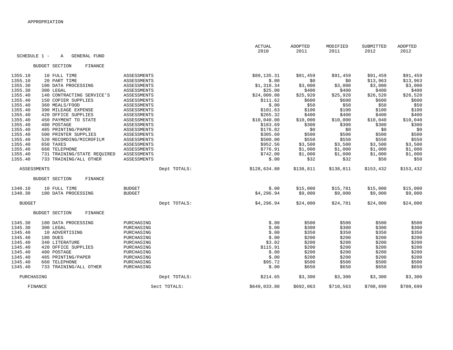|                    |                                         |               | <b>ACTUAL</b><br>2010 | ADOPTED<br>2011 | MODIFIED<br>2011 | SUBMITTED<br>2012 | ADOPTED<br>2012 |
|--------------------|-----------------------------------------|---------------|-----------------------|-----------------|------------------|-------------------|-----------------|
| SCHEDULE 1 -       | <b>GENERAL FUND</b><br>A                |               |                       |                 |                  |                   |                 |
|                    | FINANCE<br><b>BUDGET SECTION</b>        |               |                       |                 |                  |                   |                 |
| 1355.10            | 10 FULL TIME                            | ASSESSMENTS   | \$89,135.31           | \$91,459        | \$91,459         | \$91,459          | \$91,459        |
| 1355.10            | 20 PART TIME                            | ASSESSMENTS   | \$.00                 | \$0             | \$0              | \$13,963          | \$13,963        |
| 1355.30            | 100 DATA PROCESSING                     | ASSESSMENTS   | \$1,318.34            | \$3,000         | \$3,000          | \$3,000           | \$3,000         |
| 1355.30            | 300 LEGAL                               | ASSESSMENTS   | \$25.00               | \$400           | \$400            | \$400             | \$400           |
| 1355.40            | 140 CONTRACTING SERVICE'S               | ASSESSMENTS   | \$24,000.00           | \$25,920        | \$25,920         | \$26,520          | \$26,520        |
| 1355.40            | 150 COPIER SUPPLIES                     | ASSESSMENTS   | \$111.62              | \$600           | \$600            | \$600             | \$600           |
| 1355.40            | 360 MEALS/FOOD                          | ASSESSMENTS   | \$.00                 | \$50            | \$50             | \$50              | \$50            |
| 1355.40            | 390 MILEAGE EXPENSE                     | ASSESSMENTS   | \$101.63              | \$100           | \$100            | \$100             | \$100           |
| 1355.40            | 420 OFFICE SUPPLIES                     | ASSESSMENTS   | \$265.32              | \$400           | \$400            | \$400             | \$400           |
| 1355.40            | 450 PAYMENT TO STATE                    | ASSESSMENTS   | \$10,040.00           | \$10,000        | \$10,000         | \$10,040          | \$10,040        |
| 1355.40            | 480 POSTAGE                             | ASSESSMENTS   | \$183.69              | \$300           | \$300            | \$300             | \$300           |
| 1355.40            | 485 PRINTING/PAPER                      | ASSESSMENTS   | \$176.82              | \$0             | \$0              | \$0               | \$0             |
| 1355.40            | 500 PRINTER SUPPLIES                    | ASSESSMENTS   | \$305.60              | \$500           | \$500            | \$500             | \$500           |
| 1355.40            | 520 RECORDING/MICROFILM                 | ASSESSMENTS   | \$500.00              | \$550           | \$550            | \$550             | \$550           |
| 1355.40            | 650 TAXES                               | ASSESSMENTS   | \$952.56              | \$3,500         | \$3,500          | \$3,500           | \$3,500         |
| 1355.40            | 660 TELEPHONE                           | ASSESSMENTS   | \$776.91              | \$1,000         | \$1,000          | \$1,000           | \$1,000         |
| 1355.40            | 731 TRAINING/STATE REQUIRED             | ASSESSMENTS   | \$742.00              | \$1,000         | \$1,000          | \$1,000           | \$1,000         |
| 1355.40            | 733 TRAINING/ALL OTHER                  | ASSESSMENTS   | \$.00                 | \$32            | \$32             | \$50              | \$50            |
| <b>ASSESSMENTS</b> |                                         | Dept TOTALS:  | \$128,634.80          | \$138,811       | \$138,811        | \$153,432         | \$153,432       |
|                    | <b>BUDGET SECTION</b><br>FINANCE        |               |                       |                 |                  |                   |                 |
| 1340.10            | 10 FULL TIME                            | <b>BUDGET</b> | \$.00                 | \$15,000        | \$15,781         | \$15,000          | \$15,000        |
| 1340.30            | 100 DATA PROCESSING                     | <b>BUDGET</b> | \$4,296.94            | \$9,000         | \$9,000          | \$9,000           | \$9,000         |
| <b>BUDGET</b>      |                                         | Dept TOTALS:  | \$4,296.94            | \$24,000        | \$24,781         | \$24,000          | \$24,000        |
|                    | <b>FINANCE</b><br><b>BUDGET SECTION</b> |               |                       |                 |                  |                   |                 |
| 1345.30            | 100 DATA PROCESSING                     | PURCHASING    | \$.00                 | \$500           | \$500            | \$500             | \$500           |
| 1345.30            | 300 LEGAL                               | PURCHASING    | \$.00                 | \$300           | \$300            | \$300             | \$300           |
| 1345.40            | 10 ADVERTISING                          | PURCHASING    | \$.00                 | \$350           | \$350            | \$350             | \$350           |
| 1345.40            | 180 DUES                                | PURCHASING    | \$.00                 | \$200           | \$200            | \$200             | \$200           |
| 1345.40            | 340 LITERATURE                          | PURCHASING    | \$3.02                | \$200           | \$200            | \$200             | \$200           |
| 1345.40            | 420 OFFICE SUPPLIES                     | PURCHASING    | \$115.91              | \$200           | \$200            | \$200             | \$200           |
| 1345.40            | 480 POSTAGE                             | PURCHASING    | \$.00                 | \$200           | \$200            | \$200             | \$200           |
| 1345.40            | 485 PRINTING/PAPER                      | PURCHASING    | \$.00                 | \$200           | \$200            | \$200             | \$200           |
| 1345.40            | 660 TELEPHONE                           | PURCHASING    | \$95.72               | \$500           | \$500            | \$500             | \$500           |
| 1345.40            | 733 TRAINING/ALL OTHER                  | PURCHASING    | \$.00                 | \$650           | \$650            | \$650             | \$650           |
| PURCHASING         |                                         | Dept TOTALS:  | \$214.65              | \$3,300         | \$3,300          | \$3,300           | \$3,300         |
|                    | FINANCE                                 | Sect TOTALS:  | \$649,033.88          | \$692,063       | \$710,563        | \$708,699         | \$708,699       |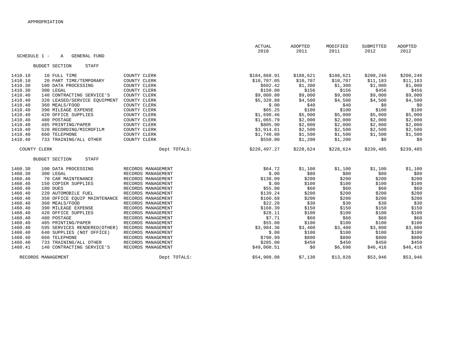|         |                                          |                    | <b>ACTUAL</b><br>2010 | ADOPTED<br>2011 | MODIFIED<br>2011 | SUBMITTED<br>2012 | ADOPTED<br>2012 |
|---------|------------------------------------------|--------------------|-----------------------|-----------------|------------------|-------------------|-----------------|
|         | SCHEDULE 1 -<br><b>GENERAL FUND</b><br>Α |                    |                       |                 |                  |                   |                 |
|         | <b>BUDGET SECTION</b><br>STAFF           |                    |                       |                 |                  |                   |                 |
| 1410.10 | 10 FULL TIME                             | COUNTY CLERK       | \$184,868.91          | \$188,621       | \$188,621        | \$200,246         | \$200,246       |
| 1410.10 | 20 PART TIME/TEMPORARY                   | COUNTY CLERK       | \$10,707.05           | \$10,707        | \$10,707         | \$11,183          | \$11,183        |
| 1410.30 | 100 DATA PROCESSING                      | COUNTY CLERK       | \$602.42              | \$1,300         | \$1,300          | \$1,000           | \$1,000         |
| 1410.30 | 300 LEGAL                                | COUNTY CLERK       | \$150.00              | \$156           | \$156            | \$456             | \$456           |
| 1410.40 | 140 CONTRACTING SERVICE'S                | COUNTY CLERK       | \$9,000.00            | \$9,000         | \$9,000          | \$9,000           | \$9,000         |
| 1410.40 | 320 LEASED/SERVICE EQUIPMENT             | COUNTY CLERK       | \$5,320.88            | \$4,500         | \$4,500          | \$4,500           | \$4,500         |
| 1410.40 | 360 MEALS/FOOD                           | COUNTY CLERK       | \$.00                 | \$40            | \$40             | \$0               | \$0             |
| 1410.40 | 390 MILEAGE EXPENSE                      | COUNTY CLERK       | \$65.25               | \$100           | \$100            | \$100             | \$100           |
| 1410.40 | 420 OFFICE SUPPLIES                      | COUNTY CLERK       | \$1,698.46            | \$5,000         | \$5,000          | \$5,000           | \$5,000         |
| 1410.40 | 480 POSTAGE                              | COUNTY CLERK       | \$1,065.79            | \$2,000         | \$2,000          | \$2,000           | \$2,000         |
| 1410.40 | 485 PRINTING/PAPER                       | COUNTY CLERK       | \$805.90              | \$2,000         | \$2,000          | \$2,000           | \$2,000         |
| 1410.40 | 520 RECORDING/MICROFILM                  | COUNTY CLERK       | \$3,914.61            | \$2,500         | \$2,500          | \$2,500           | \$2,500         |
| 1410.40 | 660 TELEPHONE                            | COUNTY CLERK       | \$1,748.00            | \$1,500         | \$1,500          | \$1,500           | \$1,500         |
| 1410.40 | 733 TRAINING/ALL OTHER                   | COUNTY CLERK       | \$550.00              | \$1,200         | \$1,200          | \$0               | \$0             |
|         | COUNTY CLERK                             | Dept TOTALS:       | \$220,497.27          | \$228,624       | \$228,624        | \$239,485         | \$239,485       |
|         | <b>BUDGET SECTION</b><br>STAFF           |                    |                       |                 |                  |                   |                 |
| 1460.30 | 100 DATA PROCESSING                      | RECORDS MANAGEMENT | \$64.72               | \$1,100         | \$1,100          | \$1,100           | \$1,100         |
| 1460.30 | 300 LEGAL                                | RECORDS MANAGEMENT | \$.00                 | \$80            | \$80             | \$80              | \$80            |
| 1460.40 | 70 CAR MAINTENANCE                       | RECORDS MANAGEMENT | \$138.09              | \$200           | \$200            | \$200             | \$200           |
| 1460.40 | 150 COPIER SUPPLIES                      | RECORDS MANAGEMENT | \$.00                 | \$100           | \$100            | \$100             | \$100           |
| 1460.40 | 180 DUES                                 | RECORDS MANAGEMENT | \$55.00               | \$60            | \$60             | \$60              | \$60            |
| 1460.40 | 220 AUTOMOBILE FUEL                      | RECORDS MANAGEMENT | \$139.24              | \$200           | \$200            | \$200             | \$200           |
| 1460.40 | 350 OFFICE EQUIP MAINTENANCE             | RECORDS MANAGEMENT | \$160.68              | \$200           | \$200            | \$200             | \$200           |
| 1460.40 | 360 MEALS/FOOD                           | RECORDS MANAGEMENT | \$22.28               | \$30            | \$30             | \$30              | \$30            |
| 1460.40 | 390 MILEAGE EXPENSE                      | RECORDS MANAGEMENT | \$168.39              | \$150           | \$150            | \$150             | \$150           |
| 1460.40 | 420 OFFICE SUPPLIES                      | RECORDS MANAGEMENT | \$28.11               | \$100           | \$100            | \$100             | \$100           |
| 1460.40 | 480 POSTAGE                              | RECORDS MANAGEMENT | \$7.71                | \$60            | \$60             | \$60              | \$60            |
| 1460.40 | 485 PRINTING/PAPER                       | RECORDS MANAGEMENT | \$55.00               | \$100           | \$100            | \$100             | \$100           |
| 1460.40 | 595 SERVICES RENDERED (OTHER)            | RECORDS MANAGEMENT | \$3,984.36            | \$3,400         | \$3,400          | \$3,800           | \$3,800         |
| 1460.40 | 640 SUPPLIES (NOT OFFICE)                | RECORDS MANAGEMENT | \$.00                 | \$100           | \$100            | \$100             | \$100           |
| 1460.40 | 660 TELEPHONE                            | RECORDS MANAGEMENT | \$790.99              | \$800           | \$800            | \$800             | \$800           |
| 1460.40 | 733 TRAINING/ALL OTHER                   | RECORDS MANAGEMENT | \$285.00              | \$450           | \$450            | \$450             | \$450           |
| 1460.41 | 140 CONTRACTING SERVICE'S                | RECORDS MANAGEMENT | \$49,008.51           | \$0             | \$6,698          | \$46,416          | \$46,416        |
|         | RECORDS MANAGEMENT                       | Dept TOTALS:       | \$54,908.08           | \$7,130         | \$13,828         | \$53,946          | \$53,946        |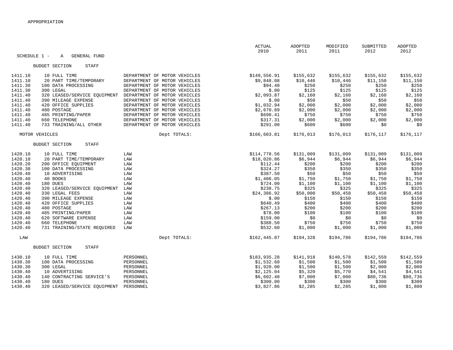| SCHEDULE 1 - | <b>GENERAL FUND</b><br>$\mathbb{A}$   |                              | ACTUAL<br>2010 | ADOPTED<br>2011 | MODIFIED<br>2011 | SUBMITTED<br>2012 | ADOPTED<br>2012 |
|--------------|---------------------------------------|------------------------------|----------------|-----------------|------------------|-------------------|-----------------|
|              |                                       |                              |                |                 |                  |                   |                 |
|              | <b>BUDGET SECTION</b><br><b>STAFF</b> |                              |                |                 |                  |                   |                 |
| 1411.10      | 10 FULL TIME                          | DEPARTMENT OF MOTOR VEHICLES | \$149,556.91   | \$155,632       | \$155,632        | \$155,632         | \$155,632       |
| 1411.10      | 20 PART TIME/TEMPORARY                | DEPARTMENT OF MOTOR VEHICLES | \$9,848.08     | \$10,446        | \$10,446         | \$11,150          | \$11,150        |
| 1411.30      | 100 DATA PROCESSING                   | DEPARTMENT OF MOTOR VEHICLES | \$94.40        | \$250           | \$250            | \$250             | \$250           |
| 1411.30      | 300 LEGAL                             | DEPARTMENT OF MOTOR VEHICLES | \$.00          | \$125           | \$125            | \$125             | \$125           |
| 1411.40      | 320 LEASED/SERVICE EQUIPMENT          | DEPARTMENT OF MOTOR VEHICLES | \$2,093.87     | \$2,160         | \$2,160          | \$2,160           | \$2,160         |
| 1411.40      | 390 MILEAGE EXPENSE                   | DEPARTMENT OF MOTOR VEHICLES | \$.00          | \$50            | \$50             | \$50              | \$50            |
| 1411.40      | 420 OFFICE SUPPLIES                   | DEPARTMENT OF MOTOR VEHICLES | \$1,032.94     | \$2,000         | \$2,000          | \$2,000           | \$2,000         |
| 1411.40      | 480 POSTAGE                           | DEPARTMENT OF MOTOR VEHICLES | \$2,670.89     | \$2,000         | \$2,000          | \$2,000           | \$2,000         |
| 1411.40      | 485 PRINTING/PAPER                    | DEPARTMENT OF MOTOR VEHICLES | \$698.41       | \$750           | \$750            | \$750             | \$750           |
| 1411.40      | 660 TELEPHONE                         | DEPARTMENT OF MOTOR VEHICLES | \$317.31       | \$2,000         | \$2,000          | \$2,000           | \$2,000         |
| 1411.40      | 733 TRAINING/ALL OTHER                | DEPARTMENT OF MOTOR VEHICLES | \$291.00       | \$600           | \$600            | \$0               | \$0             |
|              | MOTOR VEHICLES                        | Dept TOTALS:                 | \$166,603.81   | \$176,013       | \$176,013        | \$176,117         | \$176,117       |
|              | <b>BUDGET SECTION</b><br><b>STAFF</b> |                              |                |                 |                  |                   |                 |
| 1420.10      | 10 FULL TIME                          | LAW                          | \$114,778.56   | \$131,009       | \$131,009        | \$131,009         | \$131,009       |
| 1420.10      | 20 PART TIME/TEMPORARY                | LAW                          | \$18,020.86    | \$6,944         | \$6,944          | \$6,944           | \$6,944         |
| 1420.20      | 200 OFFICE EOUIPMENT                  | LAW                          | \$112.44       | \$200           | \$200            | \$200             | \$200           |
| 1420.30      | 100 DATA PROCESSING                   | LAW                          | \$324.27       | \$350           | \$350            | \$350             | \$350           |
| 1420.40      | 10 ADVERTISING                        | LAW                          | \$387.50       | \$50            | \$50             | \$50              | \$50            |
| 1420.40      | 40 BOOKS                              | LAW                          | \$1,406.05     | \$1,750         | \$1,750          | \$1,750           | \$1,750         |
| 1420.40      | 180 DUES                              | LAW                          | \$724.00       | \$1,100         | \$1,100          | \$1,100           | \$1,100         |
| 1420.40      | 320 LEASED/SERVICE EOUIPMENT          | LAW                          | \$238.75       | \$325           | \$325            | \$325             | \$325           |
| 1420.40      | 330 LEGAL FEES                        | LAW                          | \$24,386.92    | \$50,000        | \$50,458         | \$50,458          | \$50,458        |
| 1420.40      | 390 MILEAGE EXPENSE                   | LAW                          | \$.00          | \$150           | \$150            | \$150             | \$150           |
| 1420.40      | 420 OFFICE SUPPLIES                   | LAW                          | \$640.49       | \$400           | \$400            | \$400             | \$400           |
| 1420.40      | 480 POSTAGE                           | LAW                          | \$267.13       | \$200           | \$200            | \$200             | \$200           |
| 1420.40      | 485 PRINTING/PAPER                    | LAW                          | \$78.00        | \$100           | \$100            | \$100             | \$100           |
| 1420.40      | 620 SOFTWARE EXPENSE                  | LAW                          | \$159.00       | \$0             | \$0              | \$0               | \$0             |
| 1420.40      | 660 TELEPHONE                         | LAW                          | \$388.50       | \$750           | \$750            | \$750             | \$750           |
| 1420.40      | 731 TRAINING/STATE REQUIRED           | LAW                          | \$532.60       | \$1,000         | \$1,000          | \$1,000           | \$1,000         |
| LAW          |                                       | Dept TOTALS:                 | \$162, 445.07  | \$194,328       | \$194,786        | \$194,786         | \$194,786       |
|              | <b>BUDGET SECTION</b><br>STAFF        |                              |                |                 |                  |                   |                 |
| 1430.10      | 10 FULL TIME                          | PERSONNEL                    | \$183,935.28   | \$141,918       | \$140,578        | \$142,559         | \$142,559       |
| 1430.30      | 100 DATA PROCESSING                   | PERSONNEL                    | \$1,532.60     | \$1,500         | \$1,500          | \$1,500           | \$1,500         |
| 1430.30      | 300 LEGAL                             | PERSONNEL                    | \$1,920.00     | \$1,500         | \$1,500          | \$2,000           | \$2,000         |
| 1430.40      | 10 ADVERTISING                        | PERSONNEL                    | \$2,125.04     | \$5,320         | \$5,770          | \$4,541           | \$4,541         |
| 1430.40      | 140 CONTRACTING SERVICE'S             | PERSONNEL                    | \$6,602.40     | \$7,000         | \$7,000          | \$80,736          | \$80,736        |
| 1430.40      | 180 DUES                              | PERSONNEL                    | \$300.00       | \$300           | \$300            | \$300             | \$300           |
| 1430.40      | 320 LEASED/SERVICE EQUIPMENT          | PERSONNEL                    | \$3,827.86     | \$2,285         | \$2,285          | \$1,800           | \$1,800         |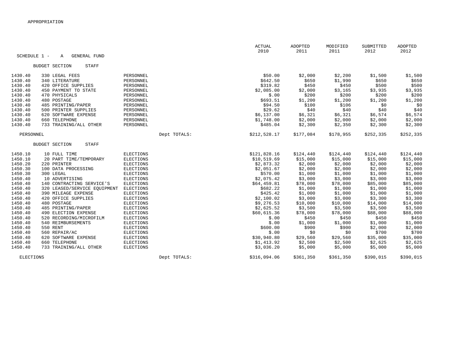|         |                                          |                  | <b>ACTUAL</b><br>2010 | ADOPTED<br>2011 | MODIFIED<br>2011 | SUBMITTED<br>2012 | ADOPTED<br>2012 |
|---------|------------------------------------------|------------------|-----------------------|-----------------|------------------|-------------------|-----------------|
|         | SCHEDULE 1 -<br><b>GENERAL FUND</b><br>Α |                  |                       |                 |                  |                   |                 |
|         | <b>BUDGET SECTION</b><br>STAFF           |                  |                       |                 |                  |                   |                 |
| 1430.40 | 330 LEGAL FEES                           | PERSONNEL        | \$50.00               | \$2,000         | \$2,200          | \$1,500           | \$1,500         |
| 1430.40 | 340 LITERATURE                           | PERSONNEL        | \$642.50              | \$650           | \$1,990          | \$650             | \$650           |
| 1430.40 | 420 OFFICE SUPPLIES                      | PERSONNEL        | \$319.82              | \$450           | \$450            | \$500             | \$500           |
| 1430.40 | 450 PAYMENT TO STATE                     | PERSONNEL        | \$2,085.00            | \$2,000         | \$3,165          | \$3,935           | \$3,935         |
| 1430.40 | 470 PHYSICALS                            | PERSONNEL        | \$.00                 | \$200           | \$200            | \$200             | \$200           |
| 1430.40 | 480 POSTAGE                              | PERSONNEL        | \$693.51              | \$1,200         | \$1,200          | \$1,200           | \$1,200         |
| 1430.40 | 485 PRINTING/PAPER                       | PERSONNEL        | \$94.50               | \$100           | \$106            | \$0               | \$0             |
| 1430.40 | 500 PRINTER SUPPLIES                     | PERSONNEL        | \$29.62               | \$40            | \$40             | \$40              | \$40            |
| 1430.40 | 620 SOFTWARE EXPENSE                     | PERSONNEL        | \$6,137.00            | \$6,321         | \$6,321          | \$6,574           | \$6,574         |
| 1430.40 | 660 TELEPHONE                            | PERSONNEL        | \$1,748.00            | \$2,000         | \$2,000          | \$2,000           | \$2,000         |
| 1430.40 | 733 TRAINING/ALL OTHER                   | PERSONNEL        | \$485.04              | \$2,300         | \$2,350          | \$2,300           | \$2,300         |
|         | PERSONNEL                                | Dept TOTALS:     | \$212,528.17          | \$177,084       | \$178,955        | \$252,335         | \$252,335       |
|         | <b>BUDGET SECTION</b><br><b>STAFF</b>    |                  |                       |                 |                  |                   |                 |
| 1450.10 | 10 FULL TIME                             | <b>ELECTIONS</b> | \$121,828.16          | \$124,440       | \$124,440        | \$124,440         | \$124,440       |
| 1450.10 | 20 PART TIME/TEMPORARY                   | <b>ELECTIONS</b> | \$10,519.69           | \$15,000        | \$15,000         | \$15,000          | \$15,000        |
| 1450.20 | 220 PRINTER                              | ELECTIONS        | \$2,873.32            | \$2,000         | \$2,000          | \$2,000           | \$2,000         |
| 1450.30 | 100 DATA PROCESSING                      | <b>ELECTIONS</b> | \$2,051.67            | \$2,000         | \$2,000          | \$2,000           | \$2,000         |
| 1450.30 | 300 LEGAL                                | ELECTIONS        | \$570.00              | \$1,000         | \$1,000          | \$1,000           | \$1,000         |
| 1450.40 | 10 ADVERTISING                           | <b>ELECTIONS</b> | \$2,075.42            | \$3,000         | \$3,000          | \$3,000           | \$3,000         |
| 1450.40 | 140 CONTRACTING SERVICE'S                | <b>ELECTIONS</b> | \$64,459.81           | \$78,000        | \$78,000         | \$85,000          | \$85,000        |
| 1450.40 | 320 LEASED/SERVICE EQUIPMENT             | ELECTIONS        | \$682.22              | \$1,000         | \$1,000          | \$1,000           | \$1,000         |
| 1450.40 | 390 MILEAGE EXPENSE                      | <b>ELECTIONS</b> | \$425.42              | \$1,000         | \$1,000          | \$1,000           | \$1,000         |
| 1450.40 | 420 OFFICE SUPPLIES                      | <b>ELECTIONS</b> | \$2,100.02            | \$3,000         | \$3,000          | \$3,300           | \$3,300         |
| 1450.40 | 480 POSTAGE                              | <b>ELECTIONS</b> | \$9,276.53            | \$10,000        | \$10,000         | \$14,000          | \$14,000        |
| 1450.40 | 485 PRINTING/PAPER                       | ELECTIONS        | \$2,625.52            | \$3,500         | \$3,500          | \$3,500           | \$3,500         |
| 1450.40 | 490 ELECTION EXPENSE                     | <b>ELECTIONS</b> | \$60,615.36           | \$78,000        | \$78,000         | \$88,000          | \$88,000        |
| 1450.40 | 520 RECORDING/MICROFILM                  | <b>ELECTIONS</b> | \$.00                 | \$450           | \$450            | \$450             | \$450           |
| 1450.40 | 540 REIMBURSEMENTS                       | ELECTIONS        | \$.00                 | \$1,000         | \$1,000          | \$1,000           | \$1,000         |
| 1450.40 | 550 RENT                                 | ELECTIONS        | \$600.00              | \$900           | \$900            | \$2,000           | \$2,000         |
| 1450.40 | 560 REPAIR/AC                            | ELECTIONS        | \$.00                 | \$0             | \$0              | \$700             | \$700           |
| 1450.40 | 620 SOFTWARE EXPENSE                     | ELECTIONS        | \$30,940.80           | \$29,560        | \$29,560         | \$35,000          | \$35,000        |
| 1450.40 | 660 TELEPHONE                            | ELECTIONS        | \$1,413.92            | \$2,500         | \$2,500          | \$2,625           | \$2,625         |
| 1450.40 | 733 TRAINING/ALL OTHER                   | <b>ELECTIONS</b> | \$3,036.20            | \$5,000         | \$5,000          | \$5,000           | \$5,000         |
|         | <b>ELECTIONS</b>                         | Dept TOTALS:     | \$316,094.06          | \$361,350       | \$361,350        | \$390,015         | \$390,015       |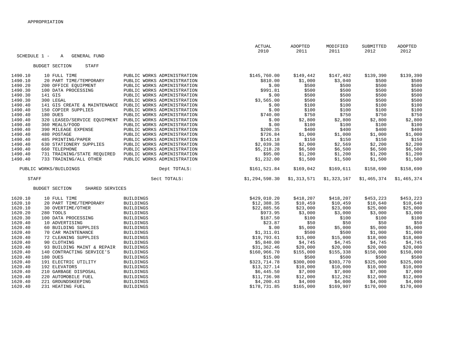|              |                                          |                             | ACTUAL         | ADOPTED     | MODIFIED    | SUBMITTED   | ADOPTED     |
|--------------|------------------------------------------|-----------------------------|----------------|-------------|-------------|-------------|-------------|
|              |                                          |                             | 2010           | 2011        | 2011        | 2012        | 2012        |
| SCHEDULE 1 - | GENERAL FUND<br>A                        |                             |                |             |             |             |             |
|              | <b>BUDGET SECTION</b><br><b>STAFF</b>    |                             |                |             |             |             |             |
|              |                                          |                             |                |             |             |             |             |
| 1490.10      | 10 FULL TIME                             | PUBLIC WORKS ADMINISTRATION | \$145,760.00   | \$149,442   | \$147,402   | \$139,390   | \$139,390   |
| 1490.10      | 20 PART TIME/TEMPORARY                   | PUBLIC WORKS ADMINISTRATION | \$810.00       | \$1,000     | \$3,040     | \$500       | \$500       |
| 1490.20      | 200 OFFICE EQUIPMENT                     | PUBLIC WORKS ADMINISTRATION | \$.00          | \$500       | \$500       | \$500       | \$500       |
| 1490.30      | 100 DATA PROCESSING                      | PUBLIC WORKS ADMINISTRATION | \$991.81       | \$500       | \$500       | \$500       | \$500       |
| 1490.30      | 141 GIS                                  | PUBLIC WORKS ADMINISTRATION | \$.00          | \$500       | \$500       | \$500       | \$500       |
| 1490.30      | 300 LEGAL                                | PUBLIC WORKS ADMINISTRATION | \$3,565.00     | \$500       | \$500       | \$500       | \$500       |
| 1490.40      | 141 GIS CREATE & MAINTENANCE             | PUBLIC WORKS ADMINISTRATION | \$.00          | \$100       | \$100       | \$100       | \$100       |
| 1490.40      | 150 COPIER SUPPLIES                      | PUBLIC WORKS ADMINISTRATION | \$.00          | \$100       | \$100       | \$100       | \$100       |
| 1490.40      | 180 DUES                                 | PUBLIC WORKS ADMINISTRATION | \$740.00       | \$750       | \$750       | \$750       | \$750       |
| 1490.40      | 320 LEASED/SERVICE EQUIPMENT             | PUBLIC WORKS ADMINISTRATION | \$.00          | \$2,800     | \$2,800     | \$2,800     | \$2,800     |
| 1490.40      | 360 MEALS/FOOD                           | PUBLIC WORKS ADMINISTRATION | \$.00          | \$100       | \$100       | \$100       | \$100       |
| 1490.40      | 390 MILEAGE EXPENSE                      | PUBLIC WORKS ADMINISTRATION | \$200.35       | \$400       | \$400       | \$400       | \$400       |
| 1490.40      | 480 POSTAGE                              | PUBLIC WORKS ADMINISTRATION | \$726.84       | \$1,000     | \$1,000     | \$1,000     | \$1,000     |
| 1490.40      | 485 PRINTING/PAPER                       | PUBLIC WORKS ADMINISTRATION | \$143.18       | \$150       | \$150       | \$150       | \$150       |
| 1490.40      | 630 STATIONERY SUPPLIES                  | PUBLIC WORKS ADMINISTRATION | \$2,039.38     | \$2,000     | \$2,569     | \$2,200     | \$2,200     |
| 1490.40      | 660 TELEPHONE                            | PUBLIC WORKS ADMINISTRATION | \$5,218.28     | \$6,500     | \$6,500     | \$6,500     | \$6,500     |
| 1490.40      | 731 TRAINING/STATE REQUIRED              | PUBLIC WORKS ADMINISTRATION | \$95.00        | \$1,200     | \$1,200     | \$1,200     | \$1,200     |
| 1490.40      | 733 TRAINING/ALL OTHER                   | PUBLIC WORKS ADMINISTRATION | \$1,232.00     | \$1,500     | \$1,500     | \$1,500     | \$1,500     |
|              |                                          |                             |                |             |             |             |             |
|              | PUBLIC WORKS/BUILDINGS                   | Dept TOTALS:                | \$161,521.84   | \$169,042   | \$169,611   | \$158,690   | \$158,690   |
| <b>STAFF</b> |                                          | Sect TOTALS:                | \$1,294,598.30 | \$1,313,571 | \$1,323,167 | \$1,465,374 | \$1,465,374 |
|              | <b>BUDGET SECTION</b><br>SHARED SERVICES |                             |                |             |             |             |             |
|              |                                          |                             |                |             |             |             |             |
| 1620.10      | 10 FULL TIME                             | <b>BUILDINGS</b>            | \$429,010.20   | \$418,207   | \$418,207   | \$453,223   | \$453,223   |
| 1620.10      | 20 PART TIME/TEMPORARY                   | <b>BUILDINGS</b>            | \$12,388.35    | \$10,459    | \$10,459    | \$10,640    | \$10,640    |
| 1620.10      | 30 OVERTIME/OTHER                        | <b>BUILDINGS</b>            | \$22,885.56    | \$23,000    | \$23,000    | \$25,000    | \$25,000    |
| 1620.20      | 280 TOOLS                                | <b>BUILDINGS</b>            | \$973.95       | \$3,000     | \$3,000     | \$3,000     | \$3,000     |
| 1620.30      | 100 DATA PROCESSING                      | <b>BUILDINGS</b>            | \$187.50       | \$100       | \$100       | \$100       | \$100       |
| 1620.40      | 10 ADVERTISING                           | <b>BUILDINGS</b>            | \$23.87        | \$50        | \$50        | \$50        | \$50        |
| 1620.40      | 60 BUILDING SUPPLIES                     | <b>BUILDINGS</b>            | \$.00          | \$5,000     | \$5,000     | \$5,000     | \$5,000     |
| 1620.40      | 70 CAR MAINTENANCE                       | <b>BUILDINGS</b>            | \$1,311.01     | \$500       | \$500       | \$1,000     | \$1,000     |
| 1620.40      | 72 CLEANING SUPPLIES                     | <b>BUILDINGS</b>            | \$19,793.61    | \$15,000    | \$15,000    | \$18,000    | \$18,000    |
| 1620.40      | 90 CLOTHING                              | <b>BUILDINGS</b>            | \$5,840.00     | \$4,745     | \$4,745     | \$4,745     | \$4,745     |
| 1620.40      | 93 BUILDING MAINT & REPAIR               | <b>BUILDINGS</b>            | \$31,362.46    | \$20,000    | \$20,000    | \$20,000    | \$20,000    |
| 1620.40      | 140 CONTRACTING SERVICE'S                | <b>BUILDINGS</b>            | \$160,966.70   | \$155,000   | \$155,338   | \$150,000   | \$150,000   |
| 1620.40      | 180 DUES                                 | <b>BUILDINGS</b>            | \$15.00        | \$500       | \$500       | \$500       | \$500       |
| 1620.40      | 191 ELECTRIC UTILITY                     | <b>BUILDINGS</b>            | \$323,714.78   | \$300,000   | \$303,770   | \$325,000   | \$325,000   |
| 1620.40      | 192 ELEVATORS                            | <b>BUILDINGS</b>            | \$13,327.14    | \$10,000    | \$10,000    | \$10,000    | \$10,000    |
| 1620.40      | 210 GARBAGE DISPOSAL                     | <b>BUILDINGS</b>            | \$6,445.50     | \$7,000     | \$7,000     | \$7,000     | \$7,000     |
| 1620.40      | 220 AUTOMOBILE FUEL                      | <b>BUILDINGS</b>            | \$11,736.98    | \$12,000    | \$12,262    | \$12,000    | \$12,000    |
| 1620.40      | 221 GROUNDSKEEPING                       | <b>BUILDINGS</b>            | \$4,200.43     | \$4,000     | \$4,000     | \$4,000     | \$4,000     |
| 1620.40      | 231 HEATING FUEL                         | <b>BUILDINGS</b>            | \$178,731.85   | \$165,000   | \$169,907   | \$170,000   | \$170,000   |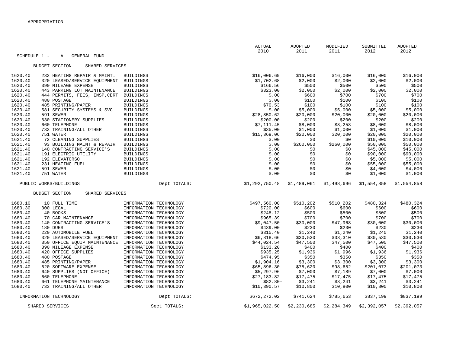|              |                                          |                        | ACTUAL<br>2010         | ADOPTED<br>2011 | MODIFIED<br>2011   | SUBMITTED<br>2012  | ADOPTED<br>2012    |
|--------------|------------------------------------------|------------------------|------------------------|-----------------|--------------------|--------------------|--------------------|
| SCHEDULE 1 - | GENERAL FUND<br>Α                        |                        |                        |                 |                    |                    |                    |
|              | <b>BUDGET SECTION</b><br>SHARED SERVICES |                        |                        |                 |                    |                    |                    |
| 1620.40      | 232 HEATING REPAIR & MAINT.              | <b>BUILDINGS</b>       | \$16,006.69            | \$16,000        | \$16,000           | \$16,000           | \$16,000           |
| 1620.40      | 320 LEASED/SERVICE EQUIPMENT             | <b>BUILDINGS</b>       | \$1,702.68             | \$2,000         | \$2,000            | \$2,000            | \$2,000            |
| 1620.40      | 390 MILEAGE EXPENSE                      | <b>BUILDINGS</b>       | \$166.56               | \$500           | \$500              | \$500              | \$500              |
| 1620.40      | 443 PARKING LOT MAINTENANCE              | <b>BUILDINGS</b>       | \$323.00               | \$2,000         | \$2,000            | \$2,000            | \$2,000            |
| 1620.40      | 444 PERMITS, FEES, INSP, CERT            | <b>BUILDINGS</b>       | \$.00                  | \$600           | \$700              | \$700              | \$700              |
| 1620.40      | 480 POSTAGE                              | <b>BUILDINGS</b>       | \$.00                  | \$100           | \$100              | \$100              | \$100              |
| 1620.40      | 485 PRINTING/PAPER                       | <b>BUILDINGS</b>       | \$70.53                | \$100           | \$100              | \$100              | \$100              |
| 1620.40      | 581 SECURITY SYSTEMS & SVC               | <b>BUILDINGS</b>       | \$.00                  | \$5,000         | \$5,000            | \$5,000            | \$5,000            |
| 1620.40      | 591 SEWER                                | <b>BUILDINGS</b>       | \$28,850.62            | \$20,000        | \$20,000           | \$20,000           | \$20,000           |
| 1620.40      | 630 STATIONERY SUPPLIES                  | <b>BUILDINGS</b>       | \$200.00               | \$200           | \$200              | \$200              | \$200              |
| 1620.40      | 660 TELEPHONE                            | <b>BUILDINGS</b>       | \$7,111.45             | \$8,000         | \$8,258            | \$8,000            | \$8,000            |
| 1620.40      | 733 TRAINING/ALL OTHER                   | <b>BUILDINGS</b>       | \$35.00                | \$1,000         | \$1,000            | \$1,000            | \$1,000            |
| 1620.40      | 751 WATER                                | <b>BUILDINGS</b>       | \$15,369.06            | \$20,000        | \$20,000           | \$20,000           | \$20,000           |
| 1621.40      | 72 CLEANING SUPPLIES                     | <b>BUILDINGS</b>       | \$.00                  | \$0             | \$0                | \$10,000           | \$10,000           |
| 1621.40      | 93 BUILDING MAINT & REPAIR               | <b>BUILDINGS</b>       | \$.00                  | \$260,000       | \$260,000          | \$50,000           | \$50,000           |
| 1621.40      | 140 CONTRACTING SERVICE'S                | <b>BUILDINGS</b>       | \$.00                  | \$0             | \$0                | \$45,000           | \$45,000           |
| 1621.40      | 191 ELECTRIC UTILITY                     | <b>BUILDINGS</b>       | \$.00                  | \$0             | \$0                | \$90,000           | \$90,000           |
| 1621.40      | 192 ELEVATORS0                           | <b>BUILDINGS</b>       | \$.00                  | \$0             | \$0                | \$5,000            | \$5,000            |
| 1621.40      | 231 HEATING FUEL                         | <b>BUILDINGS</b>       | \$.00                  | \$0             | \$0                | \$55,000           | \$55,000           |
| 1621.40      | 591 SEWER                                | <b>BUILDINGS</b>       | \$.00                  | \$0             | \$0                | \$4,000            | \$4,000            |
| 1621.40      | 751 WATER                                | <b>BUILDINGS</b>       | \$.00                  | \$0             | \$0                | \$1,000            | \$1,000            |
|              | PUBLIC WORKS/BUILDINGS                   | Dept TOTALS:           | \$1,292,750.48         | \$1,489,061     | \$1,498,696        | \$1,554,858        | \$1,554,858        |
|              | <b>BUDGET SECTION</b><br>SHARED SERVICES |                        |                        |                 |                    |                    |                    |
|              |                                          |                        |                        |                 |                    |                    |                    |
| 1680.10      | 10 FULL TIME                             | INFORMATION TECHNOLOGY |                        |                 |                    |                    |                    |
| 1680.30      | 300 LEGAL                                | INFORMATION TECHNOLOGY | \$497,560.00           | \$510, 202      | \$510,202<br>\$600 | \$480,324<br>\$600 | \$480,324<br>\$600 |
| 1680.40      | 40 BOOKS                                 | INFORMATION TECHNOLOGY | \$720.00<br>\$248.12   | \$600<br>\$500  | \$500              | \$500              | \$500              |
| 1680.40      | 70 CAR MAINTENANCE                       | INFORMATION TECHNOLOGY |                        | \$700           | \$700              | \$700              |                    |
| 1680.40      | 140 CONTRACTING SERVICE'S                | INFORMATION TECHNOLOGY | \$965.39<br>\$9,047.50 | \$30,000        | \$47,968           | \$30,000           | \$700<br>\$30,000  |
| 1680.40      | 180 DUES                                 | INFORMATION TECHNOLOGY | \$439.00               | \$230           | \$230              | \$230              | \$230              |
| 1680.40      | 220 AUTOMOBILE FUEL                      | INFORMATION TECHNOLOGY | \$315.40               | \$1,240         | \$1,240            | \$1,240            | \$1,240            |
| 1680.40      | 320 LEASED/SERVICE EQUIPMENT             | INFORMATION TECHNOLOGY | \$6,818.66             | \$30,530        | \$33,310           | \$30,530           | \$30,530           |
| 1680.40      | 350 OFFICE EQUIP MAINTENANCE             | INFORMATION TECHNOLOGY | \$44,024.54            | \$47,500        | \$47,500           | \$47,500           | \$47,500           |
| 1680.40      | 390 MILEAGE EXPENSE                      | INFORMATION TECHNOLOGY | \$133.20               | \$400           | \$400              | \$400              | \$400              |
| 1680.40      | 420 OFFICE SUPPLIES                      | INFORMATION TECHNOLOGY | \$935.25               | \$1,936         | \$1,996            | \$1,936            | \$1,936            |
| 1680.40      | 480 POSTAGE                              | INFORMATION TECHNOLOGY | \$474.95               | \$350           | \$350              | \$350              | \$350              |
| 1680.40      | 485 PRINTING/PAPER                       | INFORMATION TECHNOLOGY | \$1,904.16             | \$3,300         | \$3,300            | \$3,300            | \$3,300            |
| 1680.40      | 620 SOFTWARE EXPENSE                     | INFORMATION TECHNOLOGY | \$65,896.30            | \$75,620        | \$98,652           | \$201,073          | \$201,073          |
| 1680.40      | 640 SUPPLIES (NOT OFFICE)                | INFORMATION TECHNOLOGY | \$5,297.96             | \$7,000         | \$7,189            | \$7,000            | \$7,000            |
| 1680.40      | 660 TELEPHONE                            | INFORMATION TECHNOLOGY | \$27,183.82            | \$17,475        | \$17,475           | \$17,475           | \$17,475           |
| 1680.40      | 661 TELEPHONE MAINTENANCE                | INFORMATION TECHNOLOGY | $$82.80-$              | \$3,241         | \$3,241            | \$3,241            | \$3,241            |
| 1680.40      | 733 TRAINING/ALL OTHER                   | INFORMATION TECHNOLOGY | \$10,390.57            | \$10,800        | \$10,800           | \$10,800           | \$10,800           |
|              | INFORMATION TECHNOLOGY                   | Dept TOTALS:           | \$672,272.02           | \$741,624       | \$785,653          | \$837,199          | \$837,199          |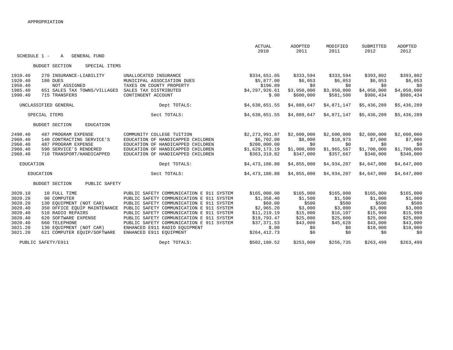|                    |                                        |                                                     | ACTUAL                     | ADOPTED              | MODIFIED             | SUBMITTED            | <b>ADOPTED</b> |
|--------------------|----------------------------------------|-----------------------------------------------------|----------------------------|----------------------|----------------------|----------------------|----------------|
| SCHEDULE 1 -       | <b>GENERAL FUND</b><br>A               |                                                     | 2010                       | 2011                 | 2011                 | 2012                 | 2012           |
|                    |                                        |                                                     |                            |                      |                      |                      |                |
|                    | <b>BUDGET SECTION</b><br>SPECIAL ITEMS |                                                     |                            |                      |                      |                      |                |
|                    |                                        |                                                     |                            |                      |                      |                      |                |
| 1910.40<br>1920.40 | 270 INSURANCE-LIABILITY<br>180 DUES    | UNALLOCATED INSURANCE<br>MUNICIPAL ASSOCIATION DUES | \$334,651.05<br>\$5,877.00 | \$333,594<br>\$6,053 | \$333,594<br>\$6,053 | \$393,802<br>\$6,053 | \$393,802      |
| 1950.40            | NOT ASSIGNED                           | TAXES ON COUNTY PROPERTY                            | \$196.89                   | \$0                  | \$0                  | \$0                  | \$6,053<br>\$0 |
| 1985.40            | 651 SALES TAX TOWNS/VILLAGES           | SALES TAX DISTRIBUTED                               | \$4,297,926.61             | \$3,950,000          | \$3,950,000          | \$4,050,000          | \$4,050,000    |
| 1990.40            | 715 TRANSFERS                          | CONTINGENT ACCOUNT                                  | \$.00                      | \$600,000            | \$581,500            | \$986,434            | \$986,434      |
|                    |                                        |                                                     |                            |                      |                      |                      |                |
|                    | UNCLASSIFIED GENERAL                   | Dept TOTALS:                                        | \$4,638,651.55             | \$4,889,647          | \$4,871,147          | \$5,436,289          | \$5,436,289    |
|                    | SPECIAL ITEMS                          | Sect TOTALS:                                        | \$4,638,651.55             | \$4,889,647          | \$4,871,147          | \$5,436,289          | \$5,436,289    |
|                    | <b>BUDGET SECTION</b><br>EDUCATION     |                                                     |                            |                      |                      |                      |                |
|                    |                                        |                                                     |                            |                      |                      |                      |                |
| 2490.40            | 487 PROGRAM EXPENSE                    | COMMUNITY COLLEGE TUITION                           | \$2,273,991.87             | \$2,600,000          | \$2,600,000          | \$2,600,000          | \$2,600,000    |
| 2960.40            | 140 CONTRACTING SERVICE'S              | EDUCATION OF HANDICAPPED CHILDREN                   | \$6,702.00                 | \$8,000              | \$10,973             | \$7,000              | \$7,000        |
| 2960.40            | 487 PROGRAM EXPENSE                    | EDUCATION OF HANDICAPPED CHILDREN                   | \$200,000.00               | \$0                  | \$0                  | \$0                  | \$0            |
| 2960.40            | 590 SERVICE'S RENDERED                 | EDUCATION OF HANDICAPPED CHILDREN                   | \$1,629,173.19             | \$1,900,000          | \$1,965,567          | \$1,700,000          | \$1,700,000    |
| 2960.40            | 710 TRANSPORT/HANDICAPPED              | EDUCATION OF HANDICAPPED CHILDREN                   | \$363,319.82               | \$347,000            | \$357,667            | \$340,000            | \$340,000      |
| EDUCATION          |                                        | Dept TOTALS:                                        | \$4,473,186.88             | \$4,855,000          | \$4,934,207          | \$4,647,000          | \$4,647,000    |
|                    | EDUCATION                              | Sect TOTALS:                                        |                            |                      |                      |                      |                |
|                    |                                        |                                                     | \$4,473,186.88             | \$4,855,000          | \$4,934,207          | \$4,647,000          | \$4,647,000    |
|                    | <b>BUDGET SECTION</b><br>PUBLIC SAFETY |                                                     |                            |                      |                      |                      |                |
| 3020.10            | 10 FULL TIME                           | PUBLIC SAFETY COMMUNICATION E 911 SYSTEM            | \$165,000.00               | \$165,000            | \$165,000            | \$165,000            | \$165,000      |
| 3020.20            | 90 COMPUTER                            | PUBLIC SAFETY COMMUNICATION E 911 SYSTEM            | \$1,358.40                 | \$1,500              | \$1,500              | \$1,000              | \$1,000        |
| 3020.20            | 130 EOUIPMENT (NOT CAR)                | PUBLIC SAFETY COMMUNICATION E 911 SYSTEM            | \$60.00                    | \$500                | \$500                | \$500                | \$500          |
| 3020.40            | 350 OFFICE EQUIP MAINTENANCE           | PUBLIC SAFETY COMMUNICATION E 911 SYSTEM            | \$2,965.20                 | \$3,000              | \$3,000              | \$3,000              | \$3,000        |
| 3020.40            | 510 RADIO REPAIRS                      | PUBLIC SAFETY COMMUNICATION E 911 SYSTEM            | \$11, 219.19               | \$15,000             | \$16, 107            | \$15,999             | \$15,999       |
| 3020.40            | 620 SOFTWARE EXPENSE                   | PUBLIC SAFETY COMMUNICATION E 911 SYSTEM            | \$19,793.47                | \$25,000             | \$25,000             | \$25,000             | \$25,000       |
| 3020.40            | 660 TELEPHONE                          | PUBLIC SAFETY COMMUNICATION E 911 SYSTEM            | \$37,371.53                | \$43,000             | \$45,628             | \$43,000             | \$43,000       |
| 3021.20            | 130 EOUIPMENT (NOT CAR)                | ENHANCED E911 RADIO EOUIPMENT                       | \$.00                      | \$0                  | \$0                  | \$10,000             | \$10,000       |
| 3021.20            | 621 COMPUTER EOUIP/SOFTWARE            | ENHANCED E911 EOUIPMENT                             | \$264,412.73               | \$0                  | \$0                  | \$0                  | \$0            |
|                    | PUBLIC SAFETY/E911                     | Dept TOTALS:                                        | \$502,180.52               | \$253,000            | \$256,735            | \$263,499            | \$263,499      |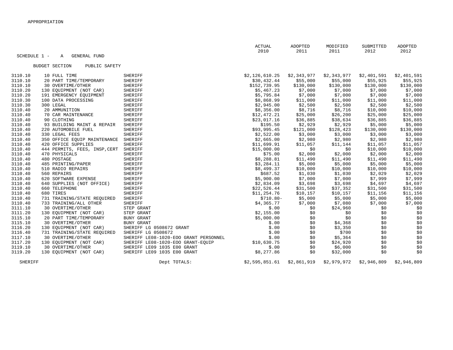|                |              |                                        |                                       | <b>ACTUAL</b>  | ADOPTED     | MODIFIED    | SUBMITTED   | ADOPTED     |
|----------------|--------------|----------------------------------------|---------------------------------------|----------------|-------------|-------------|-------------|-------------|
|                |              |                                        |                                       | 2010           | 2011        | 2011        | 2012        | 2012        |
|                | SCHEDULE 1 - | GENERAL FUND<br>A                      |                                       |                |             |             |             |             |
|                |              |                                        |                                       |                |             |             |             |             |
|                |              | <b>BUDGET SECTION</b><br>PUBLIC SAFETY |                                       |                |             |             |             |             |
|                |              |                                        |                                       |                |             |             |             |             |
| 3110.10        |              | 10 FULL TIME                           | <b>SHERIFF</b>                        | \$2,126,610.25 | \$2,343,977 | \$2,343,977 | \$2,401,591 | \$2,401,591 |
| 3110.10        |              | 20 PART TIME/TEMPORARY                 | <b>SHERIFF</b>                        | \$30,432.44    | \$55,000    | \$55,000    | \$55,925    | \$55,925    |
| 3110.10        |              | 30 OVERTIME/OTHER                      | SHERIFF                               | \$152,739.95   | \$130,000   | \$130,000   | \$130,000   | \$130,000   |
| 3110.20        |              | 130 EQUIPMENT (NOT CAR)                | <b>SHERIFF</b>                        | \$5,467.23     | \$7,000     | \$7,000     | \$7,000     | \$7,000     |
| 3110.20        |              | 191 EMERGENCY EQUIPMENT                | <b>SHERIFF</b>                        | \$5,795.84     | \$7,000     | \$7,000     | \$7,000     | \$7,000     |
| 3110.30        |              | 100 DATA PROCESSING                    | <b>SHERIFF</b>                        | \$8,868.99     | \$11,000    | \$11,000    | \$11,000    | \$11,000    |
| 3110.30        |              | 300 LEGAL                              | SHERIFF                               | \$2,945.00     | \$2,500     | \$2,500     | \$2,500     | \$2,500     |
| 3110.40        |              | 20 AMMUNITION                          | SHERIFF                               | \$8,356.00     | \$8,716     | \$8,716     | \$10,000    | \$10,000    |
| 3110.40        |              | 70 CAR MAINTENANCE                     | SHERIFF                               | \$12,472.21    | \$25,000    | \$26, 200   | \$25,000    | \$25,000    |
| 3110.40        |              | 90 CLOTHING                            | <b>SHERIFF</b>                        | \$23,017.16    | \$36,885    | \$38,634    | \$36,885    | \$36,885    |
| 3110.40        |              | 93 BUILDING MAINT & REPAIR             | SHERIFF                               | \$195.50       | \$2,929     | \$2,929     | \$5,000     | \$5,000     |
| 3110.40        |              | 220 AUTOMOBILE FUEL                    | SHERIFF                               | \$93,995.45    | \$121,000   | \$128,423   | \$130,000   | \$130,000   |
| 3110.40        |              | 330 LEGAL FEES                         | SHERIFF                               | \$2,522.00     | \$3,000     | \$3,000     | \$3,000     | \$3,000     |
| 3110.40        |              | 350 OFFICE EQUIP MAINTENANCE           | SHERIFF                               | \$2,665.00     | \$2,980     | \$2,980     | \$2,980     | \$2,980     |
| 3110.40        |              | 420 OFFICE SUPPLIES                    | <b>SHERIFF</b>                        | \$11,699.91    | \$11,057    | \$11,144    | \$11,057    | \$11,057    |
| 3110.40        |              | 444 PERMITS, FEES, INSP, CERT          | <b>SHERIFF</b>                        | \$15,000.00    | \$0         | \$0         | \$10,000    | \$10,000    |
| 3110.40        |              | 470 PHYSICALS                          | <b>SHERIFF</b>                        | \$75.00        | \$2,000     | \$2,000     | \$2,000     | \$2,000     |
| 3110.40        |              | 480 POSTAGE                            | <b>SHERIFF</b>                        | \$8,288.81     | \$11,490    | \$11,490    | \$11,490    | \$11,490    |
| 3110.40        |              | 485 PRINTING/PAPER                     | <b>SHERIFF</b>                        | \$3,284.11     | \$5,000     | \$5,000     | \$5,000     | \$5,000     |
| 3110.40        |              | 510 RADIO REPAIRS                      | SHERIFF                               | \$8,499.37     | \$10,000    | \$10,000    | \$10,000    | \$10,000    |
| 3110.40        |              | 560 REPAIRS                            | <b>SHERIFF</b>                        | \$687.52       | \$1,030     | \$1,030     | \$2,029     | \$2,029     |
| 3110.40        |              | 620 SOFTWARE EXPENSE                   | <b>SHERIFF</b>                        | \$5,900.00     | \$7,000     | \$7,000     | \$7,999     | \$7,999     |
| 3110.40        |              | 640 SUPPLIES (NOT OFFICE)              | SHERIFF                               | \$2,834.09     | \$3,698     | \$3,698     | \$4,697     | \$4,697     |
| 3110.40        |              | 660 TELEPHONE                          | <b>SHERIFF</b>                        | \$22,526.44    | \$31,500    | \$37,352    | \$31,500    | \$31,500    |
| 3110.40        |              | 680 TIRES                              | <b>SHERIFF</b>                        | \$11,254.76    | \$10,157    | \$10,157    | \$11,156    | \$11,156    |
| 3110.40        |              | 731 TRAINING/STATE REQUIRED            | SHERIFF                               | $$710.80-$     | \$5,000     | \$5,000     | \$5,000     | \$5,000     |
| 3110.40        |              | 733 TRAINING/ALL OTHER                 | SHERIFF                               | \$4,365.77     | \$7,000     | \$7,080     | \$7,000     | \$7,000     |
| 3111.10        |              | 30 OVERTIME/OTHER                      | STEP GRANT                            | \$.00          | \$0         | \$24,960    | \$0         | \$0         |
| 3111.20        |              | 130 EOUIPMENT (NOT CAR)                | STEP GRANT                            | \$2,155.00     | \$0         | \$0         | \$0         | \$0         |
| 3115.10        |              | 20 PART TIME/TEMPORARY                 | BUNY GRANT                            | \$5,000.00     | \$0         | \$0         | \$0         | \$0         |
| 3115.10        |              | 30 OVERTIME/OTHER                      | BUNY GRANT                            | \$.00          | \$0         | \$4,368     | \$0         | \$0         |
| 3116.20        |              | 130 EQUIPMENT (NOT CAR)                | SHERIFF LG 0508672 GRANT              | \$.00          | \$0         | \$3,350     | \$0         | \$0         |
| 3116.40        |              | 731 TRAINING/STATE REQUIRED            | SHERIFF LG 0508672                    | \$.00          | \$0         | \$700       | \$0         | \$0         |
| 3117.10        |              | 30 OVERTIME/OTHER                      | SHERIFF LE08-1020-EOO GRANT PERSONNEL | \$.00          | \$0         | \$5,364     | \$0         | \$0         |
| 3117.20        |              | 130 EOUIPMENT (NOT CAR)                | SHERIFF LE08-1020-EOO GRANT-EOUIP     | \$10,630.75    | \$0         | \$24,920    | \$0         | \$0         |
| 3119.10        |              | 30 OVERTIME/OTHER                      | SHERIFF LE09 1035 E00 GRANT           | \$.00          | \$0         | \$6,000     | \$0         | \$0         |
| 3119.20        |              | 130 EQUIPMENT (NOT CAR)                | SHERIFF LE09 1035 E00 GRANT           | \$8,277.86     | \$0         | \$32,000    | \$0         | \$0         |
| <b>SHERIFF</b> |              |                                        | Dept TOTALS:                          | \$2,595,851.61 | \$2,861,919 | \$2,979,972 | \$2,946,809 | \$2,946,809 |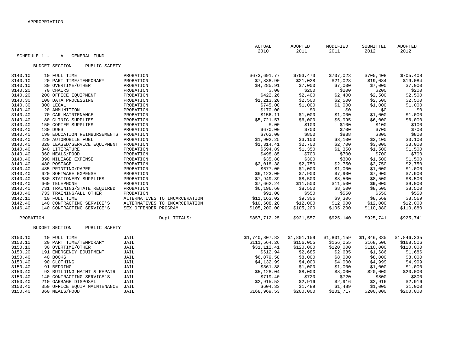| SCHEDULE 1 - | A<br>GENERAL FUND                      |                               | <b>ACTUAL</b><br>2010 |          | ADOPTED<br>2011 | MODIFIED<br>2011 | SUBMITTED<br>2012 | ADOPTED<br>2012 |
|--------------|----------------------------------------|-------------------------------|-----------------------|----------|-----------------|------------------|-------------------|-----------------|
|              |                                        |                               |                       |          |                 |                  |                   |                 |
|              | <b>BUDGET SECTION</b><br>PUBLIC SAFETY |                               |                       |          |                 |                  |                   |                 |
| 3140.10      | 10 FULL TIME                           | PROBATION                     | \$673,691.77          |          | \$703,473       | \$707,023        | \$705,408         | \$705,408       |
| 3140.10      | 20 PART TIME/TEMPORARY                 | PROBATION                     | \$7,838.90            |          | \$21,028        | \$21,028         | \$19,084          | \$19,084        |
| 3140.10      | 30 OVERTIME/OTHER                      | PROBATION                     | \$4,285.91            |          | \$7,000         | \$7,000          | \$7,000           | \$7,000         |
| 3140.20      | 70 CHAIRS                              | PROBATION                     |                       | \$.00    | \$200           | \$200            | \$200             | \$200           |
| 3140.20      | 200 OFFICE EQUIPMENT                   | PROBATION                     |                       | \$422.26 | \$2,400         | \$2,400          | \$2,500           | \$2,500         |
| 3140.30      | 100 DATA PROCESSING                    | PROBATION                     | \$1, 213.20           |          | \$2,500         | \$2,500          | \$2,500           | \$2,500         |
| 3140.30      | 300 LEGAL                              | PROBATION                     |                       | \$745.00 | \$1,000         | \$1,000          | \$1,000           | \$1,000         |
| 3140.40      | 20 AMMUNITION                          | PROBATION                     |                       | \$170.00 | \$0             | \$0              | \$0               | \$0             |
| 3140.40      | 70 CAR MAINTENANCE                     | PROBATION                     |                       | \$156.11 | \$1,000         | \$1,000          | \$1,000           | \$1,000         |
| 3140.40      | 80 CLINIC SUPPLIES                     | PROBATION                     | \$5,721.57            |          | \$6,000         | \$5,995          | \$6,000           | \$6,000         |
| 3140.40      | 150 COPIER SUPPLIES                    | PROBATION                     |                       | \$.00    | \$100           | \$100            | \$100             | \$100           |
| 3140.40      | 180 DUES                               | PROBATION                     |                       | \$670.00 | \$700           | \$700            | \$700             | \$700           |
| 3140.40      | 190 EDUCATION REIMBURSEMENTS           | PROBATION                     |                       | \$762.00 | \$800           | \$838            | \$800             | \$800           |
| 3140.40      | 220 AUTOMOBILE FUEL                    | PROBATION                     | \$1,902.25            |          | \$3,100         | \$3,100          | \$3,100           | \$3,100         |
| 3140.40      | 320 LEASED/SERVICE EQUIPMENT           | PROBATION                     | \$1,314.41            |          | \$2,700         | \$2,700          | \$3,000           | \$3,000         |
| 3140.40      | 340 LITERATURE                         | PROBATION                     |                       | \$594.89 | \$1,350         | \$1,350          | \$1,500           | \$1,500         |
| 3140.40      | 360 MEALS/FOOD                         | PROBATION                     |                       | \$498.85 | \$700           | \$700            | \$700             | \$700           |
| 3140.40      | 390 MILEAGE EXPENSE                    | PROBATION                     |                       | \$35.80  | \$300           | \$300            | \$1,500           | \$1,500         |
| 3140.40      | 480 POSTAGE                            | PROBATION                     | \$2,018.38            |          | \$2,750         | \$2,750          | \$2,750           | \$2,750         |
| 3140.40      | 485 PRINTING/PAPER                     | PROBATION                     |                       | \$677.00 | \$1,000         | \$1,000          | \$1,000           | \$1,000         |
| 3140.40      | 620 SOFTWARE EXPENSE                   | PROBATION                     | \$6,123.00            |          | \$7,900         | \$7,900          | \$7,900           | \$7,900         |
| 3140.40      | 630 STATIONERY SUPPLIES                | PROBATION                     | \$7,949.89            |          | \$8,500         | \$8,500          | \$8,500           | \$8,500         |
| 3140.40      | 660 TELEPHONE                          | PROBATION                     | \$7,662.24            |          | \$11,500        | \$11,500         | \$9,000           | \$9,000         |
| 3140.40      | 731 TRAINING/STATE REQUIRED            | PROBATION                     | \$6,196.60            |          | \$8,500         | \$8,500          | \$8,500           | \$8,500         |
| 3140.40      | 733 TRAINING/ALL OTHER                 | PROBATION                     |                       | \$91.00  | \$550           | \$550            | \$550             | \$550           |
| 3142.10      | 10 FULL TIME                           | ALTERNATIVES TO INCARCERATION | \$11, 163.02          |          | \$9,306         | \$9,306          | \$8,569           | \$8,569         |
| 3142.40      | 140 CONTRACTING SERVICE'S              | ALTERNATIVES TO INCARCERATION | \$10,608.20           |          | \$12,000        | \$12,000         | \$12,000          | \$12,000        |
| 3146.40      | 140 CONTRACTING SERVICE'S              | SEX OFFENDER PROGRAM          | \$105, 200.00         |          | \$105, 200      | \$105, 200       | \$110,880         | \$110,880       |
| PROBATION    |                                        | Dept TOTALS:                  | \$857,712.25          |          | \$921,557       | \$925,140        | \$925,741         | \$925,741       |
|              | <b>BUDGET SECTION</b><br>PUBLIC SAFETY |                               |                       |          |                 |                  |                   |                 |
| 3150.10      | 10 FULL TIME                           | JAIL                          | \$1,740,807.82        |          | \$1,801,159     | \$1,801,159      | \$1,846,335       | \$1,846,335     |
| 3150.10      | 20 PART TIME/TEMPORARY                 | JAIL                          | \$111,564.26          |          | \$156,055       | \$156,055        | \$168,506         | \$168,506       |
| 3150.10      | 30 OVERTIME/OTHER                      | JAIL                          | \$31,112.41           |          | \$120,000       | \$120,000        | \$110,000         | \$110,000       |
| 3150.20      | 191 EMERGENCY EQUIPMENT                | JAIL                          |                       | \$612.94 | \$2,685         | \$2,685          | \$1,686           | \$1,686         |
| 3150.40      | 40 BOOKS                               | JAIL                          | \$6,079.58            |          | \$8,000         | \$8,000          | \$8,000           | \$8,000         |
| 3150.40      | 90 CLOTHING                            | JAIL                          | \$4,132.99            |          | \$4,000         | \$4,000          | \$4,999           | \$4,999         |
| 3150.40      | 91 BEDDING                             | JAIL                          |                       | \$361.88 | \$1,000         | \$1,000          | \$1,000           | \$1,000         |
| 3150.40      | 93 BUILDING MAINT & REPAIR             | JAIL                          | \$5,128.04            |          | \$8,000         | \$8,000          | \$20,000          | \$20,000        |
| 3150.40      | 140 CONTRACTING SERVICE'S              | JAIL                          |                       | \$719.40 | \$720           | \$720            | \$800             | \$800           |
| 3150.40      | 210 GARBAGE DISPOSAL                   | JAIL                          | \$2,915.52            |          | \$2,916         | \$2,916          | \$2,916           | \$2,916         |
| 3150.40      | 350 OFFICE EQUIP MAINTENANCE           | JAIL                          |                       | \$604.33 | \$1,489         | \$1,489          | \$1,000           | \$1,000         |
| 3150.40      | 360 MEALS/FOOD                         | JAIL                          | \$168,969.53          |          | \$200,000       | \$201,717        | \$200,000         | \$200,000       |
|              |                                        |                               |                       |          |                 |                  |                   |                 |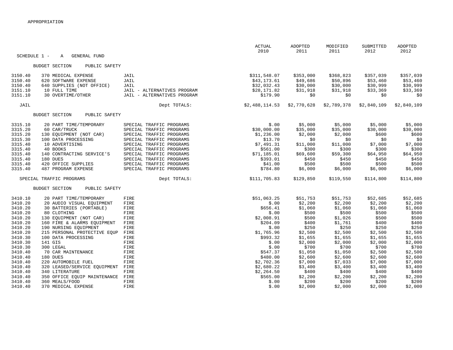| SCHEDULE 1 - | <b>GENERAL FUND</b><br>Α               |                             | <b>ACTUAL</b><br>2010 | ADOPTED<br>2011 | MODIFIED<br>2011 | SUBMITTED<br>2012 | ADOPTED<br>2012 |
|--------------|----------------------------------------|-----------------------------|-----------------------|-----------------|------------------|-------------------|-----------------|
|              |                                        |                             |                       |                 |                  |                   |                 |
|              | <b>BUDGET SECTION</b><br>PUBLIC SAFETY |                             |                       |                 |                  |                   |                 |
| 3150.40      | 370 MEDICAL EXPENSE                    | JAIL                        | \$311,548.07          | \$353,000       | \$368,823        | \$357,039         | \$357,039       |
| 3150.40      | 620 SOFTWARE EXPENSE                   | JAIL                        | \$43,173.61           | \$49,686        | \$50,896         | \$53,460          | \$53,460        |
| 3150.40      | 640 SUPPLIES (NOT OFFICE)              | JAIL                        | \$32,032.43           | \$30,000        | \$30,000         | \$30,999          | \$30,999        |
| 3151.10      | 10 FULL TIME                           | JAIL - ALTERNATIVES PROGRAM | \$28,171.82           | \$31,918        | \$31,918         | \$33,369          | \$33,369        |
| 3151.10      | 30 OVERTIME/OTHER                      | JAIL - ALTERNATIVES PROGRAM | \$179.90              | \$0             | \$0              | \$0               | \$0             |
| JAIL         |                                        | Dept TOTALS:                | \$2,488,114.53        | \$2,770,628     | \$2,789,378      | \$2,840,109       | \$2,840,109     |
|              | <b>BUDGET SECTION</b><br>PUBLIC SAFETY |                             |                       |                 |                  |                   |                 |
| 3315.10      | 20 PART TIME/TEMPORARY                 | SPECIAL TRAFFIC PROGRAMS    | \$.00                 | \$5,000         | \$5,000          | \$5,000           | \$5,000         |
| 3315.20      | 60 CAR/TRUCK                           | SPECIAL TRAFFIC PROGRAMS    | \$30,000.00           | \$35,000        | \$35,000         | \$30,000          | \$30,000        |
| 3315.20      | 130 EQUIPMENT (NOT CAR)                | SPECIAL TRAFFIC PROGRAMS    | \$1,236.00            | \$2,000         | \$2,000          | \$600             | \$600           |
| 3315.30      | 100 DATA PROCESSING                    | SPECIAL TRAFFIC PROGRAMS    | \$13.70               | \$0             | \$0              | \$0               | \$0             |
| 3315.40      | 10 ADVERTISING                         | SPECIAL TRAFFIC PROGRAMS    | \$7,491.31            | \$11,000        | \$11,000         | \$7,000           | \$7,000         |
| 3315.40      | 40 BOOKS                               | SPECIAL TRAFFIC PROGRAMS    | \$561.00              | \$300           | \$300            | \$300             | \$300           |
| 3315.40      | 140 CONTRACTING SERVICE'S              | SPECIAL TRAFFIC PROGRAMS    | \$71,185.01           | \$69,600        | \$59,300         | \$64,950          | \$64,950        |
| 3315.40      | 180 DUES                               | SPECIAL TRAFFIC PROGRAMS    | \$393.01              | \$450           | \$450            | \$450             | \$450           |
| 3315.40      | 420 OFFICE SUPPLIES                    | SPECIAL TRAFFIC PROGRAMS    | \$41.00               | \$500           | \$500            | \$500             | \$500           |
| 3315.40      | 487 PROGRAM EXPENSE                    | SPECIAL TRAFFIC PROGRAMS    | \$784.80              | \$6,000         | \$6,000          | \$6,000           | \$6,000         |
|              | SPECIAL TRAFFIC PROGRAMS               | Dept TOTALS:                | \$111,705.83          | \$129,850       | \$119,550        | \$114,800         | \$114,800       |
|              | <b>BUDGET SECTION</b><br>PUBLIC SAFETY |                             |                       |                 |                  |                   |                 |
| 3410.10      | 20 PART TIME/TEMPORARY                 | FIRE                        | \$51,063.25           | \$51,753        | \$51,753         | \$52,685          | \$52,685        |
| 3410.20      | 20 AUDIO VISUAL EQUIPMENT              | FIRE                        | \$.00                 | \$2,200         | \$2,200          | \$2,200           | \$2,200         |
| 3410.20      | 30 BATTERIES (PORTABLE)                | FIRE                        | \$656.41              | \$1,060         | \$1,060          | \$1,060           | \$1,060         |
| 3410.20      | 80 CLOTHING                            | FIRE                        | \$.00                 | \$500           | \$500            | \$500             | \$500           |
| 3410.20      | 130 EQUIPMENT (NOT CAR)                | FIRE                        | \$2,008.91            | \$500           | \$1,026          | \$500             | \$500           |
| 3410.20      | 160 FIRE & ALARMS EQUIPMENT            | FIRE                        | \$204.09              | \$400           | \$1,761          | \$400             | \$400           |
| 3410.20      | 190 NURSING EQUIPMENT                  | FIRE                        | \$.00                 | \$250           | \$250            | \$250             | \$250           |
| 3410.20      | 215 PERSONAL PROTECTIVE EQUP           | FIRE                        | \$1,765.96            | \$2,500         | \$2,500          | \$2,500           | \$2,500         |
| 3410.30      | 100 DATA PROCESSING                    | FIRE                        | \$993.32              | \$1,655         | \$1,655          | \$1,655           | \$1,655         |
| 3410.30      | 141 GIS                                | FIRE                        | \$.00                 | \$2,000         | \$2,000          | \$2,000           | \$2,000         |
| 3410.30      | 300 LEGAL                              | FIRE                        | \$.00                 | \$700           | \$700            | \$700             | \$700           |
| 3410.40      | 70 CAR MAINTENANCE                     | FIRE                        | \$547.37              | \$1,050         | \$1,050          | \$2,500           | \$2,500         |
| 3410.40      | 180 DUES                               | FIRE                        | \$480.00              | \$2,600         | \$2,600          | \$2,600           | \$2,600         |
| 3410.40      | 220 AUTOMOBILE FUEL                    | FIRE                        | \$2,702.36            | \$7,000         | \$7,033          | \$7,000           | \$7,000         |
| 3410.40      | 320 LEASED/SERVICE EQUIPMENT           | FIRE                        | \$2,680.22            | \$3,400         | \$3,400          | \$3,400           | \$3,400         |
| 3410.40      | 340 LITERATURE                         | FIRE                        | \$2,264.50            | \$400           | \$400            | \$400             | \$400           |
| 3410.40      | 350 OFFICE EQUIP MAINTENANCE           | FIRE                        | \$565.00              | \$2,200         | \$2,200          | \$2,200           | \$2,200         |
| 3410.40      | 360 MEALS/FOOD                         | FIRE                        | \$.00                 | \$200           | \$200            | \$200             | \$200           |
| 3410.40      | 370 MEDICAL EXPENSE                    | FIRE                        | \$.00                 | \$2,000         | \$2,000          | \$2,000           | \$2,000         |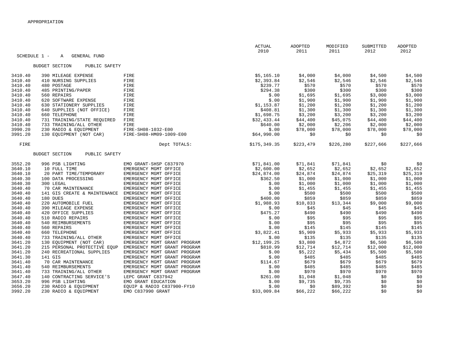|         |                                          |                              | <b>ACTUAL</b><br>2010 | ADOPTED<br>2011 | MODIFIED<br>2011 | SUBMITTED<br>2012 | ADOPTED<br>2012 |
|---------|------------------------------------------|------------------------------|-----------------------|-----------------|------------------|-------------------|-----------------|
|         | SCHEDULE 1 -<br><b>GENERAL FUND</b><br>Α |                              |                       |                 |                  |                   |                 |
|         |                                          |                              |                       |                 |                  |                   |                 |
|         | <b>BUDGET SECTION</b><br>PUBLIC SAFETY   |                              |                       |                 |                  |                   |                 |
| 3410.40 | 390 MILEAGE EXPENSE                      | FIRE                         | \$5,165.10            | \$4,000         | \$4,000          | \$4,500           | \$4,500         |
| 3410.40 | 410 NURSING SUPPLIES                     | FIRE                         | \$2,393.84            | \$2,546         | \$2,546          | \$2,546           | \$2,546         |
| 3410.40 | 480 POSTAGE                              | FIRE                         | \$239.77              | \$570           | \$570            | \$570             | \$570           |
| 3410.40 | 485 PRINTING/PAPER                       | FIRE                         | \$294.38              | \$300           | \$300            | \$300             | \$300           |
| 3410.40 | 560 REPAIRS                              | FIRE                         | \$.00                 | \$1,695         | \$1,695          | \$3,000           | \$3,000         |
| 3410.40 | 620 SOFTWARE EXPENSE                     | FIRE                         | \$.00                 | \$1,900         | \$1,900          | \$1,900           | \$1,900         |
| 3410.40 | 630 STATIONERY SUPPLIES                  | FIRE                         | \$1,153.87            | \$1,200         | \$1,200          | \$1,200           | \$1,200         |
| 3410.40 | 640 SUPPLIES (NOT OFFICE)                | FIRE                         | \$408.81              | \$1,300         | \$1,300          | \$1,300           | \$1,300         |
| 3410.40 | 660 TELEPHONE                            | FIRE                         | \$1,698.75            | \$3,200         | \$3,200          | \$3,200           | \$3,200         |
| 3410.40 | 731 TRAINING/STATE REQUIRED              | FIRE                         | \$32,433.44           | \$44,400        | \$45,075         | \$44,400          | \$44,400        |
| 3410.40 | 733 TRAINING/ALL OTHER                   | FIRE                         | \$640.00              | \$2,000         | \$2,206          | \$2,000           | \$2,000         |
| 3990.20 | 230 RADIO & EQUIPMENT                    | FIRE-SH08-1032-E00           | \$.00                 | \$78,000        | \$78,000         | \$78,000          | \$78,000        |
| 3991.20 | 130 EQUIPMENT (NOT CAR)                  | FIRE-SH08-HM09-1009-E00      | \$64,990.00           | \$0             | \$0              | \$0               | \$0             |
| FIRE    |                                          | Dept TOTALS:                 | \$175,349.35          | \$223,479       | \$226,280        | \$227,666         | \$227,666       |
|         |                                          |                              |                       |                 |                  |                   |                 |
|         | <b>BUDGET SECTION</b><br>PUBLIC SAFETY   |                              |                       |                 |                  |                   |                 |
| 3552.20 | 996 PSB LIGHTING                         | EMO GRANT-SHSP C837970       | \$71,841.00           | \$71,841        | \$71,841         | \$0               | \$0             |
| 3640.10 | 10 FULL TIME                             | EMERGENCY MGMT OFFICE        | \$2,600.00            | \$2,652         | \$2,652          | \$2,652           | \$2,652         |
| 3640.10 | 20 PART TIME/TEMPORARY                   | EMERGENCY MGMT OFFICE        | \$24,874.00           | \$24,874        | \$24,874         | \$25,319          | \$25,319        |
| 3640.30 | 100 DATA PROCESSING                      | EMERGENCY MGMT OFFICE        | \$362.50              | \$1,000         | \$1,000          | \$1,000           | \$1,000         |
| 3640.30 | 300 LEGAL                                | EMERGENCY MGMT OFFICE        | \$.00                 | \$1,000         | \$1,000          | \$1,000           | \$1,000         |
| 3640.40 | 70 CAR MAINTENANCE                       | EMERGENCY MGMT OFFICE        | \$.00                 | \$1,455         | \$1,455          | \$1,455           | \$1,455         |
| 3640.40 | 141 GIS CREATE & MAINTENANCE             | EMERGENCY MGMT OFFICE        | \$.00                 | \$500           | \$500            | \$500             | \$500           |
| 3640.40 | 180 DUES                                 | EMERGENCY MGMT OFFICE        | \$400.00              | \$859           | \$859            | \$859             | \$859           |
| 3640.40 | 220 AUTOMOBILE FUEL                      | EMERGENCY MGMT OFFICE        | \$1,988.93            | \$10,833        | \$13,344         | \$9,000           | \$9,000         |
| 3640.40 | 390 MILEAGE EXPENSE                      | EMERGENCY MGMT OFFICE        | \$.00                 | \$45            | \$45             | \$45              | \$45            |
| 3640.40 | 420 OFFICE SUPPLIES                      | EMERGENCY MGMT OFFICE        | \$475.27              | \$490           | \$490            | \$490             | \$490           |
| 3640.40 | 510 RADIO REPAIRS                        | EMERGENCY MGMT OFFICE        | \$.00                 | \$95            | \$95             | \$95              | \$95            |
| 3640.40 | 540 REIMBURSEMENTS                       | EMERGENCY MGMT OFFICE        | \$.00                 | \$95            | \$95             | \$95              | \$95            |
| 3640.40 | 560 REPAIRS                              | EMERGENCY MGMT OFFICE        | \$.00                 | \$145           | \$145            | \$145             | \$145           |
| 3640.40 | 660 TELEPHONE                            | EMERGENCY MGMT OFFICE        | \$3,822.41            | \$5,909         | \$5,933          | \$5,933           | \$5,933         |
| 3640.40 | 733 TRAINING/ALL OTHER                   | EMERGENCY MGMT OFFICE        | \$.00                 | \$135           | \$135            | \$135             | \$135           |
| 3641.20 | 130 EQUIPMENT (NOT CAR)                  | EMERGENCY MGMT GRANT PROGRAM | \$12,199.25           | \$3,800         | \$4,872          | \$6,500           | \$6,500         |
| 3641.20 | 215 PERSONAL PROTECTIVE EQUP             | EMERGENCY MGMT GRANT PROGRAM | \$810.99              | \$12,714        | \$12,714         | \$12,000          | \$12,000        |
| 3641.20 | 240 RECREATIONAL SUPPLIES                | EMERGENCY MGMT GRANT PROGRAM | \$.00                 | \$5,222         | \$5,434          | \$5,500           | \$5,500         |
| 3641.30 | 141 GIS                                  | EMERGENCY MGMT GRANT PROGRAM | \$.00                 | \$485           | \$485            | \$485             | \$485           |
| 3641.40 | 70 CAR MAINTENANCE                       | EMERGENCY MGMT GRANT PROGRAM | \$114.67              | \$679           | \$679            | \$679             | \$679           |
| 3641.40 | 540 REIMBURSEMENTS                       | EMERGENCY MGMT GRANT PROGRAM | \$.00                 | \$485           | \$485            | \$485             | \$485           |
| 3641.40 | 733 TRAINING/ALL OTHER                   | EMERGENCY MGMT GRANT PROGRAM | \$.00                 | \$970           | \$970            | \$970             | \$970           |
| 3647.40 | 140 CONTRACTING SERVICE'S                | LEPC GRANT C837942           | \$261.00              | \$1,048         | \$1,048          | \$0               | \$0             |
| 3653.20 | 996 PSB LIGHTING                         | EMO GRANT EDUCATION          | \$.00                 | \$9,735         | \$9,735          | \$0               | \$0             |
| 3656.20 | 230 RADIO & EOUIPMENT                    | EQUIP & RADIO C837900-FY10   | \$.00                 | \$0             | \$89,392         | \$0               | \$0             |
| 3992.20 | 230 RADIO & EQUIPMENT                    | EMO C837990 GRANT            | \$33,009.84           | \$66,222        | \$66,222         | \$0               | \$0             |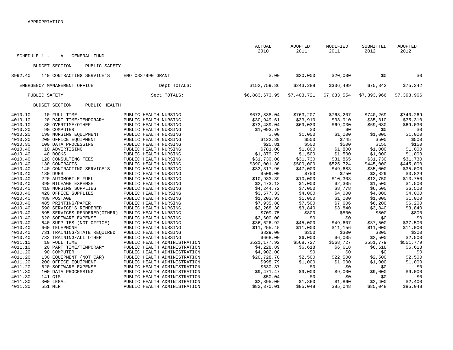|                    |                                                       |                                                | <b>ACTUAL</b><br>2010 | ADOPTED<br>2011   | MODIFIED<br>2011  | SUBMITTED<br>2012 | ADOPTED<br>2012  |
|--------------------|-------------------------------------------------------|------------------------------------------------|-----------------------|-------------------|-------------------|-------------------|------------------|
| SCHEDULE 1 -       | <b>GENERAL FUND</b><br>Α                              |                                                |                       |                   |                   |                   |                  |
|                    | <b>BUDGET SECTION</b><br>PUBLIC SAFETY                |                                                |                       |                   |                   |                   |                  |
| 3992.40            | 140 CONTRACTING SERVICE'S                             | EMO C837990 GRANT                              | \$.00                 | \$20,000          | \$20,000          | \$0               | \$0              |
|                    | EMERGENCY MANAGEMENT OFFICE                           | Dept TOTALS:                                   | \$152,759.86          | \$243,288         | \$336,499         | \$75,342          | \$75,342         |
|                    | PUBLIC SAFETY                                         | Sect TOTALS:                                   | \$6,883,673.95        | \$7,403,721       | \$7,633,554       | \$7,393,966       | \$7,393,966      |
|                    | <b>BUDGET SECTION</b><br>PUBLIC HEALTH                |                                                |                       |                   |                   |                   |                  |
| 4010.10            | 10 FULL TIME                                          | PUBLIC HEALTH NURSING                          | \$672,838.04          | \$763,207         | \$763,207         | \$740,269         | \$740,269        |
| 4010.10            | 20 PART TIME/TEMPORARY                                | PUBLIC HEALTH NURSING                          | \$30,949.61           | \$33,910          | \$33,910          | \$35,310          | \$35,310         |
| 4010.10<br>4010.20 | 30 OVERTIME/OTHER<br>90 COMPUTER                      | PUBLIC HEALTH NURSING<br>PUBLIC HEALTH NURSING | \$73,489.04           | \$69,030<br>\$0   | \$69,030<br>\$0   | \$69,030          | \$69,030         |
| 4010.20            | 190 NURSING EQUIPMENT                                 | PUBLIC HEALTH NURSING                          | \$1,093.70<br>\$.00   | \$1,000           | \$1,000           | \$0<br>\$1,000    | \$0<br>\$1,000   |
| 4010.20            | 200 OFFICE EQUIPMENT                                  | PUBLIC HEALTH NURSING                          | \$122.39              | \$500             | \$745             | \$500             | \$500            |
| 4010.30            | 100 DATA PROCESSING                                   | PUBLIC HEALTH NURSING                          | \$25.81               | \$500             | \$500             | \$150             | \$150            |
| 4010.40            | 10 ADVERTISING                                        | PUBLIC HEALTH NURSING                          | \$781.00              | \$1,800           | \$1,800           | \$1,000           | \$1,000          |
| 4010.40            | 40 BOOKS                                              | PUBLIC HEALTH NURSING                          | \$1,879.79            | \$1,500           | \$1,500           | \$1,000           | \$1,000          |
| 4010.40            | 120 CONSULTING FEES                                   | PUBLIC HEALTH NURSING                          | \$31,730.00           | \$31,730          | \$31,865          | \$31,730          | \$31,730         |
| 4010.40            | 130 CONTRACTS                                         | PUBLIC HEALTH NURSING                          | \$390,001.30          | \$500,000         | \$525,724         | \$445,000         | \$445,000        |
| 4010.40            | 140 CONTRACTING SERVICE'S                             | PUBLIC HEALTH NURSING                          | \$33,317.96           | \$47,000          | \$49,683          | \$35,000          | \$35,000         |
| 4010.40            | 180 DUES                                              | PUBLIC HEALTH NURSING                          | \$509.00              | \$750             | \$750             | \$3,829           | \$3,829          |
| 4010.40            | 220 AUTOMOBILE FUEL                                   | PUBLIC HEALTH NURSING                          | \$10,933.39           | \$10,000          | \$10,303          | \$13,750          | \$13,750         |
| 4010.40            | 390 MILEAGE EXPENSE                                   | PUBLIC HEALTH NURSING                          | \$2,473.13            | \$1,000           | \$2,305           | \$1,500           | \$1,500          |
| 4010.40            | 410 NURSING SUPPLIES                                  | PUBLIC HEALTH NURSING                          | \$4,244.72            | \$7,000           | \$8,778           | \$6,500           | \$6,500          |
| 4010.40            | 420 OFFICE SUPPLIES                                   | PUBLIC HEALTH NURSING                          | \$3,577.33            | \$4,000           | \$4,000           | \$4,000           | \$4,000          |
| 4010.40            | 480 POSTAGE                                           | PUBLIC HEALTH NURSING                          | \$1,203.93            | \$1,000           | \$1,000           | \$1,000           | \$1,000          |
| 4010.40            | 485 PRINTING/PAPER                                    | PUBLIC HEALTH NURSING                          | \$7,935.88            | \$7,500           | \$7,606           | \$6,200           | \$6,200          |
| 4010.40            | 590 SERVICE'S RENDERED                                | PUBLIC HEALTH NURSING                          | \$2,268.30            | \$3,840           | \$3,840           | \$3,840           | \$3,840          |
| 4010.40            | 595 SERVICES RENDERED (OTHER)                         | PUBLIC HEALTH NURSING                          | \$709.75              | \$800             | \$800             | \$800             | \$800            |
| 4010.40            | 620 SOFTWARE EXPENSE                                  | PUBLIC HEALTH NURSING                          | \$2,600.00            | \$0               | \$0               | \$0               | \$0              |
| 4010.40            | 640 SUPPLIES (NOT OFFICE)                             | PUBLIC HEALTH NURSING                          | \$36,626.92           | \$45,000          | \$49,607          | \$37,500          | \$37,500         |
| 4010.40            | 660 TELEPHONE                                         | PUBLIC HEALTH NURSING                          | \$11, 255.45          | \$11,000<br>\$300 | \$11,156<br>\$300 | \$11,000<br>\$300 | \$11,000         |
| 4010.40<br>4010.40 | 731 TRAINING/STATE REQUIRED<br>733 TRAINING/ALL OTHER | PUBLIC HEALTH NURSING<br>PUBLIC HEALTH NURSING | \$829.00<br>\$668.00  | \$6,000           | \$6,005           | \$2,500           | \$300<br>\$2,500 |
| 4011.10            | 10 FULL TIME                                          | PUBLIC HEALTH ADMINISTRATION                   | \$521,177.92          | \$568,727         | \$568,727         | \$551,779         | \$551,779        |
| 4011.10            | 20 PART TIME/TEMPORARY                                | PUBLIC HEALTH ADMINISTRATION                   | \$4,228.89            | \$6,618           | \$6,618           | \$6,618           | \$6,618          |
| 4011.20            | 90 COMPUTER                                           | PUBLIC HEALTH ADMINISTRATION                   | \$4,902.00            | \$0               | \$0               | \$0               | \$0              |
| 4011.20            | 130 EQUIPMENT (NOT CAR)                               | PUBLIC HEALTH ADMINISTRATION                   | \$20,728.70           | \$2,500           | \$22,500          | \$2,500           | \$2,500          |
| 4011.20            | 200 OFFICE EQUIPMENT                                  | PUBLIC HEALTH ADMINISTRATION                   | \$998.79              | \$1,000           | \$1,000           | \$1,000           | \$1,000          |
| 4011.20            | 620 SOFTWARE EXPENSE                                  | PUBLIC HEALTH ADMINISTRATION                   | \$630.37              | \$0               | \$0               | \$0               | \$0              |
| 4011.30            | 100 DATA PROCESSING                                   | PUBLIC HEALTH ADMINISTRATION                   | \$9,471.47            | \$9,000           | \$9,000           | \$9,000           | \$9,000          |
| 4011.30            | 141 GIS                                               | PUBLIC HEALTH ADMINISTRATION                   | \$50.04               | \$0               | \$0               | \$0               | \$0              |
| 4011.30            | 300 LEGAL                                             | PUBLIC HEALTH ADMINISTRATION                   | \$2,395.00            | \$1,860           | \$1,860           | \$2,400           | \$2,400          |
| 4011.30            | 551 MLR                                               | PUBLIC HEALTH ADMINISTRATION                   | \$82,370.01           | \$85,048          | \$85,048          | \$85,048          | \$85,048         |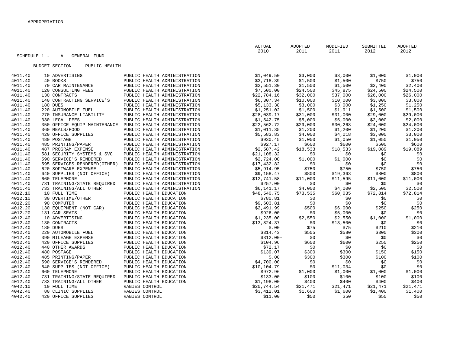| SCHEDULE 1 -<br>GENERAL FUND<br>Α<br>BUDGET SECTION<br>PUBLIC HEALTH<br>\$1,049.50<br>4011.40<br>\$3,000<br>\$3,000<br>\$1,000<br>\$1,000<br>10 ADVERTISING<br>PUBLIC HEALTH ADMINISTRATION<br>\$3,718.39<br>\$1,500<br>\$750<br>\$750<br>40 BOOKS<br>\$1,500<br>4011.40<br>PUBLIC HEALTH ADMINISTRATION<br>\$2,551.30<br>\$1,500<br>\$1,500<br>\$2,400<br>4011.40<br>70 CAR MAINTENANCE<br>PUBLIC HEALTH ADMINISTRATION<br>\$2,400<br>\$7,500.00<br>\$24,500<br>\$24,500<br>\$24,500<br>4011.40<br>120 CONSULTING FEES<br>PUBLIC HEALTH ADMINISTRATION<br>\$45,875<br>4011.40<br>130 CONTRACTS<br>PUBLIC HEALTH ADMINISTRATION<br>\$22,784.16<br>\$32,000<br>\$37,000<br>\$26,000<br>\$26,000<br>4011.40<br>\$6,307.34<br>\$3,000<br>\$3,000<br>140 CONTRACTING SERVICE'S<br>PUBLIC HEALTH ADMINISTRATION<br>\$10,000<br>\$10,000<br>4011.40<br>\$5,133.38<br>\$3,000<br>\$3,000<br>\$1,250<br>\$1,250<br>180 DUES<br>PUBLIC HEALTH ADMINISTRATION<br>4011.40<br>\$1,251.02<br>220 AUTOMOBILE FUEL<br>PUBLIC HEALTH ADMINISTRATION<br>\$1,500<br>\$1,911<br>\$1,500<br>\$1,500<br>4011.40<br>270 INSURANCE-LIABILITY<br>\$28,039.17<br>PUBLIC HEALTH ADMINISTRATION<br>\$31,000<br>\$31,000<br>\$29,000<br>\$29,000<br>4011.40<br>330 LEGAL FEES<br>\$5,000<br>\$2,000<br>PUBLIC HEALTH ADMINISTRATION<br>\$1,542.75<br>\$5,000<br>\$2,000<br>\$29,000<br>\$30,268<br>\$24,000<br>4011.40<br>350 OFFICE EQUIP MAINTENANCE<br>PUBLIC HEALTH ADMINISTRATION<br>\$22,562.72<br>\$24,000<br>4011.40<br>360 MEALS/FOOD<br>PUBLIC HEALTH ADMINISTRATION<br>\$1,011.35<br>\$1,200<br>\$1,200<br>\$1,200<br>\$1,200<br>\$5,583.83<br>4011.40<br>420 OFFICE SUPPLIES<br>PUBLIC HEALTH ADMINISTRATION<br>\$4,000<br>\$4,018<br>\$3,000<br>\$3,000<br>\$1,050<br>4011.40<br>480 POSTAGE<br>PUBLIC HEALTH ADMINISTRATION<br>\$930.45<br>\$1,050<br>\$1,050<br>\$1,050<br>\$927.17<br>\$600<br>4011.40<br>485 PRINTING/PAPER<br>PUBLIC HEALTH ADMINISTRATION<br>\$600<br>\$600<br>\$600<br>4011.40<br>\$2,587.42<br>487 PROGRAM EXPENSE<br>PUBLIC HEALTH ADMINISTRATION<br>\$18,533<br>\$18,533<br>\$19,089<br>\$19,089<br>4011.40<br>\$21,108.32<br>581 SECURITY SYSTEMS & SVC<br>PUBLIC HEALTH ADMINISTRATION<br>\$0<br>\$0<br>\$0<br>\$0<br>\$0<br>4011.40<br>590 SERVICE'S RENDERED<br>PUBLIC HEALTH ADMINISTRATION<br>\$2,724.00<br>\$1,000<br>\$1,000<br>\$0<br>4011.40<br>595 SERVICES RENDERED (OTHER)<br>PUBLIC HEALTH ADMINISTRATION<br>\$17,432.82<br>\$0<br>\$0<br>\$0<br>\$0<br>\$750<br>4011.40<br>620 SOFTWARE EXPENSE<br>\$5,914.95<br>\$750<br>\$750<br>PUBLIC HEALTH ADMINISTRATION<br>\$750<br>\$800<br>\$800<br>4011.40<br>640 SUPPLIES (NOT OFFICE)<br>PUBLIC HEALTH ADMINISTRATION<br>\$9,158.47<br>\$800<br>\$19,363<br>660 TELEPHONE<br>\$11,000<br>4011.40<br>PUBLIC HEALTH ADMINISTRATION<br>\$12,741.58<br>\$11,000<br>\$11,595<br>\$11,000<br>4011.40<br>731 TRAINING/STATE REQUIRED<br>\$0<br>PUBLIC HEALTH ADMINISTRATION<br>\$257.00<br>\$0<br>\$0<br>\$0<br>4011.40<br>733 TRAINING/ALL OTHER<br>\$6,141.17<br>PUBLIC HEALTH ADMINISTRATION<br>\$4,000<br>\$2,500<br>\$2,500<br>\$4,000<br>4012.10<br>10 FULL TIME<br>PUBLIC HEALTH EDUCATION<br>\$48,540.75<br>\$73,535<br>\$60,035<br>\$72,814<br>\$72,814<br>4012.10<br>30 OVERTIME/OTHER<br>PUBLIC HEALTH EDUCATION<br>\$780.81<br>\$0<br>\$0<br>\$0<br>\$0<br>4012.20<br>90 COMPUTER<br>PUBLIC HEALTH EDUCATION<br>\$9,603.81<br>\$0<br>\$0<br>\$0<br>\$0<br>\$2,491.99<br>\$250<br>4012.20<br>130 EQUIPMENT (NOT CAR)<br>PUBLIC HEALTH EDUCATION<br>\$500<br>\$6,000<br>\$250<br>4012.20<br>\$5,000<br>131 CAR SEATS<br>PUBLIC HEALTH EDUCATION<br>\$926.00<br>\$0<br>\$0<br>\$0<br>4012.40<br>\$2,550<br>10 ADVERTISING<br>PUBLIC HEALTH EDUCATION<br>\$1,235.00<br>\$2,550<br>\$1,000<br>\$1,000<br>4012.40<br>130 CONTRACTS<br>PUBLIC HEALTH EDUCATION<br>\$13,824.37<br>\$13,500<br>\$0<br>\$0<br>\$0<br>4012.40<br>\$210<br>\$210<br>180 DUES<br>PUBLIC HEALTH EDUCATION<br>\$.00<br>\$75<br>\$75<br>4012.40<br>220 AUTOMOBILE FUEL<br>PUBLIC HEALTH EDUCATION<br>\$314.43<br>\$580<br>\$300<br>\$505<br>\$300<br>\$0<br>4012.40<br>390 MILEAGE EXPENSE<br>PUBLIC HEALTH EDUCATION<br>$$312.00-$<br>\$0<br>\$0<br>\$0<br>4012.40<br>\$250<br>\$250<br>420 OFFICE SUPPLIES<br>PUBLIC HEALTH EDUCATION<br>\$104.96<br>\$600<br>\$600<br>4012.40<br>\$72.17<br>\$0<br>440 OTHER AWARDS<br>PUBLIC HEALTH EDUCATION<br>\$0<br>\$0<br>\$0<br>4012.40<br>\$139.07<br>480 POSTAGE<br>PUBLIC HEALTH EDUCATION<br>\$300<br>\$300<br>\$150<br>\$150<br>4012.40<br>485 PRINTING/PAPER<br>\$.00<br>\$100<br>PUBLIC HEALTH EDUCATION<br>\$300<br>\$300<br>\$100<br>4012.40<br>PUBLIC HEALTH EDUCATION<br>\$4,700.00<br>\$0<br>\$0<br>590 SERVICE'S RENDERED<br>\$0<br>\$0<br>\$0<br>4012.40<br>640 SUPPLIES (NOT OFFICE)<br>PUBLIC HEALTH EDUCATION<br>\$10,104.79<br>\$0<br>\$11,034<br>\$0<br>660 TELEPHONE<br>4012.40<br>PUBLIC HEALTH EDUCATION<br>\$972.96<br>\$1,000<br>\$1,000<br>\$1,000<br>\$1,000<br>\$133.00<br>\$100<br>4012.40<br>731 TRAINING/STATE REQUIRED<br>\$100<br>\$100<br>\$100<br>PUBLIC HEALTH EDUCATION<br>\$1,198.00<br>\$400<br>4012.40<br>733 TRAINING/ALL OTHER<br>PUBLIC HEALTH EDUCATION<br>\$400<br>\$400<br>\$400<br>4042.10<br>10 FULL TIME<br>RABIES CONTROL<br>\$20,744.54<br>\$21,471<br>\$21,471<br>\$21,471<br>\$21,471<br>\$1,400<br>4042.40<br>80 CLINIC SUPPLIES<br>RABIES CONTROL<br>\$3,412.01<br>\$1,600<br>\$1,600<br>\$1,400<br>4042.40<br>420 OFFICE SUPPLIES<br>RABIES CONTROL<br>\$50<br>\$50<br>\$50<br>\$11.00<br>\$50 |  | <b>ACTUAL</b><br>2010 | ADOPTED<br>2011 | MODIFIED<br>2011 | SUBMITTED<br>2012 | ADOPTED<br>2012 |
|---------------------------------------------------------------------------------------------------------------------------------------------------------------------------------------------------------------------------------------------------------------------------------------------------------------------------------------------------------------------------------------------------------------------------------------------------------------------------------------------------------------------------------------------------------------------------------------------------------------------------------------------------------------------------------------------------------------------------------------------------------------------------------------------------------------------------------------------------------------------------------------------------------------------------------------------------------------------------------------------------------------------------------------------------------------------------------------------------------------------------------------------------------------------------------------------------------------------------------------------------------------------------------------------------------------------------------------------------------------------------------------------------------------------------------------------------------------------------------------------------------------------------------------------------------------------------------------------------------------------------------------------------------------------------------------------------------------------------------------------------------------------------------------------------------------------------------------------------------------------------------------------------------------------------------------------------------------------------------------------------------------------------------------------------------------------------------------------------------------------------------------------------------------------------------------------------------------------------------------------------------------------------------------------------------------------------------------------------------------------------------------------------------------------------------------------------------------------------------------------------------------------------------------------------------------------------------------------------------------------------------------------------------------------------------------------------------------------------------------------------------------------------------------------------------------------------------------------------------------------------------------------------------------------------------------------------------------------------------------------------------------------------------------------------------------------------------------------------------------------------------------------------------------------------------------------------------------------------------------------------------------------------------------------------------------------------------------------------------------------------------------------------------------------------------------------------------------------------------------------------------------------------------------------------------------------------------------------------------------------------------------------------------------------------------------------------------------------------------------------------------------------------------------------------------------------------------------------------------------------------------------------------------------------------------------------------------------------------------------------------------------------------------------------------------------------------------------------------------------------------------------------------------------------------------------------------------------------------------------------------------------------------------------------------------------------------------------------------------------------------------------------------------------------------------------------------------------------------------------------------------------------------------------------------------------------------------------------------------------------------------------------------------------------------------------------------------------------------------------------------------------------------------------------------------------------------------------------------------------------------------------------------------------------------------------------------------------------------------------------------------------------------------------------------------------------------------------------------------------------------------------------------------------------------------------------------------------------------------------------------------------------------------------------------------------------------------------------------------------------------------------------------------------------------------------------------------------------------------------------------------------------------------------------|--|-----------------------|-----------------|------------------|-------------------|-----------------|
|                                                                                                                                                                                                                                                                                                                                                                                                                                                                                                                                                                                                                                                                                                                                                                                                                                                                                                                                                                                                                                                                                                                                                                                                                                                                                                                                                                                                                                                                                                                                                                                                                                                                                                                                                                                                                                                                                                                                                                                                                                                                                                                                                                                                                                                                                                                                                                                                                                                                                                                                                                                                                                                                                                                                                                                                                                                                                                                                                                                                                                                                                                                                                                                                                                                                                                                                                                                                                                                                                                                                                                                                                                                                                                                                                                                                                                                                                                                                                                                                                                                                                                                                                                                                                                                                                                                                                                                                                                                                                                                                                                                                                                                                                                                                                                                                                                                                                                                                                                                                                                                                                                                                                                                                                                                                                                                                                                                                                                                                                                                                             |  |                       |                 |                  |                   |                 |
|                                                                                                                                                                                                                                                                                                                                                                                                                                                                                                                                                                                                                                                                                                                                                                                                                                                                                                                                                                                                                                                                                                                                                                                                                                                                                                                                                                                                                                                                                                                                                                                                                                                                                                                                                                                                                                                                                                                                                                                                                                                                                                                                                                                                                                                                                                                                                                                                                                                                                                                                                                                                                                                                                                                                                                                                                                                                                                                                                                                                                                                                                                                                                                                                                                                                                                                                                                                                                                                                                                                                                                                                                                                                                                                                                                                                                                                                                                                                                                                                                                                                                                                                                                                                                                                                                                                                                                                                                                                                                                                                                                                                                                                                                                                                                                                                                                                                                                                                                                                                                                                                                                                                                                                                                                                                                                                                                                                                                                                                                                                                             |  |                       |                 |                  |                   |                 |
|                                                                                                                                                                                                                                                                                                                                                                                                                                                                                                                                                                                                                                                                                                                                                                                                                                                                                                                                                                                                                                                                                                                                                                                                                                                                                                                                                                                                                                                                                                                                                                                                                                                                                                                                                                                                                                                                                                                                                                                                                                                                                                                                                                                                                                                                                                                                                                                                                                                                                                                                                                                                                                                                                                                                                                                                                                                                                                                                                                                                                                                                                                                                                                                                                                                                                                                                                                                                                                                                                                                                                                                                                                                                                                                                                                                                                                                                                                                                                                                                                                                                                                                                                                                                                                                                                                                                                                                                                                                                                                                                                                                                                                                                                                                                                                                                                                                                                                                                                                                                                                                                                                                                                                                                                                                                                                                                                                                                                                                                                                                                             |  |                       |                 |                  |                   |                 |
|                                                                                                                                                                                                                                                                                                                                                                                                                                                                                                                                                                                                                                                                                                                                                                                                                                                                                                                                                                                                                                                                                                                                                                                                                                                                                                                                                                                                                                                                                                                                                                                                                                                                                                                                                                                                                                                                                                                                                                                                                                                                                                                                                                                                                                                                                                                                                                                                                                                                                                                                                                                                                                                                                                                                                                                                                                                                                                                                                                                                                                                                                                                                                                                                                                                                                                                                                                                                                                                                                                                                                                                                                                                                                                                                                                                                                                                                                                                                                                                                                                                                                                                                                                                                                                                                                                                                                                                                                                                                                                                                                                                                                                                                                                                                                                                                                                                                                                                                                                                                                                                                                                                                                                                                                                                                                                                                                                                                                                                                                                                                             |  |                       |                 |                  |                   |                 |
|                                                                                                                                                                                                                                                                                                                                                                                                                                                                                                                                                                                                                                                                                                                                                                                                                                                                                                                                                                                                                                                                                                                                                                                                                                                                                                                                                                                                                                                                                                                                                                                                                                                                                                                                                                                                                                                                                                                                                                                                                                                                                                                                                                                                                                                                                                                                                                                                                                                                                                                                                                                                                                                                                                                                                                                                                                                                                                                                                                                                                                                                                                                                                                                                                                                                                                                                                                                                                                                                                                                                                                                                                                                                                                                                                                                                                                                                                                                                                                                                                                                                                                                                                                                                                                                                                                                                                                                                                                                                                                                                                                                                                                                                                                                                                                                                                                                                                                                                                                                                                                                                                                                                                                                                                                                                                                                                                                                                                                                                                                                                             |  |                       |                 |                  |                   |                 |
|                                                                                                                                                                                                                                                                                                                                                                                                                                                                                                                                                                                                                                                                                                                                                                                                                                                                                                                                                                                                                                                                                                                                                                                                                                                                                                                                                                                                                                                                                                                                                                                                                                                                                                                                                                                                                                                                                                                                                                                                                                                                                                                                                                                                                                                                                                                                                                                                                                                                                                                                                                                                                                                                                                                                                                                                                                                                                                                                                                                                                                                                                                                                                                                                                                                                                                                                                                                                                                                                                                                                                                                                                                                                                                                                                                                                                                                                                                                                                                                                                                                                                                                                                                                                                                                                                                                                                                                                                                                                                                                                                                                                                                                                                                                                                                                                                                                                                                                                                                                                                                                                                                                                                                                                                                                                                                                                                                                                                                                                                                                                             |  |                       |                 |                  |                   |                 |
|                                                                                                                                                                                                                                                                                                                                                                                                                                                                                                                                                                                                                                                                                                                                                                                                                                                                                                                                                                                                                                                                                                                                                                                                                                                                                                                                                                                                                                                                                                                                                                                                                                                                                                                                                                                                                                                                                                                                                                                                                                                                                                                                                                                                                                                                                                                                                                                                                                                                                                                                                                                                                                                                                                                                                                                                                                                                                                                                                                                                                                                                                                                                                                                                                                                                                                                                                                                                                                                                                                                                                                                                                                                                                                                                                                                                                                                                                                                                                                                                                                                                                                                                                                                                                                                                                                                                                                                                                                                                                                                                                                                                                                                                                                                                                                                                                                                                                                                                                                                                                                                                                                                                                                                                                                                                                                                                                                                                                                                                                                                                             |  |                       |                 |                  |                   |                 |
|                                                                                                                                                                                                                                                                                                                                                                                                                                                                                                                                                                                                                                                                                                                                                                                                                                                                                                                                                                                                                                                                                                                                                                                                                                                                                                                                                                                                                                                                                                                                                                                                                                                                                                                                                                                                                                                                                                                                                                                                                                                                                                                                                                                                                                                                                                                                                                                                                                                                                                                                                                                                                                                                                                                                                                                                                                                                                                                                                                                                                                                                                                                                                                                                                                                                                                                                                                                                                                                                                                                                                                                                                                                                                                                                                                                                                                                                                                                                                                                                                                                                                                                                                                                                                                                                                                                                                                                                                                                                                                                                                                                                                                                                                                                                                                                                                                                                                                                                                                                                                                                                                                                                                                                                                                                                                                                                                                                                                                                                                                                                             |  |                       |                 |                  |                   |                 |
|                                                                                                                                                                                                                                                                                                                                                                                                                                                                                                                                                                                                                                                                                                                                                                                                                                                                                                                                                                                                                                                                                                                                                                                                                                                                                                                                                                                                                                                                                                                                                                                                                                                                                                                                                                                                                                                                                                                                                                                                                                                                                                                                                                                                                                                                                                                                                                                                                                                                                                                                                                                                                                                                                                                                                                                                                                                                                                                                                                                                                                                                                                                                                                                                                                                                                                                                                                                                                                                                                                                                                                                                                                                                                                                                                                                                                                                                                                                                                                                                                                                                                                                                                                                                                                                                                                                                                                                                                                                                                                                                                                                                                                                                                                                                                                                                                                                                                                                                                                                                                                                                                                                                                                                                                                                                                                                                                                                                                                                                                                                                             |  |                       |                 |                  |                   |                 |
|                                                                                                                                                                                                                                                                                                                                                                                                                                                                                                                                                                                                                                                                                                                                                                                                                                                                                                                                                                                                                                                                                                                                                                                                                                                                                                                                                                                                                                                                                                                                                                                                                                                                                                                                                                                                                                                                                                                                                                                                                                                                                                                                                                                                                                                                                                                                                                                                                                                                                                                                                                                                                                                                                                                                                                                                                                                                                                                                                                                                                                                                                                                                                                                                                                                                                                                                                                                                                                                                                                                                                                                                                                                                                                                                                                                                                                                                                                                                                                                                                                                                                                                                                                                                                                                                                                                                                                                                                                                                                                                                                                                                                                                                                                                                                                                                                                                                                                                                                                                                                                                                                                                                                                                                                                                                                                                                                                                                                                                                                                                                             |  |                       |                 |                  |                   |                 |
|                                                                                                                                                                                                                                                                                                                                                                                                                                                                                                                                                                                                                                                                                                                                                                                                                                                                                                                                                                                                                                                                                                                                                                                                                                                                                                                                                                                                                                                                                                                                                                                                                                                                                                                                                                                                                                                                                                                                                                                                                                                                                                                                                                                                                                                                                                                                                                                                                                                                                                                                                                                                                                                                                                                                                                                                                                                                                                                                                                                                                                                                                                                                                                                                                                                                                                                                                                                                                                                                                                                                                                                                                                                                                                                                                                                                                                                                                                                                                                                                                                                                                                                                                                                                                                                                                                                                                                                                                                                                                                                                                                                                                                                                                                                                                                                                                                                                                                                                                                                                                                                                                                                                                                                                                                                                                                                                                                                                                                                                                                                                             |  |                       |                 |                  |                   |                 |
|                                                                                                                                                                                                                                                                                                                                                                                                                                                                                                                                                                                                                                                                                                                                                                                                                                                                                                                                                                                                                                                                                                                                                                                                                                                                                                                                                                                                                                                                                                                                                                                                                                                                                                                                                                                                                                                                                                                                                                                                                                                                                                                                                                                                                                                                                                                                                                                                                                                                                                                                                                                                                                                                                                                                                                                                                                                                                                                                                                                                                                                                                                                                                                                                                                                                                                                                                                                                                                                                                                                                                                                                                                                                                                                                                                                                                                                                                                                                                                                                                                                                                                                                                                                                                                                                                                                                                                                                                                                                                                                                                                                                                                                                                                                                                                                                                                                                                                                                                                                                                                                                                                                                                                                                                                                                                                                                                                                                                                                                                                                                             |  |                       |                 |                  |                   |                 |
|                                                                                                                                                                                                                                                                                                                                                                                                                                                                                                                                                                                                                                                                                                                                                                                                                                                                                                                                                                                                                                                                                                                                                                                                                                                                                                                                                                                                                                                                                                                                                                                                                                                                                                                                                                                                                                                                                                                                                                                                                                                                                                                                                                                                                                                                                                                                                                                                                                                                                                                                                                                                                                                                                                                                                                                                                                                                                                                                                                                                                                                                                                                                                                                                                                                                                                                                                                                                                                                                                                                                                                                                                                                                                                                                                                                                                                                                                                                                                                                                                                                                                                                                                                                                                                                                                                                                                                                                                                                                                                                                                                                                                                                                                                                                                                                                                                                                                                                                                                                                                                                                                                                                                                                                                                                                                                                                                                                                                                                                                                                                             |  |                       |                 |                  |                   |                 |
|                                                                                                                                                                                                                                                                                                                                                                                                                                                                                                                                                                                                                                                                                                                                                                                                                                                                                                                                                                                                                                                                                                                                                                                                                                                                                                                                                                                                                                                                                                                                                                                                                                                                                                                                                                                                                                                                                                                                                                                                                                                                                                                                                                                                                                                                                                                                                                                                                                                                                                                                                                                                                                                                                                                                                                                                                                                                                                                                                                                                                                                                                                                                                                                                                                                                                                                                                                                                                                                                                                                                                                                                                                                                                                                                                                                                                                                                                                                                                                                                                                                                                                                                                                                                                                                                                                                                                                                                                                                                                                                                                                                                                                                                                                                                                                                                                                                                                                                                                                                                                                                                                                                                                                                                                                                                                                                                                                                                                                                                                                                                             |  |                       |                 |                  |                   |                 |
|                                                                                                                                                                                                                                                                                                                                                                                                                                                                                                                                                                                                                                                                                                                                                                                                                                                                                                                                                                                                                                                                                                                                                                                                                                                                                                                                                                                                                                                                                                                                                                                                                                                                                                                                                                                                                                                                                                                                                                                                                                                                                                                                                                                                                                                                                                                                                                                                                                                                                                                                                                                                                                                                                                                                                                                                                                                                                                                                                                                                                                                                                                                                                                                                                                                                                                                                                                                                                                                                                                                                                                                                                                                                                                                                                                                                                                                                                                                                                                                                                                                                                                                                                                                                                                                                                                                                                                                                                                                                                                                                                                                                                                                                                                                                                                                                                                                                                                                                                                                                                                                                                                                                                                                                                                                                                                                                                                                                                                                                                                                                             |  |                       |                 |                  |                   |                 |
|                                                                                                                                                                                                                                                                                                                                                                                                                                                                                                                                                                                                                                                                                                                                                                                                                                                                                                                                                                                                                                                                                                                                                                                                                                                                                                                                                                                                                                                                                                                                                                                                                                                                                                                                                                                                                                                                                                                                                                                                                                                                                                                                                                                                                                                                                                                                                                                                                                                                                                                                                                                                                                                                                                                                                                                                                                                                                                                                                                                                                                                                                                                                                                                                                                                                                                                                                                                                                                                                                                                                                                                                                                                                                                                                                                                                                                                                                                                                                                                                                                                                                                                                                                                                                                                                                                                                                                                                                                                                                                                                                                                                                                                                                                                                                                                                                                                                                                                                                                                                                                                                                                                                                                                                                                                                                                                                                                                                                                                                                                                                             |  |                       |                 |                  |                   |                 |
|                                                                                                                                                                                                                                                                                                                                                                                                                                                                                                                                                                                                                                                                                                                                                                                                                                                                                                                                                                                                                                                                                                                                                                                                                                                                                                                                                                                                                                                                                                                                                                                                                                                                                                                                                                                                                                                                                                                                                                                                                                                                                                                                                                                                                                                                                                                                                                                                                                                                                                                                                                                                                                                                                                                                                                                                                                                                                                                                                                                                                                                                                                                                                                                                                                                                                                                                                                                                                                                                                                                                                                                                                                                                                                                                                                                                                                                                                                                                                                                                                                                                                                                                                                                                                                                                                                                                                                                                                                                                                                                                                                                                                                                                                                                                                                                                                                                                                                                                                                                                                                                                                                                                                                                                                                                                                                                                                                                                                                                                                                                                             |  |                       |                 |                  |                   |                 |
|                                                                                                                                                                                                                                                                                                                                                                                                                                                                                                                                                                                                                                                                                                                                                                                                                                                                                                                                                                                                                                                                                                                                                                                                                                                                                                                                                                                                                                                                                                                                                                                                                                                                                                                                                                                                                                                                                                                                                                                                                                                                                                                                                                                                                                                                                                                                                                                                                                                                                                                                                                                                                                                                                                                                                                                                                                                                                                                                                                                                                                                                                                                                                                                                                                                                                                                                                                                                                                                                                                                                                                                                                                                                                                                                                                                                                                                                                                                                                                                                                                                                                                                                                                                                                                                                                                                                                                                                                                                                                                                                                                                                                                                                                                                                                                                                                                                                                                                                                                                                                                                                                                                                                                                                                                                                                                                                                                                                                                                                                                                                             |  |                       |                 |                  |                   |                 |
|                                                                                                                                                                                                                                                                                                                                                                                                                                                                                                                                                                                                                                                                                                                                                                                                                                                                                                                                                                                                                                                                                                                                                                                                                                                                                                                                                                                                                                                                                                                                                                                                                                                                                                                                                                                                                                                                                                                                                                                                                                                                                                                                                                                                                                                                                                                                                                                                                                                                                                                                                                                                                                                                                                                                                                                                                                                                                                                                                                                                                                                                                                                                                                                                                                                                                                                                                                                                                                                                                                                                                                                                                                                                                                                                                                                                                                                                                                                                                                                                                                                                                                                                                                                                                                                                                                                                                                                                                                                                                                                                                                                                                                                                                                                                                                                                                                                                                                                                                                                                                                                                                                                                                                                                                                                                                                                                                                                                                                                                                                                                             |  |                       |                 |                  |                   |                 |
|                                                                                                                                                                                                                                                                                                                                                                                                                                                                                                                                                                                                                                                                                                                                                                                                                                                                                                                                                                                                                                                                                                                                                                                                                                                                                                                                                                                                                                                                                                                                                                                                                                                                                                                                                                                                                                                                                                                                                                                                                                                                                                                                                                                                                                                                                                                                                                                                                                                                                                                                                                                                                                                                                                                                                                                                                                                                                                                                                                                                                                                                                                                                                                                                                                                                                                                                                                                                                                                                                                                                                                                                                                                                                                                                                                                                                                                                                                                                                                                                                                                                                                                                                                                                                                                                                                                                                                                                                                                                                                                                                                                                                                                                                                                                                                                                                                                                                                                                                                                                                                                                                                                                                                                                                                                                                                                                                                                                                                                                                                                                             |  |                       |                 |                  |                   |                 |
|                                                                                                                                                                                                                                                                                                                                                                                                                                                                                                                                                                                                                                                                                                                                                                                                                                                                                                                                                                                                                                                                                                                                                                                                                                                                                                                                                                                                                                                                                                                                                                                                                                                                                                                                                                                                                                                                                                                                                                                                                                                                                                                                                                                                                                                                                                                                                                                                                                                                                                                                                                                                                                                                                                                                                                                                                                                                                                                                                                                                                                                                                                                                                                                                                                                                                                                                                                                                                                                                                                                                                                                                                                                                                                                                                                                                                                                                                                                                                                                                                                                                                                                                                                                                                                                                                                                                                                                                                                                                                                                                                                                                                                                                                                                                                                                                                                                                                                                                                                                                                                                                                                                                                                                                                                                                                                                                                                                                                                                                                                                                             |  |                       |                 |                  |                   |                 |
|                                                                                                                                                                                                                                                                                                                                                                                                                                                                                                                                                                                                                                                                                                                                                                                                                                                                                                                                                                                                                                                                                                                                                                                                                                                                                                                                                                                                                                                                                                                                                                                                                                                                                                                                                                                                                                                                                                                                                                                                                                                                                                                                                                                                                                                                                                                                                                                                                                                                                                                                                                                                                                                                                                                                                                                                                                                                                                                                                                                                                                                                                                                                                                                                                                                                                                                                                                                                                                                                                                                                                                                                                                                                                                                                                                                                                                                                                                                                                                                                                                                                                                                                                                                                                                                                                                                                                                                                                                                                                                                                                                                                                                                                                                                                                                                                                                                                                                                                                                                                                                                                                                                                                                                                                                                                                                                                                                                                                                                                                                                                             |  |                       |                 |                  |                   |                 |
|                                                                                                                                                                                                                                                                                                                                                                                                                                                                                                                                                                                                                                                                                                                                                                                                                                                                                                                                                                                                                                                                                                                                                                                                                                                                                                                                                                                                                                                                                                                                                                                                                                                                                                                                                                                                                                                                                                                                                                                                                                                                                                                                                                                                                                                                                                                                                                                                                                                                                                                                                                                                                                                                                                                                                                                                                                                                                                                                                                                                                                                                                                                                                                                                                                                                                                                                                                                                                                                                                                                                                                                                                                                                                                                                                                                                                                                                                                                                                                                                                                                                                                                                                                                                                                                                                                                                                                                                                                                                                                                                                                                                                                                                                                                                                                                                                                                                                                                                                                                                                                                                                                                                                                                                                                                                                                                                                                                                                                                                                                                                             |  |                       |                 |                  |                   |                 |
|                                                                                                                                                                                                                                                                                                                                                                                                                                                                                                                                                                                                                                                                                                                                                                                                                                                                                                                                                                                                                                                                                                                                                                                                                                                                                                                                                                                                                                                                                                                                                                                                                                                                                                                                                                                                                                                                                                                                                                                                                                                                                                                                                                                                                                                                                                                                                                                                                                                                                                                                                                                                                                                                                                                                                                                                                                                                                                                                                                                                                                                                                                                                                                                                                                                                                                                                                                                                                                                                                                                                                                                                                                                                                                                                                                                                                                                                                                                                                                                                                                                                                                                                                                                                                                                                                                                                                                                                                                                                                                                                                                                                                                                                                                                                                                                                                                                                                                                                                                                                                                                                                                                                                                                                                                                                                                                                                                                                                                                                                                                                             |  |                       |                 |                  |                   |                 |
|                                                                                                                                                                                                                                                                                                                                                                                                                                                                                                                                                                                                                                                                                                                                                                                                                                                                                                                                                                                                                                                                                                                                                                                                                                                                                                                                                                                                                                                                                                                                                                                                                                                                                                                                                                                                                                                                                                                                                                                                                                                                                                                                                                                                                                                                                                                                                                                                                                                                                                                                                                                                                                                                                                                                                                                                                                                                                                                                                                                                                                                                                                                                                                                                                                                                                                                                                                                                                                                                                                                                                                                                                                                                                                                                                                                                                                                                                                                                                                                                                                                                                                                                                                                                                                                                                                                                                                                                                                                                                                                                                                                                                                                                                                                                                                                                                                                                                                                                                                                                                                                                                                                                                                                                                                                                                                                                                                                                                                                                                                                                             |  |                       |                 |                  |                   |                 |
|                                                                                                                                                                                                                                                                                                                                                                                                                                                                                                                                                                                                                                                                                                                                                                                                                                                                                                                                                                                                                                                                                                                                                                                                                                                                                                                                                                                                                                                                                                                                                                                                                                                                                                                                                                                                                                                                                                                                                                                                                                                                                                                                                                                                                                                                                                                                                                                                                                                                                                                                                                                                                                                                                                                                                                                                                                                                                                                                                                                                                                                                                                                                                                                                                                                                                                                                                                                                                                                                                                                                                                                                                                                                                                                                                                                                                                                                                                                                                                                                                                                                                                                                                                                                                                                                                                                                                                                                                                                                                                                                                                                                                                                                                                                                                                                                                                                                                                                                                                                                                                                                                                                                                                                                                                                                                                                                                                                                                                                                                                                                             |  |                       |                 |                  |                   |                 |
|                                                                                                                                                                                                                                                                                                                                                                                                                                                                                                                                                                                                                                                                                                                                                                                                                                                                                                                                                                                                                                                                                                                                                                                                                                                                                                                                                                                                                                                                                                                                                                                                                                                                                                                                                                                                                                                                                                                                                                                                                                                                                                                                                                                                                                                                                                                                                                                                                                                                                                                                                                                                                                                                                                                                                                                                                                                                                                                                                                                                                                                                                                                                                                                                                                                                                                                                                                                                                                                                                                                                                                                                                                                                                                                                                                                                                                                                                                                                                                                                                                                                                                                                                                                                                                                                                                                                                                                                                                                                                                                                                                                                                                                                                                                                                                                                                                                                                                                                                                                                                                                                                                                                                                                                                                                                                                                                                                                                                                                                                                                                             |  |                       |                 |                  |                   |                 |
|                                                                                                                                                                                                                                                                                                                                                                                                                                                                                                                                                                                                                                                                                                                                                                                                                                                                                                                                                                                                                                                                                                                                                                                                                                                                                                                                                                                                                                                                                                                                                                                                                                                                                                                                                                                                                                                                                                                                                                                                                                                                                                                                                                                                                                                                                                                                                                                                                                                                                                                                                                                                                                                                                                                                                                                                                                                                                                                                                                                                                                                                                                                                                                                                                                                                                                                                                                                                                                                                                                                                                                                                                                                                                                                                                                                                                                                                                                                                                                                                                                                                                                                                                                                                                                                                                                                                                                                                                                                                                                                                                                                                                                                                                                                                                                                                                                                                                                                                                                                                                                                                                                                                                                                                                                                                                                                                                                                                                                                                                                                                             |  |                       |                 |                  |                   |                 |
|                                                                                                                                                                                                                                                                                                                                                                                                                                                                                                                                                                                                                                                                                                                                                                                                                                                                                                                                                                                                                                                                                                                                                                                                                                                                                                                                                                                                                                                                                                                                                                                                                                                                                                                                                                                                                                                                                                                                                                                                                                                                                                                                                                                                                                                                                                                                                                                                                                                                                                                                                                                                                                                                                                                                                                                                                                                                                                                                                                                                                                                                                                                                                                                                                                                                                                                                                                                                                                                                                                                                                                                                                                                                                                                                                                                                                                                                                                                                                                                                                                                                                                                                                                                                                                                                                                                                                                                                                                                                                                                                                                                                                                                                                                                                                                                                                                                                                                                                                                                                                                                                                                                                                                                                                                                                                                                                                                                                                                                                                                                                             |  |                       |                 |                  |                   |                 |
|                                                                                                                                                                                                                                                                                                                                                                                                                                                                                                                                                                                                                                                                                                                                                                                                                                                                                                                                                                                                                                                                                                                                                                                                                                                                                                                                                                                                                                                                                                                                                                                                                                                                                                                                                                                                                                                                                                                                                                                                                                                                                                                                                                                                                                                                                                                                                                                                                                                                                                                                                                                                                                                                                                                                                                                                                                                                                                                                                                                                                                                                                                                                                                                                                                                                                                                                                                                                                                                                                                                                                                                                                                                                                                                                                                                                                                                                                                                                                                                                                                                                                                                                                                                                                                                                                                                                                                                                                                                                                                                                                                                                                                                                                                                                                                                                                                                                                                                                                                                                                                                                                                                                                                                                                                                                                                                                                                                                                                                                                                                                             |  |                       |                 |                  |                   |                 |
|                                                                                                                                                                                                                                                                                                                                                                                                                                                                                                                                                                                                                                                                                                                                                                                                                                                                                                                                                                                                                                                                                                                                                                                                                                                                                                                                                                                                                                                                                                                                                                                                                                                                                                                                                                                                                                                                                                                                                                                                                                                                                                                                                                                                                                                                                                                                                                                                                                                                                                                                                                                                                                                                                                                                                                                                                                                                                                                                                                                                                                                                                                                                                                                                                                                                                                                                                                                                                                                                                                                                                                                                                                                                                                                                                                                                                                                                                                                                                                                                                                                                                                                                                                                                                                                                                                                                                                                                                                                                                                                                                                                                                                                                                                                                                                                                                                                                                                                                                                                                                                                                                                                                                                                                                                                                                                                                                                                                                                                                                                                                             |  |                       |                 |                  |                   |                 |
|                                                                                                                                                                                                                                                                                                                                                                                                                                                                                                                                                                                                                                                                                                                                                                                                                                                                                                                                                                                                                                                                                                                                                                                                                                                                                                                                                                                                                                                                                                                                                                                                                                                                                                                                                                                                                                                                                                                                                                                                                                                                                                                                                                                                                                                                                                                                                                                                                                                                                                                                                                                                                                                                                                                                                                                                                                                                                                                                                                                                                                                                                                                                                                                                                                                                                                                                                                                                                                                                                                                                                                                                                                                                                                                                                                                                                                                                                                                                                                                                                                                                                                                                                                                                                                                                                                                                                                                                                                                                                                                                                                                                                                                                                                                                                                                                                                                                                                                                                                                                                                                                                                                                                                                                                                                                                                                                                                                                                                                                                                                                             |  |                       |                 |                  |                   |                 |
|                                                                                                                                                                                                                                                                                                                                                                                                                                                                                                                                                                                                                                                                                                                                                                                                                                                                                                                                                                                                                                                                                                                                                                                                                                                                                                                                                                                                                                                                                                                                                                                                                                                                                                                                                                                                                                                                                                                                                                                                                                                                                                                                                                                                                                                                                                                                                                                                                                                                                                                                                                                                                                                                                                                                                                                                                                                                                                                                                                                                                                                                                                                                                                                                                                                                                                                                                                                                                                                                                                                                                                                                                                                                                                                                                                                                                                                                                                                                                                                                                                                                                                                                                                                                                                                                                                                                                                                                                                                                                                                                                                                                                                                                                                                                                                                                                                                                                                                                                                                                                                                                                                                                                                                                                                                                                                                                                                                                                                                                                                                                             |  |                       |                 |                  |                   |                 |
|                                                                                                                                                                                                                                                                                                                                                                                                                                                                                                                                                                                                                                                                                                                                                                                                                                                                                                                                                                                                                                                                                                                                                                                                                                                                                                                                                                                                                                                                                                                                                                                                                                                                                                                                                                                                                                                                                                                                                                                                                                                                                                                                                                                                                                                                                                                                                                                                                                                                                                                                                                                                                                                                                                                                                                                                                                                                                                                                                                                                                                                                                                                                                                                                                                                                                                                                                                                                                                                                                                                                                                                                                                                                                                                                                                                                                                                                                                                                                                                                                                                                                                                                                                                                                                                                                                                                                                                                                                                                                                                                                                                                                                                                                                                                                                                                                                                                                                                                                                                                                                                                                                                                                                                                                                                                                                                                                                                                                                                                                                                                             |  |                       |                 |                  |                   |                 |
|                                                                                                                                                                                                                                                                                                                                                                                                                                                                                                                                                                                                                                                                                                                                                                                                                                                                                                                                                                                                                                                                                                                                                                                                                                                                                                                                                                                                                                                                                                                                                                                                                                                                                                                                                                                                                                                                                                                                                                                                                                                                                                                                                                                                                                                                                                                                                                                                                                                                                                                                                                                                                                                                                                                                                                                                                                                                                                                                                                                                                                                                                                                                                                                                                                                                                                                                                                                                                                                                                                                                                                                                                                                                                                                                                                                                                                                                                                                                                                                                                                                                                                                                                                                                                                                                                                                                                                                                                                                                                                                                                                                                                                                                                                                                                                                                                                                                                                                                                                                                                                                                                                                                                                                                                                                                                                                                                                                                                                                                                                                                             |  |                       |                 |                  |                   |                 |
|                                                                                                                                                                                                                                                                                                                                                                                                                                                                                                                                                                                                                                                                                                                                                                                                                                                                                                                                                                                                                                                                                                                                                                                                                                                                                                                                                                                                                                                                                                                                                                                                                                                                                                                                                                                                                                                                                                                                                                                                                                                                                                                                                                                                                                                                                                                                                                                                                                                                                                                                                                                                                                                                                                                                                                                                                                                                                                                                                                                                                                                                                                                                                                                                                                                                                                                                                                                                                                                                                                                                                                                                                                                                                                                                                                                                                                                                                                                                                                                                                                                                                                                                                                                                                                                                                                                                                                                                                                                                                                                                                                                                                                                                                                                                                                                                                                                                                                                                                                                                                                                                                                                                                                                                                                                                                                                                                                                                                                                                                                                                             |  |                       |                 |                  |                   |                 |
|                                                                                                                                                                                                                                                                                                                                                                                                                                                                                                                                                                                                                                                                                                                                                                                                                                                                                                                                                                                                                                                                                                                                                                                                                                                                                                                                                                                                                                                                                                                                                                                                                                                                                                                                                                                                                                                                                                                                                                                                                                                                                                                                                                                                                                                                                                                                                                                                                                                                                                                                                                                                                                                                                                                                                                                                                                                                                                                                                                                                                                                                                                                                                                                                                                                                                                                                                                                                                                                                                                                                                                                                                                                                                                                                                                                                                                                                                                                                                                                                                                                                                                                                                                                                                                                                                                                                                                                                                                                                                                                                                                                                                                                                                                                                                                                                                                                                                                                                                                                                                                                                                                                                                                                                                                                                                                                                                                                                                                                                                                                                             |  |                       |                 |                  |                   |                 |
|                                                                                                                                                                                                                                                                                                                                                                                                                                                                                                                                                                                                                                                                                                                                                                                                                                                                                                                                                                                                                                                                                                                                                                                                                                                                                                                                                                                                                                                                                                                                                                                                                                                                                                                                                                                                                                                                                                                                                                                                                                                                                                                                                                                                                                                                                                                                                                                                                                                                                                                                                                                                                                                                                                                                                                                                                                                                                                                                                                                                                                                                                                                                                                                                                                                                                                                                                                                                                                                                                                                                                                                                                                                                                                                                                                                                                                                                                                                                                                                                                                                                                                                                                                                                                                                                                                                                                                                                                                                                                                                                                                                                                                                                                                                                                                                                                                                                                                                                                                                                                                                                                                                                                                                                                                                                                                                                                                                                                                                                                                                                             |  |                       |                 |                  |                   |                 |
|                                                                                                                                                                                                                                                                                                                                                                                                                                                                                                                                                                                                                                                                                                                                                                                                                                                                                                                                                                                                                                                                                                                                                                                                                                                                                                                                                                                                                                                                                                                                                                                                                                                                                                                                                                                                                                                                                                                                                                                                                                                                                                                                                                                                                                                                                                                                                                                                                                                                                                                                                                                                                                                                                                                                                                                                                                                                                                                                                                                                                                                                                                                                                                                                                                                                                                                                                                                                                                                                                                                                                                                                                                                                                                                                                                                                                                                                                                                                                                                                                                                                                                                                                                                                                                                                                                                                                                                                                                                                                                                                                                                                                                                                                                                                                                                                                                                                                                                                                                                                                                                                                                                                                                                                                                                                                                                                                                                                                                                                                                                                             |  |                       |                 |                  |                   |                 |
|                                                                                                                                                                                                                                                                                                                                                                                                                                                                                                                                                                                                                                                                                                                                                                                                                                                                                                                                                                                                                                                                                                                                                                                                                                                                                                                                                                                                                                                                                                                                                                                                                                                                                                                                                                                                                                                                                                                                                                                                                                                                                                                                                                                                                                                                                                                                                                                                                                                                                                                                                                                                                                                                                                                                                                                                                                                                                                                                                                                                                                                                                                                                                                                                                                                                                                                                                                                                                                                                                                                                                                                                                                                                                                                                                                                                                                                                                                                                                                                                                                                                                                                                                                                                                                                                                                                                                                                                                                                                                                                                                                                                                                                                                                                                                                                                                                                                                                                                                                                                                                                                                                                                                                                                                                                                                                                                                                                                                                                                                                                                             |  |                       |                 |                  |                   |                 |
|                                                                                                                                                                                                                                                                                                                                                                                                                                                                                                                                                                                                                                                                                                                                                                                                                                                                                                                                                                                                                                                                                                                                                                                                                                                                                                                                                                                                                                                                                                                                                                                                                                                                                                                                                                                                                                                                                                                                                                                                                                                                                                                                                                                                                                                                                                                                                                                                                                                                                                                                                                                                                                                                                                                                                                                                                                                                                                                                                                                                                                                                                                                                                                                                                                                                                                                                                                                                                                                                                                                                                                                                                                                                                                                                                                                                                                                                                                                                                                                                                                                                                                                                                                                                                                                                                                                                                                                                                                                                                                                                                                                                                                                                                                                                                                                                                                                                                                                                                                                                                                                                                                                                                                                                                                                                                                                                                                                                                                                                                                                                             |  |                       |                 |                  |                   |                 |
|                                                                                                                                                                                                                                                                                                                                                                                                                                                                                                                                                                                                                                                                                                                                                                                                                                                                                                                                                                                                                                                                                                                                                                                                                                                                                                                                                                                                                                                                                                                                                                                                                                                                                                                                                                                                                                                                                                                                                                                                                                                                                                                                                                                                                                                                                                                                                                                                                                                                                                                                                                                                                                                                                                                                                                                                                                                                                                                                                                                                                                                                                                                                                                                                                                                                                                                                                                                                                                                                                                                                                                                                                                                                                                                                                                                                                                                                                                                                                                                                                                                                                                                                                                                                                                                                                                                                                                                                                                                                                                                                                                                                                                                                                                                                                                                                                                                                                                                                                                                                                                                                                                                                                                                                                                                                                                                                                                                                                                                                                                                                             |  |                       |                 |                  |                   |                 |
|                                                                                                                                                                                                                                                                                                                                                                                                                                                                                                                                                                                                                                                                                                                                                                                                                                                                                                                                                                                                                                                                                                                                                                                                                                                                                                                                                                                                                                                                                                                                                                                                                                                                                                                                                                                                                                                                                                                                                                                                                                                                                                                                                                                                                                                                                                                                                                                                                                                                                                                                                                                                                                                                                                                                                                                                                                                                                                                                                                                                                                                                                                                                                                                                                                                                                                                                                                                                                                                                                                                                                                                                                                                                                                                                                                                                                                                                                                                                                                                                                                                                                                                                                                                                                                                                                                                                                                                                                                                                                                                                                                                                                                                                                                                                                                                                                                                                                                                                                                                                                                                                                                                                                                                                                                                                                                                                                                                                                                                                                                                                             |  |                       |                 |                  |                   |                 |
|                                                                                                                                                                                                                                                                                                                                                                                                                                                                                                                                                                                                                                                                                                                                                                                                                                                                                                                                                                                                                                                                                                                                                                                                                                                                                                                                                                                                                                                                                                                                                                                                                                                                                                                                                                                                                                                                                                                                                                                                                                                                                                                                                                                                                                                                                                                                                                                                                                                                                                                                                                                                                                                                                                                                                                                                                                                                                                                                                                                                                                                                                                                                                                                                                                                                                                                                                                                                                                                                                                                                                                                                                                                                                                                                                                                                                                                                                                                                                                                                                                                                                                                                                                                                                                                                                                                                                                                                                                                                                                                                                                                                                                                                                                                                                                                                                                                                                                                                                                                                                                                                                                                                                                                                                                                                                                                                                                                                                                                                                                                                             |  |                       |                 |                  |                   |                 |
|                                                                                                                                                                                                                                                                                                                                                                                                                                                                                                                                                                                                                                                                                                                                                                                                                                                                                                                                                                                                                                                                                                                                                                                                                                                                                                                                                                                                                                                                                                                                                                                                                                                                                                                                                                                                                                                                                                                                                                                                                                                                                                                                                                                                                                                                                                                                                                                                                                                                                                                                                                                                                                                                                                                                                                                                                                                                                                                                                                                                                                                                                                                                                                                                                                                                                                                                                                                                                                                                                                                                                                                                                                                                                                                                                                                                                                                                                                                                                                                                                                                                                                                                                                                                                                                                                                                                                                                                                                                                                                                                                                                                                                                                                                                                                                                                                                                                                                                                                                                                                                                                                                                                                                                                                                                                                                                                                                                                                                                                                                                                             |  |                       |                 |                  |                   |                 |
|                                                                                                                                                                                                                                                                                                                                                                                                                                                                                                                                                                                                                                                                                                                                                                                                                                                                                                                                                                                                                                                                                                                                                                                                                                                                                                                                                                                                                                                                                                                                                                                                                                                                                                                                                                                                                                                                                                                                                                                                                                                                                                                                                                                                                                                                                                                                                                                                                                                                                                                                                                                                                                                                                                                                                                                                                                                                                                                                                                                                                                                                                                                                                                                                                                                                                                                                                                                                                                                                                                                                                                                                                                                                                                                                                                                                                                                                                                                                                                                                                                                                                                                                                                                                                                                                                                                                                                                                                                                                                                                                                                                                                                                                                                                                                                                                                                                                                                                                                                                                                                                                                                                                                                                                                                                                                                                                                                                                                                                                                                                                             |  |                       |                 |                  |                   |                 |
|                                                                                                                                                                                                                                                                                                                                                                                                                                                                                                                                                                                                                                                                                                                                                                                                                                                                                                                                                                                                                                                                                                                                                                                                                                                                                                                                                                                                                                                                                                                                                                                                                                                                                                                                                                                                                                                                                                                                                                                                                                                                                                                                                                                                                                                                                                                                                                                                                                                                                                                                                                                                                                                                                                                                                                                                                                                                                                                                                                                                                                                                                                                                                                                                                                                                                                                                                                                                                                                                                                                                                                                                                                                                                                                                                                                                                                                                                                                                                                                                                                                                                                                                                                                                                                                                                                                                                                                                                                                                                                                                                                                                                                                                                                                                                                                                                                                                                                                                                                                                                                                                                                                                                                                                                                                                                                                                                                                                                                                                                                                                             |  |                       |                 |                  |                   |                 |
|                                                                                                                                                                                                                                                                                                                                                                                                                                                                                                                                                                                                                                                                                                                                                                                                                                                                                                                                                                                                                                                                                                                                                                                                                                                                                                                                                                                                                                                                                                                                                                                                                                                                                                                                                                                                                                                                                                                                                                                                                                                                                                                                                                                                                                                                                                                                                                                                                                                                                                                                                                                                                                                                                                                                                                                                                                                                                                                                                                                                                                                                                                                                                                                                                                                                                                                                                                                                                                                                                                                                                                                                                                                                                                                                                                                                                                                                                                                                                                                                                                                                                                                                                                                                                                                                                                                                                                                                                                                                                                                                                                                                                                                                                                                                                                                                                                                                                                                                                                                                                                                                                                                                                                                                                                                                                                                                                                                                                                                                                                                                             |  |                       |                 |                  |                   |                 |
|                                                                                                                                                                                                                                                                                                                                                                                                                                                                                                                                                                                                                                                                                                                                                                                                                                                                                                                                                                                                                                                                                                                                                                                                                                                                                                                                                                                                                                                                                                                                                                                                                                                                                                                                                                                                                                                                                                                                                                                                                                                                                                                                                                                                                                                                                                                                                                                                                                                                                                                                                                                                                                                                                                                                                                                                                                                                                                                                                                                                                                                                                                                                                                                                                                                                                                                                                                                                                                                                                                                                                                                                                                                                                                                                                                                                                                                                                                                                                                                                                                                                                                                                                                                                                                                                                                                                                                                                                                                                                                                                                                                                                                                                                                                                                                                                                                                                                                                                                                                                                                                                                                                                                                                                                                                                                                                                                                                                                                                                                                                                             |  |                       |                 |                  |                   |                 |
|                                                                                                                                                                                                                                                                                                                                                                                                                                                                                                                                                                                                                                                                                                                                                                                                                                                                                                                                                                                                                                                                                                                                                                                                                                                                                                                                                                                                                                                                                                                                                                                                                                                                                                                                                                                                                                                                                                                                                                                                                                                                                                                                                                                                                                                                                                                                                                                                                                                                                                                                                                                                                                                                                                                                                                                                                                                                                                                                                                                                                                                                                                                                                                                                                                                                                                                                                                                                                                                                                                                                                                                                                                                                                                                                                                                                                                                                                                                                                                                                                                                                                                                                                                                                                                                                                                                                                                                                                                                                                                                                                                                                                                                                                                                                                                                                                                                                                                                                                                                                                                                                                                                                                                                                                                                                                                                                                                                                                                                                                                                                             |  |                       |                 |                  |                   |                 |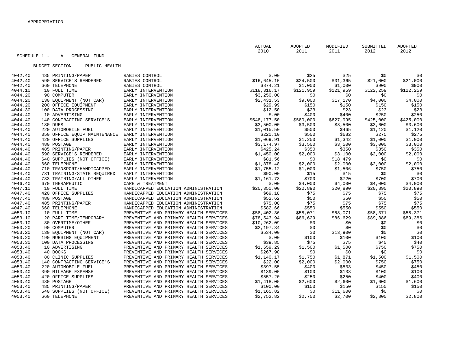|         | SCHEDULE 1 -<br>GENERAL FUND<br>Α      |                                        | ACTUAL<br>2010 | ADOPTED<br>2011 | MODIFIED<br>2011 | SUBMITTED<br>2012 | ADOPTED<br>2012 |
|---------|----------------------------------------|----------------------------------------|----------------|-----------------|------------------|-------------------|-----------------|
|         |                                        |                                        |                |                 |                  |                   |                 |
|         | <b>BUDGET SECTION</b><br>PUBLIC HEALTH |                                        |                |                 |                  |                   |                 |
| 4042.40 | 485 PRINTING/PAPER                     | RABIES CONTROL                         | \$.00          | \$25            | \$25             | \$0               | \$0             |
| 4042.40 | 590 SERVICE'S RENDERED                 | RABIES CONTROL                         | \$16,645.15    | \$24,500        | \$31,365         | \$21,000          | \$21,000        |
| 4042.40 | 660 TELEPHONE                          | RABIES CONTROL                         | \$874.21       | \$1,000         | \$1,000          | \$900             | \$900           |
| 4044.10 | 10 FULL TIME                           | EARLY INTERVENTION                     | \$118, 316.17  | \$121,959       | \$121,959        | \$122,259         | \$122, 259      |
| 4044.20 | 90 COMPUTER                            | EARLY INTERVENTION                     | \$3,250.00     | \$0             | \$0              | \$0               | \$0             |
| 4044.20 | 130 EQUIPMENT (NOT CAR)                | EARLY INTERVENTION                     | \$2,431.53     | \$9,000         | \$17,170         | \$4,000           | \$4,000         |
| 4044.20 | 200 OFFICE EQUIPMENT                   | EARLY INTERVENTION                     | \$29.99        | \$150           | \$150            | \$150             | \$150           |
| 4044.30 | 100 DATA PROCESSING                    | EARLY INTERVENTION                     | \$12.50        | \$23            | \$23             | \$23              | \$23            |
| 4044.40 | 10 ADVERTISING                         | EARLY INTERVENTION                     | \$.00          | \$400           | \$400            | \$250             | \$250           |
| 4044.40 | 140 CONTRACTING SERVICE'S              | EARLY INTERVENTION                     | \$548,177.50   | \$580,000       | \$627,995        | \$425,000         | \$425,000       |
| 4044.40 | 180 DUES                               | EARLY INTERVENTION                     | \$3,500.00     | \$3,500         | \$3,500          | \$3,600           | \$3,600         |
| 4044.40 | 220 AUTOMOBILE FUEL                    | EARLY INTERVENTION                     | \$1,015.50     | \$500           | \$465            | \$1,120           | \$1,120         |
| 4044.40 | 350 OFFICE EQUIP MAINTENANCE           | EARLY INTERVENTION                     | \$220.10       | \$500           | \$682            | \$275             | \$275           |
| 4044.40 | 420 OFFICE SUPPLIES                    | EARLY INTERVENTION                     | \$1,069.91     | \$1,250         | \$1,342          | \$1,000           | \$1,000         |
| 4044.40 | 480 POSTAGE                            | EARLY INTERVENTION                     | \$3,174.97     | \$3,500         | \$3,500          | \$3,000           | \$3,000         |
| 4044.40 | 485 PRINTING/PAPER                     | EARLY INTERVENTION                     | \$425.24       | \$350           | \$350            | \$350             | \$350           |
| 4044.40 | 590 SERVICE'S RENDERED                 | EARLY INTERVENTION                     | \$1,450.00     | \$2,000         | \$3,100          | \$2,000           | \$2,000         |
| 4044.40 | 640 SUPPLIES (NOT OFFICE)              | EARLY INTERVENTION                     | \$81.56        | \$0             | \$18,479         | \$0               | \$0             |
| 4044.40 | 660 TELEPHONE                          | EARLY INTERVENTION                     | \$1,878.48     | \$2,000         | \$2,000          | \$2,000           | \$2,000         |
| 4044.40 | 710 TRANSPORT/HANDICAPPED              | EARLY INTERVENTION                     | \$1,755.12     | \$1,000         | \$1,506          | \$750             | \$750           |
| 4044.40 | 731 TRAINING/STATE REQUIRED            | EARLY INTERVENTION                     | \$90.00        | \$15            | \$15             | \$0               | \$0             |
| 4044.40 | 733 TRAINING/ALL OTHER                 | EARLY INTERVENTION                     | \$1,161.73     | \$700           | \$720            | \$700             | \$700           |
| 4046.40 | 670 THERAPEUTIC                        | CARE & TREATMENT                       | \$.00          | \$4,000         | \$4,000          | \$4,000           | \$4,000         |
| 4047.10 | 10 FULL TIME                           | HANDICAPPED EDUCATION ADMINISTRATION   | \$20,350.00    | \$20,890        | \$20,890         | \$20,890          | \$20,890        |
| 4047.40 | 420 OFFICE SUPPLIES                    | HANDICAPPED EDUCATION ADMINISTRATION   | \$69.18        | \$75            | \$75             | \$75              | \$75            |
| 4047.40 | 480 POSTAGE                            | HANDICAPPED EDUCATION ADMINISTRATION   | \$52.62        | \$50            | \$50             | \$50              | \$50            |
| 4047.40 | 485 PRINTING/PAPER                     | HANDICAPPED EDUCATION ADMINISTRATION   | \$75.00        | \$75            | \$75             | \$75              | \$75            |
| 4047.40 | 660 TELEPHONE                          | HANDICAPPED EDUCATION ADMINISTRATION   | \$582.66       | \$550           | \$550            | \$550             | \$550           |
| 4053.10 | 10 FULL TIME                           | PREVENTIVE AND PRIMARY HEALTH SERVICES | \$58,402.36    | \$58,071        | \$58,071         | \$58,371          | \$58,371        |
| 4053.10 | 20 PART TIME/TEMPORARY                 | PREVENTIVE AND PRIMARY HEALTH SERVICES | \$78,543.94    | \$86,629        | \$86,629         | \$89,386          | \$89,386        |
| 4053.10 | 30 OVERTIME/OTHER                      | PREVENTIVE AND PRIMARY HEALTH SERVICES | \$10, 262.09   | \$0             | \$0              | \$0               | \$0             |
| 4053.20 | 90 COMPUTER                            | PREVENTIVE AND PRIMARY HEALTH SERVICES | \$2,197.34     | \$0             | \$0              | \$0               | \$0             |
| 4053.20 | 130 EQUIPMENT (NOT CAR)                | PREVENTIVE AND PRIMARY HEALTH SERVICES | \$534.00       | \$0             | \$13,900         | \$0               | \$0             |
| 4053.20 | 190 NURSING EOUIPMENT                  | PREVENTIVE AND PRIMARY HEALTH SERVICES | \$.00          | \$100           | \$100            | \$100             | \$100           |
| 4053.30 | 100 DATA PROCESSING                    | PREVENTIVE AND PRIMARY HEALTH SERVICES | \$39.85        | \$75            | \$75             | \$40              | \$40            |
| 4053.40 | 10 ADVERTISING                         | PREVENTIVE AND PRIMARY HEALTH SERVICES | \$1,659.29     | \$1,500         | \$1,500          | \$750             | \$750           |
| 4053.40 | 40 BOOKS                               | PREVENTIVE AND PRIMARY HEALTH SERVICES | \$267.90       | \$0             | \$0              | \$0               | \$0             |
| 4053.40 | 80 CLINIC SUPPLIES                     | PREVENTIVE AND PRIMARY HEALTH SERVICES | \$1,140.17     | \$1,750         | \$1,871          | \$1,500           | \$1,500         |
| 4053.40 | 140 CONTRACTING SERVICE'S              | PREVENTIVE AND PRIMARY HEALTH SERVICES | \$22.00        | \$2,000         | \$2,000          | \$750             | \$750           |
| 4053.40 | 220 AUTOMOBILE FUEL                    | PREVENTIVE AND PRIMARY HEALTH SERVICES | \$397.55       | \$400           | \$533            | \$450             | \$450           |
| 4053.40 | 390 MILEAGE EXPENSE                    | PREVENTIVE AND PRIMARY HEALTH SERVICES | \$139.05       | \$100           | \$133            | \$100             | \$100           |
| 4053.40 | 420 OFFICE SUPPLIES                    | PREVENTIVE AND PRIMARY HEALTH SERVICES | \$557.20       | \$250           | \$250            | \$400             | \$400           |
| 4053.40 | 480 POSTAGE                            | PREVENTIVE AND PRIMARY HEALTH SERVICES | \$1,418.05     | \$2,600         | \$2,600          | \$1,600           | \$1,600         |
| 4053.40 | 485 PRINTING/PAPER                     | PREVENTIVE AND PRIMARY HEALTH SERVICES | \$100.00       | \$150           | \$150            | \$150             | \$150           |
| 4053.40 | 640 SUPPLIES (NOT OFFICE)              | PREVENTIVE AND PRIMARY HEALTH SERVICES | \$1,165.82     | \$0             | \$11,600         | \$0               | \$0             |
| 4053.40 | 660 TELEPHONE                          | PREVENTIVE AND PRIMARY HEALTH SERVICES | \$2,752.82     | \$2,700         | \$2,700          | \$2,800           | \$2,800         |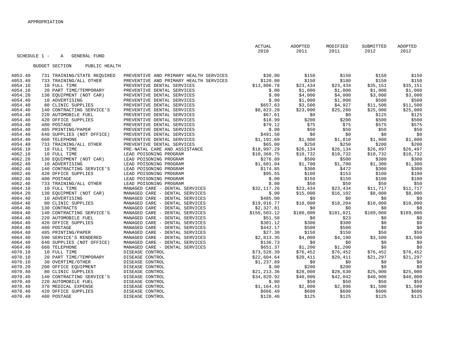|                    |                                            |                                                                  | <b>ACTUAL</b><br>2010       | ADOPTED<br>2011 | MODIFIED<br>2011 | SUBMITTED<br>2012 | ADOPTED<br>2012  |
|--------------------|--------------------------------------------|------------------------------------------------------------------|-----------------------------|-----------------|------------------|-------------------|------------------|
| SCHEDULE 1 -       | <b>GENERAL FUND</b><br>$\mathbb A$         |                                                                  |                             |                 |                  |                   |                  |
|                    |                                            |                                                                  |                             |                 |                  |                   |                  |
|                    | <b>BUDGET SECTION</b><br>PUBLIC HEALTH     |                                                                  |                             |                 |                  |                   |                  |
|                    |                                            |                                                                  |                             |                 |                  |                   |                  |
| 4053.40            | 731 TRAINING/STATE REQUIRED                | PREVENTIVE AND PRIMARY HEALTH SERVICES                           | \$30.00                     | \$150           | \$150            | \$150             | \$150            |
| 4053.40            | 733 TRAINING/ALL OTHER                     | PREVENTIVE AND PRIMARY HEALTH SERVICES                           | \$120.00                    | \$150           | \$180            | \$150             | \$150            |
| 4054.10            | 10 FULL TIME                               | PREVENTIVE DENTAL SERVICES                                       | \$13,806.78                 | \$23,434        | \$23,434         | \$35,151          | \$35,151         |
| 4054.10            | 20 PART TIME/TEMPORARY                     | PREVENTIVE DENTAL SERVICES                                       | \$.00                       | \$1,000         | \$1,000          | \$1,000           | \$1,000          |
| 4054.20            | 130 EOUIPMENT (NOT CAR)                    | PREVENTIVE DENTAL SERVICES                                       | \$.00                       | \$4,000         | \$4,000          | \$3,000           | \$3,000          |
| 4054.40            | 10 ADVERTISING                             | PREVENTIVE DENTAL SERVICES                                       | \$.00                       | \$1,000         | \$1,000          | \$500             | \$500            |
| 4054.40            | 80 CLINIC SUPPLIES                         | PREVENTIVE DENTAL SERVICES                                       | \$657.63                    | \$3,500         | \$4,927          | \$11,500          | \$11,500         |
| 4054.40            | 140 CONTRACTING SERVICE'S                  | PREVENTIVE DENTAL SERVICES                                       | \$8,823.20                  | \$23,000        | \$25,280         | \$25,000          | \$25,000         |
| 4054.40            | 220 AUTOMOBILE FUEL                        | PREVENTIVE DENTAL SERVICES                                       | \$67.61                     | \$0             | \$0              | \$125             | \$125            |
| 4054.40            | 420 OFFICE SUPPLIES                        | PREVENTIVE DENTAL SERVICES                                       | \$18.99                     | \$200           | \$200            | \$500             | \$500            |
| 4054.40            | 480 POSTAGE                                | PREVENTIVE DENTAL SERVICES                                       | \$79.12                     | \$75            | \$75             | \$575             | \$575            |
| 4054.40            | 485 PRINTING/PAPER                         | PREVENTIVE DENTAL SERVICES                                       | \$.00                       | \$50            | \$50             | \$50              | \$50             |
| 4054.40            | 640 SUPPLIES (NOT OFFICE)                  | PREVENTIVE DENTAL SERVICES                                       | \$491.50                    | \$0             | \$0              | \$0               | \$0              |
| 4054.40            | 660 TELEPHONE                              | PREVENTIVE DENTAL SERVICES                                       | \$1,191.60                  | \$1,800         | \$1,810          | \$1,800           | \$1,800          |
| 4054.40            | 733 TRAINING/ALL OTHER                     | PREVENTIVE DENTAL SERVICES                                       | \$65.00                     | \$250           | \$250            | \$200             | \$200            |
| 4056.10            | 10 FULL TIME                               | PRE-NATAL CARE AND ASSISTANCE                                    | \$18,997.29                 | \$26,134        | \$26,134         | \$26,497          | \$26,497         |
| 4062.10            | 10 FULL TIME                               | LEAD POISONING PROGRAM                                           | \$10,368.75                 | \$10,732        | \$10,732         | \$10,732          | \$10,732         |
| 4062.20            | 130 EQUIPMENT (NOT CAR)                    | LEAD POISONING PROGRAM                                           | \$276.89                    | \$500           | \$500            | \$300             | \$300            |
| 4062.40            | 10 ADVERTISING                             | LEAD POISONING PROGRAM                                           | \$1,601.04                  | \$1,700         | \$1,700          | \$1,300           | \$1,300          |
| 4062.40            | 140 CONTRACTING SERVICE'S                  | LEAD POISONING PROGRAM                                           | \$174.85                    | \$300           | \$472            | \$300             | \$300            |
| 4062.40            | 420 OFFICE SUPPLIES                        | LEAD POISONING PROGRAM                                           | \$95.55                     | \$100           | \$153            | \$100             | \$100            |
| 4062.40            | 480 POSTAGE                                | LEAD POISONING PROGRAM                                           | \$.00                       | \$150           | \$150            | \$100             | \$100            |
| 4062.40            | 733 TRAINING/ALL OTHER                     | LEAD POISONING PROGRAM                                           | \$.00                       | \$50            | \$50             | \$50              | \$50             |
| 4064.10            | 10 FULL TIME                               | MANAGED CARE - DENTAL SERVICES                                   | \$32,117.26                 | \$23,434        | \$23,434         | \$11,717          | \$11,717         |
| 4064.20            | 130 EQUIPMENT (NOT CAR)                    | MANAGED CARE - DENTAL SERVICES<br>MANAGED CARE - DENTAL SERVICES | \$.00                       | \$15,000        | \$16,102         | \$8,000<br>\$0    | \$8,000          |
| 4064.40<br>4064.40 | 10 ADVERTISING<br>80 CLINIC SUPPLIES       | MANAGED CARE - DENTAL SERVICES                                   | \$485.00                    | \$0<br>\$18,000 | \$0<br>\$18, 204 | \$10,000          | \$0<br>\$10,000  |
|                    |                                            |                                                                  | \$19,016.77                 | \$0             | \$0              | \$0               |                  |
| 4064.40<br>4064.40 | 130 CONTRACTS<br>140 CONTRACTING SERVICE'S | MANAGED CARE - DENTAL SERVICES<br>MANAGED CARE - DENTAL SERVICES | \$2,327.81<br>\$156, 503.12 | \$180,000       | \$181,021        | \$189,000         | \$0<br>\$189,000 |
| 4064.40            | 220 AUTOMOBILE FUEL                        | MANAGED CARE - DENTAL SERVICES                                   |                             |                 | \$23             |                   |                  |
| 4064.40            | 420 OFFICE SUPPLIES                        | MANAGED CARE - DENTAL SERVICES                                   | \$51.58<br>\$301.12         | \$0<br>\$300    | \$300            | \$0<br>\$0        | \$0<br>\$0       |
| 4064.40            | 480 POSTAGE                                | MANAGED CARE - DENTAL SERVICES                                   | \$442.17                    | \$500           | \$500            | \$0               | \$0              |
| 4064.40            | 485 PRINTING/PAPER                         | MANAGED CARE - DENTAL SERVICES                                   | \$27.30                     | \$150           | \$150            | \$50              | \$50             |
| 4064.40            | 590 SERVICE'S RENDERED                     | MANAGED CARE - DENTAL SERVICES                                   | \$2,813.35                  | \$4,000         | \$4,190          | \$3,500           | \$3,500          |
| 4064.40            | 640 SUPPLIES (NOT OFFICE)                  | MANAGED CARE - DENTAL SERVICES                                   | \$136.73                    | \$0             | \$0              | \$0               | \$0              |
| 4064.40            | 660 TELEPHONE                              | MANAGED CARE - DENTAL SERVICES                                   | \$651.37                    | \$1,200         | \$1,200          | \$0               | \$0              |
| 4070.10            | 10 FULL TIME                               | DISEASE CONTROL                                                  | \$73,528.39                 | \$76,452        | \$76,452         | \$76,452          | \$76,452         |
| 4070.10            | 20 PART TIME/TEMPORARY                     | DISEASE CONTROL                                                  | \$22,604.64                 | \$20,411        | \$20,411         | \$21,297          | \$21,297         |
| 4070.10            | 30 OVERTIME/OTHER                          | DISEASE CONTROL                                                  | \$1,237.89                  | \$0             | \$0              | \$0               | \$0              |
| 4070.20            | 200 OFFICE EQUIPMENT                       | DISEASE CONTROL                                                  | \$.00                       | \$200           | \$200            | \$0               | \$0              |
| 4070.40            | 80 CLINIC SUPPLIES                         | DISEASE CONTROL                                                  | \$21, 213.36                | \$28,000        | \$28,630         | \$25,000          | \$25,000         |
| 4070.40            | 140 CONTRACTING SERVICE'S                  | DISEASE CONTROL                                                  | \$34,820.92                 | \$40,000        | \$42,042         | \$40,000          | \$40,000         |
| 4070.40            | 220 AUTOMOBILE FUEL                        | DISEASE CONTROL                                                  | \$.00                       | \$50            | \$50             | \$50              | \$50             |
| 4070.40            | 370 MEDICAL EXPENSE                        | DISEASE CONTROL                                                  | \$1,164.43                  | \$2,000         | \$2,896          | \$1,500           | \$1,500          |
| 4070.40            | 420 OFFICE SUPPLIES                        | DISEASE CONTROL                                                  | \$666.49                    | \$600           | \$600            | \$600             | \$600            |
| 4070.40            | 480 POSTAGE                                | DISEASE CONTROL                                                  | \$128.46                    | \$125           | \$125            | \$125             | \$125            |
|                    |                                            |                                                                  |                             |                 |                  |                   |                  |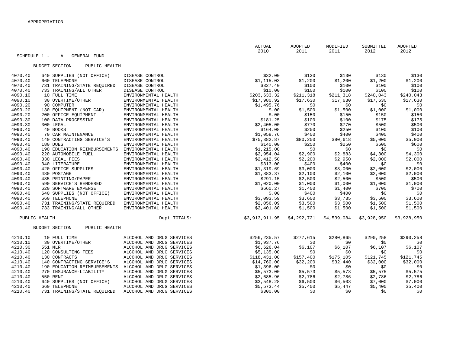|              |                                        |                                              | ACTUAL         | ADOPTED     | MODIFIED    | SUBMITTED   | ADOPTED        |
|--------------|----------------------------------------|----------------------------------------------|----------------|-------------|-------------|-------------|----------------|
|              |                                        |                                              | 2010           | 2011        | 2011        | 2012        | 2012           |
| SCHEDULE 1 - | GENERAL FUND<br>$\mathbb{A}$           |                                              |                |             |             |             |                |
|              |                                        |                                              |                |             |             |             |                |
|              | <b>BUDGET SECTION</b><br>PUBLIC HEALTH |                                              |                |             |             |             |                |
| 4070.40      | 640 SUPPLIES (NOT OFFICE)              | DISEASE CONTROL                              | \$32.00        | \$130       | \$130       | \$130       | \$130          |
| 4070.40      | 660 TELEPHONE                          | DISEASE CONTROL                              | \$1,115.03     | \$1,200     | \$1,200     | \$1,200     | \$1,200        |
| 4070.40      | 731 TRAINING/STATE REQUIRED            | DISEASE CONTROL                              | \$327.40       | \$100       | \$100       | \$100       | \$100          |
| 4070.40      | 733 TRAINING/ALL OTHER                 | DISEASE CONTROL                              | \$10.00        | \$100       | \$100       | \$100       | \$100          |
| 4090.10      | 10 FULL TIME                           | ENVIRONMENTAL HEALTH                         | \$203,633.32   | \$211,318   | \$211,318   | \$240,043   | \$240,043      |
| 4090.10      | 30 OVERTIME/OTHER                      | ENVIRONMENTAL HEALTH                         | \$17,980.92    | \$17,630    | \$17,630    | \$17,630    | \$17,630       |
| 4090.20      | 90 COMPUTER                            |                                              | \$1,495.76     |             | \$0         | \$0         |                |
| 4090.20      | 130 EQUIPMENT (NOT CAR)                | ENVIRONMENTAL HEALTH<br>ENVIRONMENTAL HEALTH |                | \$0         | \$1,500     | \$1,000     | \$0<br>\$1,000 |
| 4090.20      |                                        |                                              | \$.00          | \$1,500     |             |             |                |
|              | 200 OFFICE EQUIPMENT                   | ENVIRONMENTAL HEALTH                         | \$.00          | \$150       | \$150       | \$150       | \$150<br>\$175 |
| 4090.30      | 100 DATA PROCESSING                    | ENVIRONMENTAL HEALTH                         | \$181.25       | \$100       | \$100       | \$175       |                |
| 4090.30      | 300 LEGAL                              | ENVIRONMENTAL HEALTH                         | \$2,405.00     | \$770       | \$770       | \$500       | \$500          |
| 4090.40      | 40 BOOKS                               | ENVIRONMENTAL HEALTH                         | \$164.08       | \$250       | \$250       | \$100       | \$100          |
| 4090.40      | 70 CAR MAINTENANCE                     | ENVIRONMENTAL HEALTH                         | \$1,058.76     | \$400       | \$400       | \$400       | \$400          |
| 4090.40      | 140 CONTRACTING SERVICE'S              | ENVIRONMENTAL HEALTH                         | \$75,382.87    | \$80,250    | \$80,618    | \$5,000     | \$5,000        |
| 4090.40      | 180 DUES                               | ENVIRONMENTAL HEALTH                         | \$140.00       | \$250       | \$250       | \$600       | \$600          |
| 4090.40      | 190 EDUCATION REIMBURSEMENTS           | ENVIRONMENTAL HEALTH                         | \$1,215.00     | \$0         | \$0         | \$0         | \$0            |
| 4090.40      | 220 AUTOMOBILE FUEL                    | ENVIRONMENTAL HEALTH                         | \$2,954.04     | \$2,900     | \$2,883     | \$4,300     | \$4,300        |
| 4090.40      | 330 LEGAL FEES                         | ENVIRONMENTAL HEALTH                         | \$2,412.50     | \$2,200     | \$2,950     | \$2,000     | \$2,000        |
| 4090.40      | 340 LITERATURE                         | ENVIRONMENTAL HEALTH                         | \$313.00       | \$400       | \$400       | \$0         | \$0            |
| 4090.40      | 420 OFFICE SUPPLIES                    | ENVIRONMENTAL HEALTH                         | \$1,319.69     | \$3,000     | \$3,000     | \$2,000     | \$2,000        |
| 4090.40      | 480 POSTAGE                            | ENVIRONMENTAL HEALTH                         | \$1,883.37     | \$2,100     | \$2,100     | \$2,000     | \$2,000        |
| 4090.40      | 485 PRINTING/PAPER                     | ENVIRONMENTAL HEALTH                         | \$291.15       | \$2,500     | \$2,500     | \$500       | \$500          |
| 4090.40      | 590 SERVICE'S RENDERED                 | ENVIRONMENTAL HEALTH                         | \$1,020.00     | \$1,000     | \$1,000     | \$1,000     | \$1,000        |
| 4090.40      | 620 SOFTWARE EXPENSE                   | ENVIRONMENTAL HEALTH                         | \$660.27       | \$1,400     | \$1,400     | \$700       | \$700          |
| 4090.40      | 640 SUPPLIES (NOT OFFICE)              | ENVIRONMENTAL HEALTH                         | \$.00          | \$400       | \$400       | \$0         | \$0            |
| 4090.40      | 660 TELEPHONE                          | ENVIRONMENTAL HEALTH                         | \$3,093.59     | \$3,600     | \$3,735     | \$3,600     | \$3,600        |
| 4090.40      | 731 TRAINING/STATE REQUIRED            | ENVIRONMENTAL HEALTH                         | \$2,056.09     | \$3,500     | \$3,500     | \$1,500     | \$1,500        |
| 4090.40      | 733 TRAINING/ALL OTHER                 | ENVIRONMENTAL HEALTH                         | \$2,401.80     | \$1,500     | \$1,500     | \$1,500     | \$1,500        |
|              | PUBLIC HEALTH                          | Dept TOTALS:                                 | \$3,913,911.95 | \$4,292,721 | \$4,539,084 | \$3,928,950 | \$3,928,950    |
|              | PUBLIC HEALTH<br><b>BUDGET SECTION</b> |                                              |                |             |             |             |                |
|              |                                        |                                              |                |             |             |             |                |
| 4210.10      | 10 FULL TIME                           | ALCOHOL AND DRUG SERVICES                    | \$256, 235.57  | \$277,615   | \$280,865   | \$290,258   | \$290,258      |
| 4210.10      | 30 OVERTIME/OTHER                      | ALCOHOL AND DRUG SERVICES                    | \$1,937.76     | \$0         | \$0         | \$0         | \$0            |
| 4210.30      | 551 MLR                                | ALCOHOL AND DRUG SERVICES                    | \$6,626.04     | \$6,107     | \$6,107     | \$6,107     | \$6,107        |
| 4210.40      | 120 CONSULTING FEES                    | ALCOHOL AND DRUG SERVICES                    | \$5,135.00     | \$0         | \$0         | \$0         | \$0            |
| 4210.40      | 130 CONTRACTS                          | ALCOHOL AND DRUG SERVICES                    | \$118,431.00   | \$157,400   | \$175,105   | \$121,745   | \$121,745      |
| 4210.40      | 140 CONTRACTING SERVICE'S              | ALCOHOL AND DRUG SERVICES                    | \$14,760.00    | \$32,200    | \$32,440    | \$32,000    | \$32,000       |
| 4210.40      | 190 EDUCATION REIMBURSEMENTS           | ALCOHOL AND DRUG SERVICES                    | \$1,396.00     | \$0         | \$0         | \$0         | \$0            |
| 4210.40      | 270 INSURANCE-LIABILITY                | ALCOHOL AND DRUG SERVICES                    | \$5,573.00     | \$5,573     | \$5,573     | \$5,575     | \$5,575        |
| 4210.40      | 550 RENT                               | ALCOHOL AND DRUG SERVICES                    | \$2,685.96     | \$2,786     | \$2,786     | \$2,786     | \$2,786        |
| 4210.40      | 640 SUPPLIES (NOT OFFICE)              | ALCOHOL AND DRUG SERVICES                    | \$3,548.28     | \$6,500     | \$6,503     | \$7,000     | \$7,000        |
| 4210.40      | 660 TELEPHONE                          | ALCOHOL AND DRUG SERVICES                    | \$5,573.44     | \$5,400     | \$5,447     | \$5,400     | \$5,400        |
| 4210.40      | 731 TRAINING/STATE REQUIRED            | ALCOHOL AND DRUG SERVICES                    | \$300.00       | \$0         | \$0         | \$0         | \$0            |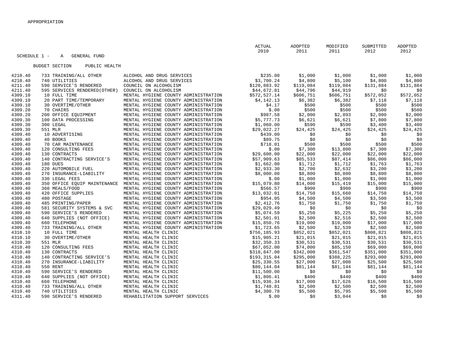|                    | SCHEDULE 1 -<br><b>GENERAL FUND</b><br>Α             |                                                                              | <b>ACTUAL</b><br>2010     | ADOPTED<br>2011 | MODIFIED<br>2011 | SUBMITTED<br>2012 | <b>ADOPTED</b><br>2012 |
|--------------------|------------------------------------------------------|------------------------------------------------------------------------------|---------------------------|-----------------|------------------|-------------------|------------------------|
|                    | <b>BUDGET SECTION</b><br>PUBLIC HEALTH               |                                                                              |                           |                 |                  |                   |                        |
| 4210.40            | 733 TRAINING/ALL OTHER                               | ALCOHOL AND DRUG SERVICES                                                    | \$235.00                  | \$1,000         | \$1,000          | \$1,000           | \$1,000                |
| 4210.40            | 740 UTILITIES                                        | ALCOHOL AND DRUG SERVICES                                                    | \$3,700.24                | \$4,800         | \$5,100          | \$4,800           | \$4,800                |
| 4211.40            | 590 SERVICE'S RENDERED                               | COUNCIL ON ALCOHOLISM                                                        | \$120,883.92              | \$119,084       | \$119,084        | \$131,884         | \$131,884              |
| 4211.40            | 595 SERVICES RENDERED (OTHER)                        | COUNCIL ON ALCOHOLISM                                                        | \$44,672.81               | \$44,796        | \$44,919         | \$0               | \$0                    |
| 4309.10            | 10 FULL TIME                                         | MENTAL HYGIENE COUNTY ADMINISTRATION                                         | \$572,527.14              | \$606,751       | \$606,751        | \$572,052         | \$572,052              |
| 4309.10            | 20 PART TIME/TEMPORARY                               | MENTAL HYGIENE COUNTY ADMINISTRATION                                         | \$4,142.13                | \$6,382         | \$6,382          | \$7,118           | \$7,118                |
| 4309.10            | 30 OVERTIME/OTHER                                    | MENTAL HYGIENE COUNTY ADMINISTRATION                                         | \$4.17                    | \$500           | \$500            | \$500             | \$500                  |
| 4309.20            | 70 CHAIRS                                            | MENTAL HYGIENE COUNTY ADMINISTRATION                                         | \$.00                     | \$500           | \$500            | \$500             | \$500                  |
| 4309.20            | 200 OFFICE EQUIPMENT                                 | MENTAL HYGIENE COUNTY ADMINISTRATION                                         | \$987.58                  | \$2,000         | \$2,893          | \$2,000           | \$2,000                |
| 4309.30            | 100 DATA PROCESSING                                  | MENTAL HYGIENE COUNTY ADMINISTRATION                                         | \$5,777.73                | \$6,621         | \$6,621          | \$7,800           | \$7,800                |
| 4309.30            | 300 LEGAL                                            | MENTAL HYGIENE COUNTY ADMINISTRATION                                         | \$1,060.00                | \$590           | \$590            | \$3,400           | \$3,400                |
| 4309.30            | 551 MLR                                              | MENTAL HYGIENE COUNTY ADMINISTRATION                                         | \$29,022.27               | \$24,425        | \$24,425         | \$24,425          | \$24,425               |
| 4309.40            | 10 ADVERTISING                                       | MENTAL HYGIENE COUNTY ADMINISTRATION                                         | \$439.00                  | \$0             | \$0              | \$0               | \$0                    |
| 4309.40            | 40 BOOKS                                             | MENTAL HYGIENE COUNTY ADMINISTRATION                                         | \$89.75                   | \$0             | \$0              | \$0               | \$0                    |
| 4309.40            | 70 CAR MAINTENANCE                                   | MENTAL HYGIENE COUNTY ADMINISTRATION                                         | \$718.01                  | \$500           | \$500            | \$500             | \$500                  |
| 4309.40            | 120 CONSULTING FEES                                  | MENTAL HYGIENE COUNTY ADMINISTRATION                                         | \$.00                     | \$7,300         | \$13,800         | \$7,300           | \$7,300                |
| 4309.40            | 130 CONTRACTS                                        | MENTAL HYGIENE COUNTY ADMINISTRATION                                         | \$29,600.00               | \$22,000        | \$22,000         | \$22,000          | \$22,000               |
| 4309.40            | 140 CONTRACTING SERVICE'S                            | MENTAL HYGIENE COUNTY ADMINISTRATION                                         | \$57,909.63               | \$85,533        | \$87,414         | \$86,000          | \$86,000               |
| 4309.40            | 180 DUES                                             | MENTAL HYGIENE COUNTY ADMINISTRATION                                         | \$1,662.00                | \$1,712         | \$1,712          | \$1,763           | \$1,763                |
| 4309.40            | 220 AUTOMOBILE FUEL                                  | MENTAL HYGIENE COUNTY ADMINISTRATION                                         | \$2,933.30                | \$2,700         | \$2,632          | \$3,200           | \$3,200                |
| 4309.40            | 270 INSURANCE-LIABILITY                              | MENTAL HYGIENE COUNTY ADMINISTRATION                                         | \$8,000.00                | \$8,800         | \$8,800          | \$8,800           | \$8,800                |
| 4309.40            | 330 LEGAL FEES                                       | MENTAL HYGIENE COUNTY ADMINISTRATION                                         | \$.00                     | \$1,000         | \$1,000          | \$1,000           | \$1,000                |
| 4309.40            | 350 OFFICE EQUIP MAINTENANCE                         | MENTAL HYGIENE COUNTY ADMINISTRATION                                         | \$15,079.80               | \$14,000        | \$15,419         | \$15,000          | \$15,000               |
| 4309.40            | 360 MEALS/FOOD                                       | MENTAL HYGIENE COUNTY ADMINISTRATION                                         | \$566.57                  | \$900           | \$900            | \$900             | \$900                  |
| 4309.40            | 420 OFFICE SUPPLIES                                  | MENTAL HYGIENE COUNTY ADMINISTRATION                                         | \$13,032.01               | \$14,750        | \$15,660         | \$14,750          | \$14,750               |
| 4309.40            | 480 POSTAGE                                          | MENTAL HYGIENE COUNTY ADMINISTRATION                                         | \$954.05                  | \$4,500         | \$4,500          | \$3,500           | \$3,500                |
| 4309.40            | 485 PRINTING/PAPER                                   | MENTAL HYGIENE COUNTY ADMINISTRATION                                         | \$2,412.76                | \$1,750         | \$1,750          | \$1,750           | \$1,750                |
| 4309.40<br>4309.40 | 581 SECURITY SYSTEMS & SVC<br>590 SERVICE'S RENDERED | MENTAL HYGIENE COUNTY ADMINISTRATION<br>MENTAL HYGIENE COUNTY ADMINISTRATION | \$29,029.49<br>\$5,074.59 | \$0<br>\$5,250  | \$0<br>\$5,225   | \$0<br>\$5,250    | \$0<br>\$5,250         |
| 4309.40            | 640 SUPPLIES (NOT OFFICE)                            | MENTAL HYGIENE COUNTY ADMINISTRATION                                         | \$2,501.01                | \$2,500         | \$2,516          | \$2,500           | \$2,500                |
| 4309.40            | 660 TELEPHONE                                        | MENTAL HYGIENE COUNTY ADMINISTRATION                                         | \$15,850.76               | \$19,000        | \$19,000         | \$17,000          | \$17,000               |
| 4309.40            | 733 TRAINING/ALL OTHER                               | MENTAL HYGIENE COUNTY ADMINISTRATION                                         | \$1,723.65                | \$2,500         | \$2,539          | \$2,500           | \$2,500                |
| 4310.10            | 10 FULL TIME                                         | MENTAL HEALTH CLINIC                                                         | \$756,185.93              | \$852,021       | \$852,021        | \$808,821         | \$808,821              |
| 4310.10            | 30 OVERTIME/OTHER                                    | MENTAL HEALTH CLINIC                                                         | \$15,905.21               | \$21,015        | \$21,015         | \$21,015          | \$21,015               |
| 4310.30            | 551 MLR                                              | MENTAL HEALTH CLINIC                                                         | \$32,350.33               | \$30,531        | \$30,531         | \$30,531          | \$30,531               |
| 4310.40            | 120 CONSULTING FEES                                  | MENTAL HEALTH CLINIC                                                         | \$67,052.00               | \$74,000        | \$85,150         | \$69,000          | \$69,000               |
| 4310.40            | 130 CONTRACTS                                        | MENTAL HEALTH CLINIC                                                         | \$318,847.00              | \$342,000       | \$361,547        | \$351,000         | \$351,000              |
| 4310.40            | 140 CONTRACTING SERVICE'S                            | MENTAL HEALTH CLINIC                                                         | \$193,315.04              | \$295,000       | \$388,225        | \$293,000         | \$293,000              |
| 4310.40            | 270 INSURANCE-LIABILITY                              | MENTAL HEALTH CLINIC                                                         | \$25,330.55               | \$27,000        | \$27,000         | \$25,500          | \$25,500               |
| 4310.40            | 550 RENT                                             | MENTAL HEALTH CLINIC                                                         | \$80,144.04               | \$81,144        | \$81,144         | \$81,144          | \$81,144               |
| 4310.40            | 590 SERVICE'S RENDERED                               | MENTAL HEALTH CLINIC                                                         | \$11,500.00               | \$0             | \$0              | \$0               | \$0                    |
| 4310.40            | 640 SUPPLIES (NOT OFFICE)                            | MENTAL HEALTH CLINIC                                                         | \$1,806.41                | \$400           | \$440            | \$400             | \$400                  |
| 4310.40            | 660 TELEPHONE                                        | MENTAL HEALTH CLINIC                                                         | \$15,936.34               | \$17,000        | \$17,626         | \$16,500          | \$16,500               |
| 4310.40            | 733 TRAINING/ALL OTHER                               | MENTAL HEALTH CLINIC                                                         | \$1,748.81                | \$2,500         | \$2,500          | \$2,500           | \$2,500                |
| 4310.40            | 740 UTILITIES                                        | MENTAL HEALTH CLINIC                                                         | \$4,300.78                | \$5,500         | \$5,795          | \$5,500           | \$5,500                |
| 4311.40            | 590 SERVICE'S RENDERED                               | REHABILITATION SUPPORT SERVICES                                              | \$.00                     | \$0             | \$3,044          | \$0               | \$0                    |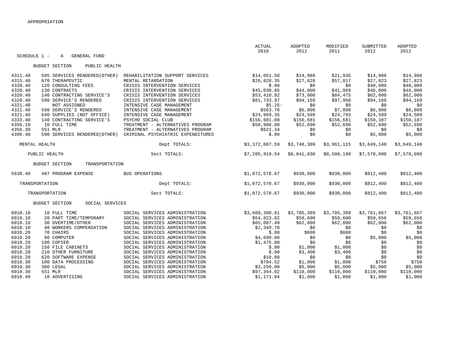|                    |                                                     |                                                                  | ACTUAL<br>2010             | ADOPTED<br>2011      | MODIFIED<br>2011     | SUBMITTED<br>2012    | ADOPTED<br>2012      |
|--------------------|-----------------------------------------------------|------------------------------------------------------------------|----------------------------|----------------------|----------------------|----------------------|----------------------|
| SCHEDULE 1 -       | <b>GENERAL FUND</b><br>$\mathbb A$                  |                                                                  |                            |                      |                      |                      |                      |
|                    | <b>BUDGET SECTION</b><br>PUBLIC HEALTH              |                                                                  |                            |                      |                      |                      |                      |
| 4311.40            | 595 SERVICES RENDERED (OTHER)                       | REHABILITATION SUPPORT SERVICES                                  | \$14,051.50                | \$14,988             | \$21,936             | \$14,988             | \$14,988             |
| 4315.40            | 670 THERAPEUTIC                                     | MENTAL RETARDATION                                               | \$26,828.35                | \$27,628             | \$57,817             | \$27,823             | \$27,823             |
| 4320.40            | 120 CONSULTING FEES                                 | CRISIS INTERVENTION SERVICES                                     | \$.00                      | \$0                  | \$0                  | \$40,000             | \$40,000             |
| 4320.40            | 130 CONTRACTS                                       | CRISIS INTERVENTION SERVICES                                     | \$45,030.85                | \$44,000             | \$41,969             | \$46,000             | \$46,000             |
| 4320.40<br>4320.40 | 140 CONTRACTING SERVICE'S<br>590 SERVICE'S RENDERED | CRISIS INTERVENTION SERVICES<br>CRISIS INTERVENTION SERVICES     | \$53,410.92<br>\$81,733.97 | \$73,000<br>\$94,169 | \$84,475<br>\$97,950 | \$62,000<br>\$94,169 | \$62,000<br>\$94,169 |
| 4321.40            | NOT ASSIGNED                                        | INTENSIVE CASE MANAGEMENT                                        | $$5.25-$                   | \$0                  | \$0                  | \$0                  | \$0                  |
| 4321.40            | 590 SERVICE'S RENDERED                              | INTENSIVE CASE MANAGEMENT                                        | \$563.70                   | \$6,808              | \$7,808              | \$6,808              | \$6,808              |
| 4321.40            | 640 SUPPLIES (NOT OFFICE)                           | INTENSIVE CASE MANAGEMENT                                        | \$24,969.35                | \$24,509             | \$24,793             | \$24,509             | \$24,509             |
| 4333.40            | 140 CONTRACTING SERVICE'S                           | PSYCHO SOCIAL CLUB                                               | \$156,681.00               | \$156,681            | \$156,681            | \$150,187            | \$150,187            |
| 4356.10            | 10 FULL TIME                                        | TREATMENT - ALTERNATIVES PROGRAM                                 | \$50,908.00                | \$52,690             | \$52,690             | \$52,690             | \$52,690             |
| 4356.30            | 551 MLR                                             | TREATMENT - ALTERNATIVES PROGRAM                                 | \$621.34                   | \$0                  | \$0                  | \$0                  | \$0                  |
| 4390.40            | 590 SERVICES RENDERED (OTHER)                       | CRIMINAL PSYCHIATRIC EXPENDITURES                                | \$.00                      | \$0                  | \$0                  | \$5,000              | \$5,000              |
|                    | MENTAL HEALTH                                       | Dept TOTALS:                                                     | \$3,372,007.59             | \$3,748,309          | \$3,961,115          | \$3,649,148          | \$3,649,148          |
|                    | PUBLIC HEALTH                                       | Sect TOTALS:                                                     | \$7,285,919.54             | \$8,041,030          | \$8,500,199          | \$7,578,098          | \$7,578,098          |
|                    | TRANSPORTATION<br><b>BUDGET SECTION</b>             |                                                                  |                            |                      |                      |                      |                      |
| 5630.40            | 487 PROGRAM EXPENSE                                 | BUS OPERATIONS                                                   | \$1,072,578.67             | \$930,000            | \$930,000            | \$812,400            | \$812,400            |
|                    | TRANSPORTATION                                      | Dept TOTALS:                                                     | \$1,072,578.67             | \$930,000            | \$930,000            | \$812,400            | \$812,400            |
|                    | TRANSPORTATION                                      | Sect TOTALS:                                                     | \$1,072,578.67             | \$930,000            | \$930,000            | \$812,400            | \$812,400            |
|                    | <b>BUDGET SECTION</b><br>SOCIAL SERVICES            |                                                                  |                            |                      |                      |                      |                      |
| 6010.10            | 10 FULL TIME                                        | SOCIAL SERVICES ADMINISTRATION                                   | \$3,609,300.81             | \$3,785,389          | \$3,785,389          | \$3,761,667          | \$3,761,667          |
| 6010.10            | 20 PART TIME/TEMPORARY                              | SOCIAL SERVICES ADMINISTRATION                                   | \$54,823.82                | \$59,600             | \$59,600             | \$59,656             | \$59,656             |
| 6010.10            | 30 OVERTIME/OTHER                                   | SOCIAL SERVICES ADMINISTRATION                                   | \$65,087.49                | \$62,000             | \$62,000             | \$62,000             | \$62,000             |
| 6010.10            | 40 WORKERS COMPENSATION                             | SOCIAL SERVICES ADMINISTRATION                                   | \$2,349.78                 | \$0                  | \$0                  | \$0                  | \$0                  |
| 6010.20            | 70 CHAIRS<br>90 COMPUTER                            | SOCIAL SERVICES ADMINISTRATION                                   | \$.00                      | \$600                | \$600                | \$0                  | \$0<br>\$5,000       |
| 6010.20<br>6010.20 | 100 COPIER                                          | SOCIAL SERVICES ADMINISTRATION<br>SOCIAL SERVICES ADMINISTRATION | \$4,690.00<br>\$1,475.00   | \$0<br>\$0           | SO.<br>\$0           | \$5,000<br>\$0       | \$0                  |
| 6010.20            | 150 FILE CABINETS                                   | SOCIAL SERVICES ADMINISTRATION                                   | \$.00                      | \$1,000              | \$1,000              | \$0                  | \$0                  |
| 6010.20            | 210 OTHER FURNITURE                                 | SOCIAL SERVICES ADMINISTRATION                                   | \$.00                      | \$3,400              | \$3,400              | \$0                  | \$0                  |
| 6010.20            | 620 SOFTWARE EXPENSE                                | SOCIAL SERVICES ADMINISTRATION                                   | \$10.00                    | \$0                  | \$0                  | \$0                  | \$0                  |
| 6010.30            | 100 DATA PROCESSING                                 | SOCIAL SERVICES ADMINISTRATION                                   | \$704.52                   | \$1,000              | \$1,000              | \$750                | \$750                |
| 6010.30            | 300 LEGAL                                           | SOCIAL SERVICES ADMINISTRATION                                   | \$3,250.00                 | \$5,000              | \$5,000              | \$5,000              | \$5,000              |
| 6010.30            | 551 MLR                                             | SOCIAL SERVICES ADMINISTRATION                                   | \$97,344.02                | \$110,000            | \$110,000            | \$110,000            | \$110,000            |
| 6010.40            | 10 ADVERTISING                                      | SOCIAL SERVICES ADMINISTRATION                                   | \$1,171.84                 | \$1,000              | \$1,000              | \$1,000              | \$1,000              |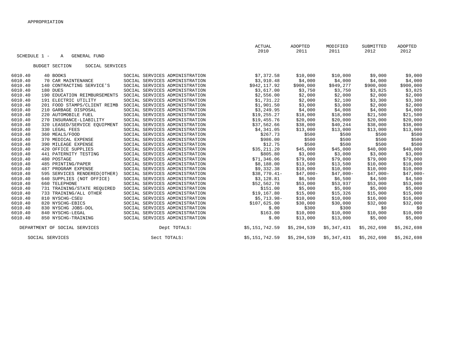|         | SCHEDULE 1 -<br><b>GENERAL FUND</b><br>A |                                | ACTUAL<br>2010 | ADOPTED<br>2011 | MODIFIED<br>2011 | SUBMITTED<br>2012 | ADOPTED<br>2012 |
|---------|------------------------------------------|--------------------------------|----------------|-----------------|------------------|-------------------|-----------------|
|         | <b>BUDGET SECTION</b><br>SOCIAL SERVICES |                                |                |                 |                  |                   |                 |
| 6010.40 | 40 BOOKS                                 | SOCIAL SERVICES ADMINISTRATION | \$7,372.58     | \$10,000        | \$10,000         | \$9,000           | \$9,000         |
| 6010.40 | 70 CAR MAINTENANCE                       | SOCIAL SERVICES ADMINISTRATION | \$3,910.48     | \$4,000         | \$4,000          | \$4,000           | \$4,000         |
| 6010.40 | 140 CONTRACTING SERVICE'S                | SOCIAL SERVICES ADMINISTRATION | \$942,117.92   | \$900,000       | \$949,277        | \$900,000         | \$900,000       |
| 6010.40 | 180 DUES                                 | SOCIAL SERVICES ADMINISTRATION | \$3,617.00     | \$3,750         | \$3,750          | \$3,825           | \$3,825         |
| 6010.40 | 190 EDUCATION REIMBURSEMENTS             | SOCIAL SERVICES ADMINISTRATION | \$2,556.00     | \$2,000         | \$2,000          | \$2,000           | \$2,000         |
| 6010.40 | 191 ELECTRIC UTILITY                     | SOCIAL SERVICES ADMINISTRATION | \$1,731.22     | \$2,000         | \$2,100          | \$3,300           | \$3,300         |
| 6010.40 | 201 FOOD STAMPS/CLIENT REIMB             | SOCIAL SERVICES ADMINISTRATION | \$1,901.50     | \$3,000         | \$3,000          | \$2,000           | \$2,000         |
| 6010.40 | 210 GARBAGE DISPOSAL                     | SOCIAL SERVICES ADMINISTRATION | \$3,249.95     | \$4,000         | \$4,008          | \$4,000           | \$4,000         |
| 6010.40 | 220 AUTOMOBILE FUEL                      | SOCIAL SERVICES ADMINISTRATION | \$19, 255.27   | \$18,000        | \$18,000         | \$21,500          | \$21,500        |
| 6010.40 | 270 INSURANCE-LIABILITY                  | SOCIAL SERVICES ADMINISTRATION | \$19,455.76    | \$20,000        | \$20,000         | \$20,000          | \$20,000        |
| 6010.40 | 320 LEASED/SERVICE EQUIPMENT             | SOCIAL SERVICES ADMINISTRATION | \$37,562.66    | \$38,000        | \$40,244         | \$38,000          | \$38,000        |
| 6010.40 | 330 LEGAL FEES                           | SOCIAL SERVICES ADMINISTRATION | \$4,341.05     | \$13,000        | \$13,000         | \$13,000          | \$13,000        |
| 6010.40 | 360 MEALS/FOOD                           | SOCIAL SERVICES ADMINISTRATION | \$267.73       | \$500           | \$500            | \$500             | \$500           |
| 6010.40 | 370 MEDICAL EXPENSE                      | SOCIAL SERVICES ADMINISTRATION | \$986.00       | \$500           | \$500            | \$500             | \$500           |
| 6010.40 | 390 MILEAGE EXPENSE                      | SOCIAL SERVICES ADMINISTRATION | \$12.75        | \$500           | \$500            | \$500             | \$500           |
| 6010.40 | 420 OFFICE SUPPLIES                      | SOCIAL SERVICES ADMINISTRATION | \$35,211.20    | \$45,000        | \$45,000         | \$40,000          | \$40,000        |
| 6010.40 | 441 PATERNITY TESTING                    | SOCIAL SERVICES ADMINISTRATION | \$805.80       | \$3,000         | \$3,000          | \$3,000           | \$3,000         |
| 6010.40 | 480 POSTAGE                              | SOCIAL SERVICES ADMINISTRATION | \$71,346.06    | \$79,000        | \$79,000         | \$79,000          | \$79,000        |
| 6010.40 | 485 PRINTING/PAPER                       | SOCIAL SERVICES ADMINISTRATION | \$8,188.00     | \$13,500        | \$13,500         | \$10,000          | \$10,000        |
| 6010.40 | 487 PROGRAM EXPENSE                      | SOCIAL SERVICES ADMINISTRATION | \$9,332.38     | \$10,000        | \$10,000         | \$10,000          | \$10,000        |
| 6010.40 | 595 SERVICES RENDERED (OTHER)            | SOCIAL SERVICES ADMINISTRATION | $$38,770.41-$  | $$47,000-$      | $$47,000-$       | $$47,000-$        | $$47,000-$      |
| 6010.40 | 640 SUPPLIES (NOT OFFICE)                | SOCIAL SERVICES ADMINISTRATION | \$3,128.81     | \$6,500         | \$6,500          | \$4,500           | \$4,500         |
| 6010.40 | 660 TELEPHONE                            | SOCIAL SERVICES ADMINISTRATION | \$52,562.78    | \$53,000        | \$53,937         | \$53,000          | \$53,000        |
| 6010.40 | 731 TRAINING/STATE REQUIRED              | SOCIAL SERVICES ADMINISTRATION | \$151.00       | \$5,000         | \$5,000          | \$5,000           | \$5,000         |
| 6010.40 | 733 TRAINING/ALL OTHER                   | SOCIAL SERVICES ADMINISTRATION | \$19,167.80    | \$15,000        | \$15,326         | \$15,000          | \$15,000        |
| 6010.40 | 810 NYSCHG-CSEU                          | SOCIAL SERVICES ADMINISTRATION | $$5,713.98-$   | \$10,000        | \$10,000         | \$16,000          | \$16,000        |
| 6010.40 | 820 NYSCHG-EBICS                         | SOCIAL SERVICES ADMINISTRATION | \$107,625.00   | \$30,000        | \$30,000         | \$32,000          | \$32,000        |
| 6010.40 | 830 NYSCHG JOBS-DOL                      | SOCIAL SERVICES ADMINISTRATION | \$.00          | \$300           | \$300            | \$0               | \$0             |
| 6010.40 | 840 NYSCHG-LEGAL                         | SOCIAL SERVICES ADMINISTRATION | \$163.00       | \$10,000        | \$10,000         | \$10,000          | \$10,000        |
| 6010.40 | 850 NYSCHG-TRAINING                      | SOCIAL SERVICES ADMINISTRATION | \$.00          | \$13,000        | \$13,000         | \$5,000           | \$5,000         |
|         | DEPARTMENT OF SOCIAL SERVICES            | Dept TOTALS:                   | \$5,151,742.59 | \$5,294,539     | \$5,347,431      | \$5,262,698       | \$5,262,698     |
|         | SOCIAL SERVICES                          | Sect TOTALS:                   | \$5,151,742.59 | \$5,294,539     | \$5,347,431      | \$5,262,698       | \$5,262,698     |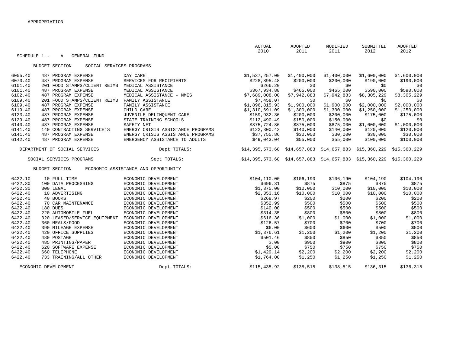|         |                                                   |                                     | <b>ACTUAL</b>                                                            | ADOPTED     | MODIFIED    | SUBMITTED   | ADOPTED      |
|---------|---------------------------------------------------|-------------------------------------|--------------------------------------------------------------------------|-------------|-------------|-------------|--------------|
|         | SCHEDULE 1 -<br>A<br>GENERAL FUND                 |                                     | 2010                                                                     | 2011        | 2011        | 2012        | 2012         |
|         |                                                   |                                     |                                                                          |             |             |             |              |
|         | <b>BUDGET SECTION</b><br>SOCIAL SERVICES PROGRAMS |                                     |                                                                          |             |             |             |              |
| 6055.40 | 487 PROGRAM EXPENSE                               | DAY CARE                            | \$1,537,257.00                                                           | \$1,400,000 | \$1,400,000 | \$1,600,000 | \$1,600,000  |
| 6070.40 | 487 PROGRAM EXPENSE                               | SERVICES FOR RECIPIENTS             | \$228,895.48                                                             | \$200,000   | \$200,000   | \$190,000   | \$190,000    |
| 6101.40 | 201 FOOD STAMPS/CLIENT REIMB                      | MEDICAL ASSISTANCE                  | \$266.20                                                                 | \$0         | \$0         | \$0         | \$0          |
| 6101.40 | 487 PROGRAM EXPENSE                               | MEDICAL ASSISTANCE                  | \$367,934.88                                                             | \$465,000   | \$465,000   | \$590,000   | \$590,000    |
| 6102.40 | 487 PROGRAM EXPENSE                               | MEDICAL ASSISTANCE - MMIS           | \$7,689,008.00                                                           | \$7,942,883 | \$7,942,883 | \$8,305,229 | \$8,305,229  |
| 6109.40 | 201 FOOD STAMPS/CLIENT REIMB                      | FAMILY ASSISTANCE                   | \$7,458.07                                                               | \$0         | \$0         | \$0         | \$0          |
| 6109.40 | 487 PROGRAM EXPENSE                               | FAMILY ASSISTANCE                   | \$1,896,815.93                                                           | \$1,900,000 | \$1,900,000 | \$2,000,000 | \$2,000,000  |
| 6119.40 | 487 PROGRAM EXPENSE                               | CHILD CARE                          | \$1,310,691.09                                                           | \$1,300,000 | \$1,300,000 | \$1,250,000 | \$1,250,000  |
| 6123.40 | 487 PROGRAM EXPENSE                               | JUVENILE DELINQUENT CARE            | \$159,932.36                                                             | \$200,000   | \$200,000   | \$175,000   | \$175,000    |
| 6129.40 | 487 PROGRAM EXPENSE                               | STATE TRAINING SCHOOLS              | \$112,490.49                                                             | \$150,000   | \$150,000   | \$0         | \$0          |
| 6140.40 | 487 PROGRAM EXPENSE                               | SAFETY NET                          | \$875,724.86                                                             | \$875,000   | \$875,000   | \$1,000,000 | \$1,000,000  |
| 6141.40 | 140 CONTRACTING SERVICE'S                         | ENERGY CRISIS ASSISTANCE PROGRAMS   | \$122,300.42                                                             | \$140,000   | \$140,000   | \$120,000   | \$120,000    |
| 6141.40 | 487 PROGRAM EXPENSE                               | ENERGY CRISIS ASSISTANCE PROGRAMS   | \$37,755.86                                                              | \$30,000    | \$30,000    | \$30,000    | \$30,000     |
| 6142.40 | 487 PROGRAM EXPENSE                               | EMERGENCY ASSISTANCE TO ADULTS      | \$49,043.04                                                              | \$55,000    | \$55,000    | \$100,000   | \$100,000    |
|         | DEPARTMENT OF SOCIAL SERVICES                     | Dept TOTALS:                        | $$14,395,573.68$ $$14,657,883$ $$14,657,883$ $$15,360,229$               |             |             |             | \$15,360,229 |
|         | SOCIAL SERVICES PROGRAMS                          | Sect TOTALS:                        | $$14,395,573.68$ $$14,657,883$ $$14,657,883$ $$15,360,229$ $$15,360,229$ |             |             |             |              |
|         | <b>BUDGET SECTION</b>                             | ECONOMIC ASSISTANCE AND OPPORTUNITY |                                                                          |             |             |             |              |
| 6422.10 | 10 FULL TIME                                      | ECONOMIC DEVELOPMENT                | \$104, 110.00                                                            | \$106, 190  | \$106,190   | \$104,190   | \$104,190    |
| 6422.30 | 100 DATA PROCESSING                               | ECONOMIC DEVELOPMENT                | \$696.31                                                                 | \$875       | \$875       | \$875       | \$875        |
| 6422.30 | 300 LEGAL                                         | ECONOMIC DEVELOPMENT                | \$1,375.00                                                               | \$10,000    | \$10,000    | \$10,000    | \$10,000     |
| 6422.40 | 10 ADVERTISING                                    | ECONOMIC DEVELOPMENT                | \$2,353.16                                                               | \$10,000    | \$10,000    | \$10,000    | \$10,000     |
| 6422.40 | 40 BOOKS                                          | ECONOMIC DEVELOPMENT                | \$268.97                                                                 | \$200       | \$200       | \$200       | \$200        |
| 6422.40 | 70 CAR MAINTENANCE                                | ECONOMIC DEVELOPMENT                | \$352.99                                                                 | \$500       | \$500       | \$500       | \$500        |
| 6422.40 | 180 DUES                                          | ECONOMIC DEVELOPMENT                | \$140.00                                                                 | \$500       | \$500       | \$500       | \$500        |
| 6422.40 | 220 AUTOMOBILE FUEL                               | ECONOMIC DEVELOPMENT                | \$314.35                                                                 | \$800       | \$800       | \$800       | \$800        |
| 6422.40 | 320 LEASED/SERVICE EQUIPMENT                      | ECONOMIC DEVELOPMENT                | \$616.36                                                                 | \$1,000     | \$1,000     | \$1,000     | \$1,000      |
| 6422.40 | 360 MEALS/FOOD                                    | ECONOMIC DEVELOPMENT                | \$126.57                                                                 | \$700       | \$700       | \$700       | \$700        |
| 6422.40 | 390 MILEAGE EXPENSE                               | ECONOMIC DEVELOPMENT                | \$6.00                                                                   | \$600       | \$600       | \$500       | \$500        |
| 6422.40 | 420 OFFICE SUPPLIES                               | ECONOMIC DEVELOPMENT                | \$1,376.61                                                               | \$1,200     | \$1,200     | \$1,200     | \$1,200      |
| 6422.40 | 480 POSTAGE                                       | ECONOMIC DEVELOPMENT                | \$501.46                                                                 | \$850       | \$850       | \$850       | \$850        |
| 6422.40 | 485 PRINTING/PAPER                                | ECONOMIC DEVELOPMENT                | \$.00                                                                    | \$900       | \$900       | \$800       | \$800        |
| 6422.40 | 620 SOFTWARE EXPENSE                              | ECONOMIC DEVELOPMENT                | \$5.00                                                                   | \$750       | \$750       | \$750       | \$750        |
| 6422.40 | 660 TELEPHONE                                     | ECONOMIC DEVELOPMENT                | \$1,429.14                                                               | \$2,200     | \$2,200     | \$2,200     | \$2,200      |
| 6422.40 | 733 TRAINING/ALL OTHER                            | ECONOMIC DEVELOPMENT                | \$1,764.00                                                               | \$1,250     | \$1,250     | \$1,250     | \$1,250      |
|         | ECONOMIC DEVELOPMENT                              | Dept TOTALS:                        | \$115,435.92                                                             | \$138,515   | \$138,515   | \$136,315   | \$136,315    |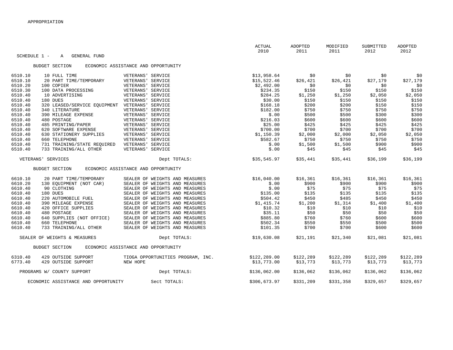|         |              |                                     |                                     | ACTUAL<br>2010 | ADOPTED<br>2011 | MODIFIED<br>2011 | SUBMITTED<br>2012 | ADOPTED<br>2012 |
|---------|--------------|-------------------------------------|-------------------------------------|----------------|-----------------|------------------|-------------------|-----------------|
|         | SCHEDULE 1 - | <b>GENERAL FUND</b><br>A            |                                     |                |                 |                  |                   |                 |
|         |              | <b>BUDGET SECTION</b>               | ECONOMIC ASSISTANCE AND OPPORTUNITY |                |                 |                  |                   |                 |
| 6510.10 |              | 10 FULL TIME                        | VETERANS' SERVICE                   | \$13,958.64    | \$0             | \$0              | \$0               | \$0             |
| 6510.10 |              | 20 PART TIME/TEMPORARY              | VETERANS' SERVICE                   | \$15,522.46    | \$26,421        | \$26,421         | \$27,179          | \$27,179        |
| 6510.20 |              | 100 COPIER                          | VETERANS' SERVICE                   | \$2,492.00     | \$0             | \$0              | \$0               | \$0             |
| 6510.30 |              | 100 DATA PROCESSING                 | VETERANS' SERVICE                   | \$234.35       | \$150           | \$150            | \$150             | \$150           |
| 6510.40 |              | 10 ADVERTISING                      | VETERANS' SERVICE                   | \$284.25       | \$1,250         | \$1,250          | \$2,050           | \$2,050         |
| 6510.40 |              | 180 DUES                            | VETERANS' SERVICE                   | \$30.00        | \$150           | \$150            | \$150             | \$150           |
| 6510.40 |              | 320 LEASED/SERVICE EQUIPMENT        | VETERANS' SERVICE                   | \$168.18       | \$200           | \$200            | \$150             | \$150           |
| 6510.40 |              | 340 LITERATURE                      | VETERANS' SERVICE                   | \$182.00       | \$750           | \$750            | \$750             | \$750           |
| 6510.40 |              | 390 MILEAGE EXPENSE                 | VETERANS' SERVICE                   | \$.00          | \$500           | \$500            | \$300             | \$300           |
| 6510.40 |              | 480 POSTAGE                         | VETERANS' SERVICE                   | \$216.03       | \$600           | \$600            | \$600             | \$600           |
| 6510.40 |              | 485 PRINTING/PAPER                  | VETERANS' SERVICE                   | \$25.00        | \$425           | \$425            | \$425             | \$425           |
| 6510.40 |              | 620 SOFTWARE EXPENSE                | VETERANS' SERVICE                   | \$700.00       | \$700           | \$700            | \$700             | \$700           |
| 6510.40 |              | 630 STATIONERY SUPPLIES             | VETERANS' SERVICE                   | \$1,150.39     | \$2,000         | \$2,000          | \$2,050           | \$2,050         |
| 6510.40 |              | 660 TELEPHONE                       | VETERANS' SERVICE                   | \$582.67       | \$750           | \$750            | \$750             | \$750           |
| 6510.40 |              | 731 TRAINING/STATE REOUIRED         | VETERANS' SERVICE                   | \$.00          | \$1,500         | \$1,500          | \$900             | \$900           |
| 6510.40 |              | 733 TRAINING/ALL OTHER              | VETERANS' SERVICE                   | \$.00          | \$45            | \$45             | \$45              | \$45            |
|         |              | VETERANS' SERVICES                  | Dept TOTALS:                        | \$35,545.97    | \$35,441        | \$35,441         | \$36,199          | \$36,199        |
|         |              | <b>BUDGET SECTION</b>               | ECONOMIC ASSISTANCE AND OPPORTUNITY |                |                 |                  |                   |                 |
| 6610.10 |              | 20 PART TIME/TEMPORARY              | SEALER OF WEIGHTS AND MEASURES      | \$16,040.00    | \$16,361        | \$16,361         | \$16,361          | \$16,361        |
| 6610.20 |              | 130 EQUIPMENT (NOT CAR)             | SEALER OF WEIGHTS AND MEASURES      | \$.00          | \$900           | \$900            | \$900             | \$900           |
| 6610.40 |              | 90 CLOTHING                         | SEALER OF WEIGHTS AND MEASURES      | \$.00          | \$75            | \$75             | \$75              | \$75            |
| 6610.40 |              | 180 DUES                            | SEALER OF WEIGHTS AND MEASURES      | \$135.00       | \$135           | \$135            | \$135             | \$135           |
| 6610.40 |              | 220 AUTOMOBILE FUEL                 | SEALER OF WEIGHTS AND MEASURES      | \$504.42       | \$450           | \$485            | \$450             | \$450           |
| 6610.40 |              | 390 MILEAGE EXPENSE                 | SEALER OF WEIGHTS AND MEASURES      | \$1,415.74     | \$1,200         | \$1,314          | \$1,400           | \$1,400         |
| 6610.40 |              | 420 OFFICE SUPPLIES                 | SEALER OF WEIGHTS AND MEASURES      | \$10.32        | \$10            | \$10             | \$10              | \$10            |
| 6610.40 |              | 480 POSTAGE                         | SEALER OF WEIGHTS AND MEASURES      | \$35.11        | \$50            | \$50             | \$50              | \$50            |
| 6610.40 |              | 640 SUPPLIES (NOT OFFICE)           | SEALER OF WEIGHTS AND MEASURES      | \$885.80       | \$760           | \$760            | \$600             | \$600           |
| 6610.40 |              | 660 TELEPHONE                       | SEALER OF WEIGHTS AND MEASURES      | \$502.34       | \$550           | \$550            | \$500             | \$500           |
| 6610.40 |              | 733 TRAINING/ALL OTHER              | SEALER OF WEIGHTS AND MEASURES      | \$101.35       | \$700           | \$700            | \$600             | \$600           |
|         |              | SEALER OF WEIGHTS & MEASURES        | Dept TOTALS:                        | \$19,630.08    | \$21,191        | \$21,340         | \$21,081          | \$21,081        |
|         |              | <b>BUDGET SECTION</b>               | ECONOMIC ASSISTANCE AND OPPORTUNITY |                |                 |                  |                   |                 |
| 6310.40 |              | 429 OUTSIDE SUPPORT                 | TIOGA OPPORTUNITIES PROGRAM, INC.   | \$122, 289.00  | \$122,289       | \$122,289        | \$122,289         | \$122,289       |
| 6773.40 |              | 429 OUTSIDE SUPPORT                 | NEW HOPE                            | \$13,773.00    | \$13,773        | \$13,773         | \$13,773          | \$13,773        |
|         |              | PROGRAMS W/ COUNTY SUPPORT          | Dept TOTALS:                        | \$136,062.00   | \$136,062       | \$136,062        | \$136,062         | \$136,062       |
|         |              | ECONOMIC ASSISTANCE AND OPPORTUNITY | Sect TOTALS:                        | \$306,673.97   | \$331,209       | \$331,358        | \$329,657         | \$329,657       |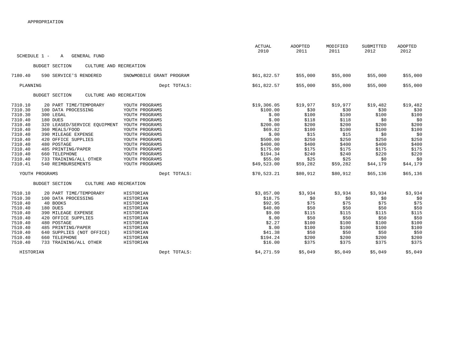|              |                                                 |                          | <b>ACTUAL</b><br>2010 | ADOPTED<br>2011 | MODIFIED<br>2011 | SUBMITTED<br>2012 | <b>ADOPTED</b><br>2012 |
|--------------|-------------------------------------------------|--------------------------|-----------------------|-----------------|------------------|-------------------|------------------------|
| SCHEDULE 1 - | GENERAL FUND<br>Α                               |                          |                       |                 |                  |                   |                        |
|              | <b>BUDGET SECTION</b><br>CULTURE AND RECREATION |                          |                       |                 |                  |                   |                        |
| 7180.40      | 590 SERVICE'S RENDERED                          | SNOWMOBILE GRANT PROGRAM | \$61,822.57           | \$55,000        | \$55,000         | \$55,000          | \$55,000               |
| PLANNING     |                                                 | Dept TOTALS:             | \$61,822.57           | \$55,000        | \$55,000         | \$55,000          | \$55,000               |
|              | CULTURE AND RECREATION<br><b>BUDGET SECTION</b> |                          |                       |                 |                  |                   |                        |
| 7310.10      | 20 PART TIME/TEMPORARY                          | YOUTH PROGRAMS           | \$19,306.05           | \$19,977        | \$19,977         | \$19,482          | \$19,482               |
| 7310.30      | 100 DATA PROCESSING                             | YOUTH PROGRAMS           | \$100.00              | \$30            | \$30             | \$30              | \$30                   |
| 7310.30      | 300 LEGAL                                       | YOUTH PROGRAMS           | \$.00                 | \$100           | \$100            | \$100             | \$100                  |
| 7310.40      | 180 DUES                                        | YOUTH PROGRAMS           | \$.00                 | \$118           | \$118            | \$0               | \$0                    |
| 7310.40      | 320 LEASED/SERVICE EQUIPMENT                    | YOUTH PROGRAMS           | \$200.00              | \$200           | \$200            | \$200             | \$200                  |
| 7310.40      | 360 MEALS/FOOD                                  | YOUTH PROGRAMS           | \$69.82               | \$100           | \$100            | \$100             | \$100                  |
| 7310.40      | 390 MILEAGE EXPENSE                             | YOUTH PROGRAMS           | \$.00                 | \$15            | \$15             | \$0               | \$0                    |
| 7310.40      | 420 OFFICE SUPPLIES                             | YOUTH PROGRAMS           | \$500.00              | \$250           | \$250            | \$250             | \$250                  |
| 7310.40      | 480 POSTAGE                                     | YOUTH PROGRAMS           | \$400.00              | \$400           | \$400            | \$400             | \$400                  |
| 7310.40      | 485 PRINTING/PAPER                              | YOUTH PROGRAMS           | \$175.00              | \$175           | \$175            | \$175             | \$175                  |
| 7310.40      | 660 TELEPHONE                                   | YOUTH PROGRAMS           | \$194.34              | \$240           | \$240            | \$220             | \$220                  |
| 7310.40      | 733 TRAINING/ALL OTHER                          | YOUTH PROGRAMS           | \$55.00               | \$25            | \$25             | \$0               | \$0                    |
| 7310.41      | 540 REIMBURSEMENTS                              | YOUTH PROGRAMS           | \$49,523.00           | \$59,282        | \$59,282         | \$44,179          | \$44,179               |
|              | YOUTH PROGRAMS                                  | Dept TOTALS:             | \$70,523.21           | \$80,912        | \$80,912         | \$65,136          | \$65,136               |
|              | <b>BUDGET SECTION</b><br>CULTURE AND RECREATION |                          |                       |                 |                  |                   |                        |
| 7510.10      | 20 PART TIME/TEMPORARY                          | HISTORIAN                | \$3,857.00            | \$3,934         | \$3,934          | \$3,934           | \$3,934                |
| 7510.30      | 100 DATA PROCESSING                             | HISTORIAN                | \$18.75               | \$0             | \$0              | \$0               | \$0                    |
| 7510.40      | 40 BOOKS                                        | HISTORIAN                | \$92.95               | \$75            | \$75             | \$75              | \$75                   |
| 7510.40      | 180 DUES                                        | HISTORIAN                | \$40.00               | \$50            | \$50             | \$50              | \$50                   |
| 7510.40      | 390 MILEAGE EXPENSE                             | HISTORIAN                | \$9.00                | \$115           | \$115            | \$115             | \$115                  |
| 7510.40      | 420 OFFICE SUPPLIES                             | HISTORIAN                | \$.00                 | \$50            | \$50             | \$50              | \$50                   |
| 7510.40      | 480 POSTAGE                                     | HISTORIAN                | \$2.27                | \$100           | \$100            | \$100             | \$100                  |
| 7510.40      | 485 PRINTING/PAPER                              | HISTORIAN                | \$.00                 | \$100           | \$100            | \$100             | \$100                  |
| 7510.40      | 640 SUPPLIES (NOT OFFICE)                       | HISTORIAN                | \$41.38               | \$50            | \$50             | \$50              | \$50                   |
| 7510.40      | 660 TELEPHONE                                   | HISTORIAN                | \$194.24              | \$200           | \$200            | \$200             | \$200                  |
| 7510.40      | 733 TRAINING/ALL OTHER                          | HISTORIAN                | \$16.00               | \$375           | \$375            | \$375             | \$375                  |
| HISTORIAN    |                                                 | Dept TOTALS:             | \$4,271.59            | \$5,049         | \$5,049          | \$5,049           | \$5,049                |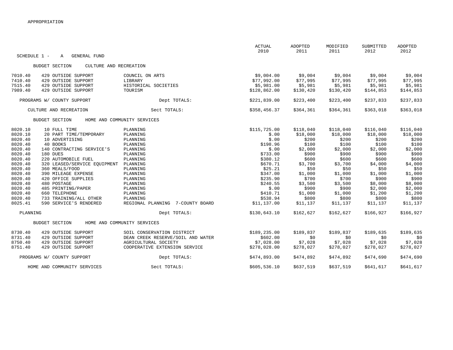|                    |                                                  |                                                 | ACTUAL<br>2010          | ADOPTED<br>2011   | MODIFIED<br>2011 | SUBMITTED<br>2012 | ADOPTED<br>2012   |
|--------------------|--------------------------------------------------|-------------------------------------------------|-------------------------|-------------------|------------------|-------------------|-------------------|
| SCHEDULE 1 -       | <b>GENERAL FUND</b><br>A                         |                                                 |                         |                   |                  |                   |                   |
|                    | <b>BUDGET SECTION</b><br>CULTURE AND RECREATION  |                                                 |                         |                   |                  |                   |                   |
| 7010.40            | 429 OUTSIDE SUPPORT                              | COUNCIL ON ARTS                                 | \$9,004.00              | \$9,004           | \$9,004          | \$9,004           | \$9,004           |
| 7410.40            | 429 OUTSIDE SUPPORT                              | LIBRARY                                         | \$77,992.00             | \$77,995          | \$77,995         | \$77,995          | \$77,995          |
| 7515.40            | 429 OUTSIDE SUPPORT                              | HISTORICAL SOCIETIES                            | \$5,981.00              | \$5,981           | \$5,981          | \$5,981           | \$5,981           |
| 7989.40            | 429 OUTSIDE SUPPORT                              | TOURISM                                         | \$128,862.00            | \$130,420         | \$130,420        | \$144,853         | \$144,853         |
|                    | PROGRAMS W/ COUNTY SUPPORT                       | Dept TOTALS:                                    | \$221,839.00            | \$223,400         | \$223,400        | \$237,833         | \$237,833         |
|                    | CULTURE AND RECREATION                           | Sect TOTALS:                                    | \$358,456.37            | \$364,361         | \$364,361        | \$363,018         | \$363,018         |
|                    | <b>BUDGET SECTION</b>                            | HOME AND COMMUNITY SERVICES                     |                         |                   |                  |                   |                   |
| 8020.10            | 10 FULL TIME                                     | PLANNING                                        | \$115,725.00            | \$118,040         | \$118,040        | \$116,040         | \$116,040         |
| 8020.10            | 20 PART TIME/TEMPORARY                           | PLANNING                                        | \$.00                   | \$18,000          | \$18,000         | \$18,000          | \$18,000          |
| 8020.40            | 10 ADVERTISING                                   | PLANNING                                        | \$.00                   | \$200             | \$200            | \$200             | \$200             |
| 8020.40            | 40 BOOKS                                         | PLANNING                                        | \$198.96                | \$100             | \$100            | \$100             | \$100             |
| 8020.40            | 140 CONTRACTING SERVICE'S                        | PLANNING                                        | \$.00                   | \$2,000           | \$2,000          | \$2,000           | \$2,000           |
| 8020.40            | 180 DUES                                         | PLANNING                                        | \$733.00                | \$900             | \$900            | \$900             | \$900             |
| 8020.40            | 220 AUTOMOBILE FUEL                              | PLANNING                                        | \$380.12                | \$600             | \$600            | \$600             | \$600             |
| 8020.40            | 320 LEASED/SERVICE EQUIPMENT                     | PLANNING                                        | \$670.71                | \$3,700           | \$3,700          | \$4,000           | \$4,000           |
| 8020.40            | 360 MEALS/FOOD                                   | PLANNING                                        | \$25.21                 | \$50              | \$50             | \$50              | \$50              |
| 8020.40            | 390 MILEAGE EXPENSE                              | PLANNING                                        | \$347.00                | \$1,000           | \$1,000          | \$1,000           | \$1,000           |
| 8020.40            | 420 OFFICE SUPPLIES                              | PLANNING                                        | \$235.90                | \$700             | \$700            | \$900             | \$900             |
| 8020.40            | 480 POSTAGE                                      | PLANNING                                        | \$240.55                | \$3,500           | \$3,500          | \$8,000           | \$8,000           |
| 8020.40<br>8020.40 | 485 PRINTING/PAPER<br>660 TELEPHONE              | PLANNING                                        | \$.00                   | \$900             | \$900            | \$2,000           | \$2,000           |
|                    |                                                  | PLANNING                                        | \$410.71                | \$1,000           | \$1,000          | \$1,200           | \$1,200           |
| 8020.40<br>8025.41 | 733 TRAINING/ALL OTHER<br>590 SERVICE'S RENDERED | PLANNING<br>REGIONAL PLANNING<br>7-COUNTY BOARD | \$538.94<br>\$11,137.00 | \$800<br>\$11,137 | \$800            | \$800             | \$800<br>\$11,137 |
|                    |                                                  |                                                 |                         |                   | \$11,137         | \$11,137          |                   |
| PLANNING           |                                                  | Dept TOTALS:                                    | \$130,643.10            | \$162,627         | \$162,627        | \$166,927         | \$166,927         |
|                    | <b>BUDGET SECTION</b>                            | HOME AND COMMUNITY SERVICES                     |                         |                   |                  |                   |                   |
| 8730.40            | 429 OUTSIDE SUPPORT                              | SOIL CONSERVATION DISTRICT                      | \$189,235.00            | \$189,837         | \$189,837        | \$189,635         | \$189,635         |
| 8731.40            | 429 OUTSIDE SUPPORT                              | DEAN CREEK RESERVE/SOIL AND WATER               | \$602.00                | \$0               | \$0              | \$0               | \$0               |
| 8750.40            | 429 OUTSIDE SUPPORT                              | AGRICULTURAL SOCIETY                            | \$7,028.00              | \$7,028           | \$7,028          | \$7,028           | \$7,028           |
| 8751.40            | 429 OUTSIDE SUPPORT                              | COOPERATIVE EXTENSION SERVICE                   | \$278,028.00            | \$278,027         | \$278,027        | \$278,027         | \$278,027         |
|                    | PROGRAMS W/ COUNTY SUPPORT                       | Dept TOTALS:                                    | \$474,893.00            | \$474,892         | \$474,892        | \$474,690         | \$474,690         |
|                    | HOME AND COMMUNITY SERVICES                      | Sect TOTALS:                                    | \$605, 536.10           | \$637,519         | \$637,519        | \$641,617         | \$641,617         |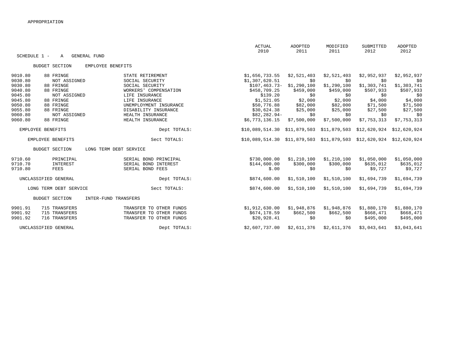|              |                          |                         | <b>ACTUAL</b><br>2010                                                                  | <b>ADOPTED</b><br>2011 | MODIFIED<br>2011                       | SUBMITTED<br>2012 | <b>ADOPTED</b><br>2012 |
|--------------|--------------------------|-------------------------|----------------------------------------------------------------------------------------|------------------------|----------------------------------------|-------------------|------------------------|
| SCHEDULE 1 - | <b>GENERAL FUND</b><br>A |                         |                                                                                        |                        |                                        |                   |                        |
|              | <b>BUDGET SECTION</b>    | EMPLOYEE BENEFITS       |                                                                                        |                        |                                        |                   |                        |
| 9010.80      | 88 FRINGE                | STATE RETIREMENT        | \$1,656,733.55                                                                         | \$2,521,403            | \$2,521,403                            | \$2,952,937       | \$2,952,937            |
| 9030.80      | NOT ASSIGNED             | SOCIAL SECURITY         | \$1,307,620.51                                                                         | \$0                    | \$0                                    | \$0               | \$0                    |
| 9030.80      | 88 FRINGE                | SOCIAL SECURITY         | $$107,463.73-$                                                                         | \$1,290,100            | \$1,290,100                            | \$1,303,741       | \$1,303,741            |
| 9040.80      | 88 FRINGE                | WORKERS' COMPENSATION   | \$458,709.25                                                                           | \$459,000              | \$459,000                              | \$507,933         | \$507,933              |
| 9045.80      | NOT ASSIGNED             | LIFE INSURANCE          | \$139.20                                                                               | \$0                    | \$0                                    | \$0               | \$0                    |
| 9045.80      | 88 FRINGE                | LIFE INSURANCE          | \$1,521.05                                                                             | \$2,000                | \$2,000                                | \$4,000           | \$4,000                |
| 9050.80      | 88 FRINGE                | UNEMPLOYMENT INSURANCE  | \$50,776.88                                                                            | \$82,000               | \$82,000                               | \$71,500          | \$71,500               |
| 9055.80      | 88 FRINGE                | DISABILITY INSURANCE    | \$30,624.38                                                                            | \$25,000               | \$25,000                               | \$27,500          | \$27,500               |
| 9060.80      | NOT ASSIGNED             | HEALTH INSURANCE        | \$82,282.94-                                                                           | \$0                    | \$0                                    | \$0               | \$0                    |
| 9060.80      | 88 FRINGE                | HEALTH INSURANCE        | \$6,773,136.15                                                                         | \$7,500,000            | \$7,500,000                            | \$7,753,313       | \$7,753,313            |
|              | EMPLOYEE BENEFITS        | Dept TOTALS:            | \$10,089,514.30                                                                        |                        | \$11,879,503 \$11,879,503 \$12,620,924 |                   | \$12,620,924           |
|              | EMPLOYEE BENEFITS        | Sect TOTALS:            | $$10,089,514.30$ $$11,879,503$ $$11,879,503$ $$11,879,503$ $$12,620,924$ $$12,620,924$ |                        |                                        |                   |                        |
|              | <b>BUDGET SECTION</b>    | LONG TERM DEBT SERVICE  |                                                                                        |                        |                                        |                   |                        |
| 9710.60      | PRINCIPAL                | SERIAL BOND PRINCIPAL   | \$730,000.00                                                                           | \$1,210,100            | \$1,210,100                            | \$1,050,000       | \$1,050,000            |
| 9710.70      | INTEREST                 | SERIAL BOND INTEREST    | \$144,600.00                                                                           | \$300,000              | \$300,000                              | \$635,012         | \$635,012              |
| 9710.80      | <b>FEES</b>              | SERIAL BOND FEES        | \$.00                                                                                  | \$0                    | \$0                                    | \$9,727           | \$9,727                |
|              | UNCLASSIFIED GENERAL     | Dept TOTALS:            | \$874,600.00                                                                           | \$1,510,100            | \$1,510,100                            | \$1,694,739       | \$1,694,739            |
|              | LONG TERM DEBT SERVICE   | Sect TOTALS:            | \$874,600.00                                                                           | \$1,510,100            | \$1,510,100                            | \$1,694,739       | \$1,694,739            |
|              | <b>BUDGET SECTION</b>    | INTER-FUND TRANSFERS    |                                                                                        |                        |                                        |                   |                        |
| 9901.91      | 715 TRANSFERS            | TRANSFER TO OTHER FUNDS | \$1,912,630.00                                                                         | \$1,948,876            | \$1,948,876                            | \$1,880,170       | \$1,880,170            |
| 9901.92      | 715 TRANSFERS            | TRANSFER TO OTHER FUNDS | \$674,178.59                                                                           | \$662,500              | \$662,500                              | \$668,471         | \$668,471              |
| 9901.92      | 716 TRANSFERS            | TRANSFER TO OTHER FUNDS | \$20,928.41                                                                            | \$0                    | \$0                                    | \$495,000         | \$495,000              |
|              | UNCLASSIFIED GENERAL     | Dept TOTALS:            | \$2,607,737.00                                                                         | \$2,611,376            | \$2,611,376                            | \$3,043,641       | \$3,043,641            |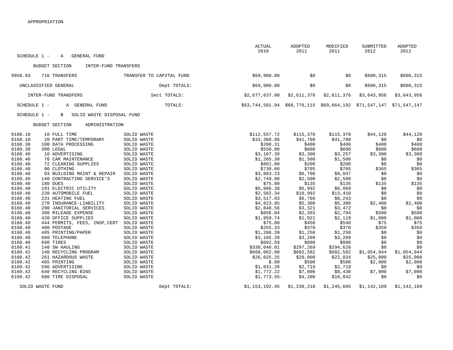|                    |                                                         |                            | <b>ACTUAL</b><br>2010                                  | ADOPTED<br>2011    | MODIFIED<br>2011   | SUBMITTED<br>2012 | ADOPTED<br>2012 |
|--------------------|---------------------------------------------------------|----------------------------|--------------------------------------------------------|--------------------|--------------------|-------------------|-----------------|
| SCHEDULE 1 -       | <b>GENERAL FUND</b><br>Α                                |                            |                                                        |                    |                    |                   |                 |
|                    | <b>BUDGET SECTION</b><br>INTER-FUND TRANSFERS           |                            |                                                        |                    |                    |                   |                 |
| 9950.93            | 716 TRANSFERS                                           | TRANSFER TO CAPITAL FUND   | \$69,900.00                                            | \$0                | \$0                | \$600,315         | \$600,315       |
|                    | UNCLASSIFIED GENERAL                                    | Dept TOTALS:               | \$69,900.00                                            | \$0                | \$0                | \$600, 315        | \$600,315       |
|                    | INTER-FUND TRANSFERS                                    | Sect TOTALS:               | \$2,677,637.00                                         | \$2,611,376        | \$2,611,376        | \$3,643,956       | \$3,643,956     |
| SCHEDULE 1 -       | A GENERAL FUND                                          | TOTALS:                    | \$63,744,501.94 \$68,776,115 \$69,664,192 \$71,547,147 |                    |                    |                   | \$71,547,147    |
| SCHEDULE 1 -       | SOLID WASTE DISPOSAL FUND<br>В                          |                            |                                                        |                    |                    |                   |                 |
|                    | <b>BUDGET SECTION</b><br>ADMINISTRATION                 |                            |                                                        |                    |                    |                   |                 |
| 8160.10            | 10 FULL TIME                                            | SOLID WASTE                | \$112,557.72                                           | \$115,370          | \$115,370          | \$44,120          | \$44,120        |
| 8160.10            | 20 PART TIME/TEMPORARY                                  | SOLID WASTE                | \$33,360.86                                            | \$41,780           | \$41,780           | \$0               | \$0             |
| 8160.30            | 100 DATA PROCESSING                                     | SOLID WASTE                | \$208.31                                               | \$400              | \$400              | \$400             | \$400           |
| 8160.30            | 300 LEGAL                                               | SOLID WASTE                | \$550.00                                               | \$600              | \$600              | \$600             | \$600           |
| 8160.40            | 10 ADVERTISING                                          | SOLID WASTE                | \$3,107.39                                             | \$3,300            | \$3,257            | \$3,300           | \$3,300         |
| 8160.40            | 70 CAR MAINTENANCE                                      | SOLID WASTE                | \$1,265.30                                             | \$1,500            | \$1,500            | \$0               | \$0             |
| 8160.40            | 72 CLEANING SUPPLIES                                    | SOLID WASTE                | \$861.00                                               | \$200              | \$200              | \$0               | \$0             |
| 8160.40<br>8160.40 | 90 CLOTHING                                             | SOLID WASTE                | \$730.00                                               | \$705              | \$705              | \$365             | \$365           |
| 8160.40            | 93 BUILDING MAINT & REPAIR<br>140 CONTRACTING SERVICE'S | SOLID WASTE<br>SOLID WASTE | \$3,883.23<br>\$2,749.90                               | \$6,700<br>\$2,500 | \$9,047<br>\$2,500 | \$0<br>\$0        | \$0<br>\$0      |
| 8160.40            | 180 DUES                                                | SOLID WASTE                | \$75.00                                                | \$135              | \$135              | \$135             | \$135           |
| 8160.40            | 191 ELECTRIC UTILITY                                    | SOLID WASTE                | \$5,986.38                                             | \$5,992            | \$6,069            | \$0               | \$0             |
| 8160.40            | 220 AUTOMOBILE FUEL                                     | SOLID WASTE                | \$2,582.34                                             | \$10,992           | \$13,410           | \$0               | \$0             |
| 8160.40            | 231 HEATING FUEL                                        | SOLID WASTE                | \$3,517.03                                             | \$6,760            | \$8,243            | \$0               | \$0             |
| 8160.40            | 270 INSURANCE-LIABILITY                                 | SOLID WASTE                | \$4,823.95                                             | \$5,300            | \$5,300            | \$2,400           | \$2,400         |
| 8160.40            | 290 JANITORIAL SERVICES                                 | SOLID WASTE                | \$2,848.56                                             | \$3,321            | \$3,472            | \$0               | \$0             |
| 8160.40            | 390 MILEAGE EXPENSE                                     | SOLID WASTE                | \$856.04                                               | \$2,393            | \$2,794            | \$500             | \$500           |
| 8160.40            | 420 OFFICE SUPPLIES                                     | SOLID WASTE                | \$1,959.74                                             | \$1,921            | \$2,119            | \$1,000           | \$1,000         |
| 8160.40            | 444 PERMITS, FEES, INSP, CERT                           | SOLID WASTE                | \$75.00                                                | \$450              | \$540              | \$75              | \$75            |
| 8160.40            | 480 POSTAGE                                             | SOLID WASTE                | \$255.33                                               | \$370              | \$370              | \$350             | \$350           |
| 8160.40            | 485 PRINTING/PAPER                                      | SOLID WASTE                | \$1,206.39                                             | \$1,250            | \$1,250            | \$0               | \$0             |
| 8160.40            | 660 TELEPHONE                                           | SOLID WASTE                | \$3,165.20                                             | \$3,209            | \$3,209            | \$0               | \$0             |
| 8160.40            | 680 TIRES                                               | SOLID WASTE                | \$602.59                                               | \$800              | \$800              | \$0               | \$0             |
| 8160.41            | 140 SW HAULING                                          | SOLID WASTE                | \$330,048.01                                           | \$297,269          | \$294,620          | \$0               | \$0             |
| 8160.42            | 140 RECYCLING PROGRAM                                   | SOLID WASTE                | \$608,062.00                                           | \$682,582          | \$682,582          | \$1,054,944       | \$1,054,944     |
| 8160.42            | 261 HAZARDOUS WASTE                                     | SOLID WASTE                | \$26,025.25                                            | \$20,000           | \$22,834           | \$25,000          | \$25,000        |
| 8160.42            | 485 PRINTING                                            | SOLID WASTE                | \$.00                                                  | \$500              | \$500              | \$2,000           | \$2,000         |
| 8160.42            | 596 ADVERTISING                                         | SOLID WASTE                | \$1,831.26                                             | \$2,719            | \$2,719            | \$0               | \$0             |
| 8160.42            | 640 RECYCLING BINS                                      | SOLID WASTE                | \$1,772.22                                             | \$7,000            | \$8,438            | \$7,000           | \$7,000         |
| 8160.42            | 680 TIRE DISPOSAL                                       | SOLID WASTE                | $$1,773.55-$                                           | \$4,200            | \$10,842           | \$0               | \$0             |
|                    | SOLID WASTE FUND                                        | Dept TOTALS:               | \$1,153,192.45                                         | \$1,230,218        | \$1,245,605        | \$1,142,189       | \$1,142,189     |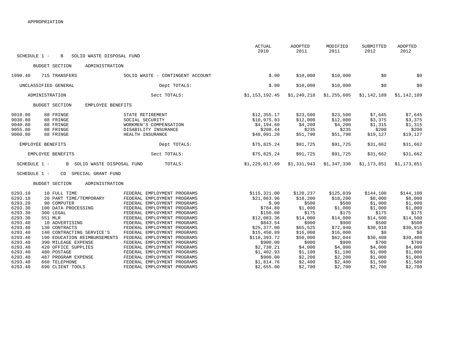|                                                     |                                                                                                   |                                                                                                                          | ACTUAL<br>2010                                                      | ADOPTED<br>2011                                      | MODIFIED<br>2011                                     | SUBMITTED<br>2012                                  | <b>ADOPTED</b><br>2012                             |
|-----------------------------------------------------|---------------------------------------------------------------------------------------------------|--------------------------------------------------------------------------------------------------------------------------|---------------------------------------------------------------------|------------------------------------------------------|------------------------------------------------------|----------------------------------------------------|----------------------------------------------------|
| SCHEDULE 1 -                                        | SOLID WASTE DISPOSAL FUND<br>B                                                                    |                                                                                                                          |                                                                     |                                                      |                                                      |                                                    |                                                    |
|                                                     | <b>BUDGET SECTION</b><br>ADMINISTRATION                                                           |                                                                                                                          |                                                                     |                                                      |                                                      |                                                    |                                                    |
| 1990.40                                             | 715 TRANSFERS                                                                                     | SOLID WASTE<br>- CONTINGENT ACCOUNT                                                                                      | \$.00                                                               | \$10,000                                             | \$10,000                                             | \$0                                                | \$0                                                |
|                                                     | UNCLASSIFIED GENERAL                                                                              | Dept TOTALS:                                                                                                             | \$.00                                                               | \$10,000                                             | \$10,000                                             | \$0                                                | \$0                                                |
|                                                     | ADMINISTRATION                                                                                    | Sect TOTALS:                                                                                                             | \$1,153,192.45                                                      | \$1,240,218                                          | \$1,255,605                                          | \$1,142,189                                        | \$1,142,189                                        |
|                                                     | EMPLOYEE BENEFITS<br><b>BUDGET SECTION</b>                                                        |                                                                                                                          |                                                                     |                                                      |                                                      |                                                    |                                                    |
| 9010.80<br>9030.80<br>9040.80<br>9055.80<br>9060.80 | 88 FRINGE<br>88 FRINGE<br>88 FRINGE<br>88 FRINGE<br>88 FRINGE                                     | STATE RETIREMENT<br>SOCIAL SECURITY<br>WORKMEN'S COMPENSATION<br>DISABILITY INSURANCE<br>HEALTH INSURANCE                | \$12,355.17<br>\$10,975.83<br>\$4,194.60<br>\$208.44<br>\$48,091.20 | \$23,500<br>\$12,000<br>\$4,200<br>\$235<br>\$51,790 | \$23,500<br>\$12,000<br>\$4,200<br>\$235<br>\$51,790 | \$7,645<br>\$3,375<br>\$1,315<br>\$200<br>\$19,127 | \$7,645<br>\$3,375<br>\$1,315<br>\$200<br>\$19,127 |
|                                                     | EMPLOYEE BENEFITS                                                                                 | Dept TOTALS:                                                                                                             | \$75,825.24                                                         | \$91,725                                             | \$91,725                                             | \$31,662                                           | \$31,662                                           |
|                                                     | EMPLOYEE BENEFITS                                                                                 | Sect TOTALS:                                                                                                             | \$75,825.24                                                         | \$91,725                                             | \$91,725                                             | \$31,662                                           | \$31,662                                           |
| SCHEDULE 1 -<br>SCHEDULE 1 -                        | B SOLID WASTE DISPOSAL FUND<br>SPECIAL GRANT FUND<br>CD                                           | TOTALS:                                                                                                                  | \$1,229,017.69                                                      | \$1,331,943                                          | \$1,347,330                                          | \$1,173,851                                        | \$1,173,851                                        |
|                                                     | <b>BUDGET SECTION</b><br>ADMINISTRATION                                                           |                                                                                                                          |                                                                     |                                                      |                                                      |                                                    |                                                    |
| 6293.10<br>6293.10<br>6293.20<br>6293.30            | 10 FULL TIME<br>20 PART TIME/TEMPORARY<br>90 COMPUTER<br>100 DATA PROCESSING                      | FEDERAL EMPLOYMENT PROGRAMS<br>FEDERAL EMPLOYMENT PROGRAMS<br>FEDERAL EMPLOYMENT PROGRAMS<br>FEDERAL EMPLOYMENT PROGRAMS | \$115,321.00<br>\$21,063.96<br>\$.00<br>\$784.80                    | \$120,237<br>\$18,200<br>\$500<br>\$1,000            | \$125,039<br>\$18,200<br>\$500<br>\$1,000            | \$144,100<br>\$8,000<br>\$1,000<br>\$1,000         | \$144,100<br>\$8,000<br>\$1,000<br>\$1,000         |
| 6293.30<br>6293.30<br>6293.40                       | 300 LEGAL<br>551 MLR<br>10 ADVERTISING                                                            | FEDERAL EMPLOYMENT PROGRAMS<br>FEDERAL EMPLOYMENT PROGRAMS<br>FEDERAL EMPLOYMENT PROGRAMS                                | \$150.00<br>\$12,083.36<br>\$843.54                                 | \$175<br>\$14,000<br>\$900                           | \$175<br>\$14,000<br>\$900                           | \$175<br>\$14,500<br>\$500                         | \$175<br>\$14,500<br>\$500                         |
| 6293.40<br>6293.40<br>6293.40<br>6293.40            | 130 CONTRACTS<br>140 CONTRACTING SERVICE'S<br>190 EDUCATION REIMBURSEMENTS<br>390 MILEAGE EXPENSE | FEDERAL EMPLOYMENT PROGRAMS<br>FEDERAL EMPLOYMENT PROGRAMS<br>FEDERAL EMPLOYMENT PROGRAMS<br>FEDERAL EMPLOYMENT PROGRAMS | \$25,377.00<br>\$15,450.89<br>\$118,393.72<br>\$900.00              | \$65,525<br>\$16,000<br>\$50,000<br>\$900            | \$72,940<br>\$16,000<br>\$62,044<br>\$900            | \$30,910<br>\$0<br>\$30,408<br>\$700               | \$30,910<br>\$0<br>\$30,408<br>\$700               |
| 6293.40<br>6293.40<br>6293.40                       | 420 OFFICE SUPPLIES<br>480 POSTAGE<br>487 PROGRAM EXPENSE                                         | FEDERAL EMPLOYMENT PROGRAMS<br>FEDERAL EMPLOYMENT PROGRAMS<br>FEDERAL EMPLOYMENT PROGRAMS                                | \$2,730.21<br>\$1,402.93<br>\$900.00                                | \$4,000<br>\$1,100<br>\$2,200                        | \$4,000<br>\$1,100<br>\$2,200                        | \$4,000<br>\$1,000<br>\$1,000                      | \$4,000<br>\$1,000<br>\$1,000                      |
| 6293.40<br>6293.40                                  | 660 TELEPHONE<br>690 CLIENT TOOLS                                                                 | FEDERAL EMPLOYMENT PROGRAMS<br>FEDERAL EMPLOYMENT PROGRAMS                                                               | \$1,814.76<br>\$2,655.00                                            | \$2,400<br>\$2,700                                   | \$2,400<br>\$2,700                                   | \$1,500<br>\$2,700                                 | \$1,500<br>\$2,700                                 |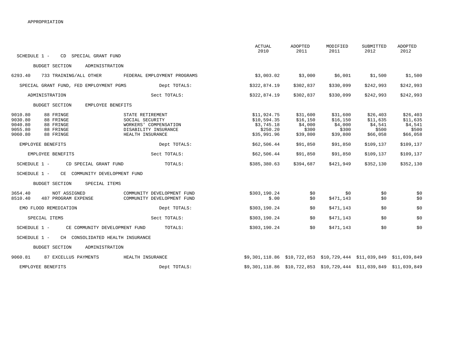|                                                                                                                      |                                                                                                          | ACTUAL<br>2010                                                          | ADOPTED<br>2011                                      | MODIFIED<br>2011                                      | SUBMITTED<br>2012                                    | ADOPTED<br>2012                                      |
|----------------------------------------------------------------------------------------------------------------------|----------------------------------------------------------------------------------------------------------|-------------------------------------------------------------------------|------------------------------------------------------|-------------------------------------------------------|------------------------------------------------------|------------------------------------------------------|
| SCHEDULE 1 -<br>CD SPECIAL GRANT FUND                                                                                |                                                                                                          |                                                                         |                                                      |                                                       |                                                      |                                                      |
| <b>BUDGET SECTION</b><br>ADMINISTRATION                                                                              |                                                                                                          |                                                                         |                                                      |                                                       |                                                      |                                                      |
| 6293.40<br>733 TRAINING/ALL OTHER                                                                                    | FEDERAL EMPLOYMENT PROGRAMS                                                                              | \$3,003.02                                                              | \$3,000                                              | \$6,001                                               | \$1,500                                              | \$1,500                                              |
| SPECIAL GRANT FUND, FED EMPLOYMENT PGMS                                                                              | Dept TOTALS:                                                                                             | \$322,874.19                                                            | \$302,837                                            | \$330,099                                             | \$242,993                                            | \$242,993                                            |
| ADMINISTRATION                                                                                                       | Sect TOTALS:                                                                                             | \$322,874.19                                                            | \$302,837                                            | \$330,099                                             | \$242,993                                            | \$242,993                                            |
| EMPLOYEE BENEFITS<br><b>BUDGET SECTION</b>                                                                           |                                                                                                          |                                                                         |                                                      |                                                       |                                                      |                                                      |
| 9010.80<br>88 FRINGE<br>9030.80<br>88 FRINGE<br>9040.80<br>88 FRINGE<br>9055.80<br>88 FRINGE<br>88 FRINGE<br>9060.80 | STATE RETIREMENT<br>SOCIAL SECURITY<br>WORKERS' COMPENSATION<br>DISABILITY INSURANCE<br>HEALTH INSURANCE | \$11,924.75<br>\$10,594.35<br>\$3,745.18<br>\$250.20<br>\$35,991.96     | \$31,600<br>\$16,150<br>\$4,000<br>\$300<br>\$39,800 | \$31,600<br>\$16, 150<br>\$4,000<br>\$300<br>\$39,800 | \$26,403<br>\$11,635<br>\$4,541<br>\$500<br>\$66,058 | \$26,403<br>\$11,635<br>\$4,541<br>\$500<br>\$66,058 |
| EMPLOYEE BENEFITS                                                                                                    | Dept TOTALS:                                                                                             | \$62,506.44                                                             | \$91,850                                             | \$91,850                                              | \$109,137                                            | \$109,137                                            |
| EMPLOYEE BENEFITS                                                                                                    | Sect TOTALS:                                                                                             | \$62,506.44                                                             | \$91,850                                             | \$91,850                                              | \$109,137                                            | \$109,137                                            |
| SCHEDULE 1 -<br>CD SPECIAL GRANT FUND                                                                                | TOTALS:                                                                                                  | \$385,380.63                                                            | \$394,687                                            | \$421,949                                             | \$352,130                                            | \$352,130                                            |
| COMMUNITY DEVELOPMENT FUND<br>SCHEDULE 1 -<br>CE                                                                     |                                                                                                          |                                                                         |                                                      |                                                       |                                                      |                                                      |
| <b>BUDGET SECTION</b><br>SPECIAL ITEMS                                                                               |                                                                                                          |                                                                         |                                                      |                                                       |                                                      |                                                      |
| 3654.40<br>NOT ASSIGNED<br>8510.40<br>487 PROGRAM EXPENSE                                                            | COMMUNITY DEVELOPMENT FUND<br>COMMUNITY DEVELOPMENT FUND                                                 | \$303,190.24<br>\$.00                                                   | \$0<br>\$0                                           | \$0<br>\$471,143                                      | \$0<br>\$0                                           | \$0<br>\$0                                           |
| EMO FLOOD REMEDIATION                                                                                                | Dept TOTALS:                                                                                             | \$303,190.24                                                            | \$0                                                  | \$471,143                                             | \$0                                                  | \$0                                                  |
| SPECIAL ITEMS                                                                                                        | Sect TOTALS:                                                                                             | \$303,190.24                                                            | \$0                                                  | \$471,143                                             | \$0                                                  | \$0                                                  |
| SCHEDULE 1 -<br>CE COMMUNITY DEVELOPMENT FUND                                                                        | TOTALS:                                                                                                  | \$303,190.24                                                            | \$0                                                  | \$471,143                                             | \$0                                                  | \$0                                                  |
| SCHEDULE 1 -<br>CH CONSOLIDATED HEALTH INSURANCE                                                                     |                                                                                                          |                                                                         |                                                      |                                                       |                                                      |                                                      |
| <b>BUDGET SECTION</b><br>ADMINISTRATION                                                                              |                                                                                                          |                                                                         |                                                      |                                                       |                                                      |                                                      |
| 9060.81<br>87 EXCELLUS PAYMENTS                                                                                      | HEALTH INSURANCE                                                                                         | $$9,301,118.86$ $$10,722,853$ $$10,729,444$ $$11,039,849$ $$11,039,849$ |                                                      |                                                       |                                                      |                                                      |
| EMPLOYEE BENEFITS                                                                                                    | Dept TOTALS:                                                                                             | \$9,301,118.86 \$10,722,853                                             |                                                      | \$10,729,444 \$11,039,849                             |                                                      | \$11,039,849                                         |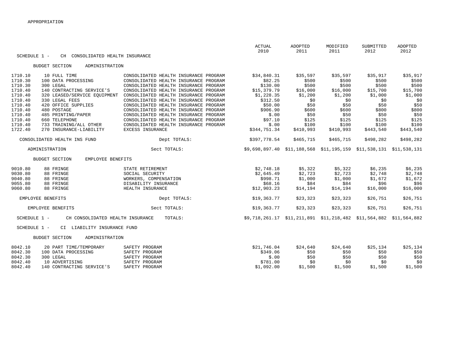|                    |                                            |                                                                                | <b>ACTUAL</b><br>2010                                              | <b>ADOPTED</b><br>2011 | MODIFIED<br>2011  | SUBMITTED<br>2012 | <b>ADOPTED</b><br>2012 |
|--------------------|--------------------------------------------|--------------------------------------------------------------------------------|--------------------------------------------------------------------|------------------------|-------------------|-------------------|------------------------|
| SCHEDULE 1 -       | CH CONSOLIDATED HEALTH INSURANCE           |                                                                                |                                                                    |                        |                   |                   |                        |
|                    | <b>BUDGET SECTION</b><br>ADMINISTRATION    |                                                                                |                                                                    |                        |                   |                   |                        |
|                    |                                            |                                                                                |                                                                    |                        |                   |                   |                        |
| 1710.10<br>1710.30 | 10 FULL TIME<br>100 DATA PROCESSING        | CONSOLIDATED HEALTH INSURANCE PROGRAM<br>CONSOLIDATED HEALTH INSURANCE PROGRAM | \$34,840.31<br>\$82.25                                             | \$35,597<br>\$500      | \$35,597<br>\$500 | \$35,917<br>\$500 | \$35,917<br>\$500      |
| 1710.30            | 300 LEGAL                                  | CONSOLIDATED HEALTH INSURANCE PROGRAM                                          | \$130.00                                                           | \$500                  | \$500             | \$500             | \$500                  |
| 1710.40            | 140 CONTRACTING SERVICE'S                  | CONSOLIDATED HEALTH INSURANCE PROGRAM                                          | \$15,379.79                                                        | \$16,000               | \$16,000          | \$15,700          | \$15,700               |
| 1710.40            | 320 LEASED/SERVICE EOUIPMENT               | CONSOLIDATED HEALTH INSURANCE PROGRAM                                          | \$1,228.35                                                         | \$1,200                | \$1,200           | \$1,000           | \$1,000                |
| 1710.40            | 330 LEGAL FEES                             | CONSOLIDATED HEALTH INSURANCE PROGRAM                                          | \$312.50                                                           | \$0                    | \$0               | \$0               | \$0                    |
| 1710.40            | 420 OFFICE SUPPLIES                        | CONSOLIDATED HEALTH INSURANCE PROGRAM                                          | \$50.00                                                            | \$50                   | \$50              | \$50              | \$50                   |
| 1710.40            | 480 POSTAGE                                | CONSOLIDATED HEALTH INSURANCE PROGRAM                                          | \$906.90                                                           | \$600                  | \$600             | \$800             | \$800                  |
| 1710.40            | 485 PRINTING/PAPER                         | CONSOLIDATED HEALTH INSURANCE PROGRAM                                          | \$.00                                                              | \$50                   | \$50              | \$50              | \$50                   |
| 1710.40            | 660 TELEPHONE                              | CONSOLIDATED HEALTH INSURANCE PROGRAM                                          | \$97.10                                                            | \$125                  | \$125             | \$125             | \$125                  |
| 1710.40            | 733 TRAINING/ALL OTHER                     | CONSOLIDATED HEALTH INSURANCE PROGRAM                                          | \$.00                                                              | \$100                  | \$100             | \$100             | \$100                  |
| 1722.40            | 270 INSURANCE-LIABILITY                    | EXCESS INSURANCE                                                               | \$344,751.34                                                       | \$410,993              | \$410,993         | \$443,540         | \$443,540              |
|                    |                                            |                                                                                |                                                                    |                        |                   |                   |                        |
|                    | CONSOLIDATED HEALTH INS FUND               | Dept TOTALS:                                                                   | \$397,778.54                                                       | \$465,715              | \$465,715         | \$498,282         | \$498,282              |
|                    | ADMINISTRATION                             | Sect TOTALS:                                                                   | \$9,698,897.40 \$11,188,568 \$11,195,159 \$11,538,131 \$11,538,131 |                        |                   |                   |                        |
|                    | <b>BUDGET SECTION</b><br>EMPLOYEE BENEFITS |                                                                                |                                                                    |                        |                   |                   |                        |
| 9010.80            | 88 FRINGE                                  | STATE RETIREMENT                                                               | \$2,748.18                                                         | \$5,322                | \$5,322           | \$6,235           | \$6,235                |
| 9030.80            | 88 FRINGE                                  | SOCIAL SECURITY                                                                | \$2,645.49                                                         | \$2,723                | \$2,723           | \$2,748           | \$2,748                |
| 9040.80            | 88 FRINGE                                  | WORKERS, COMPENSATION                                                          | \$998.71                                                           | \$1,000                | \$1,000           | \$1,672           | \$1,672                |
| 9055.80            | 88 FRINGE                                  | DISABILITY INSURANCE                                                           | \$68.16                                                            | \$84                   | \$84              | \$96              | \$96                   |
| 9060.80            | 88 FRINGE                                  | HEALTH INSURANCE                                                               | \$12,903.23                                                        | \$14,194               | \$14,194          | \$16,000          | \$16,000               |
|                    | EMPLOYEE BENEFITS                          | Dept TOTALS:                                                                   | \$19,363.77                                                        | \$23,323               | \$23,323          | \$26,751          | \$26,751               |
|                    |                                            |                                                                                |                                                                    |                        |                   |                   |                        |
|                    | EMPLOYEE BENEFITS                          | Sect TOTALS:                                                                   | \$19,363.77                                                        | \$23,323               | \$23,323          | \$26,751          | \$26,751               |
| SCHEDULE 1 -       | CH CONSOLIDATED HEALTH INSURANCE           | TOTALS:                                                                        | \$9,718,261.17 \$11,211,891                                        |                        | \$11,218,482      | \$11,564,882      | \$11,564,882           |
| SCHEDULE 1 -       | CI LIABILITY INSURANCE FUND                |                                                                                |                                                                    |                        |                   |                   |                        |
|                    |                                            |                                                                                |                                                                    |                        |                   |                   |                        |
|                    | <b>BUDGET SECTION</b><br>ADMINISTRATION    |                                                                                |                                                                    |                        |                   |                   |                        |
| 8042.10            | 20 PART TIME/TEMPORARY                     | SAFETY PROGRAM                                                                 | \$21,746.04                                                        | \$24,640               | \$24,640          | \$25,134          | \$25,134               |
| 8042.30            | 100 DATA PROCESSING                        | SAFETY PROGRAM                                                                 | \$349.06                                                           | \$50                   | \$50              | \$50              | \$50                   |
| 8042.30            | 300 LEGAL                                  | SAFETY PROGRAM                                                                 | \$.00                                                              | \$50                   | \$50              | \$50              | \$50                   |

 8042.40 10 ADVERTISING SAFETY PROGRAM \$781.00 \$0 \$0 \$0 \$0 8042.40 140 CONTRACTING SERVICE'S SAFETY PROGRAM \$1,092.00 \$1,500 \$1,500 \$1,500 \$1,500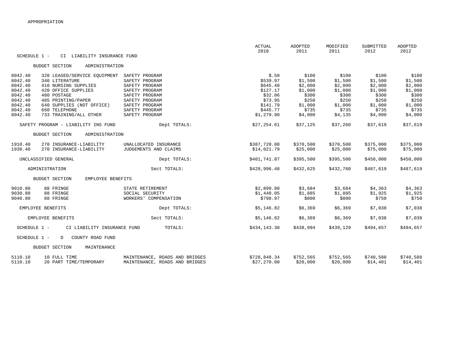|              |                                            |                                | <b>ACTUAL</b><br>2010 | <b>ADOPTED</b><br>2011 | MODIFIED<br>2011 | SUBMITTED<br>2012 | <b>ADOPTED</b><br>2012 |
|--------------|--------------------------------------------|--------------------------------|-----------------------|------------------------|------------------|-------------------|------------------------|
| SCHEDULE 1 - | CI LIABILITY INSURANCE FUND                |                                |                       |                        |                  |                   |                        |
|              | ADMINISTRATION<br><b>BUDGET SECTION</b>    |                                |                       |                        |                  |                   |                        |
| 8042.40      | 320 LEASED/SERVICE EOUIPMENT               | SAFETY PROGRAM                 | \$.50                 | \$100                  | \$100            | \$100             | \$100                  |
| 8042.40      | 340 LITERATURE                             | SAFETY PROGRAM                 | \$539.97              | \$1,500                | \$1,500          | \$1,500           | \$1,500                |
| 8042.40      | 410 NURSING SUPPLIES                       | SAFETY PROGRAM                 | \$645.40              | \$2,000                | \$2,000          | \$2,000           | \$2,000                |
| 8042.40      | 420 OFFICE SUPPLIES                        | SAFETY PROGRAM                 | \$127.17              | \$1,000                | \$1,000          | \$1,000           | \$1,000                |
| 8042.40      | 480 POSTAGE                                | SAFETY PROGRAM                 | \$32.06               | \$300                  | \$300            | \$300             | \$300                  |
| 8042.40      | 485 PRINTING/PAPER                         | SAFETY PROGRAM                 | \$73.95               | \$250                  | \$250            | \$250             | \$250                  |
| 8042.40      | 640 SUPPLIES (NOT OFFICE)                  | SAFETY PROGRAM                 | \$141.79              | \$1,000                | \$1,000          | \$1,000           | \$1,000                |
| 8042.40      | 660 TELEPHONE                              | SAFETY PROGRAM                 | \$445.77              | \$735                  | \$735            | \$735             | \$735                  |
| 8042.40      | 733 TRAINING/ALL OTHER                     | SAFETY PROGRAM                 | \$1,279.90            | \$4,000                | \$4,135          | \$4,000           | \$4,000                |
|              | SAFETY PROGRAM - LIABILITY INS FUND        | Dept TOTALS:                   | \$27,254.61           | \$37,125               | \$37,260         | \$37,619          | \$37,619               |
|              | <b>BUDGET SECTION</b><br>ADMINISTRATION    |                                |                       |                        |                  |                   |                        |
| 1910.40      | 270 INSURANCE-LIABILITY                    | UNALLOCATED INSURANCE          | \$387,720.08          | \$370,500              | \$370,500        | \$375,000         | \$375,000              |
| 1930.40      | 270 INSURANCE-LIABILITY                    | JUDGEMENTS AND CLAIMS          | \$14,021.79           | \$25,000               | \$25,000         | \$75,000          | \$75,000               |
|              | UNCLASSIFIED GENERAL                       | Dept TOTALS:                   | \$401,741.87          | \$395,500              | \$395,500        | \$450,000         | \$450,000              |
|              | ADMINISTRATION                             | Sect TOTALS:                   | \$428,996.48          | \$432,625              | \$432,760        | \$487,619         | \$487,619              |
|              | <b>BUDGET SECTION</b><br>EMPLOYEE BENEFITS |                                |                       |                        |                  |                   |                        |
| 9010.80      | 88 FRINGE                                  | STATE RETIREMENT               | \$2,899.80            | \$3,684                | \$3,684          | \$4,363           | \$4,363                |
| 9030.80      | 88 FRINGE                                  | SOCIAL SECURITY                | \$1,448.05            | \$1,885                | \$1,885          | \$1,925           | \$1,925                |
| 9040.80      | 88 FRINGE                                  | WORKERS' COMPENSATION          | \$798.97              | \$800                  | \$800            | \$750             | \$750                  |
|              | EMPLOYEE BENEFITS                          | Dept TOTALS:                   | \$5,146.82            | \$6,369                | \$6,369          | \$7,038           | \$7,038                |
|              | EMPLOYEE BENEFITS                          | Sect TOTALS:                   | \$5,146.82            | \$6,369                | \$6,369          | \$7,038           | \$7,038                |
| SCHEDULE 1 - | CI LIABILITY INSURANCE FUND                | TOTALS:                        | \$434,143.30          | \$438,994              | \$439,129        | \$494,657         | \$494,657              |
| SCHEDULE 1 - | COUNTY ROAD FUND<br>D                      |                                |                       |                        |                  |                   |                        |
|              | <b>BUDGET SECTION</b><br>MAINTENANCE       |                                |                       |                        |                  |                   |                        |
| 5110.10      | 10 FULL TIME                               | MAINTENANCE, ROADS AND BRIDGES | \$728,848.34          | \$752,565              | \$752,565        | \$740,588         | \$740,588              |
| 5110.10      | 20 PART TIME/TEMPORARY                     | MAINTENANCE, ROADS AND BRIDGES | \$27.270.00           | \$20,000               | \$20,000         | \$14,401          | \$14,401               |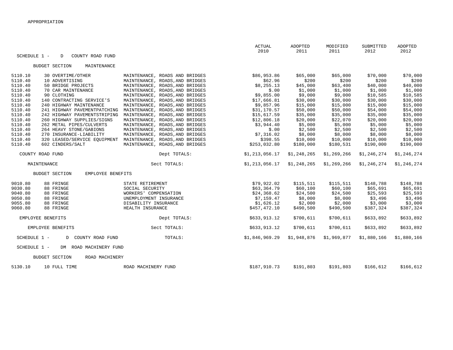|                                            |                                 | <b>ACTUAL</b>    | ADOPTED     | MODIFIED    | SUBMITTED   | ADOPTED     |
|--------------------------------------------|---------------------------------|------------------|-------------|-------------|-------------|-------------|
| SCHEDULE 1 -<br>COUNTY ROAD FUND<br>D      |                                 | 2010             | 2011        | 2011        | 2012        | 2012        |
|                                            |                                 |                  |             |             |             |             |
| <b>BUDGET SECTION</b><br>MAINTENANCE       |                                 |                  |             |             |             |             |
| 5110.10<br>30 OVERTIME/OTHER               | MAINTENANCE, ROADS AND BRIDGES  | \$86,953.86      | \$65,000    | \$65,000    | \$70,000    | \$70,000    |
| 5110.40<br>10 ADVERTISING                  | MAINTENANCE, ROADS, AND BRIDGES | \$62.96          | \$200       | \$200       | \$200       | \$200       |
| 5110.40<br>50 BRIDGE PROJECTS              | MAINTENANCE, ROADS, AND BRIDGES | \$8,255.13       | \$45,000    | \$63,400    | \$40,000    | \$40,000    |
| 5110.40<br>70 CAR MAINTENANCE              | MAINTENANCE, ROADS, AND BRIDGES | \$.00            | \$1,000     | \$1,000     | \$1,000     | \$1,000     |
| 5110.40<br>90 CLOTHING                     | MAINTENANCE, ROADS, AND BRIDGES | \$9,855.00       | \$9,000     | \$9,000     | \$10,585    | \$10,585    |
| 5110.40<br>140 CONTRACTING SERVICE'S       | MAINTENANCE, ROADS, AND BRIDGES | \$17,666.81      | \$30,000    | \$30,000    | \$30,000    | \$30,000    |
| 5110.40<br>240 HIGHWAY MAINTENANCE         | MAINTENANCE, ROADS, AND BRIDGES | \$9,857.96       | \$15,000    | \$15,000    | \$15,000    | \$15,000    |
| 5110.40<br>241 HIGHWAY PAVEMENTPATCHING    | MAINTENANCE, ROADS, AND BRIDGES | \$31,170.57      | \$50,000    | \$50,000    | \$54,000    | \$54,000    |
| 5110.40<br>242 HIGHWAY PAVEMENTSTRIPING    | MAINTENANCE, ROADS, AND BRIDGES | \$15,617.59      | \$35,000    | \$35,000    | \$35,000    | \$35,000    |
| 260 HIGHWAY SUPPLIES/SIGNS<br>5110.40      | MAINTENANCE, ROADS, AND BRIDGES | \$12,806.18      | \$20,000    | \$22,070    | \$20,000    | \$20,000    |
| 5110.40<br>262 METAL PIPES/CULVERTS        | MAINTENANCE, ROADS, AND BRIDGES | \$3,944.40       | \$5,000     | \$5,000     | \$5,000     | \$5,000     |
| 5110.40<br>264 HEAVY STONE/GABIONS         | MAINTENANCE, ROADS, AND BRIDGES | \$.00            | \$2,500     | \$2,500     | \$2,500     | \$2,500     |
| 5110.40<br>270 INSURANCE-LIABILITY         | MAINTENANCE, ROADS, AND BRIDGES | \$7,316.02       | \$8,000     | \$8,000     | \$8,000     | \$8,000     |
| 5110.40<br>320 LEASED/SERVICE EQUIPMENT    | MAINTENANCE, ROADS, AND BRIDGES | \$398.55         | \$10,000    | \$10,000    | \$10,000    | \$10,000    |
| 5110.40<br>602 CINDERS/SALT                | MAINTENANCE, ROADS, AND BRIDGES | \$253,032.80     | \$180,000   | \$180,531   | \$190,000   | \$190,000   |
| COUNTY ROAD FUND                           | Dept TOTALS:                    | \$1, 213, 056.17 | \$1,248,265 | \$1,269,266 | \$1,246,274 | \$1,246,274 |
| MAINTENANCE                                | Sect TOTALS:                    | \$1,213,056.17   | \$1,248,265 | \$1,269,266 | \$1,246,274 | \$1,246,274 |
| <b>BUDGET SECTION</b><br>EMPLOYEE BENEFITS |                                 |                  |             |             |             |             |
| 9010.80<br>88 FRINGE                       | STATE RETIREMENT                | \$79,922.02      | \$115,511   | \$115,511   | \$148,788   | \$148,788   |
| 9030.80<br>88 FRINGE                       | SOCIAL SECURITY                 | \$63,364.79      | \$60,100    | \$60,100    | \$65,691    | \$65,691    |
| 9040.80<br>88 FRINGE                       | WORKERS' COMPENSATION           | \$24,368.62      | \$24,500    | \$24,500    | \$25,593    | \$25,593    |
| 88 FRINGE<br>9050.80                       | UNEMPLOYMENT INSURANCE          | \$7,159.47       | \$8,000     | \$8,000     | \$3,496     | \$3,496     |
| 9055.80<br>88 FRINGE                       | DISABILITY INSURANCE            | \$1,626.12       | \$2,000     | \$2,000     | \$3,000     | \$3,000     |
| 9060.80<br>88 FRINGE                       | HEALTH INSURANCE                | \$457,472.10     | \$490,500   | \$490,500   | \$387,324   | \$387,324   |
| EMPLOYEE BENEFITS                          | Dept TOTALS:                    | \$633,913.12     | \$700,611   | \$700,611   | \$633,892   | \$633,892   |
| EMPLOYEE BENEFITS                          | Sect TOTALS:                    | \$633,913.12     | \$700,611   | \$700,611   | \$633,892   | \$633,892   |
| SCHEDULE 1 -<br>COUNTY ROAD FUND<br>D      | TOTALS:                         | \$1,846,969.29   | \$1,948,876 | \$1,969,877 | \$1,880,166 | \$1,880,166 |
| SCHEDULE 1 -<br>DM ROAD MACHINERY FUND     |                                 |                  |             |             |             |             |
| <b>BUDGET SECTION</b><br>ROAD MACHINERY    |                                 |                  |             |             |             |             |
| 5130.10<br>10 FULL TIME                    | ROAD MACHINERY FUND             | \$187,910.73     | \$191,803   | \$191,803   | \$166,612   | \$166,612   |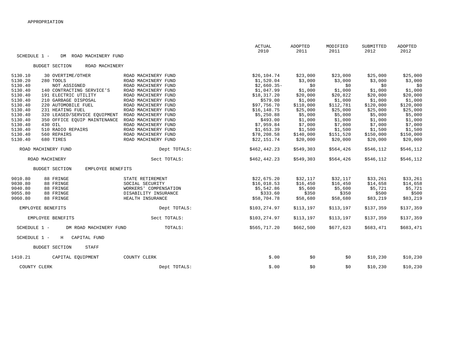| SCHEDULE 1 -        | DM ROAD MACHINERY FUND                     |                       | ACTUAL<br>2010 | ADOPTED<br>2011 | MODIFIED<br>2011 | SUBMITTED<br>2012 | ADOPTED<br>2012 |
|---------------------|--------------------------------------------|-----------------------|----------------|-----------------|------------------|-------------------|-----------------|
|                     | <b>BUDGET SECTION</b><br>ROAD MACHINERY    |                       |                |                 |                  |                   |                 |
| 5130.10             | 30 OVERTIME/OTHER                          | ROAD MACHINERY FUND   | \$26,104.74    | \$23,000        | \$23,000         | \$25,000          | \$25,000        |
| 5130.20             | 280 TOOLS                                  | ROAD MACHINERY FUND   | \$1,520.04     | \$3,000         | \$3,000          | \$3,000           | \$3,000         |
| 5130.40             | NOT ASSIGNED                               | ROAD MACHINERY FUND   | $$2,660.35-$   | \$0             | \$0              | \$0               | \$0             |
| 5130.40             | 140 CONTRACTING SERVICE'S                  | ROAD MACHINERY FUND   | \$1,047.99     | \$1,000         | \$1,000          | \$1,000           | \$1,000         |
| 5130.40             | 191 ELECTRIC UTILITY                       | ROAD MACHINERY FUND   | \$18,317.20    | \$20,000        | \$20,822         | \$20,000          | \$20,000        |
| 5130.40             | 210 GARBAGE DISPOSAL                       | ROAD MACHINERY FUND   | \$579.00       | \$1,000         | \$1,000          | \$1,000           | \$1,000         |
| 5130.40             | 220 AUTOMOBILE FUEL                        | ROAD MACHINERY FUND   | \$97,756.70    | \$110,000       | \$112,781        | \$120,000         | \$120,000       |
| 5130.40             | 231 HEATING FUEL                           | ROAD MACHINERY FUND   | \$16,148.75    | \$25,000        | \$25,000         | \$25,000          | \$25,000        |
| 5130.40             | 320 LEASED/SERVICE EQUIPMENT               | ROAD MACHINERY FUND   | \$5,250.88     | \$5,000         | \$5,000          | \$5,000           | \$5,000         |
| 5130.40             | 350 OFFICE EOUIP MAINTENANCE               | ROAD MACHINERY FUND   | \$493.00       | \$1,000         | \$1,000          | \$1,000           | \$1,000         |
| 5130.40<br>430 OIL  |                                            | ROAD MACHINERY FUND   | \$7,959.84     | \$7,000         | \$7,000          | \$7,000           | \$7,000         |
| 5130.40             | 510 RADIO REPAIRS                          | ROAD MACHINERY FUND   | \$1,653.39     | \$1,500         | \$1,500          | \$1,500           | \$1,500         |
| 5130.40             | 560 REPAIRS                                | ROAD MACHINERY FUND   | \$78,208.58    | \$140,000       | \$151,520        | \$150,000         | \$150,000       |
| 5130.40             | 680 TIRES                                  | ROAD MACHINERY FUND   | \$22,151.74    | \$20,000        | \$20,000         | \$20,000          | \$20,000        |
| ROAD MACHINERY FUND |                                            | Dept TOTALS:          | \$462,442.23   | \$549,303       | \$564,426        | \$546,112         | \$546,112       |
| ROAD MACHINERY      |                                            | Sect TOTALS:          | \$462,442.23   | \$549,303       | \$564,426        | \$546,112         | \$546,112       |
|                     | <b>BUDGET SECTION</b><br>EMPLOYEE BENEFITS |                       |                |                 |                  |                   |                 |
| 9010.80             | 88 FRINGE                                  | STATE RETIREMENT      | \$22,675.20    | \$32,117        | \$32,117         | \$33,261          | \$33,261        |
| 9030.80             | 88 FRINGE                                  | SOCIAL SECURITY       | \$16,018.53    | \$16,450        | \$16,450         | \$14,658          | \$14,658        |
| 9040.80             | 88 FRINGE                                  | WORKERS' COMPENSATION | \$5,542.86     | \$5,600         | \$5,600          | \$5,721           | \$5,721         |
| 9055.80             | 88 FRINGE                                  | DISABILITY INSURANCE  | \$333.60       | \$350           | \$350            | \$500             | \$500           |
| 9060.80             | 88 FRINGE                                  | HEALTH INSURANCE      | \$58,704.78    | \$58,680        | \$58,680         | \$83,219          | \$83,219        |
| EMPLOYEE BENEFITS   |                                            | Dept TOTALS:          | \$103,274.97   | \$113,197       | \$113,197        | \$137,359         | \$137,359       |
| EMPLOYEE BENEFITS   |                                            | Sect TOTALS:          | \$103,274.97   | \$113,197       | \$113,197        | \$137,359         | \$137,359       |
| SCHEDULE 1 -        | DM ROAD MACHINERY FUND                     | TOTALS:               | \$565,717.20   | \$662,500       | \$677,623        | \$683,471         | \$683,471       |
| SCHEDULE 1 -        | H<br>CAPITAL FUND                          |                       |                |                 |                  |                   |                 |
|                     | <b>BUDGET SECTION</b><br><b>STAFF</b>      |                       |                |                 |                  |                   |                 |
| 1410.21             | CAPITAL EQUIPMENT                          | COUNTY CLERK          | \$.00          | \$0             | \$0              | \$10,230          | \$10,230        |
| COUNTY CLERK        |                                            | Dept TOTALS:          | \$.00          | \$0             | \$0              | \$10,230          | \$10,230        |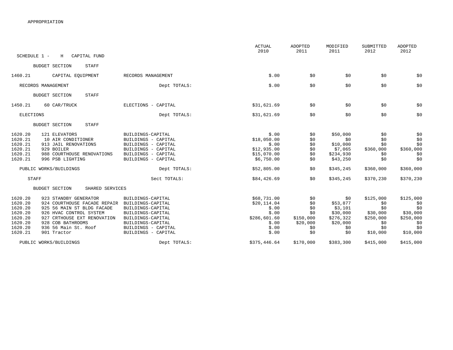|                                                                                      |                                                                                                                                                                                                           |                                                                                                                                                                          | ACTUAL<br>2010                                                                           | ADOPTED<br>2011                                                 | MODIFIED<br>2011                                                              | SUBMITTED<br>2012                                                          | <b>ADOPTED</b><br>2012                                                     |
|--------------------------------------------------------------------------------------|-----------------------------------------------------------------------------------------------------------------------------------------------------------------------------------------------------------|--------------------------------------------------------------------------------------------------------------------------------------------------------------------------|------------------------------------------------------------------------------------------|-----------------------------------------------------------------|-------------------------------------------------------------------------------|----------------------------------------------------------------------------|----------------------------------------------------------------------------|
| SCHEDULE 1 -                                                                         | CAPITAL FUND<br>H                                                                                                                                                                                         |                                                                                                                                                                          |                                                                                          |                                                                 |                                                                               |                                                                            |                                                                            |
|                                                                                      | <b>BUDGET SECTION</b><br>STAFF                                                                                                                                                                            |                                                                                                                                                                          |                                                                                          |                                                                 |                                                                               |                                                                            |                                                                            |
| 1460.21                                                                              | CAPITAL EQUIPMENT                                                                                                                                                                                         | RECORDS MANAGEMENT                                                                                                                                                       | \$.00                                                                                    | \$0                                                             | \$0                                                                           | \$0                                                                        | \$0                                                                        |
|                                                                                      | RECORDS MANAGEMENT                                                                                                                                                                                        | Dept TOTALS:                                                                                                                                                             | \$.00                                                                                    | \$0                                                             | \$0                                                                           | \$0                                                                        | \$0                                                                        |
|                                                                                      | <b>STAFF</b><br><b>BUDGET SECTION</b>                                                                                                                                                                     |                                                                                                                                                                          |                                                                                          |                                                                 |                                                                               |                                                                            |                                                                            |
| 1450.21                                                                              | 60 CAR/TRUCK                                                                                                                                                                                              | ELECTIONS - CAPITAL                                                                                                                                                      | \$31,621.69                                                                              | \$0                                                             | \$0                                                                           | \$0                                                                        | \$0                                                                        |
| ELECTIONS                                                                            |                                                                                                                                                                                                           | Dept TOTALS:                                                                                                                                                             | \$31,621.69                                                                              | \$0                                                             | \$0                                                                           | \$0                                                                        | \$0                                                                        |
|                                                                                      | <b>BUDGET SECTION</b><br>STAFF                                                                                                                                                                            |                                                                                                                                                                          |                                                                                          |                                                                 |                                                                               |                                                                            |                                                                            |
| 1620.20<br>1620.21<br>1620.21<br>1620.21<br>1620.21<br>1620.21                       | 121 ELEVATORS<br>10 AIR CONDITIONER<br>913 JAIL RENOVATIONS<br>929 BOILER<br>988 COURTHOUSE RENOVATIONS<br>996 PSB LIGHTING                                                                               | BUILDINGS-CAPITAL<br>BUILDINGS - CAPITAL<br>BUILDINGS - CAPITAL<br>BUILDINGS - CAPITAL<br>BUILDINGS - CAPITAL<br>BUILDINGS - CAPITAL                                     | \$.00<br>\$18,050.00<br>\$.00<br>\$12,935.00<br>\$15,070.00<br>\$6,750.00                | \$0<br>\$0<br>\$0<br>\$0<br>\$0<br>\$0                          | \$50,000<br>\$0<br>\$10,000<br>\$7,065<br>\$234,930<br>\$43,250               | \$0<br>\$0<br>\$0<br>\$360,000<br>\$0<br>\$0                               | \$0<br>\$0<br>\$0<br>\$360,000<br>\$0<br>\$0                               |
|                                                                                      | PUBLIC WORKS/BUILDINGS                                                                                                                                                                                    | Dept TOTALS:                                                                                                                                                             | \$52,805.00                                                                              | \$0                                                             | \$345,245                                                                     | \$360,000                                                                  | \$360,000                                                                  |
| <b>STAFF</b>                                                                         |                                                                                                                                                                                                           | Sect TOTALS:                                                                                                                                                             | \$84,426.69                                                                              | \$0                                                             | \$345,245                                                                     | \$370,230                                                                  | \$370,230                                                                  |
|                                                                                      | <b>BUDGET SECTION</b><br>SHARED SERVICES                                                                                                                                                                  |                                                                                                                                                                          |                                                                                          |                                                                 |                                                                               |                                                                            |                                                                            |
| 1620.20<br>1620.20<br>1620.20<br>1620.20<br>1620.20<br>1620.20<br>1620.20<br>1620.21 | 923 STANDBY GENERATOR<br>924 COURTHOUSE FACADE REPAIR<br>925 56 MAIN ST BLDG FACADE<br>926 HVAC CONTROL SYSTEM<br>927 CRTHOUSE EXT RENOVATION<br>928 COB BATHROOMS<br>936 56 Main St. Roof<br>901 Tractor | BUILDINGS-CAPITAL<br>BUILDINGS-CAPITAL<br>BUILDINGS-CAPITAL<br>BUILDINGS-CAPITAL<br>BUILDINGS-CAPITAL<br>BUILDINGS-CAPITAL<br>BUILDINGS - CAPITAL<br>BUILDINGS - CAPITAL | \$68,731.00<br>\$20, 114.04<br>\$.00<br>\$.00<br>\$286,601.60<br>\$.00<br>\$.00<br>\$.00 | \$0<br>\$0<br>\$0<br>\$0<br>\$150,000<br>\$20,000<br>\$0<br>\$0 | \$0<br>\$53,877<br>\$3,101<br>\$30,000<br>\$276,322<br>\$20,000<br>\$0<br>\$0 | \$125,000<br>\$0<br>\$0<br>\$30,000<br>\$250,000<br>\$0<br>\$0<br>\$10,000 | \$125,000<br>\$0<br>\$0<br>\$30,000<br>\$250,000<br>\$0<br>\$0<br>\$10,000 |
|                                                                                      | PUBLIC WORKS/BUILDINGS                                                                                                                                                                                    | Dept TOTALS:                                                                                                                                                             | \$375,446.64                                                                             | \$170,000                                                       | \$383,300                                                                     | \$415,000                                                                  | \$415,000                                                                  |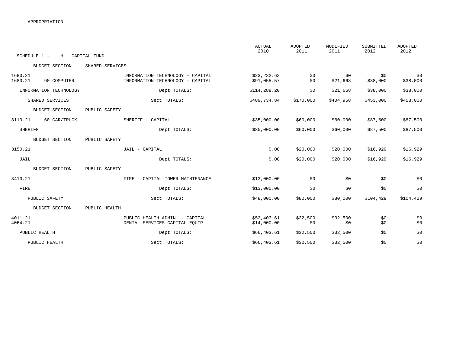|                    |                        |                   |                                                                      | <b>ACTUAL</b><br>2010      | <b>ADOPTED</b><br>2011 | MODIFIED<br>2011 | SUBMITTED<br>2012 | <b>ADOPTED</b><br>2012 |
|--------------------|------------------------|-------------------|----------------------------------------------------------------------|----------------------------|------------------------|------------------|-------------------|------------------------|
| SCHEDULE 1 -       | Н                      | CAPITAL FUND      |                                                                      |                            |                        |                  |                   |                        |
|                    | <b>BUDGET SECTION</b>  | SHARED SERVICES   |                                                                      |                            |                        |                  |                   |                        |
| 1680.21<br>1680.21 | 90 COMPUTER            |                   | INFORMATION TECHNOLOGY - CAPITAL<br>INFORMATION TECHNOLOGY - CAPITAL | \$23,232.63<br>\$91,055.57 | \$0<br>\$0             | \$0<br>\$21,668  | \$0<br>\$38,000   | \$0<br>\$38,000        |
|                    | INFORMATION TECHNOLOGY |                   | Dept TOTALS:                                                         | \$114,288.20               | \$0                    | \$21,668         | \$38,000          | \$38,000               |
|                    | SHARED SERVICES        |                   | Sect TOTALS:                                                         | \$489,734.84               | \$170,000              | \$404,968        | \$453,000         | \$453,000              |
|                    | <b>BUDGET SECTION</b>  | PUBLIC SAFETY     |                                                                      |                            |                        |                  |                   |                        |
| 3110.21            | 60 CAR/TRUCK           | SHERIFF - CAPITAL |                                                                      | \$35,000.00                | \$60,000               | \$60,000         | \$87,500          | \$87,500               |
| SHERIFF            |                        |                   | Dept TOTALS:                                                         | \$35,000.00                | \$60,000               | \$60,000         | \$87,500          | \$87,500               |
|                    | <b>BUDGET SECTION</b>  | PUBLIC SAFETY     |                                                                      |                            |                        |                  |                   |                        |
| 3150.21            |                        | JAIL - CAPITAL    |                                                                      | \$.00                      | \$20,000               | \$20,000         | \$16,929          | \$16,929               |
| JAIL               |                        |                   | Dept TOTALS:                                                         | \$.00                      | \$20,000               | \$20,000         | \$16,929          | \$16,929               |
|                    | <b>BUDGET SECTION</b>  | PUBLIC SAFETY     |                                                                      |                            |                        |                  |                   |                        |
| 3410.21            |                        |                   | FIRE - CAPITAL-TOWER MAINTENANCE                                     | \$13,000.00                | \$0                    | \$0              | \$0               | \$0                    |
| FIRE               |                        |                   | Dept TOTALS:                                                         | \$13,000.00                | \$0                    | \$0              | \$0               | \$0                    |
|                    | PUBLIC SAFETY          |                   | Sect TOTALS:                                                         | \$48,000.00                | \$80,000               | \$80,000         | \$104,429         | \$104,429              |
|                    | <b>BUDGET SECTION</b>  | PUBLIC HEALTH     |                                                                      |                            |                        |                  |                   |                        |
| 4011.21<br>4064.21 |                        |                   | PUBLIC HEALTH ADMIN. - CAPITAL<br>DENTAL SERVICES-CAPITAL EQUIP      | \$52,403.61<br>\$14,000.00 | \$32,500<br>\$0        | \$32,500<br>\$0  | \$0<br>\$0        | \$0<br>\$0             |
|                    | PUBLIC HEALTH          |                   | Dept TOTALS:                                                         | \$66,403.61                | \$32,500               | \$32,500         | \$0               | \$0                    |
|                    | PUBLIC HEALTH          |                   | Sect TOTALS:                                                         | \$66, 403.61               | \$32,500               | \$32,500         | \$0               | \$0                    |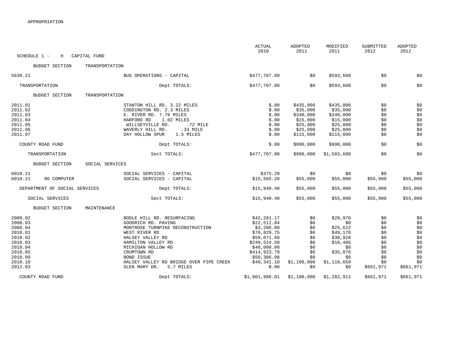| SCHEDULE 1 -                                                                                                          | H                             | CAPITAL FUND    |                                                                                                                                                                                                                                                                                     | <b>ACTUAL</b><br>2010                                                                                                                                        | ADOPTED<br>2011                                                                   | MODIFIED<br>2011                                                                                                | SUBMITTED<br>2012                                                               | ADOPTED<br>2012                                                                           |
|-----------------------------------------------------------------------------------------------------------------------|-------------------------------|-----------------|-------------------------------------------------------------------------------------------------------------------------------------------------------------------------------------------------------------------------------------------------------------------------------------|--------------------------------------------------------------------------------------------------------------------------------------------------------------|-----------------------------------------------------------------------------------|-----------------------------------------------------------------------------------------------------------------|---------------------------------------------------------------------------------|-------------------------------------------------------------------------------------------|
|                                                                                                                       | <b>BUDGET SECTION</b>         | TRANSPORTATION  |                                                                                                                                                                                                                                                                                     |                                                                                                                                                              |                                                                                   |                                                                                                                 |                                                                                 |                                                                                           |
| 5630.21                                                                                                               |                               |                 | BUS OPERATIONS - CAPITAL                                                                                                                                                                                                                                                            | \$477,707.00                                                                                                                                                 | \$0                                                                               | \$593,608                                                                                                       | \$0                                                                             | \$0                                                                                       |
|                                                                                                                       | TRANSPORTATION                |                 | Dept TOTALS:                                                                                                                                                                                                                                                                        | \$477,707.00                                                                                                                                                 | \$0                                                                               | \$593,608                                                                                                       | \$0                                                                             | \$0                                                                                       |
|                                                                                                                       | <b>BUDGET SECTION</b>         | TRANSPORTATION  |                                                                                                                                                                                                                                                                                     |                                                                                                                                                              |                                                                                   |                                                                                                                 |                                                                                 |                                                                                           |
| 2011.01<br>2011.02<br>2011.03<br>2011.04<br>2011.05                                                                   |                               |                 | STANTON HILL RD. 3.22 MILES<br>CODDINGTON RD. 2.3 MILES<br>E. RIVER RD. 7.76 MILES<br>HARFORD RD<br>1.02 MILES<br>WILLSEYVILLE RD.<br>.72 MILE                                                                                                                                      | \$.00<br>\$.00<br>\$.00<br>\$.00<br>\$.00                                                                                                                    | \$435,000<br>\$35,000<br>\$340,000<br>\$15,000<br>\$25,000                        | \$435,000<br>\$35,000<br>\$340,000<br>\$15,000<br>\$25,000                                                      | \$0<br>\$0<br>\$0<br>\$0<br>\$0                                                 | \$0<br>\$0<br>$\$0$<br>$\frac{1}{50}$                                                     |
| 2011.06<br>2011.07                                                                                                    |                               |                 | WAVERLY HILL RD.<br>.33 MILE<br>DAY HOLLOW SPUR<br>1.5 MILES                                                                                                                                                                                                                        | \$.00<br>\$.00                                                                                                                                               | \$25,000<br>\$115,000                                                             | \$25,000<br>\$115,000                                                                                           | \$0<br>\$0                                                                      | \$0<br>\$0                                                                                |
|                                                                                                                       | COUNTY ROAD FUND              |                 | Dept TOTALS:                                                                                                                                                                                                                                                                        | \$.00                                                                                                                                                        | \$990,000                                                                         | \$990,000                                                                                                       | \$0                                                                             | \$0                                                                                       |
|                                                                                                                       | TRANSPORTATION                |                 | Sect TOTALS:                                                                                                                                                                                                                                                                        | \$477,707.00                                                                                                                                                 | \$990,000                                                                         | \$1,583,608                                                                                                     | \$0                                                                             | \$0                                                                                       |
|                                                                                                                       | <b>BUDGET SECTION</b>         | SOCIAL SERVICES |                                                                                                                                                                                                                                                                                     |                                                                                                                                                              |                                                                                   |                                                                                                                 |                                                                                 |                                                                                           |
| 6010.21<br>6010.21                                                                                                    | 90 COMPUTER                   |                 | SOCIAL SERVICES - CAPITAL<br>SOCIAL SERVICES - CAPITAL                                                                                                                                                                                                                              | \$375.20<br>\$15, 565.20                                                                                                                                     | \$0<br>\$55,000                                                                   | \$0<br>\$55,000                                                                                                 | \$0<br>\$55,000                                                                 | \$0<br>\$55,000                                                                           |
|                                                                                                                       | DEPARTMENT OF SOCIAL SERVICES |                 | Dept TOTALS:                                                                                                                                                                                                                                                                        | \$15,940.40                                                                                                                                                  | \$55,000                                                                          | \$55,000                                                                                                        | \$55,000                                                                        | \$55,000                                                                                  |
|                                                                                                                       | SOCIAL SERVICES               |                 | Sect TOTALS:                                                                                                                                                                                                                                                                        | \$15,940.40                                                                                                                                                  | \$55,000                                                                          | \$55,000                                                                                                        | \$55,000                                                                        | \$55,000                                                                                  |
|                                                                                                                       | <b>BUDGET SECTION</b>         | MAINTENANCE     |                                                                                                                                                                                                                                                                                     |                                                                                                                                                              |                                                                                   |                                                                                                                 |                                                                                 |                                                                                           |
| 2008.02<br>2008.03<br>2008.04<br>2010.01<br>2010.02<br>2010.03<br>2010.04<br>2010.05<br>2010.09<br>2010.10<br>2012.03 |                               |                 | BODLE HILL RD. RESURFACING<br>GOODRICH RD. PAVING<br>MONTROSE TURNPIKE RECONSTRUCTION<br>WEST RIVER RD<br>HALSEY VALLEY RD<br>HAMILTON VALLEY RD<br>MICHIGAN HOLLOW RD<br>CRUMTOWN RD<br><b>BOND ISSUE</b><br>HALSEY VALLEY RD BRIDGE OVER PIPE CREEK<br>5.7 MILES<br>GLEN MARY DR. | \$42,281.17<br>\$22,511.04<br>\$3,206.00<br>\$70,829.75<br>\$59,071.68<br>\$249,514.50<br>\$40,000.00<br>\$414,923.79<br>\$50,306.98<br>\$49,341.10<br>\$.00 | \$0<br>\$0<br>\$0<br>\$0<br>\$0<br>\$0<br>\$0<br>\$0<br>\$0<br>\$1,100,000<br>\$0 | \$20,970<br>\$0<br>\$25,622<br>\$49,170<br>\$30,928<br>\$10,486<br>\$0<br>\$35,076<br>\$0<br>\$1,110,659<br>\$0 | \$0<br>\$0<br>\$0<br>\$0<br>\$0<br>\$0<br>\$0<br>\$0<br>\$0<br>\$0<br>\$661,971 | \$0<br>\$0<br>$$0$<br>$\dot{\$}0$<br>\$0<br>\$0<br>$$0$<br>\$0<br>\$0<br>\$0<br>\$661,971 |
|                                                                                                                       | COUNTY ROAD FUND              |                 | Dept TOTALS:                                                                                                                                                                                                                                                                        | \$1,001,986.01                                                                                                                                               | \$1,100,000                                                                       | \$1,282,911                                                                                                     | \$661,971                                                                       | \$661,971                                                                                 |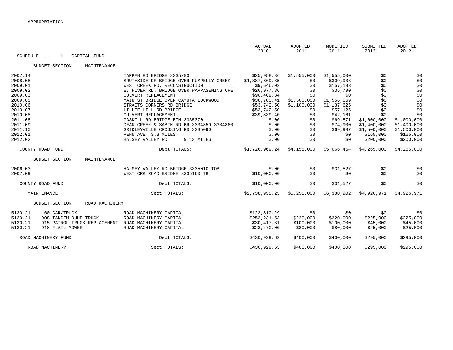| SCHEDULE 1 - | Н                            | CAPITAL FUND   |                                          | <b>ACTUAL</b><br>2010 | ADOPTED<br>2011 | MODIFIED<br>2011 | SUBMITTED<br>2012 | <b>ADOPTED</b><br>2012 |
|--------------|------------------------------|----------------|------------------------------------------|-----------------------|-----------------|------------------|-------------------|------------------------|
|              | <b>BUDGET SECTION</b>        | MAINTENANCE    |                                          |                       |                 |                  |                   |                        |
| 2007.14      |                              |                | TAPPAN RD BRIDGE 3335280                 | \$25,958.36           | \$1,555,000     | \$1,555,000      | \$0               | \$0                    |
| 2008.08      |                              |                | SOUTHSIDE DR BRIDGE OVER PUMPELLY CREEK  | \$1,387,869.35        | \$0             | \$309,933        | \$0               | \$0                    |
| 2009.01      |                              |                | WEST CREEK RD. RECONSTRUCTION            | \$9,646.02            | \$0             | \$157, 193       | \$0               | \$0                    |
| 2009.02      |                              |                | E. RIVER RD. BRIDGE OVER WAPPASENING CRE | \$26,977.86           | \$0             | \$35,790         | \$0               | $$0$$                  |
| 2009.03      |                              |                | CULVERT REPLACEMENT                      | \$90,409.84           | \$0             | \$0              | \$0               | \$0                    |
| 2009.05      |                              |                | MAIN ST BRIDGE OVER CAYUTA LOCKWOOD      | \$38,783.41           | \$1,500,000     | \$1,556,869      | \$0               | $$0$$                  |
| 2010.06      |                              |                | STRAITS CORNERS RD BRIDGE                | \$53,742.50           | \$1,100,000     | \$1,137,625      | \$0               | \$0                    |
| 2010.07      |                              |                | LILLIE HILL RD BRIDGE                    | \$53,742.50           | \$0             | \$57,125         | \$0               | \$0                    |
| 2010.08      |                              |                | CULVERT REPLACEMENT                      | \$39,839.40           | \$0             | \$42,161         | \$0               | \$0                    |
| 2011.08      |                              |                | GASKILL RD BRIDGE BIN 3335370            | \$.00                 | \$0             | \$69,871         | \$1,000,000       | \$1,000,000            |
| 2011.09      |                              |                | DEAN CREEK & SABIN RD BR 3334850 3334860 | \$.00                 | \$0             | \$74,900         | \$1,400,000       | \$1,400,000            |
| 2011.10      |                              |                | GRIDLEYVILLE CROSSING RD 3335090         | \$.00                 | \$0             | \$69,997         | \$1,500,000       | \$1,500,000            |
| 2012.01      |                              |                | PENN AVE 3.3 MILES                       | \$.00                 | \$0             | \$0              | \$165,000         | \$165,000              |
| 2012.02      |                              |                | HALSEY VALLEY RD<br>9.13 MILES           | \$.00                 | \$0             | \$0              | \$200,000         | \$200,000              |
|              | COUNTY ROAD FUND             |                | Dept TOTALS:                             | \$1,726,969.24        | \$4,155,000     | \$5,066,464      | \$4,265,000       | \$4,265,000            |
|              | <b>BUDGET SECTION</b>        | MAINTENANCE    |                                          |                       |                 |                  |                   |                        |
| 2006.03      |                              |                | HALSEY VALLEY RD BRIDGE 3335010 TOB      | \$.00                 | \$0             | \$31,527         | \$0               | \$0                    |
| 2007.09      |                              |                | WEST CRK ROAD BRIDGE 3335160 TB          | \$10,000.00           | \$0             | \$0              | \$0               | \$0                    |
|              |                              |                |                                          |                       |                 |                  |                   |                        |
|              | COUNTY ROAD FUND             |                | Dept TOTALS:                             | \$10,000.00           | \$0             | \$31,527         | \$0               | \$0                    |
|              | MAINTENANCE                  |                | Sect TOTALS:                             | \$2,738,955.25        | \$5,255,000     | \$6,380,902      | \$4,926,971       | \$4,926,971            |
|              | <b>BUDGET SECTION</b>        | ROAD MACHINERY |                                          |                       |                 |                  |                   |                        |
| 5130.21      | 60 CAR/TRUCK                 |                | ROAD MACHINERY-CAPITAL                   | \$123,810.29          | \$0             | \$0              | \$0               | \$0                    |
| 5130.21      | 908 TANDEM DUMP TRUCK        |                | ROAD MACHINERY-CAPITAL                   | \$253,231.53          | \$220,000       | \$220,000        | \$225,000         | \$225,000              |
| 5130.21      | 915 PATROL TRUCK REPLACEMENT |                | ROAD MACHINERY-CAPITAL                   | \$30,417.81           | \$100,000       | \$100,000        | \$45,000          | \$45,000               |
| 5130.21      | 918 FLAIL MOWER              |                | ROAD MACHINERY-CAPITAL                   | \$23,470.00           | \$80,000        | \$80,000         | \$25,000          | \$25,000               |
|              |                              |                |                                          |                       |                 |                  |                   |                        |
|              | ROAD MACHINERY FUND          |                | Dept TOTALS:                             | \$430,929.63          | \$400,000       | \$400,000        | \$295,000         | \$295,000              |
|              | ROAD MACHINERY               |                | Sect TOTALS:                             | \$430,929.63          | \$400,000       | \$400,000        | \$295,000         | \$295,000              |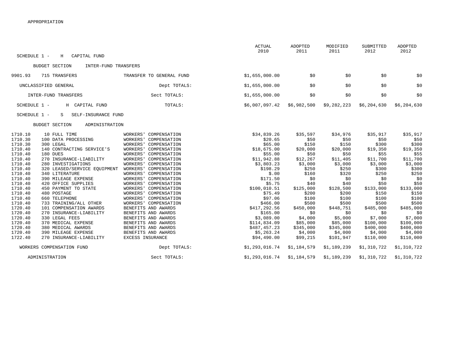|                                                                                                                                                                                                                                                                                                 |                                                                                                                                                                                                                                                                                                          | <b>ACTUAL</b><br>2010                                                                                         | ADOPTED<br>2011                                                                        | MODIFIED<br>2011                                                                       | SUBMITTED<br>2012                                                                      | <b>ADOPTED</b><br>2012                                                                 |
|-------------------------------------------------------------------------------------------------------------------------------------------------------------------------------------------------------------------------------------------------------------------------------------------------|----------------------------------------------------------------------------------------------------------------------------------------------------------------------------------------------------------------------------------------------------------------------------------------------------------|---------------------------------------------------------------------------------------------------------------|----------------------------------------------------------------------------------------|----------------------------------------------------------------------------------------|----------------------------------------------------------------------------------------|----------------------------------------------------------------------------------------|
| SCHEDULE 1 -<br>CAPITAL FUND<br>H                                                                                                                                                                                                                                                               |                                                                                                                                                                                                                                                                                                          |                                                                                                               |                                                                                        |                                                                                        |                                                                                        |                                                                                        |
| <b>BUDGET SECTION</b><br>INTER-FUND TRANSFERS                                                                                                                                                                                                                                                   |                                                                                                                                                                                                                                                                                                          |                                                                                                               |                                                                                        |                                                                                        |                                                                                        |                                                                                        |
| 9901.93<br>715 TRANSFERS                                                                                                                                                                                                                                                                        | TRANSFER TO GENERAL FUND                                                                                                                                                                                                                                                                                 | \$1,655,000.00                                                                                                | \$0                                                                                    | \$0                                                                                    | \$0                                                                                    | \$0                                                                                    |
| UNCLASSIFIED GENERAL                                                                                                                                                                                                                                                                            | Dept TOTALS:                                                                                                                                                                                                                                                                                             | \$1,655,000.00                                                                                                | \$0                                                                                    | \$0                                                                                    | \$0                                                                                    | \$0                                                                                    |
| INTER-FUND TRANSFERS                                                                                                                                                                                                                                                                            | Sect TOTALS:                                                                                                                                                                                                                                                                                             | \$1,655,000.00                                                                                                | \$0                                                                                    | \$0                                                                                    | \$0                                                                                    | \$0                                                                                    |
| SCHEDULE 1 -<br>H CAPITAL FUND                                                                                                                                                                                                                                                                  | TOTALS:                                                                                                                                                                                                                                                                                                  | \$6,007,097.42                                                                                                | \$6,982,500                                                                            | \$9,282,223                                                                            | \$6,204,630                                                                            | \$6,204,630                                                                            |
| SCHEDULE 1 -<br>SELF-INSURANCE FUND<br>S                                                                                                                                                                                                                                                        |                                                                                                                                                                                                                                                                                                          |                                                                                                               |                                                                                        |                                                                                        |                                                                                        |                                                                                        |
| <b>BUDGET SECTION</b><br>ADMINISTRATION                                                                                                                                                                                                                                                         |                                                                                                                                                                                                                                                                                                          |                                                                                                               |                                                                                        |                                                                                        |                                                                                        |                                                                                        |
| 1710.10<br>10 FULL TIME<br>1710.30<br>100 DATA PROCESSING<br>1710.30<br>300 LEGAL<br>1710.40<br>140 CONTRACTING SERVICE'S<br>1710.40<br>180 DUES<br>1710.40<br>270 INSURANCE-LIABILITY<br>1710.40<br>280 INVESTIGATIONS<br>1710.40<br>320 LEASED/SERVICE EQUIPMENT<br>1710.40<br>340 LITERATURE | WORKERS'<br>COMPENSATION<br>WORKERS'<br>COMPENSATION<br><b>WORKERS'</b><br>COMPENSATION<br><b>WORKERS'</b><br>COMPENSATION<br><b>WORKERS'</b><br>COMPENSATION<br><b>WORKERS'</b><br>COMPENSATION<br><b>WORKERS'</b><br>COMPENSATION<br><b>WORKERS</b><br>COMPENSATION<br><b>WORKERS'</b><br>COMPENSATION | \$34,839.26<br>\$20.65<br>\$65.00<br>\$18,675.00<br>\$55.00<br>\$11,942.88<br>\$3,803.23<br>\$198.29<br>\$.00 | \$35,597<br>\$50<br>\$150<br>\$20,000<br>\$50<br>\$12,267<br>\$3,000<br>\$250<br>\$160 | \$34,976<br>\$50<br>\$150<br>\$20,000<br>\$50<br>\$11,405<br>\$3,000<br>\$250<br>\$320 | \$35,917<br>\$50<br>\$300<br>\$19,350<br>\$55<br>\$11,700<br>\$3,000<br>\$300<br>\$250 | \$35,917<br>\$50<br>\$300<br>\$19,350<br>\$55<br>\$11,700<br>\$3,000<br>\$300<br>\$250 |
| 1710.40<br>390 MILEAGE EXPENSE<br>1710.40<br>420 OFFICE SUPPLIES<br>1710.40<br>450 PAYMENT TO STATE<br>1710.40<br>480 POSTAGE<br>1710.40<br>660 TELEPHONE<br>1710.40<br>733 TRAINING/ALL OTHER                                                                                                  | <b>WORKERS'</b><br>COMPENSATION<br><b>WORKERS'</b><br>COMPENSATION<br><b>WORKERS'</b><br>COMPENSATION<br><b>WORKERS'</b><br>COMPENSATION<br><b>WORKERS'</b><br>COMPENSATION<br>WORKERS'<br>COMPENSATION                                                                                                  | \$171.50<br>\$5.75<br>\$100,010.51<br>\$75.49<br>\$97.06<br>\$466.00                                          | \$0<br>\$40<br>\$125,000<br>\$200<br>\$100<br>\$500                                    | \$0<br>\$40<br>\$128,500<br>\$200<br>\$100<br>\$500                                    | \$0<br>\$50<br>\$133,000<br>\$150<br>\$100<br>\$500                                    | \$0<br>\$50<br>\$133,000<br>\$150<br>\$100<br>\$500                                    |
| 1720.40<br>101 COMPENSATION AWARDS<br>1720.40<br>270 INSURANCE-LIABILITY<br>1720.40<br>330 LEGAL FEES<br>1720.40<br>370 MEDICAL EXPENSE<br>1720.40<br>380 MEDICAL AWARDS<br>1720.40<br>390 MILEAGE EXPENSE<br>1722.40<br>270 INSURANCE-LIABILITY                                                | BENEFITS AND AWARDS<br>BENEFITS AND AWARDS<br>BENEFITS AND AWARDS<br>BENEFITS AND AWARDS<br>BENEFITS AND AWARDS<br>BENEFITS AND AWARDS<br>EXCESS INSURANCE                                                                                                                                               | \$417,292.56<br>\$165.00<br>\$3,089.00<br>\$114,834.09<br>\$487,457.23<br>\$5,263.24<br>\$94,490.00           | \$450,000<br>\$0<br>\$4,000<br>\$85,000<br>\$345,000<br>\$4,000<br>\$99,215            | \$448,751<br>\$0<br>\$5,000<br>\$85,000<br>\$345,000<br>\$4,000<br>\$101,947           | \$485,000<br>\$0<br>\$7,000<br>\$100,000<br>\$400,000<br>\$4,000<br>\$110,000          | \$485,000<br>\$0<br>\$7,000<br>\$100,000<br>\$400,000<br>\$4,000<br>\$110,000          |
| WORKERS COMPENSATION FUND                                                                                                                                                                                                                                                                       | Dept TOTALS:                                                                                                                                                                                                                                                                                             | \$1,293,016.74                                                                                                | \$1,184,579                                                                            | \$1,189,239                                                                            | \$1,310,722                                                                            | \$1,310,722                                                                            |
| ADMINISTRATION                                                                                                                                                                                                                                                                                  | Sect TOTALS:                                                                                                                                                                                                                                                                                             | \$1,293,016.74                                                                                                | \$1,184,579                                                                            | \$1,189,239                                                                            | \$1,310,722                                                                            | \$1,310,722                                                                            |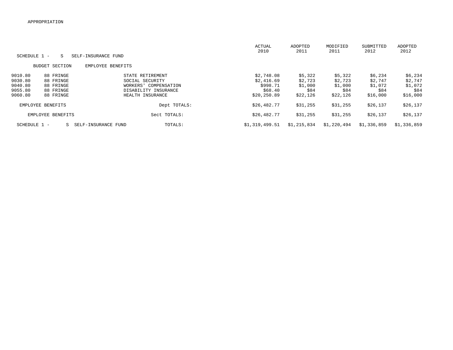|              |                       |                     |                       | <b>ACTUAL</b><br>2010 | ADOPTED<br>2011 | MODIFIED<br>2011 | SUBMITTED<br>2012 | ADOPTED<br>2012 |
|--------------|-----------------------|---------------------|-----------------------|-----------------------|-----------------|------------------|-------------------|-----------------|
| SCHEDULE 1 - | S                     | SELF-INSURANCE FUND |                       |                       |                 |                  |                   |                 |
|              | <b>BUDGET SECTION</b> | EMPLOYEE BENEFITS   |                       |                       |                 |                  |                   |                 |
| 9010.80      | 88 FRINGE             |                     | STATE RETIREMENT      | \$2,748.08            | \$5,322         | \$5,322          | \$6,234           | \$6,234         |
| 9030.80      | 88 FRINGE             |                     | SOCIAL SECURITY       | \$2,416.69            | \$2,723         | \$2,723          | \$2,747           | \$2,747         |
| 9040.80      | 88 FRINGE             |                     | WORKERS' COMPENSATION | \$998.71              | \$1,000         | \$1,000          | \$1,072           | \$1,072         |
| 9055.80      | 88 FRINGE             |                     | DISABILITY INSURANCE  | \$68.40               | \$84            | \$84             | \$84              | \$84            |
| 9060.80      | 88 FRINGE             |                     | HEALTH INSURANCE      | \$20,250.89           | \$22,126        | \$22,126         | \$16,000          | \$16,000        |
|              | EMPLOYEE BENEFITS     |                     | Dept TOTALS:          | \$26,482.77           | \$31,255        | \$31,255         | \$26,137          | \$26,137        |
|              | EMPLOYEE BENEFITS     |                     | Sect TOTALS:          | \$26,482.77           | \$31,255        | \$31,255         | \$26,137          | \$26,137        |
| SCHEDULE 1 - | S.                    | SELF-INSURANCE FUND | TOTALS:               | \$1,319,499.51        | \$1,215,834     | \$1,220,494      | \$1,336,859       | \$1,336,859     |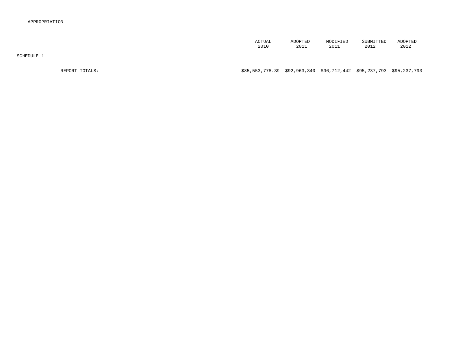| <b>ACTUAL</b> | ADOPTED | MODIFIED | SUBMITTED             | ADOPTED |
|---------------|---------|----------|-----------------------|---------|
|               |         |          |                       |         |
|               |         |          |                       |         |
| 2010          | 2011    | 2011     | <b>001</b><br>2 ∪ ⊥ 2 | 2012    |

SCHEDULE 1

# REPORT TOTALS: \$85,553,778.39 \$92,963,340 \$96,712,442 \$95,237,793 \$95,237,793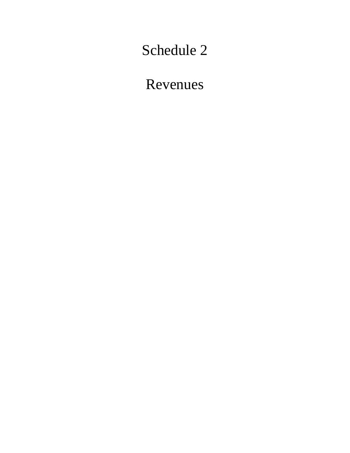Schedule 2

Revenues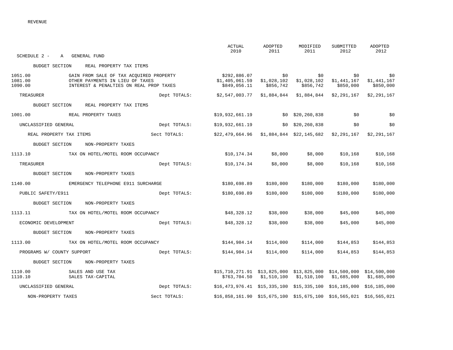| SCHEDULE 2 - A GENERAL FUND                                                                                                                            |              | ACTUAL<br>2010                                                                     | ADOPTED<br>2011 | MODIFIED<br>2011                                                  | SUBMITTED<br>2012                             | ADOPTED<br>2012                 |
|--------------------------------------------------------------------------------------------------------------------------------------------------------|--------------|------------------------------------------------------------------------------------|-----------------|-------------------------------------------------------------------|-----------------------------------------------|---------------------------------|
| BUDGET SECTION REAL PROPERTY TAX ITEMS                                                                                                                 |              |                                                                                    |                 |                                                                   |                                               |                                 |
| 1051.00<br>GAIN FROM SALE OF TAX ACOUIRED PROPERTY<br>1081.00<br>OTHER PAYMENTS IN LIEU OF TAXES<br>1090.00<br>INTEREST & PENALTIES ON REAL PROP TAXES |              | \$1,405,061.59 \$1,028,102<br>\$849,056.11                                         | \$856,742       | \$0<br>\$856,742                                                  | \$0<br>$$1,028,102$ $$1,441,167$<br>\$850,000 | \$0<br>\$1,441,167<br>\$850,000 |
| TREASURER                                                                                                                                              | Dept TOTALS: | \$2,547,003.77 \$1,884,844 \$1,884,844 \$2,291,167                                 |                 |                                                                   |                                               | \$2,291,167                     |
| BUDGET SECTION<br>REAL PROPERTY TAX ITEMS                                                                                                              |              |                                                                                    |                 |                                                                   |                                               |                                 |
| 1001.00 REAL PROPERTY TAXES                                                                                                                            |              | \$19,932,661.19                                                                    |                 | $$0$ $$20, 260, 838$                                              | $\sim$ \$0                                    | \$0                             |
| UNCLASSIFIED GENERAL                                                                                                                                   | Dept TOTALS: | \$19,932,661.19                                                                    |                 | \$0\$20,260,838                                                   | \$0                                           | \$0                             |
| REAL PROPERTY TAX ITEMS                                                                                                                                | Sect TOTALS: | $$22,479,664.96$ $$1,884,844$ $$22,145,682$ $$2,291,167$ $$2,291,167$              |                 |                                                                   |                                               |                                 |
| BUDGET SECTION<br>NON-PROPERTY TAXES                                                                                                                   |              |                                                                                    |                 |                                                                   |                                               |                                 |
| 1113.10 TAX ON HOTEL/MOTEL ROOM OCCUPANCY                                                                                                              |              | \$10,174.34                                                                        | \$8,000         | \$8,000                                                           | \$10,168                                      | \$10,168                        |
| TREASURER                                                                                                                                              | Dept TOTALS: | \$10,174.34                                                                        | \$8,000         | \$8,000                                                           | \$10,168                                      | \$10,168                        |
| BUDGET SECTION<br>NON-PROPERTY TAXES                                                                                                                   |              |                                                                                    |                 |                                                                   |                                               |                                 |
| 1140.00 EMERGENCY TELEPHONE E911 SURCHARGE                                                                                                             |              | \$180,698.89                                                                       | \$180,000       | \$180,000                                                         | \$180,000                                     | \$180,000                       |
| PUBLIC SAFETY/E911                                                                                                                                     | Dept TOTALS: | \$180,698.89                                                                       | \$180,000       | \$180,000                                                         | \$180,000                                     | \$180,000                       |
| BUDGET SECTION<br>NON-PROPERTY TAXES                                                                                                                   |              |                                                                                    |                 |                                                                   |                                               |                                 |
| 1113.11<br>TAX ON HOTEL/MOTEL ROOM OCCUPANCY                                                                                                           |              | \$48,328.12                                                                        | \$38,000        | \$38,000                                                          | \$45,000                                      | \$45,000                        |
| ECONOMIC DEVELOPMENT                                                                                                                                   | Dept TOTALS: | \$48,328.12                                                                        | \$38,000        | \$38,000                                                          | \$45,000                                      | \$45,000                        |
| NON-PROPERTY TAXES<br>BUDGET SECTION                                                                                                                   |              |                                                                                    |                 |                                                                   |                                               |                                 |
| 1113.00<br>TAX ON HOTEL/MOTEL ROOM OCCUPANCY                                                                                                           |              | \$144,984.14                                                                       | \$114,000       | \$114,000                                                         | \$144,853                                     | \$144,853                       |
| PROGRAMS W/ COUNTY SUPPORT                                                                                                                             | Dept TOTALS: | \$144,984.14                                                                       | \$114,000       | \$114,000                                                         | \$144,853                                     | \$144,853                       |
| BUDGET SECTION NON-PROPERTY TAXES                                                                                                                      |              |                                                                                    |                 |                                                                   |                                               |                                 |
| 1110.00<br>SALES AND USE TAX<br>1110.10<br>SALES TAX-CAPITAL                                                                                           |              | $$15, 710, 271.91$ $$13, 825, 000$ $$13, 825, 000$ $$14, 500, 000$ $$14, 500, 000$ |                 | $$763,704.50$ $$1,510,100$ $$1,510,100$ $$1,685,000$ $$1,685,000$ |                                               |                                 |
| UNCLASSIFIED GENERAL                                                                                                                                   | Dept TOTALS: | $$16,473,976.41$ $$15,335,100$ $$15,335,100$ $$16,185,000$ $$16,185,000$           |                 |                                                                   |                                               |                                 |
| NON-PROPERTY TAXES                                                                                                                                     | Sect TOTALS: | $$16,858,161.90$ $$15,675,100$ $$15,675,100$ $$16,565,021$ $$16,565,021$           |                 |                                                                   |                                               |                                 |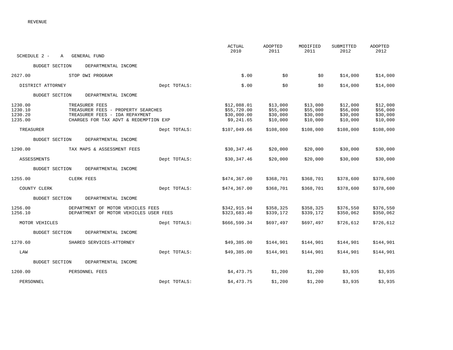|                                                                                                                                                                             |              | <b>ACTUAL</b><br>2010                                   | ADOPTED<br>2011                              | MODIFIED<br>2011                             | SUBMITTED<br>2012                            | ADOPTED<br>2012                              |
|-----------------------------------------------------------------------------------------------------------------------------------------------------------------------------|--------------|---------------------------------------------------------|----------------------------------------------|----------------------------------------------|----------------------------------------------|----------------------------------------------|
| SCHEDULE 2 -<br>$\mathbb{A}$<br>GENERAL FUND                                                                                                                                |              |                                                         |                                              |                                              |                                              |                                              |
| <b>BUDGET SECTION</b><br>DEPARTMENTAL INCOME                                                                                                                                |              |                                                         |                                              |                                              |                                              |                                              |
| 2627.00<br>STOP DWI PROGRAM                                                                                                                                                 |              | \$.00                                                   | \$0                                          | \$0                                          | \$14,000                                     | \$14,000                                     |
| DISTRICT ATTORNEY                                                                                                                                                           | Dept TOTALS: | \$.00                                                   | \$0                                          | \$0                                          | \$14,000                                     | \$14,000                                     |
| <b>BUDGET SECTION</b><br>DEPARTMENTAL INCOME                                                                                                                                |              |                                                         |                                              |                                              |                                              |                                              |
| 1230.00<br>TREASURER FEES<br>1230.10<br>TREASURER FEES - PROPERTY SEARCHES<br>1230.20<br>TREASURER FEES - IDA REPAYMENT<br>1235.00<br>CHARGES FOR TAX ADVT & REDEMPTION EXP |              | \$12,088.01<br>\$55,720.00<br>\$30,000.00<br>\$9,241.65 | \$13,000<br>\$55,000<br>\$30,000<br>\$10,000 | \$13,000<br>\$55,000<br>\$30,000<br>\$10,000 | \$12,000<br>\$56,000<br>\$30,000<br>\$10,000 | \$12,000<br>\$56,000<br>\$30,000<br>\$10,000 |
| TREASURER                                                                                                                                                                   | Dept TOTALS: | \$107,049.66                                            | \$108,000                                    | \$108,000                                    | \$108,000                                    | \$108,000                                    |
| DEPARTMENTAL INCOME<br><b>BUDGET SECTION</b>                                                                                                                                |              |                                                         |                                              |                                              |                                              |                                              |
| 1290.00<br>TAX MAPS & ASSESSMENT FEES                                                                                                                                       |              | \$30,347.46                                             | \$20,000                                     | \$20,000                                     | \$30,000                                     | \$30,000                                     |
| ASSESSMENTS                                                                                                                                                                 | Dept TOTALS: | \$30,347.46                                             | \$20,000                                     | \$20,000                                     | \$30,000                                     | \$30,000                                     |
| <b>BUDGET SECTION</b><br>DEPARTMENTAL INCOME                                                                                                                                |              |                                                         |                                              |                                              |                                              |                                              |
| 1255.00<br>CLERK FEES                                                                                                                                                       |              | \$474,367.00                                            | \$368,701                                    | \$368,701                                    | \$378,600                                    | \$378,600                                    |
| COUNTY CLERK                                                                                                                                                                | Dept TOTALS: | \$474,367.00                                            | \$368,701                                    | \$368,701                                    | \$378,600                                    | \$378,600                                    |
| <b>BUDGET SECTION</b><br>DEPARTMENTAL INCOME                                                                                                                                |              |                                                         |                                              |                                              |                                              |                                              |
| 1256.00<br>DEPARTMENT OF MOTOR VEHICLES FEES<br>1256.10<br>DEPARTMENT OF MOTOR VEHICLES USER FEES                                                                           |              | \$342,915.94<br>\$323,683.40                            | \$358,325<br>\$339,172                       | \$358,325<br>\$339,172                       | \$376,550<br>\$350,062                       | \$376,550<br>\$350,062                       |
| MOTOR VEHICLES                                                                                                                                                              | Dept TOTALS: | \$666,599.34                                            | \$697,497                                    | \$697,497                                    | \$726,612                                    | \$726,612                                    |
| <b>BUDGET SECTION</b><br>DEPARTMENTAL INCOME                                                                                                                                |              |                                                         |                                              |                                              |                                              |                                              |
| 1270.60<br>SHARED SERVICES-ATTORNEY                                                                                                                                         |              | \$49,385.00                                             | \$144,901                                    | \$144,901                                    | \$144,901                                    | \$144,901                                    |
| LAW                                                                                                                                                                         | Dept TOTALS: | \$49,385.00                                             | \$144,901                                    | \$144,901                                    | \$144,901                                    | \$144,901                                    |
| <b>BUDGET SECTION</b><br>DEPARTMENTAL INCOME                                                                                                                                |              |                                                         |                                              |                                              |                                              |                                              |
| 1260.00<br>PERSONNEL FEES                                                                                                                                                   |              | \$4,473.75                                              | \$1,200                                      | \$1,200                                      | \$3,935                                      | \$3,935                                      |
| PERSONNEL                                                                                                                                                                   | Dept TOTALS: | \$4,473.75                                              | \$1,200                                      | \$1,200                                      | \$3,935                                      | \$3,935                                      |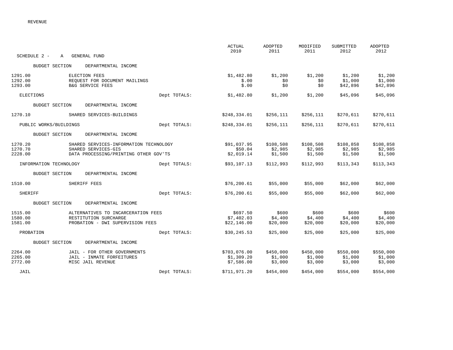|                        |                                        |              | <b>ACTUAL</b><br>2010 | <b>ADOPTED</b><br>2011 | MODIFIED<br>2011 | SUBMITTED<br>2012 | ADOPTED<br>2012 |
|------------------------|----------------------------------------|--------------|-----------------------|------------------------|------------------|-------------------|-----------------|
| SCHEDULE 2 -           | GENERAL FUND<br>A                      |              |                       |                        |                  |                   |                 |
| <b>BUDGET SECTION</b>  | DEPARTMENTAL INCOME                    |              |                       |                        |                  |                   |                 |
| 1291.00                | ELECTION FEES                          |              | \$1,482.80            | \$1,200                | \$1,200          | \$1,200           | \$1,200         |
| 1292.00                | REQUEST FOR DOCUMENT MAILINGS          |              | \$.00                 | \$0                    | \$0              | \$1,000           | \$1,000         |
| 1293.00                | B&G SERVICE FEES                       |              | \$.00                 | \$0                    | \$0              | \$42,896          | \$42,896        |
| ELECTIONS              |                                        | Dept TOTALS: | \$1,482.80            | \$1,200                | \$1,200          | \$45,096          | \$45,096        |
| <b>BUDGET SECTION</b>  | DEPARTMENTAL INCOME                    |              |                       |                        |                  |                   |                 |
| 1270.10                | SHARED SERVICES-BUILDINGS              |              | \$248,334.01          | \$256,111              | \$256,111        | \$270,611         | \$270,611       |
| PUBLIC WORKS/BUILDINGS |                                        | Dept TOTALS: | \$248,334.01          | \$256,111              | \$256,111        | \$270,611         | \$270,611       |
| <b>BUDGET SECTION</b>  | DEPARTMENTAL INCOME                    |              |                       |                        |                  |                   |                 |
| 1270.20                | SHARED SERVICES-INFORMATION TECHNOLOGY |              | \$91,037.95           | \$108,508              | \$108,508        | \$108,858         | \$108,858       |
| 1270.70                | SHARED SERVICES-GIS                    |              | \$50.04               | \$2,985                | \$2,985          | \$2,985           | \$2,985         |
| 2228.00                | DATA PROCESSING/PRINTING OTHER GOV'TS  |              | \$2,019.14            | \$1,500                | \$1,500          | \$1,500           | \$1,500         |
| INFORMATION TECHNOLOGY |                                        | Dept TOTALS: | \$93,107.13           | \$112,993              | \$112,993        | \$113,343         | \$113,343       |
| <b>BUDGET SECTION</b>  | DEPARTMENTAL INCOME                    |              |                       |                        |                  |                   |                 |
| 1510.00                | SHERIFF FEES                           |              | \$76, 200.61          | \$55,000               | \$55,000         | \$62,000          | \$62,000        |
| <b>SHERIFF</b>         |                                        | Dept TOTALS: | \$76, 200.61          | \$55,000               | \$55,000         | \$62,000          | \$62,000        |
| <b>BUDGET SECTION</b>  | DEPARTMENTAL INCOME                    |              |                       |                        |                  |                   |                 |
| 1515.00                | ALTERNATIVES TO INCARCERATION FEES     |              | \$697.50              | \$600                  | \$600            | \$600             | \$600           |
| 1580.00                | RESTITUTION SURCHARGE                  |              | \$7,402.03            | \$4,400                | \$4,400          | \$4,400           | \$4,400         |
| 1581.00                | PROBATION - DWI SUPERVISION FEES       |              | \$22,146.00           | \$20,000               | \$20,000         | \$20,000          | \$20,000        |
| PROBATION              |                                        | Dept TOTALS: | \$30, 245.53          | \$25,000               | \$25,000         | \$25,000          | \$25,000        |
| <b>BUDGET SECTION</b>  | DEPARTMENTAL INCOME                    |              |                       |                        |                  |                   |                 |
| 2264.00                | JAIL - FOR OTHER GOVERNMENTS           |              | \$703,076.00          | \$450,000              | \$450,000        | \$550,000         | \$550,000       |
| 2265.00                | JAIL - INMATE FORFEITURES              |              | \$1,309.20            | \$1,000                | \$1,000          | \$1,000           | \$1,000         |
| 2772.00                | MISC JAIL REVENUE                      |              | \$7,586.00            | \$3,000                | \$3,000          | \$3,000           | \$3,000         |
| JAIL                   |                                        | Dept TOTALS: | \$711,971.20          | \$454,000              | \$454,000        | \$554,000         | \$554,000       |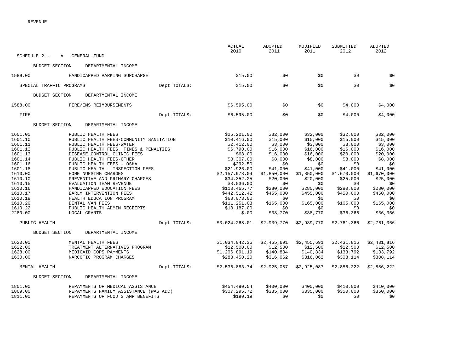| <b>ACTUAL</b><br>2010<br>SCHEDULE 2 -<br>A GENERAL FUND           | ADOPTED<br>MODIFIED<br>2011<br>2011 | SUBMITTED<br>2012 | ADOPTED<br>2012 |
|-------------------------------------------------------------------|-------------------------------------|-------------------|-----------------|
|                                                                   |                                     |                   |                 |
| BUDGET SECTION<br>DEPARTMENTAL INCOME                             |                                     |                   |                 |
| 1589.00<br>\$15.00<br>HANDICAPPED PARKING SURCHARGE               | \$0<br>\$0                          | \$0               | \$0             |
| SPECIAL TRAFFIC PROGRAMS<br>Dept TOTALS:<br>\$15.00               | \$0<br>\$0                          | \$0               | \$0             |
| BUDGET SECTION<br>DEPARTMENTAL INCOME                             |                                     |                   |                 |
| 1588.00<br>\$6,595.00<br>FIRE/EMS REIMBURSEMENTS                  | \$0<br>\$0                          | \$4,000           | \$4,000         |
| Dept TOTALS:<br>FIRE<br>\$6,595.00                                | \$0<br>\$0                          | \$4,000           | \$4,000         |
| <b>BUDGET SECTION</b><br>DEPARTMENTAL INCOME                      |                                     |                   |                 |
| 1601.00<br>\$25, 201.00<br>PUBLIC HEALTH FEES                     | \$32,000<br>\$32,000                | \$32,000          | \$32,000        |
| 1601.10<br>PUBLIC HEALTH FEES-COMMUNITY SANITATION<br>\$10,416.00 | \$15,000<br>\$15,000                | \$15,000          | \$15,000        |
| 1601.11<br>PUBLIC HEALTH FEES-WATER<br>\$2,412.00                 | \$3,000<br>\$3,000                  | \$3,000           | \$3,000         |
| 1601.12<br>\$6,790.00<br>PUBLIC HEALTH FEES, FINES & PENALTIES    | \$16,000<br>\$16,000                | \$16,000          | \$16,000        |
| 1601.13<br>DISEASE CONTROL CLINIC FEES<br>\$68.00                 | \$16,000<br>\$16,000                | \$20,000          | \$20,000        |
| 1601.14<br>PUBLIC HEALTH FEES-OTHER<br>\$8,307.00                 | \$8,000<br>\$8,000                  | \$8,000           | \$8,000         |
| PUBLIC HEALTH FEES - OSHA<br>1601.16<br>\$292.50                  | \$0<br>\$0                          | \$0               | \$0             |
| 1601.18<br>PUBLIC HEALTH - INSPECTION FEES<br>\$21,926.00         | \$41,000<br>\$41,000                | \$41,000          | \$41,000        |
| 1610.00<br>HOME NURSING CHARGES<br>\$2,157,978.04                 | \$1,850,000<br>\$1,850,000          | \$1,670,000       | \$1,670,000     |
| 1610.10<br>PREVENTIVE AND PRIMARY CHARGES<br>\$34,352.25          | \$20,000<br>\$20,000                | \$25,000          | \$25,000        |
| \$3,036.00<br>1610.15<br>EVALUATION TEAM REVENUE                  | \$0<br>\$0                          | \$0               | \$0             |
| 1610.16<br>HANDICAPPED EDUCATION FEES<br>\$113,465.77             | \$280,000<br>\$280,000              | \$280,000         | \$280,000       |
| 1610.17<br>EARLY INTERVENTION FEES<br>\$442,512.42                | \$455,000<br>\$455,000              | \$450,000         | \$450,000       |
| 1610.18<br>HEALTH EDUCATION PROGRAM<br>\$68,073.00                | \$0<br>\$0                          | \$0               | \$0             |
| 1610.20<br>DENTAL VAN FEES<br>\$111, 251.03<br>1610.22            | \$165,000<br>\$165,000              | \$165,000         | \$165,000       |
| PUBLIC HEALTH ADMIN RECEIPTS<br>\$18,187.00<br>2280.00<br>\$.00   | \$0<br>\$0<br>\$38,770              | \$0               | \$0<br>\$36,366 |
| LOCAL GRANTS                                                      | \$38,770                            | \$36,366          |                 |
| Dept TOTALS:<br>\$3,024,268.01<br>PUBLIC HEALTH                   | \$2,939,770<br>\$2,939,770          | \$2,761,366       | \$2,761,366     |
| DEPARTMENTAL INCOME<br><b>BUDGET SECTION</b>                      |                                     |                   |                 |
| 1620.00<br>\$1,034,042.35<br>MENTAL HEALTH FEES                   | \$2,455,691<br>\$2,455,691          | \$2,431,816       | \$2,431,816     |
| 1622.00<br>TREATMENT ALTERNATIVES PROGRAM<br>\$12,500.00          | \$12,500<br>\$12,500                | \$12,500          | \$12,500        |
| 1628.00<br>MEDICAID COPS PAYMENTS<br>\$1,206,891.19               | \$140,834<br>\$140,834              | \$133,792         | \$133,792       |
| 1630.00<br>NARCOTIC PROGRAM CHARGES<br>\$283,450.20               | \$316,062<br>\$316,062              | \$308,114         | \$308,114       |
| MENTAL HEALTH<br>Dept TOTALS:<br>\$2,536,883.74                   | \$2,925,087<br>\$2,925,087          | \$2,886,222       | \$2,886,222     |
| DEPARTMENTAL INCOME<br><b>BUDGET SECTION</b>                      |                                     |                   |                 |
| 1801.00<br>\$454,490.54<br>REPAYMENTS OF MEDICAL ASSISTANCE       | \$400,000<br>\$400,000              | \$410,000         | \$410,000       |
| 1809.00<br>\$307,295.72<br>REPAYMENTS FAMILY ASSISTANCE (WAS ADC) | \$335,000<br>\$335,000              | \$350,000         | \$350,000       |
| 1811.00<br>REPAYMENTS OF FOOD STAMP BENEFITS<br>\$190.19          | \$0<br>\$0                          | \$0               | \$0             |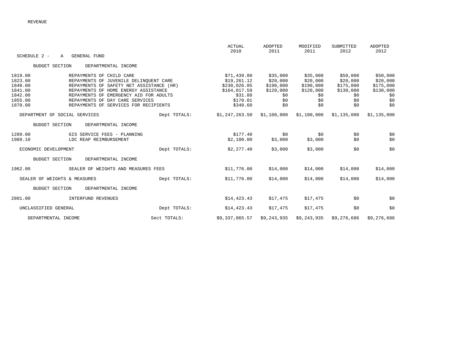|                      |                                              |              | <b>ACTUAL</b><br>2010 | <b>ADOPTED</b><br>2011 | MODIFIED<br>2011 | SUBMITTED<br>2012 | ADOPTED<br>2012 |
|----------------------|----------------------------------------------|--------------|-----------------------|------------------------|------------------|-------------------|-----------------|
| SCHEDULE 2 -         | GENERAL FUND<br>A                            |              |                       |                        |                  |                   |                 |
|                      | <b>BUDGET SECTION</b><br>DEPARTMENTAL INCOME |              |                       |                        |                  |                   |                 |
| 1819.00              | REPAYMENTS OF CHILD CARE                     |              | \$71,439.80           | \$35,000               | \$35,000         | \$50,000          | \$50,000        |
| 1823.00              | REPAYMENTS OF JUVENILE DELINQUENT CARE       |              | \$19, 261.12          | \$20,000               | \$20,000         | \$20,000          | \$20,000        |
| 1840.00              | REPAYMENTS OF SAFETY NET ASSISTANCE (HR)     |              | \$230,026.05          | \$190,000              | \$190,000        | \$175,000         | \$175,000       |
| 1841.00              | REPAYMENTS OF HOME ENERGY ASSISTANCE         |              | \$164,017.59          | \$120,000              | \$120,000        | \$130,000         | \$130,000       |
| 1842.00              | REPAYMENTS OF EMERGENCY AID FOR ADULTS       |              | \$31.88               | \$0                    | \$0              | \$0               | \$0             |
| 1855.00              | REPAYMENTS OF DAY CARE SERVICES              |              | \$170.01              | \$0                    | \$0              | \$0               | \$0             |
| 1870.00              | REPAYMENTS OF SERVICES FOR RECIPIENTS        |              | \$340.60              | \$0                    | \$0              | \$0               | \$0             |
|                      | DEPARTMENT OF SOCIAL SERVICES                | Dept TOTALS: | \$1,247,263.50        | \$1,100,000            | \$1,100,000      | \$1,135,000       | \$1,135,000     |
|                      | <b>BUDGET SECTION</b><br>DEPARTMENTAL INCOME |              |                       |                        |                  |                   |                 |
| 1289.00              | GIS SERVICE FEES - PLANNING                  |              | \$177.40              | \$0                    | \$0              | \$0               | \$0             |
| 1989.10              | LDC REAP REIMBURSEMENT                       |              | \$2,100.00            | \$3,000                | \$3,000          | \$0               | \$0             |
| ECONOMIC DEVELOPMENT |                                              | Dept TOTALS: | \$2,277.40            | \$3,000                | \$3,000          | \$0               | \$0             |
|                      | <b>BUDGET SECTION</b><br>DEPARTMENTAL INCOME |              |                       |                        |                  |                   |                 |
| 1962.00              | SEALER OF WEIGHTS AND MEASURES FEES          |              | \$11,776.00           | \$14,000               | \$14,000         | \$14,000          | \$14,000        |
|                      | SEALER OF WEIGHTS & MEASURES                 | Dept TOTALS: | \$11,776.00           | \$14,000               | \$14,000         | \$14,000          | \$14,000        |
|                      | <b>BUDGET SECTION</b><br>DEPARTMENTAL INCOME |              |                       |                        |                  |                   |                 |
| 2801.00              | <b>INTERFUND REVENUES</b>                    |              | \$14,423.43           | \$17,475               | \$17,475         | \$0               | \$0             |
| UNCLASSIFIED GENERAL |                                              | Dept TOTALS: | \$14,423.43           | \$17,475               | \$17,475         | \$0               | \$0             |
|                      | DEPARTMENTAL INCOME                          | Sect TOTALS: | \$9,337,065.57        | \$9,243,935            | \$9,243,935      | \$9,276,686       | \$9,276,686     |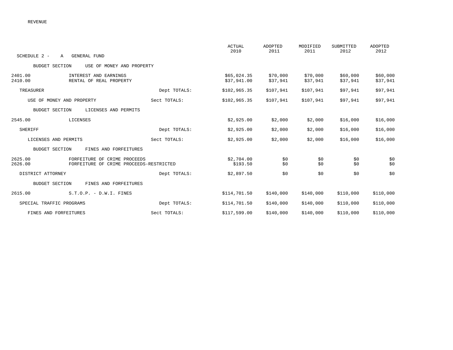|                                                                                               |              | <b>ACTUAL</b><br>2010      | ADOPTED<br>2011      | MODIFIED<br>2011     | SUBMITTED<br>2012    | ADOPTED<br>2012      |
|-----------------------------------------------------------------------------------------------|--------------|----------------------------|----------------------|----------------------|----------------------|----------------------|
| SCHEDULE 2 -<br>GENERAL FUND<br>$\mathbb{A}$                                                  |              |                            |                      |                      |                      |                      |
| <b>BUDGET SECTION</b><br>USE OF MONEY AND PROPERTY                                            |              |                            |                      |                      |                      |                      |
| 2401.00<br>INTEREST AND EARNINGS<br>2410.00<br>RENTAL OF REAL PROPERTY                        |              | \$65,024.35<br>\$37,941.00 | \$70,000<br>\$37,941 | \$70,000<br>\$37,941 | \$60,000<br>\$37,941 | \$60,000<br>\$37,941 |
| TREASURER                                                                                     | Dept TOTALS: | \$102, 965.35              | \$107,941            | \$107,941            | \$97,941             | \$97,941             |
| USE OF MONEY AND PROPERTY                                                                     | Sect TOTALS: | \$102, 965.35              | \$107,941            | \$107,941            | \$97,941             | \$97,941             |
| <b>BUDGET SECTION</b><br>LICENSES AND PERMITS                                                 |              |                            |                      |                      |                      |                      |
| 2545.00<br>LICENSES                                                                           |              | \$2,925.00                 | \$2,000              | \$2,000              | \$16,000             | \$16,000             |
| SHERIFF                                                                                       | Dept TOTALS: | \$2,925.00                 | \$2,000              | \$2,000              | \$16,000             | \$16,000             |
| LICENSES AND PERMITS                                                                          | Sect TOTALS: | \$2,925.00                 | \$2,000              | \$2,000              | \$16,000             | \$16,000             |
| <b>BUDGET SECTION</b><br>FINES AND FORFEITURES                                                |              |                            |                      |                      |                      |                      |
| 2625.00<br>FORFEITURE OF CRIME PROCEEDS<br>2626.00<br>FORFEITURE OF CRIME PROCEEDS-RESTRICTED |              | \$2,704.00<br>\$193.50     | \$0<br>\$0           | \$0<br>\$0           | \$0<br>\$0           | \$0<br>\$0           |
| DISTRICT ATTORNEY                                                                             | Dept TOTALS: | \$2,897.50                 | \$0                  | \$0                  | \$0                  | \$0                  |
| <b>BUDGET SECTION</b><br>FINES AND FORFEITURES                                                |              |                            |                      |                      |                      |                      |
| $S.T.O.P. - D.W.I. FINES$<br>2615.00                                                          |              | \$114,701.50               | \$140,000            | \$140,000            | \$110,000            | \$110,000            |
| SPECIAL TRAFFIC PROGRAMS                                                                      | Dept TOTALS: | \$114,701.50               | \$140,000            | \$140,000            | \$110,000            | \$110,000            |
| FINES AND FORFEITURES                                                                         | Sect TOTALS: | \$117,599.00               | \$140,000            | \$140,000            | \$110,000            | \$110,000            |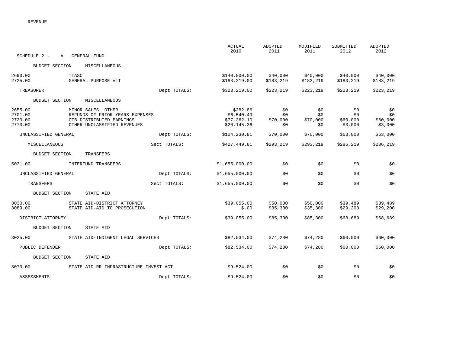|                                          |                                                                                                                  |              | <b>ACTUAL</b><br>2010                                 | <b>ADOPTED</b><br>2011        | MODIFIED<br>2011              | SUBMITTED<br>2012                 | ADOPTED<br>2012                   |
|------------------------------------------|------------------------------------------------------------------------------------------------------------------|--------------|-------------------------------------------------------|-------------------------------|-------------------------------|-----------------------------------|-----------------------------------|
| SCHEDULE 2 -                             | <b>GENERAL FUND</b><br>Α                                                                                         |              |                                                       |                               |                               |                                   |                                   |
| <b>BUDGET SECTION</b>                    | MISCELLANEOUS                                                                                                    |              |                                                       |                               |                               |                                   |                                   |
| 2690.00<br>2725.00                       | TTASC<br>GENERAL PURPOSE VLT                                                                                     |              | \$140,000.00<br>\$183,219.00                          | \$40,000<br>\$183,219         | \$40,000<br>\$183, 219        | \$40,000<br>\$183,219             | \$40,000<br>\$183,219             |
| TREASURER                                |                                                                                                                  | Dept TOTALS: | \$323,219.00                                          | \$223,219                     | \$223,219                     | \$223, 219                        | \$223,219                         |
| <b>BUDGET SECTION</b>                    | MISCELLANEOUS                                                                                                    |              |                                                       |                               |                               |                                   |                                   |
| 2655.00<br>2701.00<br>2720.00<br>2770.00 | MINOR SALES, OTHER<br>REFUNDS OF PRIOR YEARS EXPENSES<br>OTB-DISTRIBUTED EARNINGS<br>OTHER UNCLASSIFIED REVENUES |              | \$282.86<br>\$6,540.49<br>\$77,262.10<br>\$20, 145.36 | \$0<br>\$0<br>\$70,000<br>\$0 | \$0<br>\$0<br>\$70,000<br>\$0 | \$0<br>\$0<br>\$60,000<br>\$3,000 | \$0<br>\$0<br>\$60,000<br>\$3,000 |
| UNCLASSIFIED GENERAL                     |                                                                                                                  | Dept TOTALS: | \$104,230.81                                          | \$70,000                      | \$70,000                      | \$63,000                          | \$63,000                          |
| MISCELLANEOUS                            |                                                                                                                  | Sect TOTALS: | \$427,449.81                                          | \$293,219                     | \$293, 219                    | \$286,219                         | \$286,219                         |
| <b>BUDGET SECTION</b>                    | TRANSFERS                                                                                                        |              |                                                       |                               |                               |                                   |                                   |
| 5031.00                                  | INTERFUND TRANSFERS                                                                                              |              | \$1,655,000.00                                        | \$0                           | \$0                           | \$0                               | \$0                               |
| UNCLASSIFIED GENERAL                     |                                                                                                                  | Dept TOTALS: | \$1,655,000.00                                        | \$0                           | \$0                           | \$0                               | \$0                               |
| TRANSFERS                                |                                                                                                                  | Sect TOTALS: | \$1,655,000.00                                        | \$0                           | \$0                           | \$0                               | \$0                               |
| <b>BUDGET SECTION</b>                    | STATE AID                                                                                                        |              |                                                       |                               |                               |                                   |                                   |
| 3030.00<br>3089.00                       | STATE AID-DISTRICT ATTORNEY<br>STATE AID-AID TO PROSECUTION                                                      |              | \$39,055.00<br>\$.00                                  | \$50,000<br>\$35,300          | \$50,000<br>\$35,300          | \$39,489<br>\$29,200              | \$39,489<br>\$29,200              |
| DISTRICT ATTORNEY                        |                                                                                                                  | Dept TOTALS: | \$39,055.00                                           | \$85,300                      | \$85,300                      | \$68,689                          | \$68,689                          |
| <b>BUDGET SECTION</b>                    | STATE AID                                                                                                        |              |                                                       |                               |                               |                                   |                                   |
| 3025.00                                  | STATE AID-INDIGENT LEGAL SERVICES                                                                                |              | \$82,534.00                                           | \$74,280                      | \$74,280                      | \$60,000                          | \$60,000                          |
| PUBLIC DEFENDER                          |                                                                                                                  | Dept TOTALS: | \$82,534.00                                           | \$74,280                      | \$74,280                      | \$60,000                          | \$60,000                          |
| <b>BUDGET SECTION</b>                    | STATE AID                                                                                                        |              |                                                       |                               |                               |                                   |                                   |
| 3070.00                                  | STATE AID-RR INFRASTRUCTURE INVEST ACT                                                                           |              | \$9,524.00                                            | \$0                           | \$0                           | \$0                               | \$0                               |
| <b>ASSESSMENTS</b>                       |                                                                                                                  | Dept TOTALS: | \$9,524.00                                            | \$0                           | \$0                           | \$0                               | \$0                               |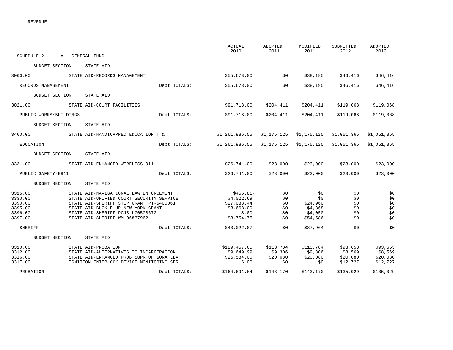| SCHEDULE 2 -                                                   | A GENERAL FUND |                                                                                                                                                                                                                                          |              | ACTUAL<br>2010                                                               | ADOPTED<br>2011                         | MODIFIED<br>2011                                         | SUBMITTED<br>2012                           | ADOPTED<br>2012                             |
|----------------------------------------------------------------|----------------|------------------------------------------------------------------------------------------------------------------------------------------------------------------------------------------------------------------------------------------|--------------|------------------------------------------------------------------------------|-----------------------------------------|----------------------------------------------------------|---------------------------------------------|---------------------------------------------|
| <b>BUDGET SECTION</b>                                          |                | STATE AID                                                                                                                                                                                                                                |              |                                                                              |                                         |                                                          |                                             |                                             |
| 3060.00                                                        |                | STATE AID-RECORDS MANAGEMENT                                                                                                                                                                                                             |              | \$55,678.00                                                                  | \$0                                     | \$38,195                                                 | \$46,416                                    | \$46,416                                    |
| RECORDS MANAGEMENT                                             |                |                                                                                                                                                                                                                                          | Dept TOTALS: | \$55,678.00                                                                  | \$0                                     | \$38,195                                                 | \$46,416                                    | \$46,416                                    |
| <b>BUDGET SECTION</b>                                          |                | STATE AID                                                                                                                                                                                                                                |              |                                                                              |                                         |                                                          |                                             |                                             |
| 3021.00                                                        |                | STATE AID-COURT FACILITIES                                                                                                                                                                                                               |              | \$91,718.00                                                                  | \$204,411                               | \$204,411                                                | \$119,068                                   | \$119,068                                   |
| PUBLIC WORKS/BUILDINGS                                         |                |                                                                                                                                                                                                                                          | Dept TOTALS: | \$91,718.00                                                                  | \$204,411                               | \$204,411                                                | \$119,068                                   | \$119,068                                   |
| <b>BUDGET SECTION</b>                                          |                | STATE AID                                                                                                                                                                                                                                |              |                                                                              |                                         |                                                          |                                             |                                             |
| 3460.00                                                        |                | STATE AID-HANDICAPPED EDUCATION T & T                                                                                                                                                                                                    |              | \$1,261,986.55                                                               | \$1,175,125                             | \$1,175,125                                              | \$1,051,365                                 | \$1,051,365                                 |
| EDUCATION                                                      |                |                                                                                                                                                                                                                                          | Dept TOTALS: | \$1,261,986.55                                                               | \$1,175,125                             | \$1,175,125                                              | \$1,051,365                                 | \$1,051,365                                 |
| BUDGET SECTION                                                 |                | STATE AID                                                                                                                                                                                                                                |              |                                                                              |                                         |                                                          |                                             |                                             |
| 3331.00                                                        |                | STATE AID-ENHANCED WIRELESS 911                                                                                                                                                                                                          |              | \$26,741.00                                                                  | \$23,000                                | \$23,000                                                 | \$23,000                                    | \$23,000                                    |
| PUBLIC SAFETY/E911                                             |                |                                                                                                                                                                                                                                          | Dept TOTALS: | \$26,741.00                                                                  | \$23,000                                | \$23,000                                                 | \$23,000                                    | \$23,000                                    |
| BUDGET SECTION                                                 |                | STATE AID                                                                                                                                                                                                                                |              |                                                                              |                                         |                                                          |                                             |                                             |
| 3315.00<br>3330.00<br>3390.00<br>3395.00<br>3396.00<br>3397.00 |                | STATE AID-NAVIGATIONAL LAW ENFORCEMENT<br>STATE AID-UNIFIED COURT SECURITY SERVICE<br>STATE AID-SHERIFF STEP GRANT PT-5400061<br>STATE AID-BUCKLE UP NEW YORK GRANT<br>STATE AID-SHERIFF DCJS LG0508672<br>STATE AID-SHERIFF WM 06837962 |              | $$456.81-$<br>\$4,022.69<br>\$27,033.44<br>\$3,668.00<br>\$.00<br>\$8,754.75 | \$0<br>\$0<br>\$0<br>\$0<br>\$0<br>\$0  | \$0<br>\$0<br>\$24,960<br>\$4,368<br>\$4,050<br>\$54,586 | \$0<br>\$0<br>\$0<br>\$0<br>\$0<br>\$0      | \$0<br>\$0<br>\$0<br>\$0<br>\$0<br>\$0      |
| SHERIFF                                                        |                |                                                                                                                                                                                                                                          | Dept TOTALS: | \$43,022.07                                                                  | \$0                                     | \$87,964                                                 | \$0                                         | \$0                                         |
| BUDGET SECTION                                                 |                | STATE AID                                                                                                                                                                                                                                |              |                                                                              |                                         |                                                          |                                             |                                             |
| 3310.00<br>3312.00<br>3316.00<br>3317.00                       |                | STATE AID-PROBATION<br>STATE AID-ALTERNATIVES TO INCARCERATION<br>STATE AID-ENHANCED PROB SUPR OF SORA LEV<br>IGNITION INTERLOCK DEVICE MONITORING SER                                                                                   |              | \$129,457.65<br>\$9,649.99<br>\$25,584.00<br>\$.00                           | \$113,784<br>\$9,306<br>\$20,080<br>\$0 | \$113,784<br>\$9,306<br>\$20,080<br>\$0                  | \$93,653<br>\$8,569<br>\$20,080<br>\$12,727 | \$93,653<br>\$8,569<br>\$20,080<br>\$12,727 |
| PROBATION                                                      |                |                                                                                                                                                                                                                                          | Dept TOTALS: | \$164,691.64                                                                 | \$143,170                               | \$143,170                                                | \$135,029                                   | \$135,029                                   |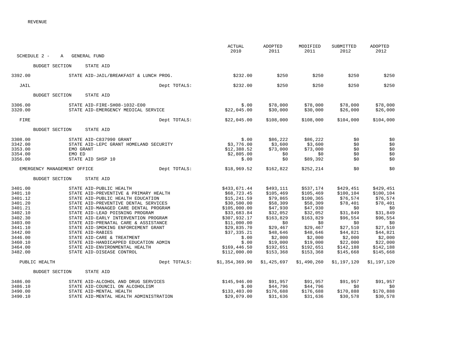|                                                                                                                                                        | SCHEDULE 2 -<br>A           | GENERAL FUND                                                                                                                                                                                                                                                                                                                                                                                                                                                                                                               | <b>ACTUAL</b><br>2010                                                                                                                                                                                                       | ADOPTED<br>2011                                                                                                                                                                    | MODIFIED<br>2011                                                                                                                                                                     | SUBMITTED<br>2012                                                                                                                                                             | ADOPTED<br>2012                                                                                                                                                               |
|--------------------------------------------------------------------------------------------------------------------------------------------------------|-----------------------------|----------------------------------------------------------------------------------------------------------------------------------------------------------------------------------------------------------------------------------------------------------------------------------------------------------------------------------------------------------------------------------------------------------------------------------------------------------------------------------------------------------------------------|-----------------------------------------------------------------------------------------------------------------------------------------------------------------------------------------------------------------------------|------------------------------------------------------------------------------------------------------------------------------------------------------------------------------------|--------------------------------------------------------------------------------------------------------------------------------------------------------------------------------------|-------------------------------------------------------------------------------------------------------------------------------------------------------------------------------|-------------------------------------------------------------------------------------------------------------------------------------------------------------------------------|
|                                                                                                                                                        |                             |                                                                                                                                                                                                                                                                                                                                                                                                                                                                                                                            |                                                                                                                                                                                                                             |                                                                                                                                                                                    |                                                                                                                                                                                      |                                                                                                                                                                               |                                                                                                                                                                               |
|                                                                                                                                                        | <b>BUDGET SECTION</b>       | STATE AID                                                                                                                                                                                                                                                                                                                                                                                                                                                                                                                  |                                                                                                                                                                                                                             |                                                                                                                                                                                    |                                                                                                                                                                                      |                                                                                                                                                                               |                                                                                                                                                                               |
| 3392.00                                                                                                                                                |                             | STATE AID-JAIL/BREAKFAST & LUNCH PROG.                                                                                                                                                                                                                                                                                                                                                                                                                                                                                     | \$232.00                                                                                                                                                                                                                    | \$250                                                                                                                                                                              | \$250                                                                                                                                                                                | \$250                                                                                                                                                                         | \$250                                                                                                                                                                         |
| JAIL                                                                                                                                                   |                             | Dept TOTALS:                                                                                                                                                                                                                                                                                                                                                                                                                                                                                                               | \$232.00                                                                                                                                                                                                                    | \$250                                                                                                                                                                              | \$250                                                                                                                                                                                | \$250                                                                                                                                                                         | \$250                                                                                                                                                                         |
|                                                                                                                                                        | <b>BUDGET SECTION</b>       | STATE AID                                                                                                                                                                                                                                                                                                                                                                                                                                                                                                                  |                                                                                                                                                                                                                             |                                                                                                                                                                                    |                                                                                                                                                                                      |                                                                                                                                                                               |                                                                                                                                                                               |
| 3306.00                                                                                                                                                |                             | STATE AID-FIRE-SH08-1032-E00                                                                                                                                                                                                                                                                                                                                                                                                                                                                                               | \$.00                                                                                                                                                                                                                       | \$78,000                                                                                                                                                                           | \$78,000                                                                                                                                                                             | \$78,000                                                                                                                                                                      | \$78,000                                                                                                                                                                      |
| 3320.00                                                                                                                                                |                             | STATE AID-EMERGENCY MEDICAL SERVICE                                                                                                                                                                                                                                                                                                                                                                                                                                                                                        | \$22,045.00                                                                                                                                                                                                                 | \$30,000                                                                                                                                                                           | \$30,000                                                                                                                                                                             | \$26,000                                                                                                                                                                      | \$26,000                                                                                                                                                                      |
| FIRE                                                                                                                                                   |                             | Dept TOTALS:                                                                                                                                                                                                                                                                                                                                                                                                                                                                                                               | \$22,045.00                                                                                                                                                                                                                 | \$108,000                                                                                                                                                                          | \$108,000                                                                                                                                                                            | \$104,000                                                                                                                                                                     | \$104,000                                                                                                                                                                     |
|                                                                                                                                                        | <b>BUDGET SECTION</b>       | STATE AID                                                                                                                                                                                                                                                                                                                                                                                                                                                                                                                  |                                                                                                                                                                                                                             |                                                                                                                                                                                    |                                                                                                                                                                                      |                                                                                                                                                                               |                                                                                                                                                                               |
| 3308.00<br>3342.00<br>3353.00<br>3354.00<br>3356.00                                                                                                    | EMO ED                      | STATE AID-C837990 GRANT<br>STATE AID-LEPC GRANT HOMELAND SECURITY<br>EMO GRANT<br>STATE AID SHSP 10                                                                                                                                                                                                                                                                                                                                                                                                                        | \$.00<br>\$3,776.00<br>\$12,388.52<br>\$2,805.00<br>\$.00                                                                                                                                                                   | \$86,222<br>\$3,600<br>\$73,000<br>\$0<br>\$0                                                                                                                                      | \$86,222<br>\$3,600<br>\$73,000<br>\$0<br>\$89,392                                                                                                                                   | \$0<br>\$0<br>\$0<br>\$0<br>\$0                                                                                                                                               | \$0<br>\$0<br>\$0<br>\$0<br>\$0                                                                                                                                               |
|                                                                                                                                                        | EMERGENCY MANAGEMENT OFFICE | Dept TOTALS:                                                                                                                                                                                                                                                                                                                                                                                                                                                                                                               | \$18,969.52                                                                                                                                                                                                                 | \$162,822                                                                                                                                                                          | \$252,214                                                                                                                                                                            | \$0                                                                                                                                                                           | \$0                                                                                                                                                                           |
|                                                                                                                                                        | <b>BUDGET SECTION</b>       | STATE AID                                                                                                                                                                                                                                                                                                                                                                                                                                                                                                                  |                                                                                                                                                                                                                             |                                                                                                                                                                                    |                                                                                                                                                                                      |                                                                                                                                                                               |                                                                                                                                                                               |
| 3401.00<br>3401.10<br>3401.12<br>3401.20<br>3401.21<br>3402.10<br>3402.30<br>3403.00<br>3441.10<br>3442.00<br>3446.00<br>3460.10<br>3464.00<br>3482.00 | PUBLIC HEALTH               | STATE AID-PUBLIC HEALTH<br>STATE AID-PREVENTIVE & PRIMARY HEALTH<br>STATE AID-PUBLIC HEALTH EDUCATION<br>STATE AID-PREVENTIVE DENTAL SERVICES<br>STATE AID-MANAGED CARE DENTAL PROGRAM<br>STATE AID-LEAD POISNING PROGRAM<br>STATE AID-EARLY INTERVENTION PROGRAM<br>STATE AID-PRENATAL CARE & ASSISTANCE<br>STATE AID-SMOKING ENFORCEMENT GRANT<br>STATE AID-RABIES<br>STATE AID-CARE & TREATMENT<br>STATE AID-HANDICAPPED EDUCATION ADMIN<br>STATE AID-ENVIRONMENTAL HEALTH<br>STATE AID-DISEASE CONTROL<br>Dept TOTALS: | \$433,671.44<br>\$68,723.45<br>\$15, 241.59<br>\$30,500.00<br>\$105,000.00<br>\$33,683.84<br>\$307,932.17<br>\$11,000.00<br>\$29,835.70<br>\$37,335.21<br>\$.00<br>\$.00<br>\$169, 446.50<br>\$112,000.00<br>\$1,354,369.90 | \$493,111<br>\$105,469<br>\$79,865<br>\$58,309<br>\$47,930<br>\$32,052<br>\$163,829<br>\$0<br>\$29,467<br>\$48,646<br>\$2,000<br>\$19,000<br>\$192,651<br>\$153,368<br>\$1,425,697 | \$537,174<br>\$105,469<br>\$100, 365<br>\$58,309<br>\$47,930<br>\$32,052<br>\$163,829<br>\$0<br>\$29,467<br>\$48,646<br>\$2,000<br>\$19,000<br>\$192,651<br>\$153,368<br>\$1,490,260 | \$429,451<br>\$100, 104<br>\$76,574<br>\$78,401<br>\$0<br>\$31,849<br>\$96,554<br>\$0<br>\$27,510<br>\$44,821<br>\$2,000<br>\$22,000<br>\$142,188<br>\$145,668<br>\$1,197,120 | \$429,451<br>\$100, 104<br>\$76,574<br>\$78,401<br>\$0<br>\$31,849<br>\$96,554<br>\$0<br>\$27,510<br>\$44,821<br>\$2,000<br>\$22,000<br>\$142,188<br>\$145,668<br>\$1,197,120 |
|                                                                                                                                                        | <b>BUDGET SECTION</b>       | STATE AID                                                                                                                                                                                                                                                                                                                                                                                                                                                                                                                  |                                                                                                                                                                                                                             |                                                                                                                                                                                    |                                                                                                                                                                                      |                                                                                                                                                                               |                                                                                                                                                                               |
| 3486.00<br>3486.10<br>3490.00<br>3490.10                                                                                                               |                             | STATE AID-ALCOHOL AND DRUG SERVICES<br>STATE AID-COUNCIL ON ALCOHOLISM<br>STATE AID-MENTAL HEALTH<br>STATE AID-MENTAL HEALTH ADMINISTRATION                                                                                                                                                                                                                                                                                                                                                                                | \$145,946.00<br>\$.00<br>\$133,403.00<br>\$29,079.00                                                                                                                                                                        | \$91,957<br>\$44,796<br>\$176,688<br>\$31,636                                                                                                                                      | \$91,957<br>\$44,796<br>\$176,688<br>\$31,636                                                                                                                                        | \$91,957<br>\$0<br>\$170,888<br>\$30,578                                                                                                                                      | \$91,957<br>\$0<br>\$170,888<br>\$30,578                                                                                                                                      |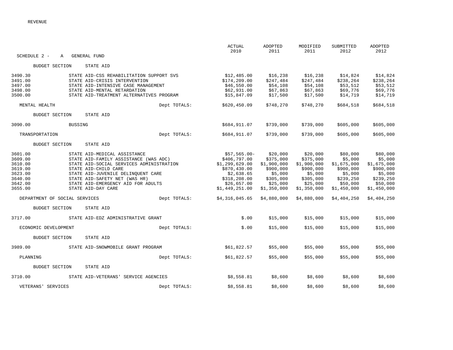| SCHEDULE 2 -                  | A              | GENERAL FUND                             |              | ACTUAL<br>2010 | ADOPTED<br>2011 | MODIFIED<br>2011 | SUBMITTED<br>2012 | ADOPTED<br>2012 |
|-------------------------------|----------------|------------------------------------------|--------------|----------------|-----------------|------------------|-------------------|-----------------|
| BUDGET SECTION                |                | STATE AID                                |              |                |                 |                  |                   |                 |
| 3490.30                       |                | STATE AID-CSS REHABILITATION SUPPORT SVS |              | \$12,485.00    | \$16,238        | \$16,238         | \$14,824          | \$14,824        |
| 3491.00                       |                | STATE AID-CRISIS INTERVENTION            |              | \$174, 209.00  | \$247,484       | \$247,484        | \$238,264         | \$238,264       |
| 3497.00                       |                | STATE AID-INTENSIVE CASE MANAGEMENT      |              | \$46,550.00    | \$54,108        | \$54,108         | \$53,512          | \$53,512        |
| 3498.00                       |                | STATE AID-MENTAL RETARDATION             |              | \$62,931.00    | \$67,863        | \$67,863         | \$69,776          | \$69,776        |
| 3500.00                       |                | STATE AID-TREATMENT ALTERNATIVES PROGRAM |              | \$15,847.09    | \$17,500        | \$17,500         | \$14,719          | \$14,719        |
| MENTAL HEALTH                 |                |                                          | Dept TOTALS: | \$620,450.09   | \$748,270       | \$748,270        | \$684,518         | \$684,518       |
| BUDGET SECTION                |                | STATE AID                                |              |                |                 |                  |                   |                 |
| 3090.00                       | <b>BUSSING</b> |                                          |              | \$684,911.07   | \$739,000       | \$739,000        | \$605,000         | \$605,000       |
| TRANSPORTATION                |                |                                          | Dept TOTALS: | \$684,911.07   | \$739,000       | \$739,000        | \$605,000         | \$605,000       |
| <b>BUDGET SECTION</b>         |                | STATE AID                                |              |                |                 |                  |                   |                 |
| 3601.00                       |                | STATE AID-MEDICAL ASSISTANCE             |              | $$57,565.00-$  | \$20,000        | \$20,000         | \$80,000          | \$80,000        |
| 3609.00                       |                | STATE AID-FAMILY ASSISTANCE (WAS ADC)    |              | \$406,797.00   | \$375,000       | \$375,000        | \$5,000           | \$5,000         |
| 3610.00                       |                | STATE AID-SOCIAL SERVICES ADMINISTRATION |              | \$1,299,629.00 | \$1,900,000     | \$1,900,000      | \$1,675,000       | \$1,675,000     |
| 3619.00                       |                | STATE AID-CHILD CARE                     |              | \$870,430.00   | \$900,000       | \$900,000        | \$900,000         | \$900,000       |
| 3623.00                       |                | STATE AID-JUVENILE DELINQUENT CARE       |              | \$2,638.65     | \$5,000         | \$5,000          | \$5,000           | \$5,000         |
| 3640.00                       |                | STATE AID-SAFETY NET (WAS HR)            |              | \$318,208.00   | \$305,000       | \$305,000        | \$239,250         | \$239,250       |
| 3642.00                       |                | STATE AID-EMERGENCY AID FOR ADULTS       |              | \$26,657.00    | \$25,000        | \$25,000         | \$50,000          | \$50,000        |
| 3655.00                       |                | STATE AID-DAY CARE                       |              | \$1,449,251.00 | \$1,350,000     | \$1,350,000      | \$1,450,000       | \$1,450,000     |
| DEPARTMENT OF SOCIAL SERVICES |                |                                          | Dept TOTALS: | \$4,316,045.65 | \$4,880,000     | \$4,880,000      | \$4,404,250       | \$4,404,250     |
| BUDGET SECTION                |                | STATE AID                                |              |                |                 |                  |                   |                 |
| 3717.00                       |                | STATE AID-EDZ ADMINISTRATIVE GRANT       |              | \$.00          | \$15,000        | \$15,000         | \$15,000          | \$15,000        |
| ECONOMIC DEVELOPMENT          |                |                                          | Dept TOTALS: | \$.00          | \$15,000        | \$15,000         | \$15,000          | \$15,000        |
| <b>BUDGET SECTION</b>         |                | STATE AID                                |              |                |                 |                  |                   |                 |
| 3989.00                       |                | STATE AID-SNOWMOBILE GRANT PROGRAM       |              | \$61,822.57    | \$55,000        | \$55,000         | \$55,000          | \$55,000        |
| PLANNING                      |                |                                          | Dept TOTALS: | \$61,822.57    | \$55,000        | \$55,000         | \$55,000          | \$55,000        |
| <b>BUDGET SECTION</b>         |                | STATE AID                                |              |                |                 |                  |                   |                 |
| 3710.00                       |                | STATE AID-VETERANS' SERVICE AGENCIES     |              | \$8,558.81     | \$8,600         | \$8,600          | \$8,600           | \$8,600         |
| VETERANS' SERVICES            |                |                                          | Dept TOTALS: | \$8,558.81     | \$8,600         | \$8,600          | \$8,600           | \$8,600         |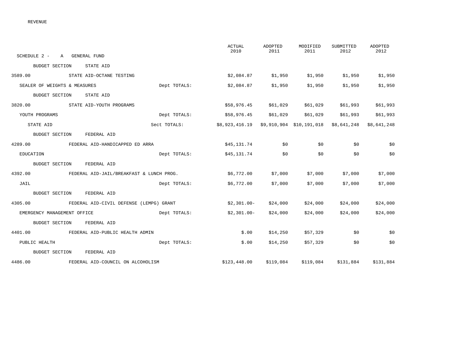| SCHEDULE 2 -<br>A GENERAL FUND                     |              | ACTUAL<br>2010                                      | ADOPTED<br>2011 | MODIFIED<br>2011 | SUBMITTED<br>2012 | ADOPTED<br>2012 |
|----------------------------------------------------|--------------|-----------------------------------------------------|-----------------|------------------|-------------------|-----------------|
| <b>BUDGET SECTION</b><br>STATE AID                 |              |                                                     |                 |                  |                   |                 |
| 3589.00<br>STATE AID-OCTANE TESTING                |              | \$2,084.87                                          | \$1,950         | \$1,950          | \$1,950           | \$1,950         |
| SEALER OF WEIGHTS & MEASURES                       | Dept TOTALS: | \$2,084.87                                          | \$1,950         | \$1,950          | \$1,950           | \$1,950         |
| <b>BUDGET SECTION</b><br>STATE AID                 |              |                                                     |                 |                  |                   |                 |
| 3820.00<br>STATE AID-YOUTH PROGRAMS                |              | \$58,976.45                                         | \$61,029        | \$61,029         | \$61,993          | \$61,993        |
| YOUTH PROGRAMS                                     | Dept TOTALS: | \$58,976.45                                         | \$61,029        | \$61,029         | \$61,993          | \$61,993        |
| STATE AID                                          | Sect TOTALS: | \$8,923,416.19 \$9,910,904 \$10,191,018 \$8,641,248 |                 |                  |                   | \$8,641,248     |
| BUDGET SECTION<br>FEDERAL AID                      |              |                                                     |                 |                  |                   |                 |
| 4289.00 FEDERAL AID-HANDICAPPED ED ARRA            |              | \$45,131.74                                         | \$0             | \$0              | \$0               | \$0             |
| EDUCATION                                          | Dept TOTALS: | \$45,131.74                                         | \$0             | \$0              | \$0               | \$0             |
| BUDGET SECTION<br>FEDERAL AID                      |              |                                                     |                 |                  |                   |                 |
| 4392.00 FEDERAL AID-JAIL/BREAKFAST & LUNCH PROG.   |              | \$6,772.00                                          | \$7,000         | \$7,000          | \$7,000           | \$7,000         |
| JAIL                                               | Dept TOTALS: | \$6,772.00                                          | \$7,000         | \$7,000          | \$7,000           | \$7,000         |
| <b>BUDGET SECTION</b><br>FEDERAL AID               |              |                                                     |                 |                  |                   |                 |
| 4305.00<br>FEDERAL AID-CIVIL DEFENSE (LEMPG) GRANT |              | $$2,301.00-$                                        | \$24,000        | \$24,000         | \$24,000          | \$24,000        |
| EMERGENCY MANAGEMENT OFFICE                        | Dept TOTALS: | $$2,301.00-$                                        | \$24,000        | \$24,000         | \$24,000          | \$24,000        |
| BUDGET SECTION<br>FEDERAL AID                      |              |                                                     |                 |                  |                   |                 |
| 4401.00 FEDERAL AID-PUBLIC HEALTH ADMIN            |              | \$.00                                               | \$14,250        | \$57,329         | \$0               | \$0             |
| PUBLIC HEALTH                                      | Dept TOTALS: | \$.00                                               | \$14,250        | \$57,329         | \$0               | \$0             |
| BUDGET SECTION<br>FEDERAL AID                      |              |                                                     |                 |                  |                   |                 |
| 4486.00<br>FEDERAL AID-COUNCIL ON ALCOHOLISM       |              | \$123,448.00                                        | \$119,084       | \$119,084        | \$131,884         | \$131,884       |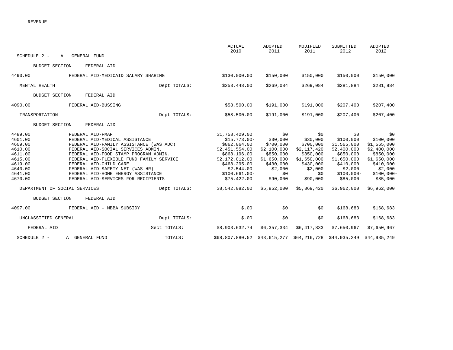|                               |                                                                       |              | <b>ACTUAL</b><br>2010 | ADOPTED<br>2011 | MODIFIED<br>2011          | SUBMITTED<br>2012 | <b>ADOPTED</b><br>2012 |
|-------------------------------|-----------------------------------------------------------------------|--------------|-----------------------|-----------------|---------------------------|-------------------|------------------------|
| SCHEDULE 2 -                  | <b>GENERAL FUND</b><br>A                                              |              |                       |                 |                           |                   |                        |
| <b>BUDGET SECTION</b>         | FEDERAL AID                                                           |              |                       |                 |                           |                   |                        |
| 4490.00                       | FEDERAL AID-MEDICAID SALARY SHARING                                   |              | \$130,000.00          | \$150,000       | \$150,000                 | \$150,000         | \$150,000              |
| MENTAL HEALTH                 |                                                                       | Dept TOTALS: | \$253,448.00          | \$269,084       | \$269,084                 | \$281,884         | \$281,884              |
| <b>BUDGET SECTION</b>         | FEDERAL AID                                                           |              |                       |                 |                           |                   |                        |
| 4090.00                       | FEDERAL AID-BUSSING                                                   |              | \$58,500.00           | \$191,000       | \$191,000                 | \$207,400         | \$207,400              |
| TRANSPORTATION                |                                                                       | Dept TOTALS: | \$58,500.00           | \$191,000       | \$191,000                 | \$207,400         | \$207,400              |
| <b>BUDGET SECTION</b>         | FEDERAL AID                                                           |              |                       |                 |                           |                   |                        |
| 4489.00                       | FEDERAL AID-FMAP                                                      |              | \$1,758,429.00        | \$0             | \$0                       | \$0               | \$0                    |
| 4601.00                       | FEDERAL AID-MEDICAL ASSISTANCE                                        |              | $$15,773.00-$         | \$30,000        | \$30,000                  | \$100,000         | \$100,000              |
| 4609.00                       | FEDERAL AID-FAMILY ASSISTANCE (WAS ADC)                               |              | \$862,064.00          | \$700,000       | \$700,000                 | \$1,565,000       | \$1,565,000            |
| 4610.00                       | FEDERAL AID-SOCIAL SERVICES ADMIN.                                    |              | \$2,451,554.00        | \$2,100,000     | \$2,117,420               | \$2,400,000       | \$2,400,000            |
| 4611.00                       | FEDERAL AID-FOOD STAMP PROGRAM ADMIN.                                 |              | \$868,196.00          | \$850,000       | \$850,000                 | \$850,000         | \$850,000              |
| 4615.00                       | FEDERAL AID-FLEXIBLE FUND FAMILY SERVICE                              |              | \$2,172,012.00        | \$1,650,000     | \$1,650,000               | \$1,650,000       | \$1,650,000            |
| 4619.00<br>4640.00            | FEDERAL AID-CHILD CARE                                                |              | \$468,295.00          | \$430,000       | \$430,000                 | \$410,000         | \$410,000              |
| 4641.00                       | FEDERAL AID-SAFETY NET (WAS HR)<br>FEDERAL AID-HOME ENERGY ASSISTANCE |              | \$2,544.00            | \$2,000         | \$2,000<br>\$0            | \$2,000           | \$2,000<br>$$100,000-$ |
| 4670.00                       | FEDERAL AID-SERVICES FOR RECIPIENTS                                   |              | $$100,661.00-$        | \$0             | \$90,000                  | $$100,000-$       |                        |
|                               |                                                                       |              | \$75,422.00           | \$90,000        |                           | \$85,000          | \$85,000               |
| DEPARTMENT OF SOCIAL SERVICES |                                                                       | Dept TOTALS: | \$8,542,082.00        | \$5,852,000     | \$5,869,420               | \$6,962,000       | \$6,962,000            |
| <b>BUDGET SECTION</b>         | FEDERAL AID                                                           |              |                       |                 |                           |                   |                        |
| 4097.00                       | FEDERAL AID - MBBA SUBSIDY                                            |              | \$.00                 | \$0             | \$0                       | \$168,683         | \$168,683              |
| UNCLASSIFIED GENERAL          |                                                                       | Dept TOTALS: | \$.00                 | \$0             | \$0                       | \$168,683         | \$168,683              |
| FEDERAL AID                   |                                                                       | Sect TOTALS: | \$8,903,632.74        | \$6,357,334     | \$6,417,833               | \$7,650,967       | \$7,650,967            |
| SCHEDULE 2 -                  | A GENERAL FUND                                                        | TOTALS:      | \$68,807,880.52       |                 | \$43,615,277 \$64,216,728 | \$44,935,249      | \$44,935,249           |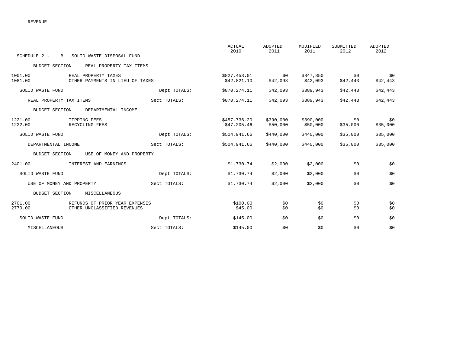|                                                                                     |              | <b>ACTUAL</b><br>2010       | <b>ADOPTED</b><br>2011 | MODIFIED<br>2011      | SUBMITTED<br>2012 | ADOPTED<br>2012 |
|-------------------------------------------------------------------------------------|--------------|-----------------------------|------------------------|-----------------------|-------------------|-----------------|
| SCHEDULE 2 -<br>SOLID WASTE DISPOSAL FUND<br>B                                      |              |                             |                        |                       |                   |                 |
| <b>BUDGET SECTION</b><br>REAL PROPERTY TAX ITEMS                                    |              |                             |                        |                       |                   |                 |
| 1001.00<br>REAL PROPERTY TAXES<br>1081.00<br>OTHER PAYMENTS IN LIEU OF TAXES        |              | \$827,453.01<br>\$42,821.10 | SO.<br>\$42,093        | \$847,850<br>\$42,093 | \$0<br>\$42,443   | \$0<br>\$42,443 |
| SOLID WASTE FUND                                                                    | Dept TOTALS: | \$870,274.11                | \$42,093               | \$889,943             | \$42,443          | \$42,443        |
| REAL PROPERTY TAX ITEMS                                                             | Sect TOTALS: | \$870,274.11                | \$42,093               | \$889,943             | \$42,443          | \$42,443        |
| <b>BUDGET SECTION</b><br>DEPARTMENTAL INCOME                                        |              |                             |                        |                       |                   |                 |
| 1221.00<br>TIPPING FEES<br>1222.00<br>RECYCLING FEES                                |              | \$457,736.20<br>\$47,205.46 | \$390,000<br>\$50,000  | \$390,000<br>\$50,000 | \$0<br>\$35,000   | \$0<br>\$35,000 |
| SOLID WASTE FUND                                                                    | Dept TOTALS: | \$504,941.66                | \$440,000              | \$440,000             | \$35,000          | \$35,000        |
| DEPARTMENTAL INCOME                                                                 | Sect TOTALS: | \$504,941.66                | \$440,000              | \$440,000             | \$35,000          | \$35,000        |
| <b>BUDGET SECTION</b><br>USE OF MONEY AND PROPERTY                                  |              |                             |                        |                       |                   |                 |
| 2401.00<br>INTEREST AND EARNINGS                                                    |              | \$1,730.74                  | \$2,000                | \$2,000               | \$0               | \$0             |
| SOLID WASTE FUND                                                                    | Dept TOTALS: | \$1,730.74                  | \$2,000                | \$2,000               | \$0               | \$0             |
| USE OF MONEY AND PROPERTY                                                           | Sect TOTALS: | \$1,730.74                  | \$2,000                | \$2,000               | \$0               | \$0             |
| <b>BUDGET SECTION</b><br>MISCELLANEOUS                                              |              |                             |                        |                       |                   |                 |
| 2701.00<br>REFUNDS OF PRIOR YEAR EXPENSES<br>2770.00<br>OTHER UNCLASSIFIED REVENUES |              | \$100.00<br>\$45.00         | \$0<br>\$0             | \$0<br>\$0            | \$0<br>\$0        | \$0<br>\$0      |
| SOLID WASTE FUND                                                                    | Dept TOTALS: | \$145.00                    | \$0                    | \$0                   | \$0               | \$0             |
| MISCELLANEOUS                                                                       | Sect TOTALS: | \$145.00                    | \$0                    | \$0                   | \$0               | \$0             |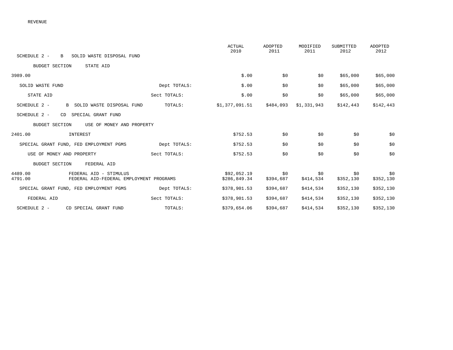|                                                                                         |              | <b>ACTUAL</b><br>2010       | ADOPTED<br>2011  | MODIFIED<br>2011 | SUBMITTED<br>2012 | ADOPTED<br>2012  |
|-----------------------------------------------------------------------------------------|--------------|-----------------------------|------------------|------------------|-------------------|------------------|
| SCHEDULE 2 -<br>SOLID WASTE DISPOSAL FUND<br>$\mathbf{B}$                               |              |                             |                  |                  |                   |                  |
| <b>BUDGET SECTION</b><br>STATE AID                                                      |              |                             |                  |                  |                   |                  |
| 3989.00                                                                                 |              | \$.00                       | \$0              | \$0              | \$65,000          | \$65,000         |
| SOLID WASTE FUND                                                                        | Dept TOTALS: | \$.00                       | \$0              | \$0              | \$65,000          | \$65,000         |
| STATE AID                                                                               | Sect TOTALS: | \$.00                       | \$0              | \$0              | \$65,000          | \$65,000         |
| SCHEDULE 2 -<br>B SOLID WASTE DISPOSAL FUND                                             | TOTALS:      | \$1,377,091.51              | \$484,093        | \$1,331,943      | \$142,443         | \$142,443        |
| CD SPECIAL GRANT FUND<br>SCHEDULE 2 -                                                   |              |                             |                  |                  |                   |                  |
| <b>BUDGET SECTION</b><br>USE OF MONEY AND PROPERTY                                      |              |                             |                  |                  |                   |                  |
| 2401.00<br>INTEREST                                                                     |              | \$752.53                    | \$0              | \$0              | \$0               | \$0              |
| SPECIAL GRANT FUND, FED EMPLOYMENT PGMS                                                 | Dept TOTALS: | \$752.53                    | \$0              | \$0              | \$0               | \$0              |
| USE OF MONEY AND PROPERTY                                                               | Sect TOTALS: | \$752.53                    | \$0              | \$0              | \$0               | \$0              |
| <b>BUDGET SECTION</b><br>FEDERAL AID                                                    |              |                             |                  |                  |                   |                  |
| 4489.00<br>FEDERAL AID - STIMULUS<br>4791.00<br>FEDERAL AID-FEDERAL EMPLOYMENT PROGRAMS |              | \$92,052.19<br>\$286,849.34 | \$0<br>\$394,687 | \$0<br>\$414,534 | \$0<br>\$352,130  | \$0<br>\$352,130 |
| SPECIAL GRANT FUND, FED EMPLOYMENT PGMS                                                 | Dept TOTALS: | \$378,901.53                | \$394,687        | \$414,534        | \$352,130         | \$352,130        |
| FEDERAL AID                                                                             | Sect TOTALS: | \$378,901.53                | \$394,687        | \$414,534        | \$352,130         | \$352,130        |
| SCHEDULE 2 -<br>CD SPECIAL GRANT FUND                                                   | TOTALS:      | \$379,654.06                | \$394,687        | \$414,534        | \$352,130         | \$352,130        |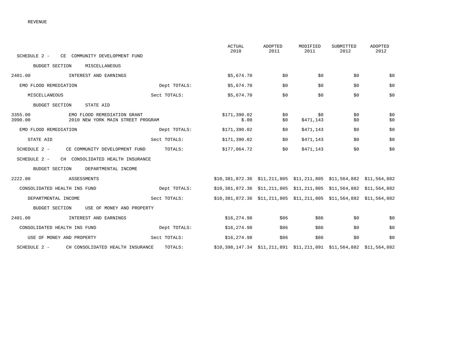|                                                                                        |              | <b>ACTUAL</b><br>2010                                               | <b>ADOPTED</b><br>2011 | MODIFIED<br>2011 | SUBMITTED<br>2012 | <b>ADOPTED</b><br>2012 |
|----------------------------------------------------------------------------------------|--------------|---------------------------------------------------------------------|------------------------|------------------|-------------------|------------------------|
| SCHEDULE 2 -<br>CE COMMUNITY DEVELOPMENT FUND                                          |              |                                                                     |                        |                  |                   |                        |
| <b>BUDGET SECTION</b><br>MISCELLANEOUS                                                 |              |                                                                     |                        |                  |                   |                        |
| 2401.00<br>INTEREST AND EARNINGS                                                       |              | \$5,674.70                                                          | \$0                    | \$0              | \$0               | \$0                    |
| EMO FLOOD REMEDIATION                                                                  | Dept TOTALS: | \$5,674.70                                                          | \$0                    | \$0              | \$0               | \$0                    |
| MISCELLANEOUS                                                                          | Sect TOTALS: | \$5,674.70                                                          | \$0                    | \$0              | \$0               | \$0                    |
| <b>BUDGET SECTION</b><br>STATE AID                                                     |              |                                                                     |                        |                  |                   |                        |
| 3355.00<br>EMO FLOOD REMEDIATION GRANT<br>3990.00<br>2010 NEW YORK MAIN STREET PROGRAM |              | \$171,390.02<br>\$.00                                               | \$0<br>\$0             | \$0<br>\$471,143 | \$0<br>\$0        | \$0<br>\$0             |
| EMO FLOOD REMEDIATION                                                                  | Dept TOTALS: | \$171,390.02                                                        | \$0                    | \$471,143        | \$0               | \$0                    |
| STATE AID                                                                              | Sect TOTALS: | \$171,390.02                                                        | \$0                    | \$471,143        | \$0               | \$0                    |
| SCHEDULE 2 -<br>CE COMMUNITY DEVELOPMENT FUND                                          | TOTALS:      | \$177,064.72                                                        | \$0                    | \$471,143        | \$0               | \$0                    |
| SCHEDULE 2 -<br>CH CONSOLIDATED HEALTH INSURANCE                                       |              |                                                                     |                        |                  |                   |                        |
| <b>BUDGET SECTION</b><br>DEPARTMENTAL INCOME                                           |              |                                                                     |                        |                  |                   |                        |
| 2222.00<br>ASSESSMENTS                                                                 |              | \$10,381,872.36 \$11,211,805 \$11,211,805 \$11,564,882 \$11,564,882 |                        |                  |                   |                        |
| CONSOLIDATED HEALTH INS FUND                                                           | Dept TOTALS: | \$10,381,872.36 \$11,211,805 \$11,211,805 \$11,564,882 \$11,564,882 |                        |                  |                   |                        |
| DEPARTMENTAL INCOME                                                                    | Sect TOTALS: | \$10,381,872.36 \$11,211,805 \$11,211,805 \$11,564,882 \$11,564,882 |                        |                  |                   |                        |
| <b>BUDGET SECTION</b><br>USE OF MONEY AND PROPERTY                                     |              |                                                                     |                        |                  |                   |                        |
| 2401.00<br>INTEREST AND EARNINGS                                                       |              | \$16,274.98                                                         | \$86                   | \$86             | \$0               | \$0                    |
| CONSOLIDATED HEALTH INS FUND                                                           | Dept TOTALS: | \$16,274.98                                                         | \$86                   | \$86             | \$0               | \$0                    |
| USE OF MONEY AND PROPERTY                                                              | Sect TOTALS: | \$16,274.98                                                         | \$86                   | \$86             | \$0               | \$0                    |
| SCHEDULE 2 -<br>CH CONSOLIDATED HEALTH INSURANCE                                       | TOTALS:      | \$10,398,147.34 \$11,211,891 \$11,211,891 \$11,564,882 \$11,564,882 |                        |                  |                   |                        |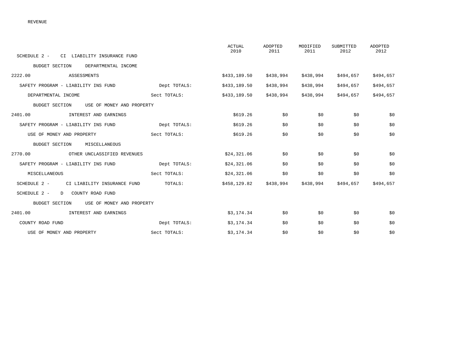|                                                    |              | <b>ACTUAL</b><br>2010 | ADOPTED<br>2011 | MODIFIED<br>2011 | SUBMITTED<br>2012 | <b>ADOPTED</b><br>2012 |
|----------------------------------------------------|--------------|-----------------------|-----------------|------------------|-------------------|------------------------|
| SCHEDULE 2 - CI LIABILITY INSURANCE FUND           |              |                       |                 |                  |                   |                        |
| <b>BUDGET SECTION</b><br>DEPARTMENTAL INCOME       |              |                       |                 |                  |                   |                        |
| 2222.00<br>ASSESSMENTS                             |              | \$433,189.50          | \$438,994       | \$438,994        | \$494,657         | \$494,657              |
| SAFETY PROGRAM - LIABILITY INS FUND                | Dept TOTALS: | \$433,189.50          | \$438,994       | \$438,994        | \$494,657         | \$494,657              |
| DEPARTMENTAL INCOME                                | Sect TOTALS: | \$433,189.50          | \$438,994       | \$438,994        | \$494,657         | \$494,657              |
| BUDGET SECTION<br>USE OF MONEY AND PROPERTY        |              |                       |                 |                  |                   |                        |
| 2401.00 INTEREST AND EARNINGS                      |              | \$619.26              | \$0             | \$0              | \$0               | \$0                    |
| SAFETY PROGRAM - LIABILITY INS FUND                | Dept TOTALS: | \$619.26              | \$0             | \$0              | \$0               | \$0                    |
| USE OF MONEY AND PROPERTY                          | Sect TOTALS: | \$619.26              | \$0             | \$0              | \$0               | \$0                    |
| <b>BUDGET SECTION</b><br>MISCELLANEOUS             |              |                       |                 |                  |                   |                        |
| 2770.00<br>OTHER UNCLASSIFIED REVENUES             |              | \$24,321.06           | \$0             | \$0              | \$0               | \$0                    |
| SAFETY PROGRAM - LIABILITY INS FUND                | Dept TOTALS: | \$24,321.06           | \$0             | \$0              | \$0               | \$0                    |
| MISCELLANEOUS                                      | Sect TOTALS: | \$24,321.06           | \$0             | \$0              | \$0               | \$0                    |
| SCHEDULE 2 -<br>CI LIABILITY INSURANCE FUND        | TOTALS:      | \$458,129.82          | \$438,994       | \$438,994        | \$494,657         | \$494,657              |
| SCHEDULE 2 -<br>D COUNTY ROAD FUND                 |              |                       |                 |                  |                   |                        |
| <b>BUDGET SECTION</b><br>USE OF MONEY AND PROPERTY |              |                       |                 |                  |                   |                        |
| 2401.00<br>INTEREST AND EARNINGS                   |              | \$3,174.34            | \$0             | \$0              | \$0               | \$0                    |
| COUNTY ROAD FUND                                   | Dept TOTALS: | \$3,174.34            | \$0             | \$0              | \$0               | \$0                    |
| USE OF MONEY AND PROPERTY                          | Sect TOTALS: | \$3,174.34            | \$0             | \$0              | \$0               | \$0                    |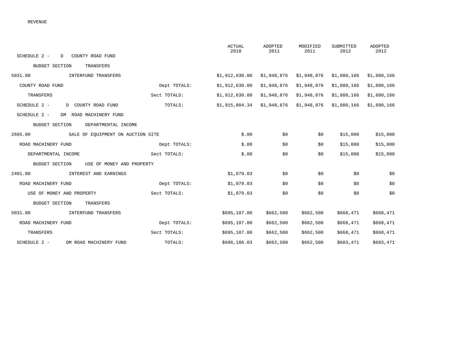| SCHEDULE 2 -<br>D COUNTY ROAD FUND           |              | <b>ACTUAL</b><br>2010        | ADOPTED<br>2011 | MODIFIED<br>2011 | SUBMITTED<br>2012         | ADOPTED<br>2012 |
|----------------------------------------------|--------------|------------------------------|-----------------|------------------|---------------------------|-----------------|
| <b>BUDGET SECTION</b><br>TRANSFERS           |              |                              |                 |                  |                           |                 |
| 5031.00<br>INTERFUND TRANSFERS               |              | \$1,912,630.00               | \$1,948,876     | \$1,948,876      | \$1,880,166               | \$1,880,166     |
| COUNTY ROAD FUND                             | Dept TOTALS: | \$1,912,630.00               | \$1,948,876     | \$1,948,876      | \$1,880,166               | \$1,880,166     |
| TRANSFERS                                    | Sect TOTALS: | \$1,912,630.00               | \$1,948,876     | \$1,948,876      | \$1,880,166               | \$1,880,166     |
| SCHEDULE 2 -<br>D COUNTY ROAD FUND           | TOTALS:      | $$1,915,804.34$ $$1,948,876$ |                 |                  | $$1,948,876$ $$1,880,166$ | \$1,880,166     |
| SCHEDULE 2 -<br>DM ROAD MACHINERY FUND       |              |                              |                 |                  |                           |                 |
| DEPARTMENTAL INCOME<br><b>BUDGET SECTION</b> |              |                              |                 |                  |                           |                 |
| 2665.00<br>SALE OF EQUIPMENT ON AUCTION SITE |              | \$.00                        | \$0             | \$0              | \$15,000                  | \$15,000        |
| ROAD MACHINERY FUND                          | Dept TOTALS: | \$.00                        | \$0             | \$0              | \$15,000                  | \$15,000        |
| DEPARTMENTAL INCOME                          | Sect TOTALS: | \$.00                        | \$0             | \$0              | \$15,000                  | \$15,000        |
| BUDGET SECTION<br>USE OF MONEY AND PROPERTY  |              |                              |                 |                  |                           |                 |
| 2401.00<br>INTEREST AND EARNINGS             |              | \$1,079.03                   | \$0             | \$0              | \$0                       | \$0             |
| ROAD MACHINERY FUND                          | Dept TOTALS: | \$1,079.03                   | \$0             | \$0              | \$0                       | \$0             |
| USE OF MONEY AND PROPERTY                    | Sect TOTALS: | \$1,079.03                   | \$0             | \$0              | \$0                       | \$0             |
| <b>BUDGET SECTION</b><br>TRANSFERS           |              |                              |                 |                  |                           |                 |
| 5031.00<br>INTERFUND TRANSFERS               |              | \$695,107.00                 | \$662,500       | \$662,500        | \$668,471                 | \$668,471       |
| ROAD MACHINERY FUND                          | Dept TOTALS: | \$695,107.00                 | \$662,500       | \$662,500        | \$668,471                 | \$668,471       |
| TRANSFERS                                    | Sect TOTALS: | \$695,107.00                 | \$662,500       | \$662,500        | \$668,471                 | \$668,471       |
| SCHEDULE 2 - DM ROAD MACHINERY FUND          | TOTALS:      | \$696,186.03                 | \$662,500       | \$662,500        | \$683,471                 | \$683,471       |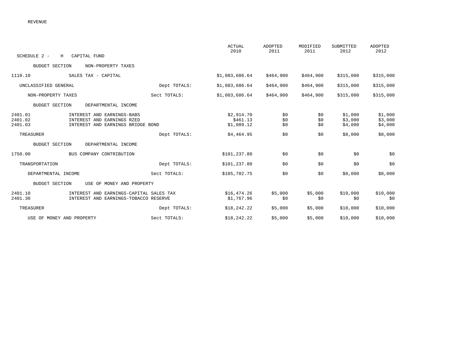|                               |                                                                                               |              | <b>ACTUAL</b><br>2010                | ADOPTED<br>2011   | MODIFIED<br>2011  | SUBMITTED<br>2012             | <b>ADOPTED</b><br>2012        |
|-------------------------------|-----------------------------------------------------------------------------------------------|--------------|--------------------------------------|-------------------|-------------------|-------------------------------|-------------------------------|
| SCHEDULE 2 -<br>Н             | CAPITAL FUND                                                                                  |              |                                      |                   |                   |                               |                               |
| <b>BUDGET SECTION</b>         | NON-PROPERTY TAXES                                                                            |              |                                      |                   |                   |                               |                               |
| 1110.10                       | SALES TAX - CAPITAL                                                                           |              | \$1,083,686.64                       | \$464,900         | \$464,900         | \$315,000                     | \$315,000                     |
| UNCLASSIFIED GENERAL          |                                                                                               | Dept TOTALS: | \$1,083,686.64                       | \$464,900         | \$464,900         | \$315,000                     | \$315,000                     |
| NON-PROPERTY TAXES            |                                                                                               | Sect TOTALS: | \$1,083,686.64                       | \$464,900         | \$464,900         | \$315,000                     | \$315,000                     |
| <b>BUDGET SECTION</b>         | DEPARTMENTAL INCOME                                                                           |              |                                      |                   |                   |                               |                               |
| 2401.01<br>2401.02<br>2401.03 | INTEREST AND EARNINGS-BABS<br>INTEREST AND EARNINGS RZED<br>INTEREST AND EARNINGS BRIDGE BOND |              | \$2,914.70<br>\$461.13<br>\$1,089.12 | \$0<br>\$0<br>\$0 | \$0<br>\$0<br>\$0 | \$1,000<br>\$3,000<br>\$4,000 | \$1,000<br>\$3,000<br>\$4,000 |
| TREASURER                     |                                                                                               | Dept TOTALS: | \$4,464.95                           | \$0               | \$0               | \$8,000                       | \$8,000                       |
| <b>BUDGET SECTION</b>         | DEPARTMENTAL INCOME                                                                           |              |                                      |                   |                   |                               |                               |
| 1750.00                       | BUS COMPANY CONTRIBUTION                                                                      |              | \$101,237.80                         | \$0               | \$0               | \$0                           | \$0                           |
| TRANSPORTATION                |                                                                                               | Dept TOTALS: | \$101,237.80                         | \$0               | \$0               | \$0                           | \$0                           |
| DEPARTMENTAL INCOME           |                                                                                               | Sect TOTALS: | \$105,702.75                         | \$0               | \$0               | \$8,000                       | \$8,000                       |
| <b>BUDGET SECTION</b>         | USE OF MONEY AND PROPERTY                                                                     |              |                                      |                   |                   |                               |                               |
| 2401.10<br>2401.30            | INTEREST AND EARNINGS-CAPITAL SALES TAX<br>INTEREST AND EARNINGS-TOBACCO RESERVE              |              | \$16,474.26<br>\$1,767.96            | \$5,000<br>\$0    | \$5,000<br>\$0    | \$10,000<br>\$0               | \$10,000<br>\$0               |
| TREASURER                     |                                                                                               | Dept TOTALS: | \$18,242.22                          | \$5,000           | \$5,000           | \$10,000                      | \$10,000                      |
| USE OF MONEY AND PROPERTY     |                                                                                               | Sect TOTALS: | \$18,242.22                          | \$5,000           | \$5,000           | \$10,000                      | \$10,000                      |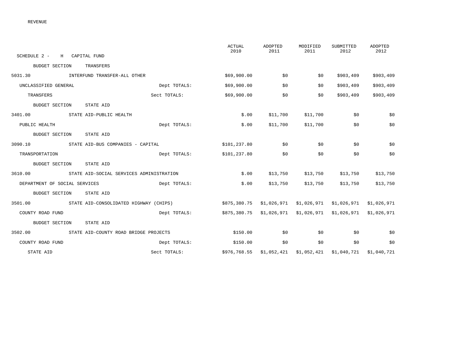|                                                  |              | ACTUAL<br>2010                                   | ADOPTED<br>2011          | MODIFIED<br>2011 | SUBMITTED<br>2012                      | ADOPTED<br>2012 |
|--------------------------------------------------|--------------|--------------------------------------------------|--------------------------|------------------|----------------------------------------|-----------------|
| SCHEDULE 2 - H CAPITAL FUND                      |              |                                                  |                          |                  |                                        |                 |
| BUDGET SECTION<br>TRANSFERS                      |              |                                                  |                          |                  |                                        |                 |
| 5031.30 INTERFUND TRANSFER-ALL OTHER             |              | \$69,900.00                                      | \$0                      | \$0              | \$903,409                              | \$903,409       |
| UNCLASSIFIED GENERAL                             | Dept TOTALS: | \$69,900.00                                      | \$0                      | \$0              | \$903,409                              | \$903,409       |
| TRANSFERS                                        | Sect TOTALS: | \$69,900.00                                      | \$0                      | \$0              | \$903,409                              | \$903,409       |
| BUDGET SECTION<br>STATE AID                      |              |                                                  |                          |                  |                                        |                 |
| 3401.00 STATE AID-PUBLIC HEALTH                  |              | \$.00                                            | \$11,700                 | \$11,700         | \$0                                    | \$0             |
| PUBLIC HEALTH                                    | Dept TOTALS: | \$.00                                            | \$11,700                 | \$11,700         | \$0                                    | \$0             |
| STATE AID<br>BUDGET SECTION                      |              |                                                  |                          |                  |                                        |                 |
| 3090.10 STATE AID-BUS COMPANIES - CAPITAL        |              | \$101,237.80                                     | \$0                      | \$0              | \$0                                    | \$0             |
| TRANSPORTATION                                   | Dept TOTALS: | \$101,237.80                                     | \$0                      | \$0              | \$0                                    | \$0             |
| BUDGET SECTION<br>STATE AID                      |              |                                                  |                          |                  |                                        |                 |
| 3610.00 STATE AID-SOCIAL SERVICES ADMINISTRATION |              | \$.00                                            | \$13,750                 |                  | $$13,750$ $$13,750$                    | \$13,750        |
| DEPARTMENT OF SOCIAL SERVICES                    | Dept TOTALS: | \$.00                                            | \$13,750                 | \$13,750         | \$13,750                               | \$13,750        |
| BUDGET SECTION<br>STATE AID                      |              |                                                  |                          |                  |                                        |                 |
| 3501.00 STATE AID-CONSOLIDATED HIGHWAY (CHIPS)   |              | \$875,380.75 \$1,026,971                         |                          |                  | \$1,026,971 \$1,026,971                | \$1,026,971     |
| COUNTY ROAD FUND                                 | Dept TOTALS: | \$875,380.75 \$1,026,971 \$1,026,971 \$1,026,971 |                          |                  |                                        | \$1,026,971     |
| BUDGET SECTION<br>STATE AID                      |              |                                                  |                          |                  |                                        |                 |
| 3502.00 STATE AID-COUNTY ROAD BRIDGE PROJECTS    |              | \$150.00                                         | \$0                      | \$0              | \$0                                    | \$0             |
| COUNTY ROAD FUND                                 | Dept TOTALS: | \$150.00                                         | \$0                      | \$0              | \$0                                    | \$0             |
| STATE AID                                        | Sect TOTALS: |                                                  | \$976,768.55 \$1,052,421 |                  | $$1,052,421$ $$1,040,721$ $$1,040,721$ |                 |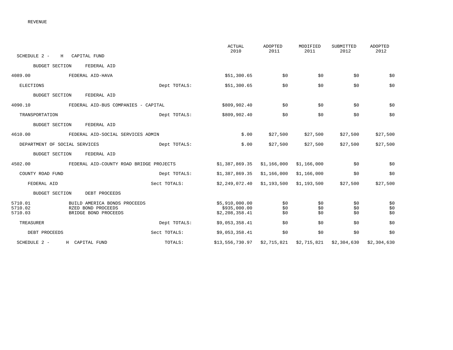| SCHEDULE 2 -                  | H CAPITAL FUND                                                             |              | <b>ACTUAL</b><br>2010                            | <b>ADOPTED</b><br>2011 | MODIFIED<br>2011  | SUBMITTED<br>2012 | <b>ADOPTED</b><br>2012 |
|-------------------------------|----------------------------------------------------------------------------|--------------|--------------------------------------------------|------------------------|-------------------|-------------------|------------------------|
| <b>BUDGET SECTION</b>         | FEDERAL AID                                                                |              |                                                  |                        |                   |                   |                        |
| 4089.00                       | FEDERAL AID-HAVA                                                           |              | \$51,300.65                                      | \$0                    | \$0               | \$0               | \$0                    |
| ELECTIONS                     |                                                                            | Dept TOTALS: | \$51,300.65                                      | \$0                    | \$0               | \$0               | \$0                    |
| <b>BUDGET SECTION</b>         | FEDERAL AID                                                                |              |                                                  |                        |                   |                   |                        |
| 4090.10                       | FEDERAL AID-BUS COMPANIES - CAPITAL                                        |              | \$809,902.40                                     | \$0                    | \$0               | \$0               | \$0                    |
| TRANSPORTATION                |                                                                            | Dept TOTALS: | \$809,902.40                                     | \$0                    | \$0               | \$0               | \$0                    |
| <b>BUDGET SECTION</b>         | FEDERAL AID                                                                |              |                                                  |                        |                   |                   |                        |
| 4610.00                       | FEDERAL AID-SOCIAL SERVICES ADMIN                                          |              | \$.00                                            | \$27,500               | \$27,500          | \$27,500          | \$27,500               |
| DEPARTMENT OF SOCIAL SERVICES |                                                                            | Dept TOTALS: | \$.00                                            | \$27,500               | \$27,500          | \$27,500          | \$27,500               |
| <b>BUDGET SECTION</b>         | FEDERAL AID                                                                |              |                                                  |                        |                   |                   |                        |
| 4502.00                       | FEDERAL AID-COUNTY ROAD BRIDGE PROJECTS                                    |              | \$1,387,869.35                                   | \$1,166,000            | \$1,166,000       | \$0               | \$0                    |
| COUNTY ROAD FUND              |                                                                            | Dept TOTALS: | \$1,387,869.35                                   | \$1,166,000            | \$1,166,000       | \$0               | \$0                    |
| FEDERAL AID                   |                                                                            | Sect TOTALS: | \$2,249,072.40                                   | \$1,193,500            | \$1,193,500       | \$27,500          | \$27,500               |
| <b>BUDGET SECTION</b>         | DEBT PROCEEDS                                                              |              |                                                  |                        |                   |                   |                        |
| 5710.01<br>5710.02<br>5710.03 | BUILD AMERICA BONDS PROCEEDS<br>RZED BOND PROCEEDS<br>BRIDGE BOND PROCEEDS |              | \$5,910,000.00<br>\$935,000.00<br>\$2,208,358.41 | \$0<br>\$0<br>\$0      | \$0<br>\$0<br>\$0 | \$0<br>\$0<br>\$0 | \$0<br>\$0<br>\$0      |
| TREASURER                     |                                                                            | Dept TOTALS: | \$9,053,358.41                                   | \$0                    | \$0               | \$0               | \$0                    |
| DEBT PROCEEDS                 |                                                                            | Sect TOTALS: | \$9,053,358.41                                   | \$0                    | \$0               | \$0               | \$0                    |
| SCHEDULE 2 -                  | H CAPITAL FUND                                                             | TOTALS:      | \$13,556,730.97                                  | \$2,715,821            | \$2,715,821       | \$2,304,630       | \$2,304,630            |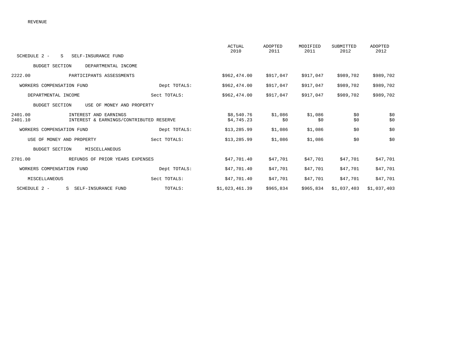| SCHEDULE 2 -<br>S.<br>SELF-INSURANCE FUND                                              |              | <b>ACTUAL</b><br>2010    | <b>ADOPTED</b><br>2011 | MODIFIED<br>2011 | SUBMITTED<br>2012 | ADOPTED<br>2012 |
|----------------------------------------------------------------------------------------|--------------|--------------------------|------------------------|------------------|-------------------|-----------------|
|                                                                                        |              |                          |                        |                  |                   |                 |
| <b>BUDGET SECTION</b><br>DEPARTMENTAL INCOME                                           |              |                          |                        |                  |                   |                 |
| 2222.00<br>PARTICIPANTS ASSESSMENTS                                                    |              | \$962,474.00             | \$917,047              | \$917,047        | \$989,702         | \$989,702       |
| WORKERS COMPENSATION FUND                                                              | Dept TOTALS: | \$962,474.00             | \$917,047              | \$917,047        | \$989,702         | \$989,702       |
| DEPARTMENTAL INCOME                                                                    | Sect TOTALS: | \$962,474.00             | \$917,047              | \$917,047        | \$989,702         | \$989,702       |
| <b>BUDGET SECTION</b><br>USE OF MONEY AND PROPERTY                                     |              |                          |                        |                  |                   |                 |
| 2401.00<br>INTEREST AND EARNINGS<br>2401.10<br>INTEREST & EARNINGS/CONTRIBUTED RESERVE |              | \$8,540.76<br>\$4,745.23 | \$1,086<br>\$0         | \$1,086<br>\$0   | \$0<br>\$0        | \$0<br>\$0      |
| WORKERS COMPENSATION FUND                                                              | Dept TOTALS: | \$13, 285.99             | \$1,086                | \$1,086          | \$0               | \$0             |
| USE OF MONEY AND PROPERTY                                                              | Sect TOTALS: | \$13, 285.99             | \$1,086                | \$1,086          | \$0               | \$0             |
| <b>BUDGET SECTION</b><br>MISCELLANEOUS                                                 |              |                          |                        |                  |                   |                 |
| 2701.00<br>REFUNDS OF PRIOR YEARS EXPENSES                                             |              | \$47,701.40              | \$47,701               | \$47,701         | \$47,701          | \$47,701        |
| WORKERS COMPENSATION FUND                                                              | Dept TOTALS: | \$47,701.40              | \$47,701               | \$47,701         | \$47,701          | \$47,701        |
| MISCELLANEOUS                                                                          | Sect TOTALS: | \$47,701.40              | \$47,701               | \$47,701         | \$47,701          | \$47,701        |
| SCHEDULE 2 -<br>SELF-INSURANCE FUND<br>S                                               | TOTALS:      | \$1,023,461.39           | \$965,834              | \$965,834        | \$1,037,403       | \$1,037,403     |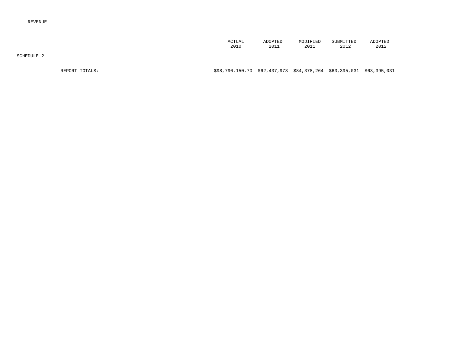| ACTUAL | ADOPTED | MODIFIED | SUBMITTED | <b>ADOPTED</b> |
|--------|---------|----------|-----------|----------------|
| 2010   | 2011    | 2011     | 2012      | 2012           |

SCHEDULE 2

REPORT TOTALS: \$98,790,150.70 \$62,437,973 \$84,378,264 \$63,395,031 \$63,395,031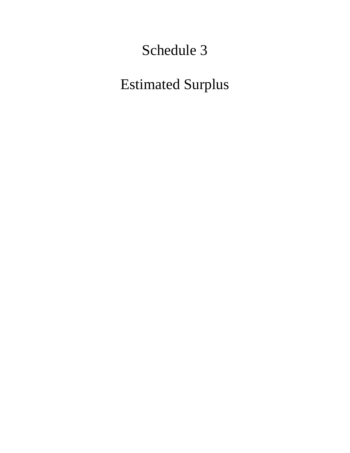# Schedule 3

# Estimated Surplus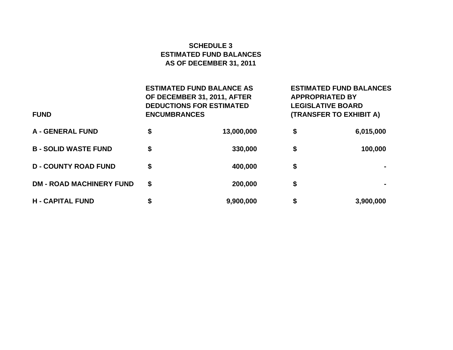# **SCHEDULE 3ESTIMATED FUND BALANCES AS OF DECEMBER 31, 2011**

| <b>FUND</b>                     | <b>ESTIMATED FUND BALANCE AS</b><br>OF DECEMBER 31, 2011, AFTER<br><b>DEDUCTIONS FOR ESTIMATED</b><br><b>ENCUMBRANCES</b> | <b>ESTIMATED FUND BALANCES</b><br><b>APPROPRIATED BY</b><br><b>LEGISLATIVE BOARD</b><br>(TRANSFER TO EXHIBIT A) |           |  |
|---------------------------------|---------------------------------------------------------------------------------------------------------------------------|-----------------------------------------------------------------------------------------------------------------|-----------|--|
| <b>A - GENERAL FUND</b>         | \$<br>13,000,000                                                                                                          | \$                                                                                                              | 6,015,000 |  |
| <b>B - SOLID WASTE FUND</b>     | \$<br>330,000                                                                                                             | \$                                                                                                              | 100,000   |  |
| <b>D - COUNTY ROAD FUND</b>     | \$<br>400,000                                                                                                             | \$                                                                                                              |           |  |
| <b>DM - ROAD MACHINERY FUND</b> | \$<br>200,000                                                                                                             | \$                                                                                                              |           |  |
| <b>H - CAPITAL FUND</b>         | \$<br>9,900,000                                                                                                           | \$                                                                                                              | 3,900,000 |  |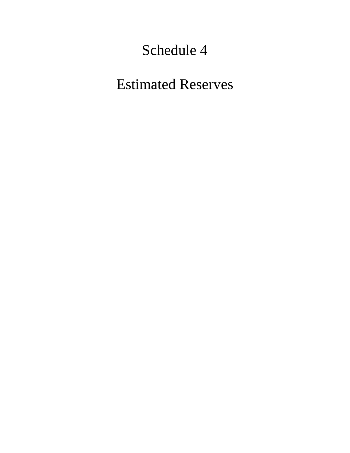Estimated Reserves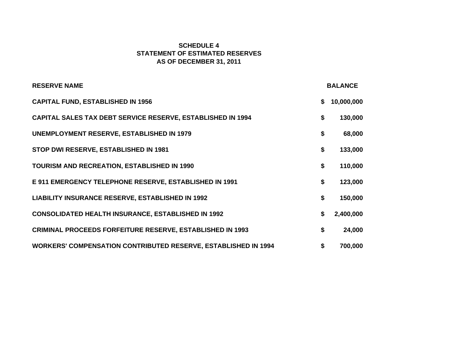## **SCHEDULE 4STATEMENT OF ESTIMATED RESERVESAS OF DECEMBER 31, 2011**

| <b>RESERVE NAME</b>                                                   | <b>BALANCE</b>   |
|-----------------------------------------------------------------------|------------------|
| <b>CAPITAL FUND, ESTABLISHED IN 1956</b>                              | \$<br>10,000,000 |
| <b>CAPITAL SALES TAX DEBT SERVICE RESERVE, ESTABLISHED IN 1994</b>    | \$<br>130,000    |
| <b>UNEMPLOYMENT RESERVE, ESTABLISHED IN 1979</b>                      | \$<br>68,000     |
| STOP DWI RESERVE, ESTABLISHED IN 1981                                 | \$<br>133,000    |
| <b>TOURISM AND RECREATION, ESTABLISHED IN 1990</b>                    | \$<br>110,000    |
| E 911 EMERGENCY TELEPHONE RESERVE, ESTABLISHED IN 1991                | \$<br>123,000    |
| <b>LIABILITY INSURANCE RESERVE, ESTABLISHED IN 1992</b>               | \$<br>150,000    |
| <b>CONSOLIDATED HEALTH INSURANCE, ESTABLISHED IN 1992</b>             | \$<br>2,400,000  |
| <b>CRIMINAL PROCEEDS FORFEITURE RESERVE, ESTABLISHED IN 1993</b>      | \$<br>24,000     |
| <b>WORKERS' COMPENSATION CONTRIBUTED RESERVE, ESTABLISHED IN 1994</b> | \$<br>700,000    |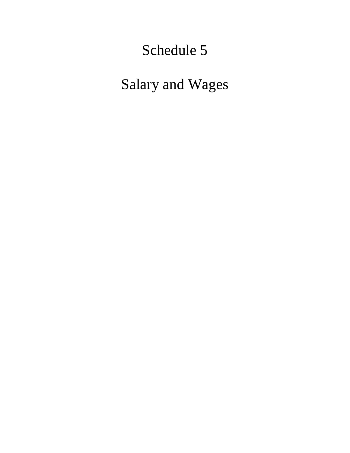Salary and Wages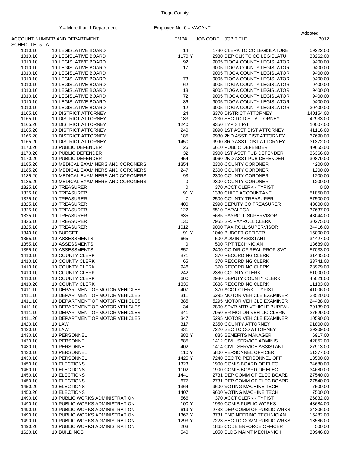|              |                                                     |                |                              | Adopted   |
|--------------|-----------------------------------------------------|----------------|------------------------------|-----------|
| SCHEDULE 5-A | ACCOUNT NUMBER AND DEPARTMENT                       | EMP#           | JOB CODE JOB TITLE           | 2012      |
| 1010.10      | <b>10 LEGISLATIVE BOARD</b>                         | 14             | 1780 CLERK TC CO LEGISLATURE | 59222.00  |
| 1010.10      | <b>10 LEGISLATIVE BOARD</b>                         | 1170 Y         | 2930 DEP CLK TC CO LEGISLATU | 38262.00  |
| 1010.10      | 10 LEGISLATIVE BOARD                                | 92             | 9005 TIOGA COUNTY LEGISLATOR | 9400.00   |
| 1010.10      | 10 LEGISLATIVE BOARD                                | 17             | 9005 TIOGA COUNTY LEGISLATOR | 9400.00   |
| 1010.10      | <b>10 LEGISLATIVE BOARD</b>                         |                | 9005 TIOGA COUNTY LEGISLATOR | 9400.00   |
| 1010.10      | <b>10 LEGISLATIVE BOARD</b>                         | 73             | 9005 TIOGA COUNTY LEGISLATOR | 9400.00   |
| 1010.10      | <b>10 LEGISLATIVE BOARD</b>                         | 62             | 9005 TIOGA COUNTY LEGISLATOR | 9400.00   |
|              |                                                     |                |                              |           |
| 1010.10      | <b>10 LEGISLATIVE BOARD</b><br>10 LEGISLATIVE BOARD | 18<br>72       | 9005 TIOGA COUNTY LEGISLATOR | 9400.00   |
| 1010.10      |                                                     | 86             | 9005 TIOGA COUNTY LEGISLATOR | 9400.00   |
| 1010.10      | <b>10 LEGISLATIVE BOARD</b>                         |                | 9005 TIOGA COUNTY LEGISLATOR | 9400.00   |
| 1010.10      | <b>10 LEGISLATIVE BOARD</b>                         | 12             | 9005 TIOGA COUNTY LEGISLATOR | 30400.00  |
| 1165.10      | <b>10 DISTRICT ATTORNEY</b>                         | 24             | 3370 DISTRICT ATTORNEY       | 140154.00 |
| 1165.10      | <b>10 DISTRICT ATTORNEY</b>                         | 183            | 7230 SEC TO DIST ATTORNEY    | 42933.00  |
| 1165.20      | <b>10 DISTRICT ATTORNEY</b>                         | 1240           | 9350 TYPIST P/T              | 10007.00  |
| 1165.20      | <b>10 DISTRICT ATTORNEY</b>                         | 240            | 9890 1ST ASST DIST ATTORNEY  | 41116.00  |
| 1165.20      | <b>10 DISTRICT ATTORNEY</b>                         | 185            | 9930 2ND ASST DIST ATTORNEY  | 37690.00  |
| 1165.20      | <b>10 DISTRICT ATTORNEY</b>                         | 1450           | 9990 3RD ASST DIST ATTORNEY  | 31372.00  |
| 1170.20      | 10 PUBLIC DEFENDER                                  | 26             | 6610 PUBLIC DEFENDER         | 49655.00  |
| 1170.20      | 10 PUBLIC DEFENDER                                  | 32             | 9900 1ST ASST PUB DEFENDER   | 36366.00  |
| 1170.20      | 10 PUBLIC DEFENDER                                  | 454            | 9960 2ND ASST PUB DEFENDER   | 30879.00  |
| 1185.20      | 10 MEDICAL EXAMINERS AND CORONERS                   | 1354           | 2300 COUNTY CORONER          | 4200.00   |
| 1185.20      | 10 MEDICAL EXAMINERS AND CORONERS                   | 247            | 2300 COUNTY CORONER          | 1200.00   |
| 1185.20      | 10 MEDICAL EXAMINERS AND CORONERS                   | 93             | 2300 COUNTY CORONER          | 1200.00   |
| 1185.20      | 10 MEDICAL EXAMINERS AND CORONERS                   | 0              | 2300 COUNTY CORONER          | 1200.00   |
| 1325.10      | 10 TREASURER                                        | $\mathbf 0$    | 370 ACCT CLERK - TYPIST      | 0.00      |
| 1325.10      | 10 TREASURER                                        | 91 Y           | 1330 CHIEF ACCOUNTANT        | 51850.00  |
| 1325.10      | 10 TREASURER                                        | $\overline{7}$ | 2500 COUNTY TREASURER        | 57500.00  |
| 1325.10      | 10 TREASURER                                        | 400            | 2990 DEPUTY CO TREASURER     | 43000.00  |
| 1325.10      | 10 TREASURER                                        | 122            | 5510 PARALEGAL               | 37637.00  |
| 1325.10      | 10 TREASURER                                        | 635            | 5685 PAYROLL SUPERVISOR      | 43044.00  |
| 1325.10      | 10 TREASURER                                        | 130            | 7955 SR. PAYROLL CLERK       | 30275.00  |
| 1325.10      | 10 TREASURER                                        | 1012           | 9000 TAX ROLL SUPERVISOR     | 34416.00  |
| 1340.10      | 10 BUDGET                                           | 91 Y           | 1040 BUDGET OFFICER          | 15000.00  |
| 1355.10      | 10 ASSESSMENTS                                      | 665            | 500 ADMIN ASSISTANT          | 34427.00  |
| 1355.10      | 10 ASSESSMENTS                                      | 0              | 500 RPT TECHNICIAN           | 13689.00  |
| 1355.10      | 10 ASSESSMENTS                                      | 857            | 2400 CO DIR OF REAL PROP SVC | 57033.00  |
| 1410.10      | 10 COUNTY CLERK                                     | 871            | 370 RECORDING CLERK          | 31445.00  |
| 1410.10      | <b>10 COUNTY CLERK</b>                              | 65             | 370 RECORDING CLERK          | 33741.00  |
| 1410.10      | <b>10 COUNTY CLERK</b>                              | 946            | 370 RECORDING CLERK          | 28979.00  |
| 1410.10      | <b>10 COUNTY CLERK</b>                              | 242            | 2380 COUNTY CLERK            | 61000.00  |
| 1410.10      | <b>10 COUNTY CLERK</b>                              | 600            | 2980 DEPUTY COUNTY CLERK     | 45021.00  |
| 1410.20      | <b>10 COUNTY CLERK</b>                              | 1336           | 6686 RECORDING CLERK         | 11183.00  |
| 1411.10      | 10 DEPARTMENT OF MOTOR VEHICLES                     | 407            | 370 ACCT CLERK - TYPIST      | 41006.00  |
| 1411.10      | 10 DEPARTMENT OF MOTOR VEHICLES                     | 311            | 5295 MOTOR VEHICLE EXAMINER  | 23520.00  |
| 1411.10      | 10 DEPARTMENT OF MOTOR VEHICLES                     | 385            | 5295 MOTOR VEHICLE EXAMINER  | 24438.00  |
| 1411.10      | 10 DEPARTMENT OF MOTOR VEHICLES                     | 34             | 7800 SPVR MTR VEHICLE BUREAU | 39139.00  |
| 1411.10      | 10 DEPARTMENT OF MOTOR VEHICLES                     | 341            | 7950 SR MOTOR VEH LIC CLERK  | 27529.00  |
| 1411.20      | 10 DEPARTMENT OF MOTOR VEHICLES                     | 347            | 5295 MOTOR VEHICLE EXAMINER  | 10590.00  |
| 1420.10      | <b>10 LAW</b>                                       | 317            | 2350 COUNTY ATTORNEY         | 91800.00  |
| 1420.10      | <b>10 LAW</b>                                       | 831            | 7220 SEC TO CO ATTORNEY      | 39209.00  |
| 1430.10      | 10 PERSONNEL                                        | 882 Y          | 885 BENEFITS MANAGER         | 6917.00   |
| 1430.10      | 10 PERSONNEL                                        | 685            | 1412 CIVIL SERVICE ADMINIS   | 42852.00  |
| 1430.10      | 10 PERSONNEL                                        | 402            | 1414 CIVIL SERVICE ASSISTANT | 27913.00  |
| 1430.10      | 10 PERSONNEL                                        | 110 Y          | 5800 PERSONNEL OFFICER       | 51377.00  |
| 1430.10      | 10 PERSONNEL                                        | 1425 Y         | 7240 SEC TO PERSONNEL OFF    | 13500.00  |
| 1450.10      | 10 ELECTIONS                                        | 1323           | 1900 COMIS BOARD OF ELEC     | 34680.00  |
| 1450.10      | 10 ELECTIONS                                        | 1102           | 1900 COMIS BOARD OF ELEC     | 34680.00  |
| 1450.10      | 10 ELECTIONS                                        | 1441           | 2731 DEP COMM OF ELEC BOARD  | 27540.00  |
| 1450.10      | 10 ELECTIONS                                        | 677            | 2731 DEP COMM OF ELEC BOARD  | 27540.00  |
| 1450.20      | 10 ELECTIONS                                        | 1364           | 9600 VOTING MACHINE TECH     | 7500.00   |
| 1450.20      | 10 ELECTIONS                                        | 1407           | 9600 VOTING MACHINE TECH     | 7500.00   |
| 1490.10      | 10 PUBLIC WORKS ADMINISTRATION                      | 566            | 370 ACCT CLERK - TYPIST      | 26832.00  |
| 1490.10      | 10 PUBLIC WORKS ADMINISTRATION                      | 100 Y          | 1930 COMIS PUBLIC WORKS      | 43684.00  |
| 1490.10      | 10 PUBLIC WORKS ADMINISTRATION                      | 619 Y          | 2733 DEP COMM OF PUBLIC WRKS | 34306.00  |
| 1490.10      | 10 PUBLIC WORKS ADMINISTRATION                      | 1367 Y         | 3731 ENGINEERING TECHNICIAN  | 15482.00  |
| 1490.10      | 10 PUBLIC WORKS ADMINISTRATION                      | 1293 Y         | 7223 SEC TO COMM PUBLIC WRKS | 18586.00  |
| 1490.20      | 10 PUBLIC WORKS ADMINISTRATION                      | 203            | 1865 CODE ENFORCE OFFICER    | 500.00    |
| 1620.10      | 10 BUILDINGS                                        | 540            | 1050 BLDG MAINT MECHANIC I   | 30946.80  |
|              |                                                     |                |                              |           |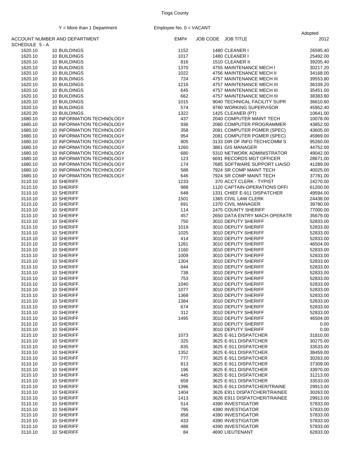Adopted

|                | ACCOUNT NUMBER AND DEPARTMENT | EMP# | JOB CODE JOB TITLE |                                     | 2012     |
|----------------|-------------------------------|------|--------------------|-------------------------------------|----------|
| SCHEDULE 5 - A |                               |      |                    |                                     |          |
| 1620.10        | 10 BUILDINGS                  | 1152 |                    | 1480 CLEANER I                      | 26595.40 |
| 1620.10        | 10 BUILDINGS                  | 1017 |                    | 1480 CLEANER I                      | 25492.00 |
| 1620.10        | 10 BUILDINGS                  | 816  |                    | 1510 CLEANER II                     | 39205.40 |
| 1620.10        | 10 BUILDINGS                  | 1370 |                    | 4755 MAINTENANCE MECH I             | 30217.20 |
| 1620.10        | 10 BUILDINGS                  | 1022 |                    | 4756 MAINTENANCE MECH II            | 34168.00 |
| 1620.10        | 10 BUILDINGS                  | 724  |                    | 4757 MAINTENANCE MECH III           | 39553.80 |
|                |                               |      |                    |                                     |          |
| 1620.10        | 10 BUILDINGS                  | 1216 |                    | 4757 MAINTENANCE MECH III           | 36339.20 |
| 1620.10        | 10 BUILDINGS                  | 645  |                    | 4757 MAINTENANCE MECH III           | 35451.00 |
| 1620.10        | 10 BUILDINGS                  | 662  |                    | 4757 MAINTENANCE MECH III           | 38383.80 |
| 1620.10        | 10 BUILDINGS                  | 1015 |                    | 9040 TECHNICAL FACILITY SUPR        | 36610.60 |
| 1620.10        | 10 BUILDINGS                  | 574  |                    | 9780 WORKING SUPERVISOR             | 45952.40 |
| 1620.20        | 10 BUILDINGS                  | 1322 |                    | 1425 CLEANER (PT)                   | 10641.00 |
| 1680.10        | 10 INFORMATION TECHNOLOGY     | 437  |                    | 2040 COMPUTER MAINT TECH            | 10078.00 |
|                |                               |      |                    |                                     |          |
| 1680.10        | 10 INFORMATION TECHNOLOGY     | 936  |                    | 2080 COMPUTER PROGRAMMER            | 43852.00 |
| 1680.10        | 10 INFORMATION TECHNOLOGY     | 358  |                    | 2081 COMPUTER PGMER (SPEC)          | 43605.00 |
| 1680.10        | 10 INFORMATION TECHNOLOGY     | 954  |                    | 2081 COMPUTER PGMER (SPEC)          | 45969.00 |
| 1680.10        | 10 INFORMATION TECHNOLOGY     | 805  |                    | 3133 DIR OF INFO TECH/COMM S        | 95260.00 |
| 1680.10        | 10 INFORMATION TECHNOLOGY     | 1260 |                    | 3861 GIS MANAGER                    | 44752.00 |
| 1680.10        | 10 INFORMATION TECHNOLOGY     | 680  |                    | 5310 NETWORK ADMINISTRATOR          | 49042.00 |
|                | 10 INFORMATION TECHNOLOGY     | 123  |                    |                                     | 28671.00 |
| 1680.10        |                               |      |                    | 6691 RECORDS MGT OFFICER            |          |
| 1680.10        | 10 INFORMATION TECHNOLOGY     | 174  |                    | <b>7685 SOFTWARE SUPPORT LIAISO</b> | 41289.00 |
| 1680.10        | 10 INFORMATION TECHNOLOGY     | 588  |                    | 7924 SR COMP MAINT TECH             | 40025.00 |
| 1680.10        | 10 INFORMATION TECHNOLOGY     | 646  |                    | 7924 SR COMP MAINT TECH             | 37781.00 |
| 3110.10        | 10 SHERIFF                    | 1233 |                    | 370 ACCT CLERK - TYPIST             | 24270.00 |
| 3110.10        | 10 SHERIFF                    | 988  |                    | 1120 CAPTAIN-OPERATIONS OFFI        | 61200.00 |
| 3110.10        | 10 SHERIFF                    | 648  |                    | 1331 CHIEF E-911 DISPATCHER         | 49594.00 |
|                |                               |      |                    |                                     |          |
| 3110.10        | 10 SHERIFF                    | 1501 |                    | 1365 CIVIL LAW CLERK                | 24438.00 |
| 3110.10        | 10 SHERIFF                    | 691  |                    | 1370 CIVIL MANAGER                  | 39780.00 |
| 3110.10        | 10 SHERIFF                    | 114  |                    | 2475 COUNTY SHERIFF                 | 77000.00 |
| 3110.10        | 10 SHERIFF                    | 457  |                    | 2650 DATA ENTRY MACH OPERATR        | 35679.00 |
| 3110.10        | 10 SHERIFF                    | 750  |                    | 3010 DEPUTY SHERIFF                 | 52833.00 |
| 3110.10        | 10 SHERIFF                    | 1019 |                    | 3010 DEPUTY SHERIFF                 | 52833.00 |
|                |                               |      |                    |                                     |          |
| 3110.10        | 10 SHERIFF                    | 1025 |                    | 3010 DEPUTY SHERIFF                 | 52833.00 |
| 3110.10        | 10 SHERIFF                    | 414  |                    | 3010 DEPUTY SHERIFF                 | 52833.00 |
| 3110.10        | 10 SHERIFF                    | 1261 |                    | 3010 DEPUTY SHERIFF                 | 46504.00 |
| 3110.10        | 10 SHERIFF                    | 1160 |                    | 3010 DEPUTY SHERIFF                 | 52833.00 |
| 3110.10        | 10 SHERIFF                    | 1009 |                    | 3010 DEPUTY SHERIFF                 | 52833.00 |
| 3110.10        | 10 SHERIFF                    | 1304 |                    | 3010 DEPUTY SHERIFF                 | 52833.00 |
| 3110.10        | 10 SHERIFF                    | 644  |                    | 3010 DEPUTY SHERIFF                 | 52833.00 |
|                |                               | 738  |                    |                                     |          |
| 3110.10        | 10 SHERIFF                    |      |                    | 3010 DEPUTY SHERIFF                 | 52833.00 |
| 3110.10        | 10 SHERIFF                    | 753  |                    | 3010 DEPUTY SHERIFF                 | 52833.00 |
| 3110.10        | 10 SHERIFF                    | 1040 |                    | 3010 DEPUTY SHERIFF                 | 52833.00 |
| 3110.10        | 10 SHERIFF                    | 1077 |                    | 3010 DEPUTY SHERIFF                 | 52833.00 |
| 3110.10        | 10 SHERIFF                    | 1368 |                    | 3010 DEPUTY SHERIFF                 | 52833.00 |
| 3110.10        | 10 SHERIFF                    | 1384 |                    | 3010 DEPUTY SHERIFF                 | 52833.00 |
| 3110.10        | 10 SHERIFF                    | 674  |                    | 3010 DEPUTY SHERIFF                 | 52833.00 |
| 3110.10        | 10 SHERIFF                    |      |                    |                                     |          |
|                |                               | 312  |                    | 3010 DEPUTY SHERIFF                 | 52833.00 |
| 3110.10        | 10 SHERIFF                    | 1495 |                    | 3010 DEPUTY SHERIFF                 | 46504.00 |
| 3110.10        | 10 SHERIFF                    |      |                    | 3010 DEPUTY SHERIFF                 | 0.00     |
| 3110.10        | 10 SHERIFF                    |      |                    | 3010 DEPUTY SHERIFF                 | 0.00     |
| 3110.10        | 10 SHERIFF                    | 1073 |                    | 3625 E-911 DISPATCHER               | 31810.00 |
| 3110.10        | 10 SHERIFF                    | 325  |                    | 3625 E-911 DISPATCHER               | 30275.00 |
| 3110.10        | 10 SHERIFF                    | 835  |                    | 3625 E-911 DISPATCHER               | 33533.00 |
|                |                               |      |                    |                                     |          |
| 3110.10        | 10 SHERIFF                    | 1352 |                    | 3625 E-911 DISPATCHER               | 38459.00 |
| 3110.10        | 10 SHERIFF                    | 777  |                    | 3625 E-911 DISPATCHER               | 30263.00 |
| 3110.10        | 10 SHERIFF                    | 813  |                    | 3625 E-911 DISPATCHER               | 37309.00 |
| 3110.10        | 10 SHERIFF                    | 196  |                    | 3625 E-911 DISPATCHER               | 33970.00 |
| 3110.10        | 10 SHERIFF                    | 445  |                    | 3625 E-911 DISPATCHER               | 31213.00 |
| 3110.10        | 10 SHERIFF                    | 659  |                    | 3625 E-911 DISPATCHER               | 33533.00 |
| 3110.10        | 10 SHERIFF                    | 1396 |                    | 3625 E-911 DISPATCHER/TRAINE        | 29913.00 |
|                |                               |      |                    |                                     |          |
| 3110.10        | 10 SHERIFF                    | 1404 |                    | 3626 E911 DISPATCHER/TRAINEE        | 30263.00 |
| 3110.10        | 10 SHERIFF                    | 1413 |                    | 3626 E911 DISPATCHER/TRAINEE        | 29913.00 |
| 3110.10        | 10 SHERIFF                    | 514  |                    | 4390 INVESTIGATOR                   | 57833.00 |
| 3110.10        | 10 SHERIFF                    | 795  |                    | 4390 INVESTIGATOR                   | 57833.00 |
| 3110.10        | 10 SHERIFF                    | 858  |                    | 4390 INVESTIGATOR                   | 57833.00 |
| 3110.10        | 10 SHERIFF                    | 433  |                    | 4390 INVESTIGATOR                   | 57833.00 |
|                |                               |      |                    |                                     |          |
| 3110.10        | 10 SHERIFF                    | 488  |                    | 4390 INVESTIGATOR                   | 57833.00 |
| 3110.10        | 10 SHERIFF                    | 84   |                    | 4690 LIEUTENANT                     | 62833.00 |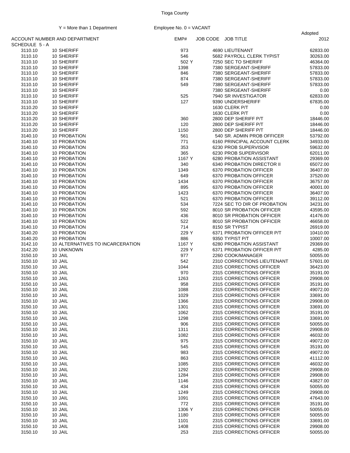Adopted

|                | ACCOUNT NUMBER AND DEPARTMENT    | EMP#   | JOB CODE JOB TITLE |                              | 2012     |
|----------------|----------------------------------|--------|--------------------|------------------------------|----------|
| SCHEDULE 5 - A |                                  |        |                    |                              |          |
| 3110.10        | 10 SHERIFF                       | 973    |                    | 4690 LIEUTENANT              | 62833.00 |
| 3110.10        | 10 SHERIFF                       | 546    |                    | 5682 PAYROLL CLERK TYPIST    | 30263.00 |
| 3110.10        | 10 SHERIFF                       | 502 Y  |                    | 7250 SEC TO SHERIFF          | 46364.00 |
| 3110.10        | 10 SHERIFF                       | 1398   |                    | 7380 SERGEANT-SHERIFF        | 57833.00 |
| 3110.10        | 10 SHERIFF                       | 846    |                    | 7380 SERGEANT-SHERIFF        | 57833.00 |
| 3110.10        | 10 SHERIFF                       | 874    |                    | 7380 SERGEANT-SHERIFF        | 57833.00 |
|                |                                  |        |                    |                              |          |
| 3110.10        | 10 SHERIFF                       | 549    |                    | 7380 SERGEANT-SHERIFF        | 57833.00 |
| 3110.10        | 10 SHERIFF                       |        |                    | 7380 SERGEANT-SHERIFF        | 0.00     |
| 3110.10        | 10 SHERIFF                       | 525    |                    | 7940 SR INVESTIGATOR         | 62833.00 |
| 3110.10        | 10 SHERIFF                       | 127    |                    | 9390 UNDERSHERIFF            | 67835.00 |
| 3110.20        | 10 SHERIFF                       |        |                    | 1630 CLERK P/T               | 0.00     |
| 3110.20        | 10 SHERIFF                       |        |                    | 1630 CLERK P/T               | 0.00     |
| 3110.20        | 10 SHERIFF                       | 360    |                    | 2800 DEP SHERIFF P/T         | 18446.00 |
| 3110.20        | 10 SHERIFF                       | 120    |                    | 2800 DEP SHERIFF P/T         | 18446.00 |
|                |                                  |        |                    |                              |          |
| 3110.20        | 10 SHERIFF                       | 1150   |                    | 2800 DEP SHERIFF P/T         | 18446.00 |
| 3140.10        | 10 PROBATION                     | 561    |                    | 540 SR. ADMIN PROB OFFICER   | 53792.00 |
| 3140.10        | 10 PROBATION                     | 771    |                    | 6160 PRINCIPAL ACCOUNT CLERK | 34933.00 |
| 3140.10        | 10 PROBATION                     | 353    |                    | 6230 PROB SUPERVISOR         | 59632.00 |
| 3140.10        | 10 PROBATION                     | 365    |                    | 6230 PROB SUPERVISOR         | 62011.00 |
| 3140.10        | 10 PROBATION                     | 1167 Y |                    | 6280 PROBATION ASSISTANT     | 29369.00 |
| 3140.10        | 10 PROBATION                     | 340    |                    | 6340 PROBATION DIRECTOR II   | 65072.00 |
|                | 10 PROBATION                     |        |                    | 6370 PROBATION OFFICER       |          |
| 3140.10        |                                  | 1349   |                    |                              | 36407.00 |
| 3140.10        | 10 PROBATION                     | 649    |                    | 6370 PROBATION OFFICER       | 37520.00 |
| 3140.10        | 10 PROBATION                     | 1434   |                    | 6370 PROBATION OFFICER       | 36757.00 |
| 3140.10        | 10 PROBATION                     | 895    |                    | 6370 PROBATION OFFICER       | 40001.00 |
| 3140.10        | 10 PROBATION                     | 1423   |                    | 6370 PROBATION OFFICER       | 36407.00 |
| 3140.10        | 10 PROBATION                     | 521    |                    | 6370 PROBATION OFFICER       | 39112.00 |
| 3140.10        | 10 PROBATION                     | 534    |                    | 7224 SEC TO DIR OF PROBATION | 34231.00 |
|                |                                  |        |                    |                              |          |
| 3140.10        | 10 PROBATION                     | 592    |                    | 8010 SR PROBATION OFFICER    | 43595.00 |
| 3140.10        | 10 PROBATION                     | 436    |                    | 8010 SR PROBATION OFFICER    | 41476.00 |
| 3140.10        | 10 PROBATION                     | 522    |                    | 8010 SR PROBATION OFFICER    | 46658.00 |
| 3140.10        | 10 PROBATION                     | 714    |                    | 8150 SR TYPIST               | 26919.00 |
| 3140.20        | 10 PROBATION                     | 229 Y  |                    | 6371 PROBATION OFFICER P/T   | 10410.00 |
| 3140.20        | 10 PROBATION                     | 886    |                    | 9350 TYPIST P/T              | 10007.00 |
| 3142.10        | 10 ALTERNATIVES TO INCARCERATION | 1167 Y |                    | 6280 PROBATION ASSISTANT     | 29369.00 |
|                |                                  |        |                    |                              |          |
| 3142.20        | 10 UNKNOWN                       | 229 Y  |                    | 6371 PROBATION OFFICER P/T   | 4285.00  |
| 3150.10        | 10 JAIL                          | 977    |                    | 2260 COOK/MANAGER            | 50055.00 |
| 3150.10        | 10 JAIL                          | 542    |                    | 2310 CORRECTIONS LIEUTENANT  | 57601.00 |
| 3150.10        | 10 JAIL                          | 1044   |                    | 2315 CORRECTIONS OFFICER     | 36423.00 |
| 3150.10        | 10 JAIL                          | 970    |                    | 2315 CORRECTIONS OFFICER     | 35191.00 |
| 3150.10        | 10 JAIL                          | 1263   |                    | 2315 CORRECTIONS OFFICER     | 29908.00 |
| 3150.10        | 10 JAIL                          | 958    |                    | 2315 CORRECTIONS OFFICER     | 35191.00 |
|                |                                  |        |                    |                              |          |
| 3150.10        | 10 JAIL                          | 1088   |                    | 2315 CORRECTIONS OFFICER     | 49072.00 |
| 3150.10        | 10 JAIL                          | 1029   |                    | 2315 CORRECTIONS OFFICER     | 33691.00 |
| 3150.10        | 10 JAIL                          | 1366   |                    | 2315 CORRECTIONS OFFICER     | 29908.00 |
| 3150.10        | 10 JAIL                          | 1301   |                    | 2315 CORRECTIONS OFFICER     | 33691.00 |
| 3150.10        | 10 JAIL                          | 1062   |                    | 2315 CORRECTIONS OFFICER     | 35191.00 |
| 3150.10        | 10 JAIL                          | 1298   |                    | 2315 CORRECTIONS OFFICER     | 33691.00 |
| 3150.10        | 10 JAIL                          | 906    |                    | 2315 CORRECTIONS OFFICER     | 50055.00 |
|                |                                  |        |                    |                              |          |
| 3150.10        | 10 JAIL                          | 1311   |                    | 2315 CORRECTIONS OFFICER     | 29908.00 |
| 3150.10        | 10 JAIL                          | 1082   |                    | 2315 CORRECTIONS OFFICER     | 46032.00 |
| 3150.10        | 10 JAIL                          | 975    |                    | 2315 CORRECTIONS OFFICER     | 49072.00 |
| 3150.10        | 10 JAIL                          | 545    |                    | 2315 CORRECTIONS OFFICER     | 35191.00 |
| 3150.10        | 10 JAIL                          | 983    |                    | 2315 CORRECTIONS OFFICER     | 49072.00 |
| 3150.10        | 10 JAIL                          | 863    |                    | 2315 CORRECTIONS OFFICER     | 41112.00 |
| 3150.10        | 10 JAIL                          | 1085   |                    | 2315 CORRECTIONS OFFICER     | 46032.00 |
|                |                                  |        |                    |                              |          |
| 3150.10        | 10 JAIL                          | 1292   |                    | 2315 CORRECTIONS OFFICER     | 29908.00 |
| 3150.10        | 10 JAIL                          | 1284   |                    | 2315 CORRECTIONS OFFICER     | 29908.00 |
| 3150.10        | 10 JAIL                          | 1146   |                    | 2315 CORRECTIONS OFFICER     | 43827.00 |
| 3150.10        | 10 JAIL                          | 434    |                    | 2315 CORRECTIONS OFFICER     | 50055.00 |
| 3150.10        | 10 JAIL                          | 1249   |                    | 2315 CORRECTIONS OFFICER     | 29908.00 |
| 3150.10        | 10 JAIL                          | 1091   |                    | 2315 CORRECTIONS OFFICER     | 47643.00 |
|                |                                  |        |                    |                              |          |
| 3150.10        | 10 JAIL                          | 772    |                    | 2315 CORRECTIONS OFFICER     | 35191.00 |
| 3150.10        | 10 JAIL                          | 1306 Y |                    | 2315 CORRECTIONS OFFICER     | 50055.00 |
| 3150.10        | 10 JAIL                          | 1180   |                    | 2315 CORRECTIONS OFFICER     | 50055.00 |
| 3150.10        | 10 JAIL                          | 1101   |                    | 2315 CORRECTIONS OFFICER     | 33691.00 |
| 3150.10        | 10 JAIL                          | 1408   |                    | 2315 CORRECTIONS OFFICER     | 29908.00 |
| 3150.10        | 10 JAIL                          | 253    |                    | 2315 CORRECTIONS OFFICER     | 50055.00 |
|                |                                  |        |                    |                              |          |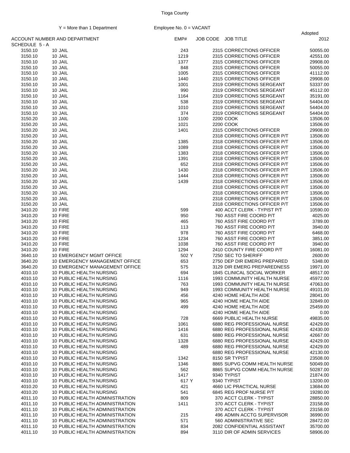|                |                                 |       |                    |                                                              | Adopted  |
|----------------|---------------------------------|-------|--------------------|--------------------------------------------------------------|----------|
| SCHEDULE 5 - A | ACCOUNT NUMBER AND DEPARTMENT   | EMP#  | JOB CODE JOB TITLE |                                                              | 2012     |
| 3150.10        | 10 JAIL                         | 243   |                    | 2315 CORRECTIONS OFFICER                                     | 50055.00 |
| 3150.10        | 10 JAIL                         | 1219  |                    | 2315 CORRECTIONS OFFICER                                     | 42551.00 |
| 3150.10        | 10 JAIL                         | 1377  |                    | 2315 CORRECTIONS OFFICER                                     | 29908.00 |
| 3150.10        | 10 JAIL                         | 848   |                    | 2315 CORRECTIONS OFFICER                                     | 50055.00 |
| 3150.10        | 10 JAIL                         | 1005  |                    | 2315 CORRECTIONS OFFICER                                     | 41112.00 |
| 3150.10        | 10 JAIL                         | 1440  |                    | 2315 CORRECTIONS OFFICER                                     | 29908.00 |
| 3150.10        | 10 JAIL                         | 1001  |                    | 2319 CORRECTIONS SERGEANT                                    | 53337.00 |
| 3150.10        | 10 JAIL                         | 990   |                    | 2319 CORRECTIONS SERGEANT                                    | 45112.00 |
| 3150.10        | 10 JAIL                         | 1164  |                    | 2319 CORRECTIONS SERGEANT                                    | 35191.00 |
| 3150.10        | 10 JAIL                         | 538   |                    | 2319 CORRECTIONS SERGEANT                                    | 54404.00 |
| 3150.10        | 10 JAIL                         | 1010  |                    | 2319 CORRECTIONS SERGEANT                                    | 54404.00 |
| 3150.10        | 10 JAIL                         | 374   |                    | 2319 CORRECTIONS SERGEANT                                    | 54404.00 |
| 3150.20        | 10 JAIL                         | 1100  | 2200 COOK          |                                                              | 13506.00 |
| 3150.20        | 10 JAIL                         | 1021  | 2200 COOK          |                                                              | 13506.00 |
| 3150.20        | 10 JAIL                         | 1401  |                    | 2315 CORRECTIONS OFFICER                                     | 29908.00 |
| 3150.20        | 10 JAIL                         |       |                    | 2318 CORRECTIONS OFFICER P/T                                 | 13506.00 |
| 3150.20        | 10 JAIL                         | 1385  |                    | 2318 CORRECTIONS OFFICER P/T                                 | 13506.00 |
| 3150.20        | 10 JAIL                         | 1089  |                    | 2318 CORRECTIONS OFFICER P/T                                 | 13506.00 |
|                |                                 |       |                    | 2318 CORRECTIONS OFFICER P/T                                 |          |
| 3150.20        | 10 JAIL<br>10 JAIL              | 1383  |                    |                                                              | 13506.00 |
| 3150.20        |                                 | 1391  |                    | 2318 CORRECTIONS OFFICER P/T<br>2318 CORRECTIONS OFFICER P/T | 13506.00 |
| 3150.20        | 10 JAIL                         | 652   |                    |                                                              | 13506.00 |
| 3150.20        | 10 JAIL                         | 1430  |                    | 2318 CORRECTIONS OFFICER P/T                                 | 13506.00 |
| 3150.20        | 10 JAIL                         | 1444  |                    | 2318 CORRECTIONS OFFICER P/T                                 | 13506.00 |
| 3150.20        | 10 JAIL                         | 1439  |                    | 2318 CORRECTIONS OFFICER P/T                                 | 13506.00 |
| 3150.20        | 10 JAIL                         |       |                    | 2318 CORRECTIONS OFFICER P/T                                 | 13506.00 |
| 3150.20        | 10 JAIL                         |       |                    | 2318 CORRECTIONS OFFICER P/T                                 | 13506.00 |
| 3150.20        | 10 JAIL                         |       |                    | 2318 CORRECTIONS OFFICER P/T                                 | 13506.00 |
| 3150.20        | 10 JAIL                         |       |                    | 2318 CORRECTIONS OFFICER P/T                                 | 13506.00 |
| 3410.20        | 10 FIRE                         | 599   |                    | 400 ACCT CLERK - TYPIST P/T                                  | 10590.00 |
| 3410.20        | 10 FIRE                         | 950   |                    | 760 ASST FIRE COORD P/T                                      | 4025.00  |
| 3410.20        | 10 FIRE                         | 465   |                    | 760 ASST FIRE COORD P/T                                      | 3789.00  |
| 3410.20        | 10 FIRE                         | 113   |                    | 760 ASST FIRE COORD P/T                                      | 3940.00  |
| 3410.20        | 10 FIRE                         | 978   |                    | 760 ASST FIRE COORD P/T                                      | 6468.00  |
| 3410.20        | 10 FIRE                         | 1234  |                    | 760 ASST FIRE COORD P/T                                      | 3851.00  |
| 3410.20        | 10 FIRE                         | 1038  |                    | 760 ASST FIRE COORD P/T                                      | 3940.00  |
| 3410.20        | 10 FIRE                         | 1294  |                    | 2410 COUNTY FIRE COORD P/T                                   | 16081.00 |
| 3640.10        | 10 EMERGENCY MGMT OFFICE        | 502 Y |                    | 7250 SEC TO SHERIFF                                          | 2600.00  |
| 3640.20        | 10 EMERGENCY MANAGEMENT OFFICE  | 653   |                    | 2750 DEP DIR EMERG PREPARED                                  | 5348.00  |
| 3640.20        | 10 EMERGENCY MANAGEMENT OFFICE  | 575   |                    | 3129 DIR EMERG PREPAREDNESS                                  | 19971.00 |
| 4010.10        | 10 PUBLIC HEALTH NURSING        | 694   |                    | 1845 CLINICAL SOCIAL WORKER                                  | 48517.00 |
| 4010.10        | 10 PUBLIC HEALTH NURSING        | 1116  |                    | 1993 COMMUNITY HEALTH NURSE                                  | 45972.00 |
| 4010.10        | 10 PUBLIC HEALTH NURSING        | 763   |                    | 1993 COMMUNITY HEALTH NURSE                                  | 47063.00 |
| 4010.10        | <b>10 PUBLIC HEALTH NURSING</b> | 949   |                    | <b>1993 COMMUNITY HEALTH NURSE</b>                           | 49101.00 |
| 4010.10        | 10 PUBLIC HEALTH NURSING        | 456   |                    | 4240 HOME HEALTH AIDE                                        | 28041.00 |
| 4010.10        | 10 PUBLIC HEALTH NURSING        | 965   |                    | 4240 HOME HEALTH AIDE                                        | 32849.00 |
| 4010.10        | 10 PUBLIC HEALTH NURSING        | 499   |                    | 4240 HOME HEALTH AIDE                                        | 25459.00 |
| 4010.10        | <b>10 PUBLIC HEALTH NURSING</b> |       |                    | 4240 HOME HEALTH AIDE                                        | 0.00     |
| 4010.10        | 10 PUBLIC HEALTH NURSING        | 728   |                    | 6669 PUBLIC HEALTH NURSE                                     | 49835.00 |
| 4010.10        | <b>10 PUBLIC HEALTH NURSING</b> | 1061  |                    | 6880 REG PROFESSIONAL NURSE                                  | 42429.00 |
| 4010.10        | 10 PUBLIC HEALTH NURSING        | 1416  |                    | 6880 REG PROFESSIONAL NURSE                                  | 42430.00 |
| 4010.10        | 10 PUBLIC HEALTH NURSING        | 631   |                    | 6880 REG PROFESSIONAL NURSE                                  | 42667.00 |
| 4010.10        | 10 PUBLIC HEALTH NURSING        | 1328  |                    | 6880 REG PROFESSIONAL NURSE                                  | 42429.00 |
| 4010.10        | 10 PUBLIC HEALTH NURSING        | 489   |                    | 6880 REG PROFESSIONAL NURSE                                  | 42429.00 |
| 4010.10        | 10 PUBLIC HEALTH NURSING        |       |                    | 6880 REG PROFESSIONAL NURSE                                  | 42130.00 |
| 4010.10        | 10 PUBLIC HEALTH NURSING        | 1342  | 8150 SR TYPIST     |                                                              | 23508.00 |
| 4010.10        | 10 PUBLIC HEALTH NURSING        | 1346  |                    | 8865 SUPVG COMM HEALTH NURSE                                 | 50049.00 |
| 4010.10        | 10 PUBLIC HEALTH NURSING        | 562   |                    | 8865 SUPVG COMM HEALTH NURSE                                 | 50287.00 |
| 4010.10        | 10 PUBLIC HEALTH NURSING        | 1417  | 9340 TYPIST        |                                                              | 21874.00 |
| 4010.10        | 10 PUBLIC HEALTH NURSING        | 617 Y | 9340 TYPIST        |                                                              | 13200.00 |
| 4010.20        | 10 PUBLIC HEALTH NURSING        | 421   |                    | 4660 LIC PRACTICAL NURSE                                     | 13684.00 |
| 4010.20        | 10 PUBLIC HEALTH NURSING        | 541   |                    | 6845 REG PROF NURSE P/T                                      | 19280.00 |
| 4011.10        | 10 PUBLIC HEALTH ADMINISTRATION | 809   |                    | 370 ACCT CLERK - TYPIST                                      | 28850.00 |
| 4011.10        | 10 PUBLIC HEALTH ADMINISTRATION | 1411  |                    | 370 ACCT CLERK - TYPIST                                      | 23158.00 |
| 4011.10        | 10 PUBLIC HEALTH ADMINISTRATION |       |                    | 370 ACCT CLERK - TYPIST                                      | 23158.00 |
| 4011.10        | 10 PUBLIC HEALTH ADMINISTRATION | 215   |                    | 496 ADMIN ACCTG SUPERVISOR                                   | 36990.00 |
| 4011.10        | 10 PUBLIC HEALTH ADMINISTRATION | 571   |                    | 560 ADMINISTRATIVE SEC                                       | 28472.00 |
| 4011.10        | 10 PUBLIC HEALTH ADMINISTRATION | 834   |                    | 2082 CONFIDENTIAL ASSISTANT                                  | 35700.00 |
| 4011.10        | 10 PUBLIC HEALTH ADMINISTRATION | 894   |                    | 3110 DIR OF ADMIN SERVICES                                   | 58906.00 |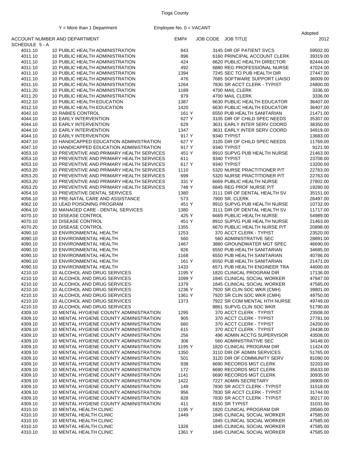|                    |                                                                         |                  |                                                           | Adopted              |
|--------------------|-------------------------------------------------------------------------|------------------|-----------------------------------------------------------|----------------------|
| SCHEDULE 5-A       | ACCOUNT NUMBER AND DEPARTMENT                                           | EMP#             | JOB CODE JOB TITLE                                        | 2012                 |
| 4011.10            | 10 PUBLIC HEALTH ADMINISTRATION                                         | 843              | 3145 DIR OF PATIENT SVCS                                  | 59502.00             |
| 4011.10            | 10 PUBLIC HEALTH ADMINISTRATION                                         | 896              | 6160 PRINCIPAL ACCOUNT CLERK                              | 39319.00             |
| 4011.10            | 10 PUBLIC HEALTH ADMINISTRATION                                         | 424              | 6620 PUBLIC HEALTH DIRECTOR                               | 82444.00             |
| 4011.10            | 10 PUBLIC HEALTH ADMINISTRATION                                         | 492              | 6880 REG PROFESSIONAL NURSE                               | 47024.00             |
| 4011.10            | 10 PUBLIC HEALTH ADMINISTRATION                                         | 1394             | 7245 SEC TO PUB HEALTH DIR                                | 27447.00             |
| 4011.10            | 10 PUBLIC HEALTH ADMINISTRATION                                         | 476              | 7685 SOFTWARE SUPPORT LIAISO                              | 36009.00             |
| 4011.10            | 10 PUBLIC HEALTH ADMINISTRATION                                         | 1264             | 7830 SR ACCT CLERK - TYPIST                               | 24800.00             |
| 4011.20            | 10 PUBLIC HEALTH ADMINISTRATION                                         | 1189             | 4700 MAIL CLERK                                           | 3336.00              |
| 4011.20            | 10 PUBLIC HEALTH ADMINISTRATION                                         | 979              | 4700 MAIL CLERK                                           | 3336.00              |
| 4012.10            | 10 PUBLIC HEALTH EDUCATION                                              | 1387             | 6630 PUBLIC HEALTH EDUCATOR                               | 36407.00             |
| 4012.10            | 10 PUBLIC HEALTH EDUCATION                                              | 1420             | 6630 PUBLIC HEALTH EDUCATOR                               | 36407.00             |
| 4042.10            | 10 RABIES CONTROL                                                       | 161 Y            | 6550 PUB HEALTH SANITARIAN                                | 21471.00             |
| 4044.10            | <b>10 EARLY INTERVENTION</b>                                            | 627 Y            | 3105 DIR OF CHILD SPEC NEEDS                              | 35307.00             |
| 4044.10            | <b>10 EARLY INTERVENTION</b>                                            | 629              | 3631 EARLY INTER SERV COORD                               | 38350.00             |
| 4044.10            | <b>10 EARLY INTERVENTION</b>                                            | 1347             | 3631 EARLY INTER SERV COORD                               | 34919.00             |
| 4044.10            | <b>10 EARLY INTERVENTION</b><br>10 HANDICAPPED EDUCATION ADMINISTRATION | 917 Y<br>627 Y   | 9340 TYPIST<br>3105 DIR OF CHILD SPEC NEEDS               | 13683.00<br>11769.00 |
| 4047.10<br>4047.10 | 10 HANDICAPPED EDUCATION ADMINISTRATION                                 | 917 Y            | 9340 TYPIST                                               | 9121.00              |
| 4053.10            | 10 PREVENTIVE AND PRIMARY HEALTH SERVICES                               | 451 Y            | 8910 SUPVG PUB HEALTH NURSE                               | 21463.00             |
| 4053.10            | 10 PREVENTIVE AND PRIMARY HEALTH SERVICES                               | 611              | 9340 TYPIST                                               | 23708.00             |
| 4053.10            | 10 PREVENTIVE AND PRIMARY HEALTH SERVICES                               | 617 Y            | 9340 TYPIST                                               | 13200.00             |
| 4053.20            | 10 PREVENTIVE AND PRIMARY HEALTH SERVICES                               | 1110             | 5320 NURSE PRACTITIONER P/T                               | 22763.00             |
| 4053.20            | 10 PREVENTIVE AND PRIMARY HEALTH SERVICES                               | 699              | 5320 NURSE PRACTITIONER P/T                               | 22763.00             |
| 4053.20            | 10 PREVENTIVE AND PRIMARY HEALTH SERVICES                               | 331 Y            | 6669 PUBLIC HEALTH NURSE                                  | 27802.00             |
| 4053.20            | 10 PREVENTIVE AND PRIMARY HEALTH SERVICES                               | 748 Y            | 6845 REG PROF NURSE P/T                                   | 19280.00             |
| 4054.10            | 10 PREVENTIVE DENTAL SERVICES                                           | 1380             | 3111 DIR OF DENTAL HEALTH SV                              | 35151.00             |
| 4056.10            | 10 PRE-NATAL CARE AND ASSISTANCE                                        | 573              | 7900 SR. CLERK                                            | 26497.00             |
| 4062.10            | 10 LEAD POISONING PROGRAM                                               | 451 Y            | 8910 SUPVG PUB HEALTH NURSE                               | 10732.00             |
| 4064.10            | 10 MANAGED CARE - DENTAL SERVICES                                       | 1380             | 3111 DIR OF DENTAL HEALTH SV                              | 11717.00             |
| 4070.10            | 10 DISEASE CONTROL                                                      | 425 Y            | 6669 PUBLIC HEALTH NURSE                                  | 54989.00             |
| 4070.10            | 10 DISEASE CONTROL                                                      | 451 Y            | 8910 SUPVG PUB HEALTH NURSE                               | 21463.00             |
| 4070.20            | 10 DISEASE CONTROL                                                      | 1355             | 6670 PUBLIC HEALTH NURSE P/T                              | 20898.00             |
| 4090.10            | 10 ENVIRONMENTAL HEALTH                                                 | 1253             | 370 ACCT CLERK - TYPIST                                   | 23520.00             |
| 4090.10            | 10 ENVIRONMENTAL HEALTH                                                 | 560              | 560 ADMINISTRATIVE SEC                                    | 28891.00             |
| 4090.10            | 10 ENVIRONMENTAL HEALTH                                                 | 1467             | 3880 GROUNDWATER MGT SPEC                                 | 46690.00             |
| 4090.10            | 10 ENVIRONMENTAL HEALTH                                                 | 826              | 6550 PUB HEALTH SANITARIAN                                | 34685.00             |
| 4090.10            | 10 ENVIRONMENTAL HEALTH                                                 | 1168             | 6550 PUB HEALTH SANITARIAN                                | 40786.00             |
| 4090.10            | 10 ENVIRONMENTAL HEALTH                                                 | 161 Y            | 6550 PUB HEALTH SANITARIAN                                | 21471.00             |
| 4090.10            | 10 ENVIRONMENTAL HEALTH                                                 | 1433             | 6571 PUB HEALTH ENGINEER TRA                              | 44000.00             |
| 4210.10            | 10 ALCOHOL AND DRUG SERVICES                                            | 1195 Y           | 1820 CLINICAL PROGRAM DIR                                 | 17136.00             |
| 4210.10            | 10 ALCOHOL AND DRUG SERVICES                                            | 1099 Y           | 1845 CLINICAL SOCIAL WORKER                               | 47947.00             |
| 4210.10<br>4210.10 | 10 ALCOHOL AND DRUG SERVICES                                            | 1379             | 1845 CLINICAL SOCIAL WORKER<br>7920 SR CLIN SOC WKR (CMH) | 47585.00             |
| 4210.10            | 10 ALCOHOL AND DRUG SERVICES<br>10 ALCOHOL AND DRUG SERVICES            | 1236 Y<br>1361 Y | 7920 SR CLIN SOC WKR (CMH)                                | 39801.00<br>49750.00 |
| 4210.10            | 10 ALCOHOL AND DRUG SERVICES                                            | 1373             | 7922 SR COM MENTAL HTH NURSE                              | 49749.00             |
| 4210.10            | 10 ALCOHOL AND DRUG SERVICES                                            |                  | 8861 SUPVG CLIN SOC WKR                                   | 51790.00             |
| 4309.10            | 10 MENTAL HYGIENE COUNTY ADMINISTRATION                                 | 1295             | 370 ACCT CLERK - TYPIST                                   | 23508.00             |
| 4309.10            | 10 MENTAL HYGIENE COUNTY ADMINISTRATION                                 | 905              | 370 ACCT CLERK - TYPIST                                   | 27781.00             |
| 4309.10            | 10 MENTAL HYGIENE COUNTY ADMINISTRATION                                 | 660              | 370 ACCT CLERK - TYPIST                                   | 24200.00             |
| 4309.10            | 10 MENTAL HYGIENE COUNTY ADMINISTRATION                                 | 615              | 370 ACCT CLERK - TYPIST                                   | 24438.00             |
| 4309.10            | 10 MENTAL HYGIENE COUNTY ADMINISTRATION                                 | 256              | 496 ADMIN ACCTG SUPERVISOR                                | 43508.00             |
| 4309.10            | 10 MENTAL HYGIENE COUNTY ADMINISTRATION                                 | 306              | 560 ADMINISTRATIVE SEC                                    | 34148.00             |
| 4309.10            | 10 MENTAL HYGIENE COUNTY ADMINISTRATION                                 | 1195 Y           | 1820 CLINICAL PROGRAM DIR                                 | 11424.00             |
| 4309.10            | 10 MENTAL HYGIENE COUNTY ADMINISTRATION                                 | 1350             | 3110 DIR OF ADMIN SERVICES                                | 51765.00             |
| 4309.10            | 10 MENTAL HYGIENE COUNTY ADMINISTRATION                                 | 501              | 3120 DIR OF COMMUNITY SERV                                | 81090.00             |
| 4309.10            | 10 MENTAL HYGIENE COUNTY ADMINISTRATION                                 | 938              | 6690 RECORDS MGT CLERK                                    | 32203.00             |
| 4309.10            | 10 MENTAL HYGIENE COUNTY ADMINISTRATION                                 | 172              | 6690 RECORDS MGT CLERK                                    | 35633.00             |
| 4309.10            | 10 MENTAL HYGIENE COUNTY ADMINISTRATION                                 | 1141             | 6690 RECORDS MGT CLERK                                    | 30935.00             |
| 4309.10            | 10 MENTAL HYGIENE COUNTY ADMINISTRATION                                 | 1422             | 7227 ADMIN SECRETARY                                      | 26909.00             |
| 4309.10            | 10 MENTAL HYGIENE COUNTY ADMINISTRATION                                 | 149              | 7830 SR ACCT CLERK - TYPIST                               | 31518.00             |
| 4309.10            | 10 MENTAL HYGIENE COUNTY ADMINISTRATION                                 | 956              | 7830 SR ACCT CLERK - TYPIST                               | 31744.00             |
| 4309.10            | 10 MENTAL HYGIENE COUNTY ADMINISTRATION                                 | 828              | 7830 SR ACCT CLERK - TYPIST                               | 30217.00             |
| 4309.10            | 10 MENTAL HYGIENE COUNTY ADMINISTRATION                                 | 411              | 8150 SR TYPIST                                            | 31031.00             |
| 4310.10            | 10 MENTAL HEALTH CLINIC                                                 | 1195 Y           | 1820 CLINICAL PROGRAM DIR                                 | 28560.00             |
| 4310.10            | 10 MENTAL HEALTH CLINIC                                                 | 1449             | 1845 CLINICAL SOCIAL WORKER                               | 47585.00             |
| 4310.10            | 10 MENTAL HEALTH CLINIC                                                 |                  | 1845 CLINICAL SOCIAL WORKER                               | 47585.00             |
| 4310.10            | 10 MENTAL HEALTH CLINIC                                                 | 1326             | 1845 CLINICAL SOCIAL WORKER                               | 47585.00             |
| 4310.10            | 10 MENTAL HEALTH CLINIC                                                 | 1361 Y           | 1845 CLINICAL SOCIAL WORKER                               | 47585.00             |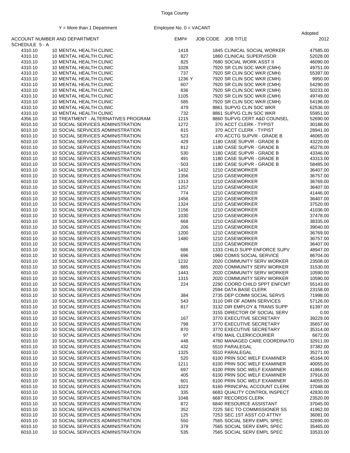|                    |                                                                        |             |                                                          | Adopted              |
|--------------------|------------------------------------------------------------------------|-------------|----------------------------------------------------------|----------------------|
| SCHEDULE 5 - A     | ACCOUNT NUMBER AND DEPARTMENT                                          | EMP#        | JOB CODE JOB TITLE                                       | 2012                 |
| 4310.10            | 10 MENTAL HEALTH CLINIC                                                | 1418        | <b>1845 CLINICAL SOCIAL WORKER</b>                       | 47585.00             |
| 4310.10            | 10 MENTAL HEALTH CLINIC                                                | 827         | 1860 CLINICAL SUPERVISOR                                 | 52028.00             |
| 4310.10            | 10 MENTAL HEALTH CLINIC                                                | 825         | 7680 SOCIAL WORK ASST II                                 | 46090.00             |
| 4310.10            | 10 MENTAL HEALTH CLINIC                                                | 1028        | 7920 SR CLIN SOC WKR (CMH)                               | 49751.00             |
| 4310.10            | 10 MENTAL HEALTH CLINIC                                                | 737         | 7920 SR CLIN SOC WKR (CMH)                               | 55397.00             |
| 4310.10            | 10 MENTAL HEALTH CLINIC                                                | 1236 Y      | 7920 SR CLIN SOC WKR (CMH)                               | 9950.00              |
| 4310.10            | 10 MENTAL HEALTH CLINIC                                                | 607         | 7920 SR CLIN SOC WKR (CMH)                               | 54290.00             |
| 4310.10            | 10 MENTAL HEALTH CLINIC                                                | 836         | 7920 SR CLIN SOC WKR (CMH)                               | 50233.00             |
| 4310.10<br>4310.10 | 10 MENTAL HEALTH CLINIC<br>10 MENTAL HEALTH CLINIC                     | 1105<br>585 | 7920 SR CLIN SOC WKR (CMH)<br>7920 SR CLIN SOC WKR (CMH) | 49749.00             |
| 4310.10            | 10 MENTAL HEALTH CLINIC                                                | 479         | 8861 SUPVG CLIN SOC WKR                                  | 54196.00<br>62536.00 |
| 4310.10            | 10 MENTAL HEALTH CLINIC                                                | 732         | 8861 SUPVG CLIN SOC WKR                                  | 55951.00             |
| 4356.10            | 10 TREATMENT - ALTERNATIVES PROGRAM                                    | 1215        | 8860 SUPVG CERT A&D COUNSEL                              | 52690.00             |
| 6010.10            | 10 SOCIAL SERVICES ADMINISTRATION                                      | 1272        | 370 ACCT CLERK - TYPIST                                  | 30188.00             |
| 6010.10            | 10 SOCIAL SERVICES ADMINISTRATION                                      | 815         | 370 ACCT CLERK - TYPIST                                  | 28941.00             |
| 6010.10            | 10 SOCIAL SERVICES ADMINISTRATION                                      | 523         | 470 ACCTG SUPVR - GRADE B                                | 46065.00             |
| 6010.10            | 10 SOCIAL SERVICES ADMINISTRATION                                      | 429         | 1180 CASE SUPVR - GRADE B                                | 43220.00             |
| 6010.10            | 10 SOCIAL SERVICES ADMINISTRATION                                      | 812         | 1180 CASE SUPVR - GRADE B                                | 45278.00             |
| 6010.10            | 10 SOCIAL SERVICES ADMINISTRATION                                      | 530         | 1180 CASE SUPVR - GRADE B                                | 43346.00             |
| 6010.10            | 10 SOCIAL SERVICES ADMINISTRATION                                      | 491         | 1180 CASE SUPVR - GRADE B                                | 43313.00             |
| 6010.10            | 10 SOCIAL SERVICES ADMINISTRATION                                      | 503         | 1180 CASE SUPVR - GRADE B                                | 58485.00             |
| 6010.10            | 10 SOCIAL SERVICES ADMINISTRATION                                      | 1432        | 1210 CASEWORKER                                          | 36407.00             |
| 6010.10            | 10 SOCIAL SERVICES ADMINISTRATION                                      | 1356        | 1210 CASEWORKER                                          | 36757.00             |
| 6010.10            | 10 SOCIAL SERVICES ADMINISTRATION                                      | 1313        | 1210 CASEWORKER                                          | 36769.00             |
| 6010.10            | 10 SOCIAL SERVICES ADMINISTRATION                                      | 1257        | 1210 CASEWORKER                                          | 36407.00             |
| 6010.10            | 10 SOCIAL SERVICES ADMINISTRATION                                      | 774         | 1210 CASEWORKER                                          | 41446.00             |
| 6010.10            | 10 SOCIAL SERVICES ADMINISTRATION                                      | 1456        | 1210 CASEWORKER                                          | 36407.00             |
| 6010.10            | 10 SOCIAL SERVICES ADMINISTRATION                                      | 1324        | 1210 CASEWORKER                                          | 37520.00             |
| 6010.10            | 10 SOCIAL SERVICES ADMINISTRATION                                      | 1156        | 1210 CASEWORKER                                          | 41036.00             |
| 6010.10            | 10 SOCIAL SERVICES ADMINISTRATION                                      | 1030        | 1210 CASEWORKER                                          | 37478.00             |
| 6010.10            | 10 SOCIAL SERVICES ADMINISTRATION                                      | 668         | 1210 CASEWORKER                                          | 38335.00             |
| 6010.10            | 10 SOCIAL SERVICES ADMINISTRATION                                      | 206         | 1210 CASEWORKER                                          | 39040.00             |
| 6010.10            | 10 SOCIAL SERVICES ADMINISTRATION                                      | 1200        | 1210 CASEWORKER                                          | 36769.00             |
| 6010.10            | 10 SOCIAL SERVICES ADMINISTRATION                                      | 1480        | 1210 CASEWORKER                                          | 36757.00             |
| 6010.10            | 10 SOCIAL SERVICES ADMINISTRATION                                      |             | 1210 CASEWORKER                                          | 36407.00             |
| 6010.10            | 10 SOCIAL SERVICES ADMINISTRATION                                      | 686         | 1333 CHILD SUPP ENFORCE SUPV                             | 48947.00             |
| 6010.10            | 10 SOCIAL SERVICES ADMINISTRATION                                      | 696         | 1960 COMIS SOCIAL SERVICE                                | 86704.00             |
| 6010.10            | 10 SOCIAL SERVICES ADMINISTRATION                                      | 1232        | 2020 COMMUNITY SERV WORKER                               | 23508.00             |
| 6010.10            | 10 SOCIAL SERVICES ADMINISTRATION                                      | 885         | 2020 COMMUNITY SERV WORKER                               | 31530.00             |
| 6010.10            | 10 SOCIAL SERVICES ADMINISTRATION                                      | 1443        | 2020 COMMUNITY SERV WORKER                               | 10590.00             |
| 6010.10            | 10 SOCIAL SERVICES ADMINISTRATION                                      | 1315        | 2020 COMMUNITY SERV WORKER                               | 10590.00             |
| 6010.10            | 10 SOCIAL SERVICES ADMINISTRATION                                      | 224         | 2290 COORD CHILD SPPT ENFCMT                             | 55143.00             |
| 6010.10            | 10 SOCIAL SERVICES ADMINISTRATION                                      |             | 2594 DATA BASE CLERK                                     | 23158.00             |
| 6010.10            | 10 SOCIAL SERVICES ADMINISTRATION                                      | 384         | 2735 DEP COMM SOCIAL SERVS                               | 71998.00             |
| 6010.10            | 10 SOCIAL SERVICES ADMINISTRATION                                      | 543         | 3110 DIR OF ADMIN SERVICES                               | 57126.00             |
| 6010.10            | 10 SOCIAL SERVICES ADMINISTRATION                                      | 817         | 3132 DIR EMPLOY & TRANS SUPP                             | 61397.00             |
| 6010.10            | 10 SOCIAL SERVICES ADMINISTRATION                                      |             | 3155 DIRECTOR OF SOCIAL SERV<br>3770 EXECUTIVE SECRETARY | 0.00                 |
| 6010.10            | 10 SOCIAL SERVICES ADMINISTRATION                                      | 167         |                                                          | 39229.00             |
| 6010.10            | 10 SOCIAL SERVICES ADMINISTRATION<br>10 SOCIAL SERVICES ADMINISTRATION | 798         | 3770 EXECUTIVE SECRETARY<br>3770 EXECUTIVE SECRETARY     | 35657.00             |
| 6010.10            |                                                                        | 870         |                                                          | 35314.00             |
| 6010.10<br>6010.10 | 10 SOCIAL SERVICES ADMINISTRATION<br>10 SOCIAL SERVICES ADMINISTRATION | 97          | 4700 MAIL CLERK\COURIER<br>4760 MANAGED CARE COORDINATO  | 6672.00<br>32911.00  |
| 6010.10            | 10 SOCIAL SERVICES ADMINISTRATION                                      | 448<br>432  | 5510 PARALEGAL                                           | 37382.00             |
|                    |                                                                        |             |                                                          |                      |
| 6010.10<br>6010.10 | 10 SOCIAL SERVICES ADMINISTRATION<br>10 SOCIAL SERVICES ADMINISTRATION | 1325<br>520 | 5510 PARALEGAL<br>6100 PRIN SOC WELF EXAMINER            | 35271.00<br>45164.00 |
| 6010.10            | 10 SOCIAL SERVICES ADMINISTRATION                                      | 1211        | 6100 PRIN SOC WELF EXAMINER                              | 40055.00             |
| 6010.10            | 10 SOCIAL SERVICES ADMINISTRATION                                      | 697         | 6100 PRIN SOC WELF EXAMINER                              | 41864.00             |
| 6010.10            | 10 SOCIAL SERVICES ADMINISTRATION                                      | 405         | 6100 PRIN SOC WELF EXAMINER                              | 37916.00             |
| 6010.10            | 10 SOCIAL SERVICES ADMINISTRATION                                      | 601         | 6100 PRIN SOC WELF EXAMINER                              | 44055.00             |
| 6010.10            | 10 SOCIAL SERVICES ADMINISTRATION                                      | 1023        | 6160 PRINCIPAL ACCOUNT CLERK                             | 37048.00             |
| 6010.10            | 10 SOCIAL SERVICES ADMINISTRATION                                      | 335         | 6683 QUALITY CONTROL INSPECT                             | 42830.00             |
| 6010.10            | 10 SOCIAL SERVICES ADMINISTRATION                                      | 1048        | 6687 RECORDS CLERK                                       | 23520.00             |
| 6010.10            | 10 SOCIAL SERVICES ADMINISTRATION                                      | 872         | 6840 RESOURCE ASSISTANT                                  | 37045.00             |
| 6010.10            | 10 SOCIAL SERVICES ADMINISTRATION                                      | 352         | 7225 SEC TO COMMISSIONER SS                              | 41962.00             |
| 6010.10            | 10 SOCIAL SERVICES ADMINISTRATION                                      | 125         | 7253 SEC 1ST ASST CO ATTNY                               | 36081.00             |
| 6010.10            | 10 SOCIAL SERVICES ADMINISTRATION                                      | 550         | 7565 SOCIAL SERV EMPL SPEC                               | 32690.00             |
| 6010.10            | 10 SOCIAL SERVICES ADMINISTRATION                                      | 379         | 7565 SOCIAL SERV EMPL SPEC                               | 35465.00             |
| 6010.10            | 10 SOCIAL SERVICES ADMINISTRATION                                      | 535         | 7565 SOCIAL SERV EMPL SPEC                               | 33533.00             |
|                    |                                                                        |             |                                                          |                      |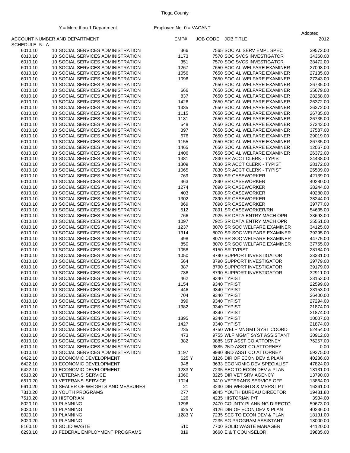|                    |                                                                        |            |                                                              | Adopted              |
|--------------------|------------------------------------------------------------------------|------------|--------------------------------------------------------------|----------------------|
| SCHEDULE 5 - A     | ACCOUNT NUMBER AND DEPARTMENT                                          | EMP#       | JOB CODE JOB TITLE                                           | 2012                 |
| 6010.10            | 10 SOCIAL SERVICES ADMINISTRATION                                      | 366        | 7565 SOCIAL SERV EMPL SPEC                                   | 39572.00             |
| 6010.10            | 10 SOCIAL SERVICES ADMINISTRATION                                      | 1173       | 7570 SOC SVCS INVESTIGATOR                                   | 34360.00             |
| 6010.10            | 10 SOCIAL SERVICES ADMINISTRATION                                      | 351        | 7570 SOC SVCS INVESTIGATOR                                   | 38472.00             |
| 6010.10            | 10 SOCIAL SERVICES ADMINISTRATION                                      | 1267       | 7650 SOCIAL WELFARE EXAMINER                                 | 27098.00             |
| 6010.10            | 10 SOCIAL SERVICES ADMINISTRATION                                      | 1056       | 7650 SOCIAL WELFARE EXAMINER                                 | 27135.00             |
| 6010.10            | 10 SOCIAL SERVICES ADMINISTRATION                                      | 1096       | 7650 SOCIAL WELFARE EXAMINER                                 | 27343.00             |
| 6010.10            | 10 SOCIAL SERVICES ADMINISTRATION                                      |            | 7650 SOCIAL WELFARE EXAMINER                                 | 26735.00             |
| 6010.10            | 10 SOCIAL SERVICES ADMINISTRATION                                      | 666        | 7650 SOCIAL WELFARE EXAMINER                                 | 35679.00             |
| 6010.10            | 10 SOCIAL SERVICES ADMINISTRATION                                      | 837        | 7650 SOCIAL WELFARE EXAMINER                                 | 28268.00             |
| 6010.10            | 10 SOCIAL SERVICES ADMINISTRATION                                      | 1426       | 7650 SOCIAL WELFARE EXAMINER                                 | 26372.00             |
| 6010.10            | 10 SOCIAL SERVICES ADMINISTRATION                                      | 1335       | 7650 SOCIAL WELFARE EXAMINER                                 | 26372.00             |
| 6010.10            | 10 SOCIAL SERVICES ADMINISTRATION                                      | 1115       | 7650 SOCIAL WELFARE EXAMINER                                 | 26735.00             |
| 6010.10            | 10 SOCIAL SERVICES ADMINISTRATION                                      | 1181       | 7650 SOCIAL WELFARE EXAMINER<br>7650 SOCIAL WELFARE EXAMINER | 26735.00             |
| 6010.10            | 10 SOCIAL SERVICES ADMINISTRATION                                      | 548<br>397 |                                                              | 27343.00             |
| 6010.10<br>6010.10 | 10 SOCIAL SERVICES ADMINISTRATION<br>10 SOCIAL SERVICES ADMINISTRATION | 676        | 7650 SOCIAL WELFARE EXAMINER<br>7650 SOCIAL WELFARE EXAMINER | 37587.00<br>29019.00 |
| 6010.10            | 10 SOCIAL SERVICES ADMINISTRATION                                      | 1155       | 7650 SOCIAL WELFARE EXAMINER                                 | 26735.00             |
| 6010.10            | 10 SOCIAL SERVICES ADMINISTRATION                                      | 1465       | 7650 SOCIAL WELFARE EXAMINER                                 | 12067.00             |
| 6010.10            | 10 SOCIAL SERVICES ADMINISTRATION                                      | 1406       | 7650 SOCIAL WELFARE EXAMINER                                 | 26372.00             |
| 6010.10            | 10 SOCIAL SERVICES ADMINISTRATION                                      | 1381       | 7830 SR ACCT CLERK - TYPIST                                  | 24438.00             |
| 6010.10            | 10 SOCIAL SERVICES ADMINISTRATION                                      | 1309       | 7830 SR ACCT CLERK - TYPIST                                  | 28172.00             |
| 6010.10            | 10 SOCIAL SERVICES ADMINISTRATION                                      | 1065       | 7830 SR ACCT CLERK - TYPIST                                  | 25509.00             |
| 6010.10            | 10 SOCIAL SERVICES ADMINISTRATION                                      | 769        | 7890 SR CASEWORKER                                           | 42139.00             |
| 6010.10            | 10 SOCIAL SERVICES ADMINISTRATION                                      | 463        | 7890 SR CASEWORKER                                           | 40280.00             |
| 6010.10            | 10 SOCIAL SERVICES ADMINISTRATION                                      | 1274       | 7890 SR CASEWORKER                                           | 38244.00             |
| 6010.10            | 10 SOCIAL SERVICES ADMINISTRATION                                      | 403        | 7890 SR CASEWORKER                                           | 40280.00             |
| 6010.10            | 10 SOCIAL SERVICES ADMINISTRATION                                      | 1302       | 7890 SR CASEWORKER                                           | 38244.00             |
| 6010.10            | 10 SOCIAL SERVICES ADMINISTRATION                                      | 869        | 7890 SR CASEWORKER                                           | 39777.00             |
| 6010.10            | 10 SOCIAL SERVICES ADMINISTRATION                                      | 512        | 7891 SR CASEWORKER/RN                                        | 54635.00             |
| 6010.10            | 10 SOCIAL SERVICES ADMINISTRATION                                      | 766        | 7925 SR DATA ENTRY MACH OPR                                  | 33693.00             |
| 6010.10            | 10 SOCIAL SERVICES ADMINISTRATION                                      | 1097       | 7925 SR DATA ENTRY MACH OPR                                  | 25551.00             |
| 6010.10            | 10 SOCIAL SERVICES ADMINISTRATION                                      | 1237       | 8070 SR SOC WELFARE EXAMINER                                 | 34125.00             |
| 6010.10            | 10 SOCIAL SERVICES ADMINISTRATION                                      | 1314       | 8070 SR SOC WELFARE EXAMINER                                 | 39295.00             |
| 6010.10            | 10 SOCIAL SERVICES ADMINISTRATION                                      | 498        | 8070 SR SOC WELFARE EXAMINER                                 | 44775.00             |
| 6010.10            | 10 SOCIAL SERVICES ADMINISTRATION                                      | 850        | 8070 SR SOC WELFARE EXAMINER                                 | 37755.00             |
| 6010.10            | 10 SOCIAL SERVICES ADMINISTRATION                                      | 1058       | 8150 SR TYPIST                                               | 28184.00             |
| 6010.10            | 10 SOCIAL SERVICES ADMINISTRATION                                      | 1050       | 8790 SUPPORT INVESTIGATOR                                    | 33331.00             |
| 6010.10            | 10 SOCIAL SERVICES ADMINISTRATION                                      | 564        | 8790 SUPPORT INVESTIGATOR                                    | 39779.00             |
| 6010.10            | 10 SOCIAL SERVICES ADMINISTRATION                                      | 387        | 8790 SUPPORT INVESTIGATOR                                    | 39179.00             |
| 6010.10            | 10 SOCIAL SERVICES ADMINISTRATION                                      | 736        | 8790 SUPPORT INVESTIGATOR                                    | 32911.00             |
| 6010.10            | 10 SOCIAL SERVICES ADMINISTRATION                                      | 462        | 9340 TYPIST                                                  | 23153.00             |
| 6010.10            | 10 SOCIAL SERVICES ADMINISTRATION                                      | 1154       | 9340 TYPIST                                                  | 22599.00             |
| 6010.10<br>6010.10 | 10 SOCIAL SERVICES ADMINISTRATION<br>10 SOCIAL SERVICES ADMINISTRATION | 446<br>704 | 9340 TYPIST<br>9340 TYPIST                                   | 23153.00<br>26400.00 |
| 6010.10            | 10 SOCIAL SERVICES ADMINISTRATION                                      | 899        | 9340 TYPIST                                                  | 27294.00             |
| 6010.10            | 10 SOCIAL SERVICES ADMINISTRATION                                      | 1382       | 9340 TYPIST                                                  | 21874.00             |
| 6010.10            | 10 SOCIAL SERVICES ADMINISTRATION                                      |            | 9340 TYPIST                                                  | 21874.00             |
| 6010.10            | 10 SOCIAL SERVICES ADMINISTRATION                                      | 1395       | 9340 TYPIST                                                  | 10007.00             |
| 6010.10            | 10 SOCIAL SERVICES ADMINISTRATION                                      | 1427       | 9340 TYPIST                                                  | 21874.00             |
| 6010.10            | 10 SOCIAL SERVICES ADMINISTRATION                                      | 235        | 9750 WELF MNGMT SYST COORD                                   | 52454.00             |
| 6010.10            | 10 SOCIAL SERVICES ADMINISTRATION                                      | 473        | 9755 WLF MGMT SYST ASSISTANT                                 | 30912.00             |
| 6010.10            | 10 SOCIAL SERVICES ADMINISTRATION                                      | 382        | 9885 1ST ASST CO ATTORNEY                                    | 76257.00             |
| 6010.10            | 10 SOCIAL SERVICES ADMINISTRATION                                      |            | 9885 2ND ASST CO ATTORNEY                                    | 0.00                 |
| 6010.10            | 10 SOCIAL SERVICES ADMINISTRATION                                      | 1197       | 9980 3RD ASST CO ATTORNEY                                    | 59275.00             |
| 6422.10            | 10 ECONOMIC DEVELOPMENT                                                | 625 Y      | 3126 DIR OF ECON DEV & PLAN                                  | 40236.00             |
| 6422.10            | 10 ECONOMIC DEVELOPMENT                                                | 948        | 3633 ECONOMIC DEV SPECIALIST                                 | 47824.00             |
| 6422.10            | 10 ECONOMIC DEVELOPMENT                                                | 1283 Y     | 7235 SEC TO ECON DEV & PLAN                                  | 18131.00             |
| 6510.20            | 10 VETERANS' SERVICE                                                   | 1060       | 3225 DIR VET SRV AGENCY                                      | 13790.00             |
| 6510.20            | 10 VETERANS' SERVICE                                                   | 1024       | 9410 VETERAN'S SERVICE OFF                                   | 13864.00             |
| 6610.20            | 10 SEALER OF WEIGHTS AND MEASURES                                      | 21         | 3230 DIR WEIGHTS & MSRS I PT                                 | 16361.00             |
| 7310.20            | <b>10 YOUTH PROGRAMS</b>                                               | 277        | 9845 YOUTH BUREAU DIRECTOR                                   | 19481.80             |
| 7510.20            | 10 HISTORIAN                                                           | 126        | 4235 HISTORIAN P/T                                           | 3934.00              |
| 8020.10            | 10 PLANNING                                                            | 1296       | 2470 COUNTY PLANNING DIRECTO                                 | 59673.00             |
| 8020.10            | 10 PLANNING                                                            | 625 Y      | 3126 DIR OF ECON DEV & PLAN                                  | 40236.00             |
| 8020.10            | 10 PLANNING                                                            | 1283 Y     | 7235 SEC TO ECON DEV & PLAN                                  | 18131.00             |
| 8020.20            | 10 PLANNING                                                            |            | 7235 AG PROGRAM ASSISTANT                                    | 18000.00             |
| 8160.10            | 10 SOLID WASTE                                                         | 510        | 7700 SOLID WASTE MANAGER                                     | 44120.00             |
| 6293.10            | 10 FEDERAL EMPLOYMENT PROGRAMS                                         | 819        | 3660 E & T COUNSELOR                                         | 39835.00             |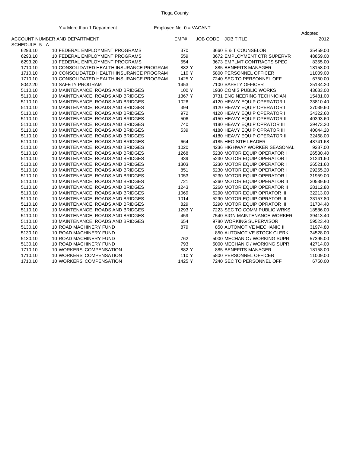|              | $\mathbf{r}$ = more than a Department    | $L$ in provecting. $\theta = \sqrt{N}$ |                    |                              | Adopted  |
|--------------|------------------------------------------|----------------------------------------|--------------------|------------------------------|----------|
| SCHEDULE 5-A | ACCOUNT NUMBER AND DEPARTMENT            | EMP#                                   | JOB CODE JOB TITLE |                              | 2012     |
| 6293.10      | 10 FEDERAL EMPLOYMENT PROGRAMS           | 370                                    |                    | 3660 E & T COUNSELOR         | 35459.00 |
| 6293.10      | 10 FEDERAL EMPLOYMENT PROGRAMS           | 559                                    |                    | 3672 EMPLOYMENT CTR SUPERVR  | 48859.00 |
| 6293.20      | 10 FEDERAL EMPLOYMENT PROGRAMS           | 554                                    |                    | 3673 EMPLMT CONTRACTS SPEC   | 8355.00  |
| 1710.10      | 10 CONSOLIDATED HEALTH INSURANCE PROGRAM | 882 Y                                  |                    | 885 BENEFITS MANAGER         | 18158.00 |
| 1710.10      | 10 CONSOLIDATED HEALTH INSURANCE PROGRAM | 110 Y                                  |                    | 5800 PERSONNEL OFFICER       | 11009.00 |
| 1710.10      | 10 CONSOLIDATED HEALTH INSURANCE PROGRAM | 1425 Y                                 |                    | 7240 SEC TO PERSONNEL OFF    | 6750.00  |
| 8042.20      | 10 SAFETY PROGRAM                        | 1453                                   |                    | 7100 SAFETY OFFICER          | 25134.20 |
| 5110.10      | 10 MAINTENANCE, ROADS AND BRIDGES        | 100 Y                                  |                    | 1930 COMIS PUBLIC WORKS      | 43683.00 |
| 5110.10      | 10 MAINTENANCE, ROADS AND BRIDGES        | 1367 Y                                 |                    | 3731 ENGINEERING TECHNICIAN  | 15481.00 |
| 5110.10      | 10 MAINTENANCE, ROADS AND BRIDGES        | 1026                                   |                    | 4120 HEAVY EQUIP OPERATOR I  | 33810.40 |
| 5110.10      | 10 MAINTENANCE, ROADS AND BRIDGES        | 394                                    |                    | 4120 HEAVY EQUIP OPERATOR I  | 37039.60 |
| 5110.10      | 10 MAINTENANCE, ROADS AND BRIDGES        | 972                                    |                    | 4120 HEAVY EQUIP OPERATOR I  | 34322.60 |
| 5110.10      | 10 MAINTENANCE, ROADS AND BRIDGES        | 506                                    |                    | 4150 HEAVY EQUIP OPERATOR II | 40393.60 |
| 5110.10      | 10 MAINTENANCE, ROADS AND BRIDGES        | 740                                    |                    | 4180 HEAVY EQUIP OPRATOR III | 39473.20 |
| 5110.10      | 10 MAINTENANCE, ROADS AND BRIDGES        | 539                                    |                    | 4180 HEAVY EQUIP OPRATOR III | 40044.20 |
| 5110.10      | 10 MAINTENANCE, ROADS AND BRIDGES        |                                        |                    | 4180 HEAVY EQUIP OPERATOR II | 32468.00 |
| 5110.10      | 10 MAINTENANCE, ROADS AND BRIDGES        | 664                                    |                    | 4185 HEO SITE LEADER         | 48741.68 |
| 5110.10      | 10 MAINTENANCE, ROADS AND BRIDGES        | 1020                                   |                    | 4236 HIGHWAY WORKER SEASONAL | 9287.00  |
| 5110.10      | 10 MAINTENANCE, ROADS AND BRIDGES        | 1268                                   |                    | 5230 MOTOR EQUIP OPERATOR I  | 26530.40 |
| 5110.10      | 10 MAINTENANCE, ROADS AND BRIDGES        | 939                                    |                    | 5230 MOTOR EQUIP OPERATOR I  | 31241.60 |
| 5110.10      | 10 MAINTENANCE, ROADS AND BRIDGES        | 1303                                   |                    | 5230 MOTOR EQUIP OPERATOR I  | 26521.60 |
| 5110.10      | 10 MAINTENANCE, ROADS AND BRIDGES        | 851                                    |                    | 5230 MOTOR EQUIP OPERATOR I  | 29255.20 |
| 5110.10      | 10 MAINTENANCE, ROADS AND BRIDGES        | 1053                                   |                    | 5230 MOTOR EQUIP OPERATOR I  | 31959.00 |
| 5110.10      | 10 MAINTENANCE, ROADS AND BRIDGES        | 721                                    |                    | 5260 MOTOR EQUIP OPERATOR II | 30539.60 |
| 5110.10      | 10 MAINTENANCE, ROADS AND BRIDGES        | 1243                                   |                    | 5260 MOTOR EQUIP OPERATOR II | 28112.80 |
| 5110.10      | 10 MAINTENANCE, ROADS AND BRIDGES        | 1069                                   |                    | 5290 MOTOR EQUIP OPRATOR III | 32213.00 |
| 5110.10      | 10 MAINTENANCE, ROADS AND BRIDGES        | 1014                                   |                    | 5290 MOTOR EQUIP OPRATOR III | 33157.80 |
| 5110.10      | 10 MAINTENANCE, ROADS AND BRIDGES        | 829                                    |                    | 5290 MOTOR EQUIP OPRATOR III | 31704.40 |
| 5110.10      | 10 MAINTENANCE, ROADS AND BRIDGES        | 1293 Y                                 |                    | 7223 SEC TO COMM PUBLIC WRKS | 18586.00 |
| 5110.10      | 10 MAINTENANCE, ROADS AND BRIDGES        | 459                                    |                    | 7540 SIGN MAINTENANCE WORKER | 39413.40 |
| 5110.10      | 10 MAINTENANCE, ROADS AND BRIDGES        | 654                                    |                    | 9780 WORKING SUPERVISOR      | 59523.40 |
| 5130.10      | 10 ROAD MACHINERY FUND                   | 879                                    |                    | 850 AUTOMOTIVE MECHANIC II   | 31974.80 |
| 5130.10      | 10 ROAD MACHINERY FUND                   |                                        |                    | 850 AUTOMOTIVE STOCK CLERK   | 34528.00 |
| 5130.10      | 10 ROAD MACHINERY FUND                   | 762                                    |                    | 5000 MECHANIC / WORKING SUPR | 57395.00 |
| 5130.10      | 10 ROAD MACHINERY FUND                   | 793                                    |                    | 5000 MECHANIC / WORKING SUPR | 42714.00 |
| 1710.10      | 10 WORKERS' COMPENSATION                 | 882 Y                                  |                    | 885 BENEFITS MANAGER         | 18158.00 |
| 1710.10      | 10 WORKERS' COMPENSATION                 | 110 Y                                  |                    | 5800 PERSONNEL OFFICER       | 11009.00 |
| 1710.10      | 10 WORKERS' COMPENSATION                 | 1425 Y                                 |                    | 7240 SEC TO PERSONNEL OFF    | 6750.00  |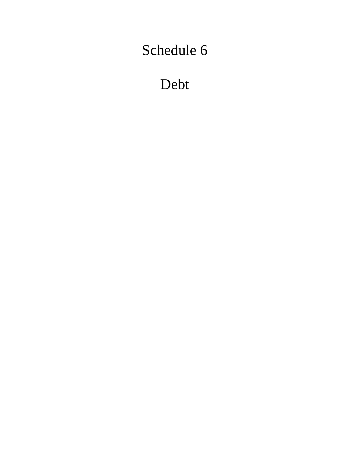Debt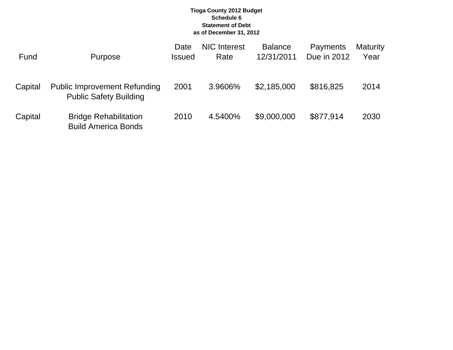### **Tioga County 2012 Budget Schedule 6 Statement of Debt as of December 31, 2012**

| Fund    | Purpose                                                              | Date<br><b>Issued</b> | <b>NIC</b> Interest<br>Rate | <b>Balance</b><br>12/31/2011 | Payments<br>Due in 2012 | <b>Maturity</b><br>Year |
|---------|----------------------------------------------------------------------|-----------------------|-----------------------------|------------------------------|-------------------------|-------------------------|
| Capital | <b>Public Improvement Refunding</b><br><b>Public Safety Building</b> | 2001                  | 3.9606%                     | \$2,185,000                  | \$816,825               | 2014                    |
| Capital | <b>Bridge Rehabilitation</b><br><b>Build America Bonds</b>           | 2010                  | 4.5400%                     | \$9,000,000                  | \$877,914               | 2030                    |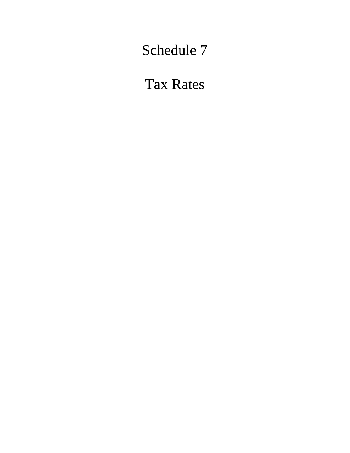Tax Rates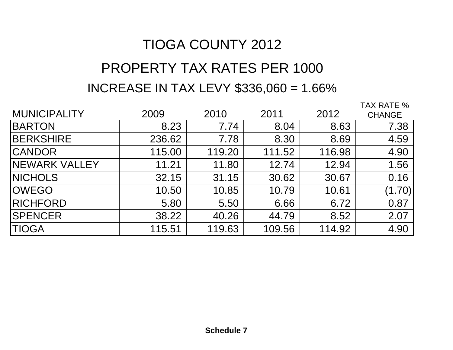# TIOGA COUNTY 2012 PROPERTY TAX RATES PER 1000INCREASE IN TAX LEVY \$336,060 = 1.66%

|                       |        |        |        |        | TAX RATE %    |
|-----------------------|--------|--------|--------|--------|---------------|
| <b>MUNICIPALITY</b>   | 2009   | 2010   | 2011   | 2012   | <b>CHANGE</b> |
| <b>BARTON</b>         | 8.23   | 7.74   | 8.04   | 8.63   | 7.38          |
| <b>BERKSHIRE</b>      | 236.62 | 7.78   | 8.30   | 8.69   | 4.59          |
| <b>CANDOR</b>         | 115.00 | 119.20 | 111.52 | 116.98 | 4.90          |
| <b>INEWARK VALLEY</b> | 11.21  | 11.80  | 12.74  | 12.94  | 1.56          |
| <b>NICHOLS</b>        | 32.15  | 31.15  | 30.62  | 30.67  | 0.16          |
| <b>OWEGO</b>          | 10.50  | 10.85  | 10.79  | 10.61  | (1.70)        |
| <b>RICHFORD</b>       | 5.80   | 5.50   | 6.66   | 6.72   | 0.87          |
| <b>SPENCER</b>        | 38.22  | 40.26  | 44.79  | 8.52   | 2.07          |
| <b>TIOGA</b>          | 115.51 | 119.63 | 109.56 | 114.92 | 4.90          |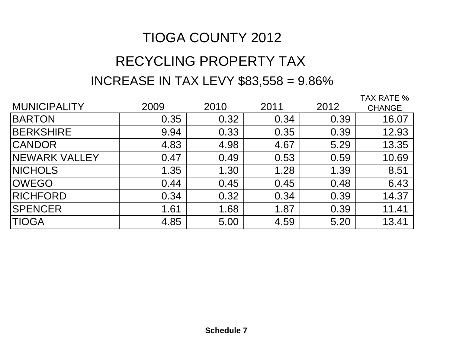# TIOGA COUNTY 2012

# RECYCLING PROPERTY TAX INCREASE IN TAX LEVY \$83,558 = 9.86%

|                      |      |      |      |      | TAX RATE %    |
|----------------------|------|------|------|------|---------------|
| <b>MUNICIPALITY</b>  | 2009 | 2010 | 2011 | 2012 | <b>CHANGE</b> |
| <b>BARTON</b>        | 0.35 | 0.32 | 0.34 | 0.39 | 16.07         |
| <b>BERKSHIRE</b>     | 9.94 | 0.33 | 0.35 | 0.39 | 12.93         |
| <b>CANDOR</b>        | 4.83 | 4.98 | 4.67 | 5.29 | 13.35         |
| <b>NEWARK VALLEY</b> | 0.47 | 0.49 | 0.53 | 0.59 | 10.69         |
| <b>NICHOLS</b>       | 1.35 | 1.30 | 1.28 | 1.39 | 8.51          |
| <b>OWEGO</b>         | 0.44 | 0.45 | 0.45 | 0.48 | 6.43          |
| <b>RICHFORD</b>      | 0.34 | 0.32 | 0.34 | 0.39 | 14.37         |
| <b>SPENCER</b>       | 1.61 | 1.68 | 1.87 | 0.39 | 11.41         |
| <b>TIOGA</b>         | 4.85 | 5.00 | 4.59 | 5.20 | 13.41         |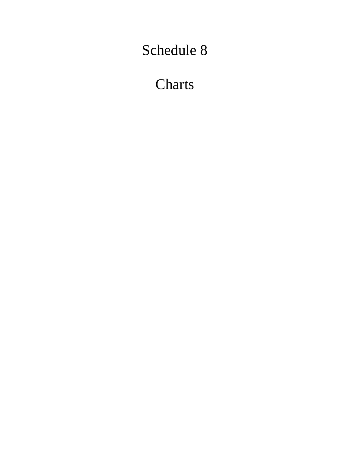**Charts**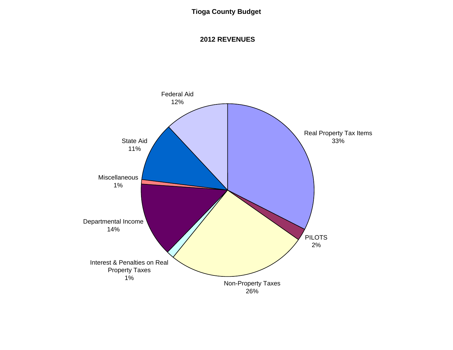# **Tioga County Budget**

### **2012 REVENUES**

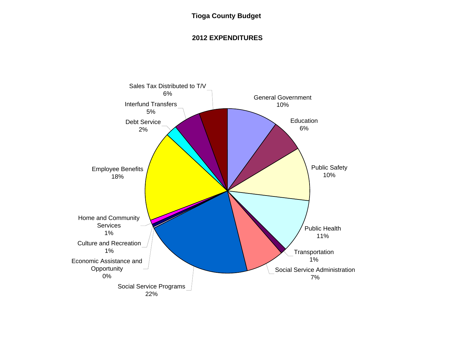## **Tioga County Budget**

## **2012 EXPENDITURES**

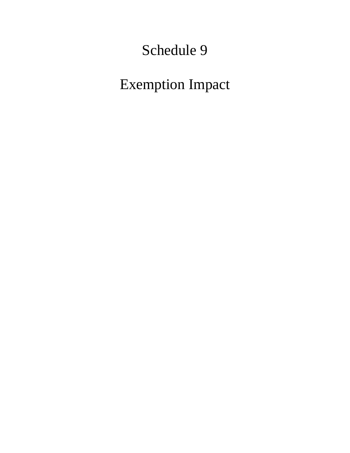Exemption Impact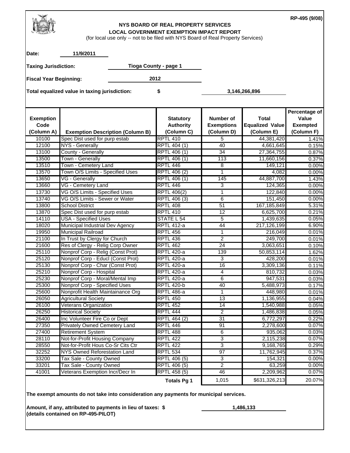#### **NYS BOARD OF REAL PROPERTY SERVICES LOCAL GOVERNMENT EXEMPTION IMPACT REPORT**

**RP-495 (9/08)**

| Date:                                                                                              | 11/9/2011                                                                              |    |                                                    |                                                     |                                               |                                                         |
|----------------------------------------------------------------------------------------------------|----------------------------------------------------------------------------------------|----|----------------------------------------------------|-----------------------------------------------------|-----------------------------------------------|---------------------------------------------------------|
| <b>Taxing Jurisdiction:</b>                                                                        |                                                                                        |    | Tioga County - page 1                              |                                                     |                                               |                                                         |
| <b>Fiscal Year Beginning:</b><br>Total equalized value in taxing jurisdiction:                     |                                                                                        |    | 2012                                               |                                                     |                                               |                                                         |
|                                                                                                    |                                                                                        | \$ |                                                    |                                                     |                                               |                                                         |
|                                                                                                    |                                                                                        |    |                                                    |                                                     | 3,146,266,896                                 |                                                         |
| <b>Exemption</b><br>Code<br>(Column A)                                                             | <b>Exemption Description (Column B)</b>                                                |    | <b>Statutory</b><br><b>Authority</b><br>(Column C) | <b>Number of</b><br><b>Exemptions</b><br>(Column D) | <b>Total</b><br>Equalized Value<br>(Column E) | Percentage of<br>Value<br><b>Exempted</b><br>(Column F) |
| 10100                                                                                              | Spec Dist used for purp estab                                                          |    | <b>RPTL 410</b>                                    | 5                                                   | 44,381,420                                    | 1.41%                                                   |
| 12100                                                                                              | NYS - Generally                                                                        |    | RPTL 404 (1)                                       | 40                                                  | 4,661,645                                     | 0.15%                                                   |
| 13100                                                                                              | County - Generally                                                                     |    | RPTL 406 (1)                                       | 34                                                  | 27,364,755                                    | 0.87%                                                   |
| 13500                                                                                              | <b>Town - Generally</b>                                                                |    | RPTL 406 (1)                                       | 113                                                 | 11,660,156                                    | 0.37%                                                   |
| 13510                                                                                              | Town - Cemetery Land                                                                   |    | RPTL 446                                           | 8                                                   | 149,121                                       | 0.00%                                                   |
| 13570                                                                                              | Town O/S Limits - Specified Uses                                                       |    | RPTL 406 (2)                                       | 1                                                   | 4,082                                         | 0.00%                                                   |
| 13650                                                                                              | <b>VG</b> - Generally                                                                  |    | RPTL 406 (1)                                       | 145                                                 | 44,887,700                                    | 1.43%                                                   |
| 13660                                                                                              | VG - Cemetery Land                                                                     |    | RPTL <sub>446</sub>                                | 3                                                   | 124,365                                       | 0.00%                                                   |
| 13730                                                                                              | VG O/S Limits - Specified Uses                                                         |    | <b>RPTL 406(2)</b>                                 | 1                                                   | 122,840                                       | 0.00%                                                   |
| 13740                                                                                              | VG O/S Limits - Sewer or Water                                                         |    | RPTL 406 (3)                                       | 6                                                   | 151,450                                       | 0.00%                                                   |
| 13800<br>13870                                                                                     | <b>School District</b>                                                                 |    | <b>RPTL 408</b><br><b>RPTL 410</b>                 | 51<br>12                                            | 167,185,849<br>6,625,700                      | 5.31%<br>0.21%                                          |
| 14110                                                                                              | Spec Dist used for purp estab<br><b>USA - Specified Uses</b>                           |    | STATE L 54                                         | 5                                                   | 1,439,635                                     | 0.05%                                                   |
| 18020                                                                                              | Municipal Industrial Dev Agency                                                        |    | <b>RPTL 412-a</b>                                  | 44                                                  | 217,126,199                                   | 6.90%                                                   |
| 19950                                                                                              | <b>Municipal Railroad</b>                                                              |    | RPTL 456                                           | $\mathbf{1}$                                        | 216,049                                       | 0.01%                                                   |
| 21100                                                                                              | In Trust by Clergy for Church                                                          |    | <b>RPTL 436</b>                                    | $\overline{2}$                                      | 249,700                                       | 0.01%                                                   |
| 21600                                                                                              | Res of Clergy - Relig Corp Owner                                                       |    | <b>RPTL 462</b>                                    | 24                                                  | 3,063,651                                     | 0.10%                                                   |
| 25110                                                                                              | Nonprof Corp - Relig (Const Prot)                                                      |    | <b>RPTL 420-a</b>                                  | 139                                                 | 50,853,114                                    | 1.62%                                                   |
| 25120                                                                                              | Nonprof Corp - Educl (Const Prot)                                                      |    | <b>RPTL 420-a</b>                                  | 3                                                   | 428,200                                       | 0.01%                                                   |
| 25130                                                                                              | Nonprof Corp - Char (Const Prot)                                                       |    | <b>RPTL 420-a</b>                                  | 16                                                  | 3,309,136                                     | 0.11%                                                   |
| 25210                                                                                              | Nonprof Corp - Hospital                                                                |    | <b>RPTL 420-a</b>                                  | 4                                                   | 810,732                                       | 0.03%                                                   |
| 25230                                                                                              | Nonprof Corp - Moral/Mental Imp                                                        |    | <b>RPTL 420-a</b>                                  | 6                                                   | 947,531                                       | 0.03%                                                   |
| 25300                                                                                              | Nonprof Corp - Specified Uses                                                          |    | <b>RPTL 420-b</b>                                  | 40                                                  | 5,488,973                                     | 0.17%                                                   |
| 25600                                                                                              | Nonprofit Health Maintainance Org                                                      |    | RPTL 486-a                                         | 1                                                   | 448,980                                       | 0.01%                                                   |
| 26050                                                                                              | <b>Agricultural Society</b>                                                            |    | <b>RPTL 450</b>                                    | 13                                                  | 1,136,955                                     | 0.04%                                                   |
| 26100                                                                                              | Veterans Organization                                                                  |    | RPTL 452                                           | 14                                                  | 1,540,988                                     | 0.05%                                                   |
| 26250                                                                                              | <b>Historical Society</b>                                                              |    | <b>RPTL 444</b>                                    | $\overline{2}$                                      | 1,486,838                                     | 0.05%                                                   |
| 26400                                                                                              | Inc Volunteer Fire Co or Dept                                                          |    | RPTL 464 (2)                                       | 31                                                  | 6,772,297                                     | 0.22%                                                   |
| 27350                                                                                              | Privately Owned Cemetery Land                                                          |    | RPTL 446                                           | 91                                                  | 2,278,600                                     | 0.07%                                                   |
| 27400                                                                                              | <b>Retirement System</b>                                                               |    | <b>RPTL 488</b>                                    | $\overline{6}$                                      | 935,062                                       | 0.03%                                                   |
| 28110                                                                                              | Not-for-Profit Housing Company                                                         |    | <b>RPTL 422</b>                                    | $\overline{3}$                                      | 2,115,238                                     | 0.07%                                                   |
| 28550                                                                                              | Not-for-Profit Hous Co-Sr Cits Ctr                                                     |    | <b>RPTL 422</b>                                    | 3                                                   | 9,168,765                                     | 0.29%                                                   |
| 32252                                                                                              | NYS Owned Reforestation Land                                                           |    | <b>RPTL 534</b>                                    | $\overline{97}$                                     | 11,762,945                                    | 0.37%                                                   |
| 33200                                                                                              | Tax Sale - County Owned                                                                |    | RPTL 406 (5)                                       | 3                                                   | 154,321                                       | 0.00%                                                   |
| 33201                                                                                              | Tax Sale - County Owned                                                                |    | RPTL 406 (5)                                       | $\overline{2}$                                      | 63,259                                        | 0.00%                                                   |
| 41001                                                                                              | Veterans Exemption Incr/Decr In                                                        |    | RPTL 458 (5)                                       | 46                                                  | 2,209,962                                     | 0.07%                                                   |
|                                                                                                    |                                                                                        |    | <b>Totals Pg 1</b>                                 | 1,015                                               | \$631,326,213                                 | 20.07%                                                  |
|                                                                                                    | The exempt amounts do not take into consideration any payments for municipal services. |    |                                                    |                                                     |                                               |                                                         |
| Amount, if any, attributed to payments in lieu of taxes: \$<br>(details contained on RP-495-PILOT) |                                                                                        |    |                                                    |                                                     | 1,486,133                                     |                                                         |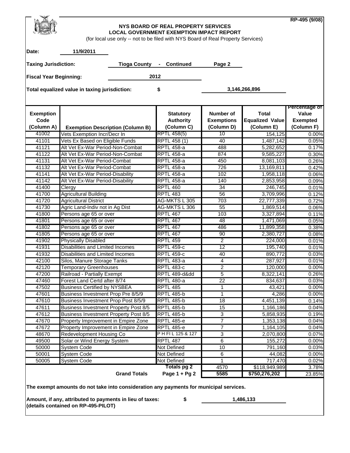|                               |                                                                                        |                                         |                                                                                  |                   |                         | RP-495 (9/08)          |
|-------------------------------|----------------------------------------------------------------------------------------|-----------------------------------------|----------------------------------------------------------------------------------|-------------------|-------------------------|------------------------|
|                               |                                                                                        |                                         | NYS BOARD OF REAL PROPERTY SERVICES                                              |                   |                         |                        |
|                               |                                                                                        |                                         | <b>LOCAL GOVERNMENT EXEMPTION IMPACT REPORT</b>                                  |                   |                         |                        |
|                               |                                                                                        |                                         | (for local use only -- not to be filed with NYS Board of Real Property Services) |                   |                         |                        |
| Date:                         | 11/9/2011                                                                              |                                         |                                                                                  |                   |                         |                        |
|                               |                                                                                        |                                         |                                                                                  |                   |                         |                        |
| <b>Taxing Jurisdiction:</b>   |                                                                                        | <b>Tioga County</b>                     | - Continued                                                                      | Page 2            |                         |                        |
| <b>Fiscal Year Beginning:</b> |                                                                                        |                                         | 2012                                                                             |                   |                         |                        |
|                               |                                                                                        |                                         |                                                                                  |                   |                         |                        |
|                               | Total equalized value in taxing jurisdiction:                                          |                                         | \$                                                                               |                   | 3,146,266,896           |                        |
|                               |                                                                                        |                                         |                                                                                  |                   |                         |                        |
|                               |                                                                                        |                                         |                                                                                  |                   |                         |                        |
| <b>Exemption</b>              |                                                                                        |                                         | <b>Statutory</b>                                                                 | <b>Number of</b>  | <b>Total</b>            | Percentage of<br>Value |
| Code                          |                                                                                        |                                         | <b>Authority</b>                                                                 | <b>Exemptions</b> | <b>Equalized Value</b>  | <b>Exempted</b>        |
| (Column A)                    |                                                                                        | <b>Exemption Description (Column B)</b> | (Column C)                                                                       | (Column D)        | (Column E)              | (Column F)             |
| 41002                         | Vets Exemption Incr/Decr In                                                            |                                         | <b>RPTL 458(5)</b>                                                               | 10                | 154,125                 | 0.00%                  |
| 41101                         | Vets Ex Based on Eligible Funds                                                        |                                         | RPTL 458 (1)                                                                     | 40                | 1,487,142               | 0.05%                  |
| 41121                         | Alt Vet Ex-War Period-Non-Combat                                                       |                                         | <b>RPTL 458-a</b>                                                                | 488               | 5,282,652               | 0.17%                  |
| 41122                         | Alt Vet Ex-War Period-Non-Combat                                                       |                                         | <b>RPTL 458-a</b>                                                                | 874               | 9,585,227               | 0.30%                  |
| 41131                         | Alt Vet Ex-War Period-Combat                                                           |                                         | <b>RPTL 458-a</b>                                                                | 450               | 8,081,103               | 0.26%                  |
| 41132                         | Alt Vet Ex-War Period-Combat                                                           |                                         | <b>RPTL 458-a</b>                                                                | 726               | 13,169,811              | 0.42%                  |
| 41141                         | Alt Vet Ex-War Period-Disability                                                       |                                         | <b>RPTL 458-a</b>                                                                | 102               | 1,958,118               | 0.06%                  |
| 41142                         | Alt Vet Ex-War Period-Disability                                                       |                                         | <b>RPTL 458-a</b>                                                                | 140               | 2,853,958               | 0.09%                  |
| 41400                         | Clergy                                                                                 |                                         | <b>RPTL 460</b>                                                                  | 34                | 246,745                 | 0.01%                  |
| 41700                         | <b>Agricultural Building</b>                                                           |                                         | <b>RPTL 483</b>                                                                  | 56                | 3,709,996               | 0.12%                  |
| 41720<br>41730                | <b>Agricultural District</b>                                                           |                                         | AG-MKTS L 305<br>AG-MKTS L 306                                                   | 703<br>55         | 22,777,339<br>1,869,514 | 0.72%<br>0.06%         |
| 41800                         | Agric Land-Indiv not in Ag Dist<br>Persons age 65 or over                              |                                         | <b>RPTL 467</b>                                                                  | 103               | 3,327,894               | 0.11%                  |
| 41801                         | Persons age 65 or over                                                                 |                                         | <b>RPTL 467</b>                                                                  | 48                | 1,471,069               | 0.05%                  |
| 41802                         | Persons age 65 or over                                                                 |                                         | <b>RPTL 467</b>                                                                  | 486               | 11,899,358              | 0.38%                  |
| 41805                         | Persons age 65 or over                                                                 |                                         | <b>RPTL 467</b>                                                                  | 90                | 2,380,727               | 0.08%                  |
| 41902                         | <b>Physically Disabled</b>                                                             |                                         | <b>RPTL 459</b>                                                                  | $\overline{2}$    | 224,000                 | 0.01%                  |
| 41931                         | <b>Disabilities and Limited Incomes</b>                                                |                                         | <b>RPTL 459-c</b>                                                                | 12                | 195,740                 | 0.01%                  |
| 41932                         | Disabilities and Limited Incomes                                                       |                                         | <b>RPTL 459-c</b>                                                                | 40                | 890,772                 | 0.03%                  |
| 42100                         | Silos, Manure Storage Tanks                                                            |                                         | <b>RPTL 483-a</b>                                                                | $\overline{4}$    | 287,927                 | 0.01%                  |
| 42120                         | <b>Temporary Greenhouses</b>                                                           |                                         | <b>RPTL 483-c</b>                                                                | $\overline{2}$    | 120,000                 | 0.00%                  |
| 47200                         | Railroad - Partially Exempt                                                            |                                         | RPTL 489-dⅆ                                                                      | 5                 | 8,322,141               | 0.26%                  |
| 47460                         | Forest Land Certd after 8/74                                                           |                                         | <b>RPTL 480-a</b>                                                                | $\overline{22}$   | 834,637                 | 0.03%                  |
| 47502                         | <b>Business Certified by NYSBEA</b>                                                    |                                         | <b>RPTL 485</b>                                                                  | 1                 | 43,421                  | 0.00%                  |
| 47601                         | Business Investment Prop Pre 8/5/9                                                     |                                         | <b>RPTL 485-b</b>                                                                | 1                 | 4,286                   | 0.00%                  |
| 47610                         | Business Investment Prop Post 8/5/9                                                    |                                         | <b>RPTL 485-b</b>                                                                | 18                | 4,451,139               | 0.14%                  |
| 47611                         | <b>Business Investment Property Post 8/5</b>                                           |                                         | <b>RPTL 485-b</b>                                                                | 15                | 1,166,186               | 0.04%                  |
| 47612                         | <b>Business Investment Property Post 8/5</b>                                           |                                         | <b>RPTL 485-b</b>                                                                | 3                 | 5,858,935               | 0.19%                  |
| 47670                         | Property Improvement in Empire Zone                                                    |                                         | <b>RPTL 485-e</b>                                                                | $\overline{7}$    | 1,353,138               | 0.04%                  |
| 47672                         | Property Improvement in Empire Zone                                                    |                                         | <b>RPTL 485-e</b><br>PHFIL 125 & 127                                             | $\overline{7}$    | 1,164,105               | 0.04%                  |
| 48670<br>49500                | Redevelopment Housing Co                                                               |                                         | <b>RPTL 487</b>                                                                  | 3<br>6            | 2,070,800<br>155,272    | 0.07%<br>0.00%         |
| 50000                         | Solar or Wind Energy System<br>System Code                                             |                                         | Not Defined                                                                      | 10                | 791,160                 | 0.03%                  |
| 50001                         | System Code                                                                            |                                         | Not Defined                                                                      | 6                 | 44,082                  | 0.00%                  |
| 50005                         | <b>System Code</b>                                                                     |                                         | Not Defined                                                                      | 1                 | 717,470                 | 0.02%                  |
|                               |                                                                                        |                                         | <b>Totals pg 2</b>                                                               | 4570              | \$118,949,989           | 3.78%                  |
|                               |                                                                                        | <b>Grand Totals</b>                     | Page 1 + Pg 2                                                                    | 5585              | \$750,276,202           | 23.85%                 |
|                               |                                                                                        |                                         |                                                                                  |                   |                         |                        |
|                               | The exempt amounts do not take into consideration any payments for municipal services. |                                         |                                                                                  |                   |                         |                        |
|                               | Amount, if any, attributed to payments in lieu of taxes:                               |                                         | \$                                                                               |                   | 1,486,133               |                        |
|                               | (details contained on RP-495-PILOT)                                                    |                                         |                                                                                  |                   |                         |                        |
|                               |                                                                                        |                                         |                                                                                  |                   |                         |                        |
|                               |                                                                                        |                                         |                                                                                  |                   |                         |                        |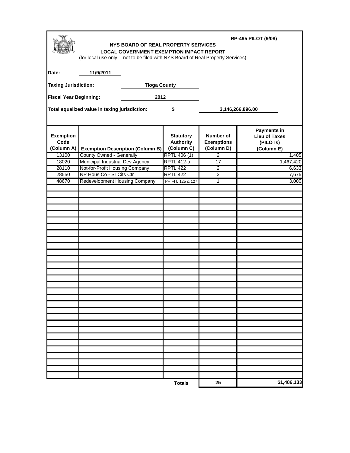| <b>RP-495 PILOT (9/08)</b><br>NYS BOARD OF REAL PROPERTY SERVICES<br><b>LOCAL GOVERNMENT EXEMPTION IMPACT REPORT</b><br>(for local use only -- not to be filed with NYS Board of Real Property Services) |                                                            |                     |                                                    |                                              |                                                                      |  |
|----------------------------------------------------------------------------------------------------------------------------------------------------------------------------------------------------------|------------------------------------------------------------|---------------------|----------------------------------------------------|----------------------------------------------|----------------------------------------------------------------------|--|
| Date:                                                                                                                                                                                                    | 11/9/2011                                                  |                     |                                                    |                                              |                                                                      |  |
| <b>Taxing Jurisdiction:</b>                                                                                                                                                                              |                                                            | <b>Tioga County</b> |                                                    |                                              |                                                                      |  |
| <b>Fiscal Year Beginning:</b>                                                                                                                                                                            |                                                            | 2012                |                                                    |                                              |                                                                      |  |
|                                                                                                                                                                                                          | Total equalized value in taxing jurisdiction:              | \$                  |                                                    | 3,146,266,896.00                             |                                                                      |  |
| <b>Exemption</b><br>Code<br>(Column A)                                                                                                                                                                   | <b>Exemption Description (Column B)</b>                    |                     | <b>Statutory</b><br><b>Authority</b><br>(Column C) | Number of<br><b>Exemptions</b><br>(Column D) | <b>Payments in</b><br><b>Lieu of Taxes</b><br>(PILOTs)<br>(Column E) |  |
| 13100                                                                                                                                                                                                    | County Owned - Generally                                   |                     | RPTL 406 (1)                                       | $\overline{2}$                               | 1,405                                                                |  |
| 18020                                                                                                                                                                                                    | Municipal Industrial Dev Agency                            |                     | <b>RPTL 412-a</b>                                  | $\overline{17}$                              | 1,467,420                                                            |  |
| 28110<br>28550                                                                                                                                                                                           | Not-for-Profit Housing Company<br>NP Hous Co - Sr Cits Ctr |                     | <b>RPTL 422</b><br><b>RPTL 422</b>                 | $\overline{2}$<br>3                          | 6,633<br>7,675                                                       |  |
| 48670                                                                                                                                                                                                    | <b>Redevelopment Housing Company</b>                       |                     | PH FI L 125 & 127                                  | $\mathbf 1$                                  | 3,000                                                                |  |
|                                                                                                                                                                                                          |                                                            |                     |                                                    |                                              |                                                                      |  |
|                                                                                                                                                                                                          |                                                            |                     |                                                    |                                              |                                                                      |  |
|                                                                                                                                                                                                          |                                                            |                     |                                                    |                                              |                                                                      |  |
|                                                                                                                                                                                                          |                                                            |                     |                                                    |                                              |                                                                      |  |
|                                                                                                                                                                                                          |                                                            |                     | <b>Totals</b>                                      | 25                                           | \$1,486,133                                                          |  |